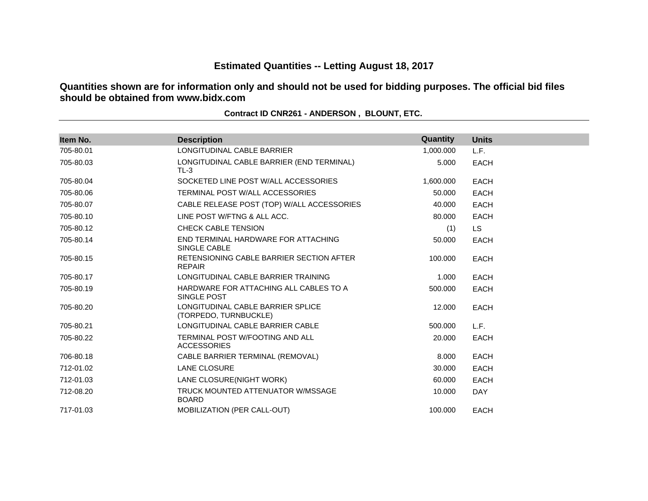# **Estimated Quantities -- Letting August 18, 2017**

**Quantities shown are for information only and should not be used for bidding purposes. The official bid files should be obtained from www.bidx.com**

| Item No.  | <b>Description</b>                                         | Quantity  | <b>Units</b> |  |
|-----------|------------------------------------------------------------|-----------|--------------|--|
| 705-80.01 | LONGITUDINAL CABLE BARRIER                                 | 1,000.000 | L.F.         |  |
| 705-80.03 | LONGITUDINAL CABLE BARRIER (END TERMINAL)<br>$TL-3$        | 5.000     | <b>EACH</b>  |  |
| 705-80.04 | SOCKETED LINE POST WALL ACCESSORIES                        | 1,600.000 | <b>EACH</b>  |  |
| 705-80.06 | TERMINAL POST W/ALL ACCESSORIES                            | 50,000    | <b>EACH</b>  |  |
| 705-80.07 | CABLE RELEASE POST (TOP) W/ALL ACCESSORIES                 | 40.000    | <b>EACH</b>  |  |
| 705-80.10 | LINE POST W/FTNG & ALL ACC.                                | 80,000    | <b>EACH</b>  |  |
| 705-80.12 | <b>CHECK CABLE TENSION</b>                                 | (1)       | <b>LS</b>    |  |
| 705-80.14 | END TERMINAL HARDWARE FOR ATTACHING<br>SINGLE CABLE        | 50.000    | <b>EACH</b>  |  |
| 705-80.15 | RETENSIONING CABLE BARRIER SECTION AFTER<br><b>REPAIR</b>  | 100.000   | <b>EACH</b>  |  |
| 705-80.17 | LONGITUDINAL CABLE BARRIER TRAINING                        | 1.000     | <b>EACH</b>  |  |
| 705-80.19 | HARDWARE FOR ATTACHING ALL CABLES TO A<br>SINGLE POST      | 500.000   | <b>EACH</b>  |  |
| 705-80.20 | LONGITUDINAL CABLE BARRIER SPLICE<br>(TORPEDO, TURNBUCKLE) | 12.000    | <b>EACH</b>  |  |
| 705-80.21 | LONGITUDINAL CABLE BARRIER CABLE                           | 500.000   | L.F.         |  |
| 705-80.22 | TERMINAL POST W/FOOTING AND ALL<br><b>ACCESSORIES</b>      | 20,000    | <b>EACH</b>  |  |
| 706-80.18 | CABLE BARRIER TERMINAL (REMOVAL)                           | 8.000     | <b>EACH</b>  |  |
| 712-01.02 | <b>LANE CLOSURE</b>                                        | 30,000    | <b>EACH</b>  |  |
| 712-01.03 | LANE CLOSURE(NIGHT WORK)                                   | 60.000    | <b>EACH</b>  |  |
| 712-08.20 | TRUCK MOUNTED ATTENUATOR W/MSSAGE<br><b>BOARD</b>          | 10.000    | <b>DAY</b>   |  |
| 717-01.03 | MOBILIZATION (PER CALL-OUT)                                | 100.000   | <b>EACH</b>  |  |

#### **Contract ID CNR261 - ANDERSON , BLOUNT, ETC.**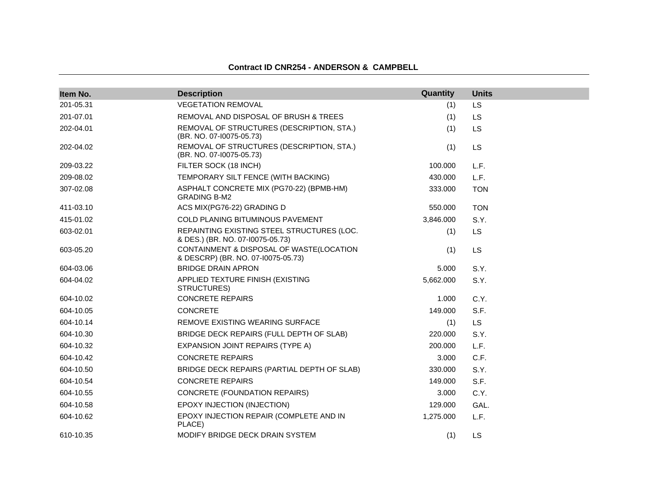| Item No.  | <b>Description</b>                                                             | Quantity  | <b>Units</b> |
|-----------|--------------------------------------------------------------------------------|-----------|--------------|
| 201-05.31 | <b>VEGETATION REMOVAL</b>                                                      | (1)       | LS           |
| 201-07.01 | REMOVAL AND DISPOSAL OF BRUSH & TREES                                          | (1)       | LS           |
| 202-04.01 | REMOVAL OF STRUCTURES (DESCRIPTION, STA.)<br>(BR. NO. 07-10075-05.73)          | (1)       | LS           |
| 202-04.02 | REMOVAL OF STRUCTURES (DESCRIPTION, STA.)<br>(BR. NO. 07-10075-05.73)          | (1)       | LS           |
| 209-03.22 | FILTER SOCK (18 INCH)                                                          | 100.000   | L.F.         |
| 209-08.02 | TEMPORARY SILT FENCE (WITH BACKING)                                            | 430.000   | L.F.         |
| 307-02.08 | ASPHALT CONCRETE MIX (PG70-22) (BPMB-HM)<br><b>GRADING B-M2</b>                | 333.000   | <b>TON</b>   |
| 411-03.10 | ACS MIX(PG76-22) GRADING D                                                     | 550.000   | <b>TON</b>   |
| 415-01.02 | <b>COLD PLANING BITUMINOUS PAVEMENT</b>                                        | 3,846.000 | S.Y.         |
| 603-02.01 | REPAINTING EXISTING STEEL STRUCTURES (LOC.<br>& DES.) (BR. NO. 07-10075-05.73) | (1)       | LS           |
| 603-05.20 | CONTAINMENT & DISPOSAL OF WASTE(LOCATION<br>& DESCRP) (BR. NO. 07-10075-05.73) | (1)       | LS           |
| 604-03.06 | <b>BRIDGE DRAIN APRON</b>                                                      | 5.000     | S.Y.         |
| 604-04.02 | APPLIED TEXTURE FINISH (EXISTING<br>STRUCTURES)                                | 5,662.000 | S.Y.         |
| 604-10.02 | <b>CONCRETE REPAIRS</b>                                                        | 1.000     | C.Y.         |
| 604-10.05 | CONCRETE                                                                       | 149.000   | S.F.         |
| 604-10.14 | REMOVE EXISTING WEARING SURFACE                                                | (1)       | <b>LS</b>    |
| 604-10.30 | BRIDGE DECK REPAIRS (FULL DEPTH OF SLAB)                                       | 220,000   | S.Y.         |
| 604-10.32 | EXPANSION JOINT REPAIRS (TYPE A)                                               | 200.000   | L.F.         |
| 604-10.42 | <b>CONCRETE REPAIRS</b>                                                        | 3.000     | C.F.         |
| 604-10.50 | BRIDGE DECK REPAIRS (PARTIAL DEPTH OF SLAB)                                    | 330.000   | S.Y.         |
| 604-10.54 | <b>CONCRETE REPAIRS</b>                                                        | 149.000   | S.F.         |
| 604-10.55 | <b>CONCRETE (FOUNDATION REPAIRS)</b>                                           | 3.000     | C.Y.         |
| 604-10.58 | EPOXY INJECTION (INJECTION)                                                    | 129.000   | GAL.         |
| 604-10.62 | EPOXY INJECTION REPAIR (COMPLETE AND IN<br>PLACE)                              | 1,275.000 | L.F.         |
| 610-10.35 | MODIFY BRIDGE DECK DRAIN SYSTEM                                                | (1)       | LS           |

#### **Contract ID CNR254 - ANDERSON & CAMPBELL**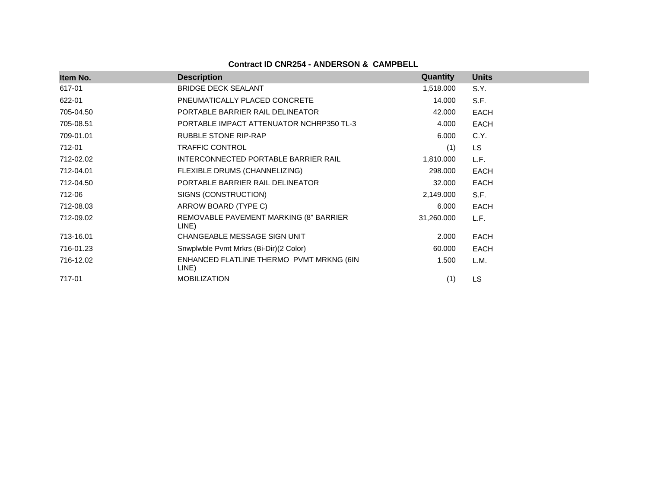# **Contract ID CNR254 - ANDERSON & CAMPBELL**

| Item No.  | <b>Description</b>                                | Quantity   | <b>Units</b> |
|-----------|---------------------------------------------------|------------|--------------|
| 617-01    | <b>BRIDGE DECK SEALANT</b>                        | 1,518.000  | S.Y.         |
| 622-01    | PNEUMATICALLY PLACED CONCRETE                     | 14.000     | S.F.         |
| 705-04.50 | PORTABLE BARRIER RAIL DELINEATOR                  | 42.000     | EACH         |
| 705-08.51 | PORTABLE IMPACT ATTENUATOR NCHRP350 TL-3          | 4.000      | EACH         |
| 709-01.01 | RUBBLE STONE RIP-RAP                              | 6.000      | C.Y.         |
| 712-01    | <b>TRAFFIC CONTROL</b>                            | (1)        | <b>LS</b>    |
| 712-02.02 | INTERCONNECTED PORTABLE BARRIER RAIL              | 1,810.000  | L.F.         |
| 712-04.01 | FLEXIBLE DRUMS (CHANNELIZING)                     | 298.000    | EACH         |
| 712-04.50 | PORTABLE BARRIER RAIL DELINEATOR                  | 32.000     | EACH         |
| 712-06    | SIGNS (CONSTRUCTION)                              | 2,149.000  | S.F.         |
| 712-08.03 | ARROW BOARD (TYPE C)                              | 6.000      | EACH         |
| 712-09.02 | REMOVABLE PAVEMENT MARKING (8" BARRIER<br>LINE)   | 31,260.000 | L.F.         |
| 713-16.01 | CHANGEABLE MESSAGE SIGN UNIT                      | 2.000      | <b>EACH</b>  |
| 716-01.23 | Snwplwble Pvmt Mrkrs (Bi-Dir)(2 Color)            | 60.000     | EACH         |
| 716-12.02 | ENHANCED FLATLINE THERMO PVMT MRKNG (6IN<br>LINE) | 1.500      | L.M.         |
| 717-01    | <b>MOBILIZATION</b>                               | (1)        | <b>LS</b>    |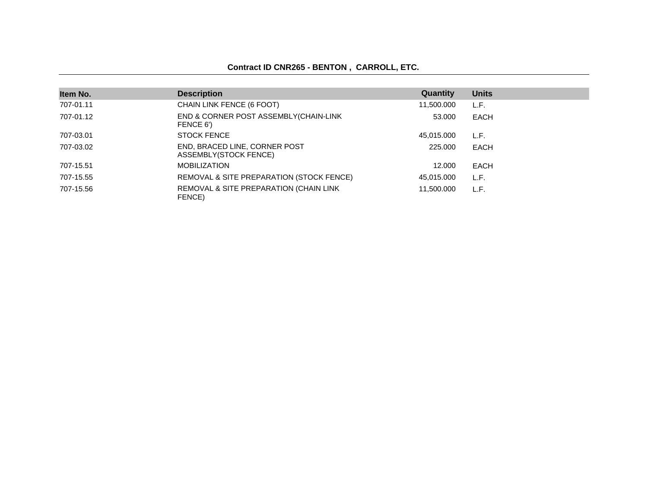## **Contract ID CNR265 - BENTON , CARROLL, ETC.**

| Item No.  | <b>Description</b>                                     | Quantity   | <b>Units</b> |  |
|-----------|--------------------------------------------------------|------------|--------------|--|
| 707-01.11 | CHAIN LINK FENCE (6 FOOT)                              | 11,500.000 | L.F.         |  |
| 707-01.12 | END & CORNER POST ASSEMBLY (CHAIN-LINK<br>FENCE 6')    | 53,000     | <b>EACH</b>  |  |
| 707-03.01 | <b>STOCK FENCE</b>                                     | 45,015.000 | L.F.         |  |
| 707-03.02 | END, BRACED LINE, CORNER POST<br>ASSEMBLY(STOCK FENCE) | 225,000    | EACH         |  |
| 707-15.51 | <b>MOBILIZATION</b>                                    | 12.000     | EACH         |  |
| 707-15.55 | REMOVAL & SITE PREPARATION (STOCK FENCE)               | 45,015.000 | L.F.         |  |
| 707-15.56 | REMOVAL & SITE PREPARATION (CHAIN LINK<br>FENCE)       | 11.500.000 | L.F.         |  |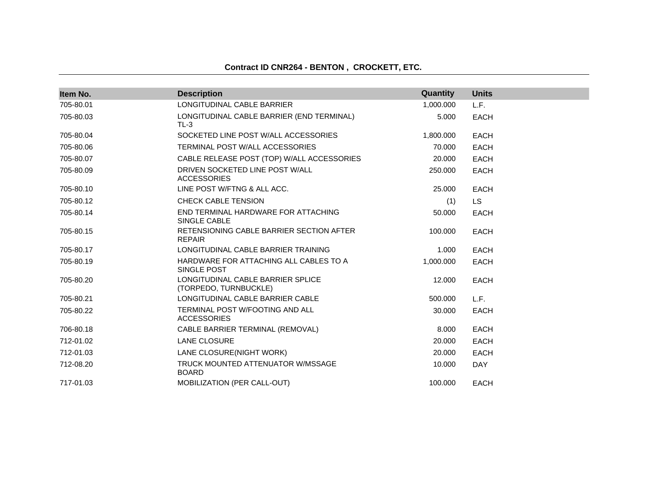# **Contract ID CNR264 - BENTON , CROCKETT, ETC.**

| Item No.  | <b>Description</b>                                         | Quantity  | <b>Units</b> |  |
|-----------|------------------------------------------------------------|-----------|--------------|--|
| 705-80.01 | LONGITUDINAL CABLE BARRIER                                 | 1,000.000 | L.F.         |  |
| 705-80.03 | LONGITUDINAL CABLE BARRIER (END TERMINAL)<br>$TL-3$        | 5.000     | <b>EACH</b>  |  |
| 705-80.04 | SOCKETED LINE POST W/ALL ACCESSORIES                       | 1,800.000 | <b>EACH</b>  |  |
| 705-80.06 | TERMINAL POST W/ALL ACCESSORIES                            | 70.000    | <b>EACH</b>  |  |
| 705-80.07 | CABLE RELEASE POST (TOP) W/ALL ACCESSORIES                 | 20,000    | <b>EACH</b>  |  |
| 705-80.09 | DRIVEN SOCKETED LINE POST W/ALL<br><b>ACCESSORIES</b>      | 250,000   | <b>EACH</b>  |  |
| 705-80.10 | LINE POST W/FTNG & ALL ACC.                                | 25.000    | <b>EACH</b>  |  |
| 705-80.12 | <b>CHECK CABLE TENSION</b>                                 | (1)       | LS.          |  |
| 705-80.14 | END TERMINAL HARDWARE FOR ATTACHING<br>SINGLE CABLE        | 50.000    | <b>EACH</b>  |  |
| 705-80.15 | RETENSIONING CABLE BARRIER SECTION AFTER<br><b>REPAIR</b>  | 100.000   | <b>EACH</b>  |  |
| 705-80.17 | LONGITUDINAL CABLE BARRIER TRAINING                        | 1.000     | <b>EACH</b>  |  |
| 705-80.19 | HARDWARE FOR ATTACHING ALL CABLES TO A<br>SINGLE POST      | 1,000.000 | <b>EACH</b>  |  |
| 705-80.20 | LONGITUDINAL CABLE BARRIER SPLICE<br>(TORPEDO, TURNBUCKLE) | 12.000    | <b>EACH</b>  |  |
| 705-80.21 | LONGITUDINAL CABLE BARRIER CABLE                           | 500.000   | L.F.         |  |
| 705-80.22 | TERMINAL POST W/FOOTING AND ALL<br><b>ACCESSORIES</b>      | 30.000    | <b>EACH</b>  |  |
| 706-80.18 | CABLE BARRIER TERMINAL (REMOVAL)                           | 8.000     | <b>EACH</b>  |  |
| 712-01.02 | LANE CLOSURE                                               | 20,000    | <b>EACH</b>  |  |
| 712-01.03 | LANE CLOSURE(NIGHT WORK)                                   | 20,000    | <b>EACH</b>  |  |
| 712-08.20 | TRUCK MOUNTED ATTENUATOR W/MSSAGE<br><b>BOARD</b>          | 10.000    | <b>DAY</b>   |  |
| 717-01.03 | MOBILIZATION (PER CALL-OUT)                                | 100.000   | <b>EACH</b>  |  |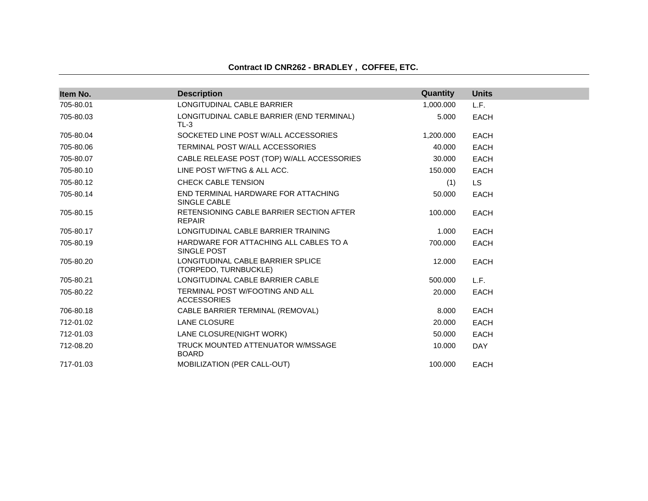| Item No.  | <b>Description</b>                                           | Quantity  | <b>Units</b> |  |
|-----------|--------------------------------------------------------------|-----------|--------------|--|
| 705-80.01 | LONGITUDINAL CABLE BARRIER                                   | 1,000.000 | L.F.         |  |
| 705-80.03 | LONGITUDINAL CABLE BARRIER (END TERMINAL)<br>$TL-3$          | 5.000     | <b>EACH</b>  |  |
| 705-80.04 | SOCKETED LINE POST W/ALL ACCESSORIES                         | 1,200.000 | <b>EACH</b>  |  |
| 705-80.06 | TERMINAL POST W/ALL ACCESSORIES                              | 40.000    | <b>EACH</b>  |  |
| 705-80.07 | CABLE RELEASE POST (TOP) W/ALL ACCESSORIES                   | 30,000    | <b>EACH</b>  |  |
| 705-80.10 | LINE POST W/FTNG & ALL ACC.                                  | 150,000   | <b>EACH</b>  |  |
| 705-80.12 | <b>CHECK CABLE TENSION</b>                                   | (1)       | LS.          |  |
| 705-80.14 | END TERMINAL HARDWARE FOR ATTACHING<br>SINGLE CABLE          | 50.000    | <b>EACH</b>  |  |
| 705-80.15 | RETENSIONING CABLE BARRIER SECTION AFTER<br><b>REPAIR</b>    | 100.000   | <b>EACH</b>  |  |
| 705-80.17 | LONGITUDINAL CABLE BARRIER TRAINING                          | 1.000     | <b>EACH</b>  |  |
| 705-80.19 | HARDWARE FOR ATTACHING ALL CABLES TO A<br>SINGLE POST        | 700.000   | <b>EACH</b>  |  |
| 705-80.20 | LONGITUDINAL CABLE BARRIER SPLICE<br>(TORPEDO, TURNBUCKLE)   | 12.000    | <b>EACH</b>  |  |
| 705-80.21 | LONGITUDINAL CABLE BARRIER CABLE                             | 500.000   | L.F.         |  |
| 705-80.22 | <b>TERMINAL POST W/FOOTING AND ALL</b><br><b>ACCESSORIES</b> | 20,000    | <b>EACH</b>  |  |
| 706-80.18 | CABLE BARRIER TERMINAL (REMOVAL)                             | 8.000     | <b>EACH</b>  |  |
| 712-01.02 | <b>LANE CLOSURE</b>                                          | 20.000    | <b>EACH</b>  |  |
| 712-01.03 | LANE CLOSURE(NIGHT WORK)                                     | 50.000    | <b>EACH</b>  |  |
| 712-08.20 | TRUCK MOUNTED ATTENUATOR W/MSSAGE<br><b>BOARD</b>            | 10.000    | <b>DAY</b>   |  |
| 717-01.03 | <b>MOBILIZATION (PER CALL-OUT)</b>                           | 100.000   | <b>EACH</b>  |  |

# **Contract ID CNR262 - BRADLEY , COFFEE, ETC.**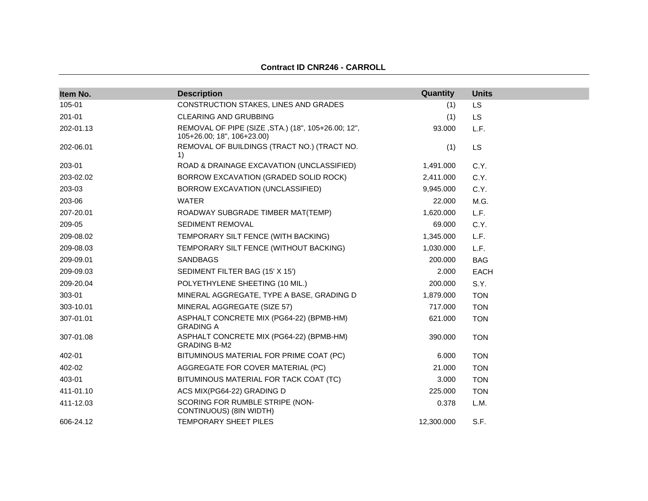| Item No.  | <b>Description</b>                                                               | Quantity   | <b>Units</b> |
|-----------|----------------------------------------------------------------------------------|------------|--------------|
| 105-01    | CONSTRUCTION STAKES, LINES AND GRADES                                            | (1)        | LS           |
| 201-01    | <b>CLEARING AND GRUBBING</b>                                                     | (1)        | <b>LS</b>    |
| 202-01.13 | REMOVAL OF PIPE (SIZE, STA.) (18", 105+26.00; 12",<br>105+26.00; 18", 106+23.00) | 93.000     | L.F.         |
| 202-06.01 | REMOVAL OF BUILDINGS (TRACT NO.) (TRACT NO.<br>1)                                | (1)        | <b>LS</b>    |
| 203-01    | ROAD & DRAINAGE EXCAVATION (UNCLASSIFIED)                                        | 1,491.000  | C.Y.         |
| 203-02.02 | BORROW EXCAVATION (GRADED SOLID ROCK)                                            | 2,411.000  | C.Y.         |
| 203-03    | BORROW EXCAVATION (UNCLASSIFIED)                                                 | 9,945.000  | C.Y.         |
| 203-06    | <b>WATER</b>                                                                     | 22,000     | M.G.         |
| 207-20.01 | ROADWAY SUBGRADE TIMBER MAT(TEMP)                                                | 1,620.000  | L.F.         |
| 209-05    | SEDIMENT REMOVAL                                                                 | 69.000     | C.Y.         |
| 209-08.02 | TEMPORARY SILT FENCE (WITH BACKING)                                              | 1,345.000  | L.F.         |
| 209-08.03 | TEMPORARY SILT FENCE (WITHOUT BACKING)                                           | 1,030.000  | L.F.         |
| 209-09.01 | <b>SANDBAGS</b>                                                                  | 200.000    | <b>BAG</b>   |
| 209-09.03 | SEDIMENT FILTER BAG (15' X 15')                                                  | 2.000      | <b>EACH</b>  |
| 209-20.04 | POLYETHYLENE SHEETING (10 MIL.)                                                  | 200.000    | S.Y.         |
| 303-01    | MINERAL AGGREGATE, TYPE A BASE, GRADING D                                        | 1,879.000  | <b>TON</b>   |
| 303-10.01 | MINERAL AGGREGATE (SIZE 57)                                                      | 717.000    | <b>TON</b>   |
| 307-01.01 | ASPHALT CONCRETE MIX (PG64-22) (BPMB-HM)<br><b>GRADING A</b>                     | 621.000    | <b>TON</b>   |
| 307-01.08 | ASPHALT CONCRETE MIX (PG64-22) (BPMB-HM)<br><b>GRADING B-M2</b>                  | 390.000    | <b>TON</b>   |
| 402-01    | BITUMINOUS MATERIAL FOR PRIME COAT (PC)                                          | 6.000      | <b>TON</b>   |
| 402-02    | AGGREGATE FOR COVER MATERIAL (PC)                                                | 21.000     | <b>TON</b>   |
| 403-01    | BITUMINOUS MATERIAL FOR TACK COAT (TC)                                           | 3.000      | <b>TON</b>   |
| 411-01.10 | ACS MIX(PG64-22) GRADING D                                                       | 225.000    | <b>TON</b>   |
| 411-12.03 | SCORING FOR RUMBLE STRIPE (NON-<br>CONTINUOUS) (8IN WIDTH)                       | 0.378      | L.M.         |
| 606-24.12 | TEMPORARY SHEET PILES                                                            | 12,300.000 | S.F.         |

# **Contract ID CNR246 - CARROLL**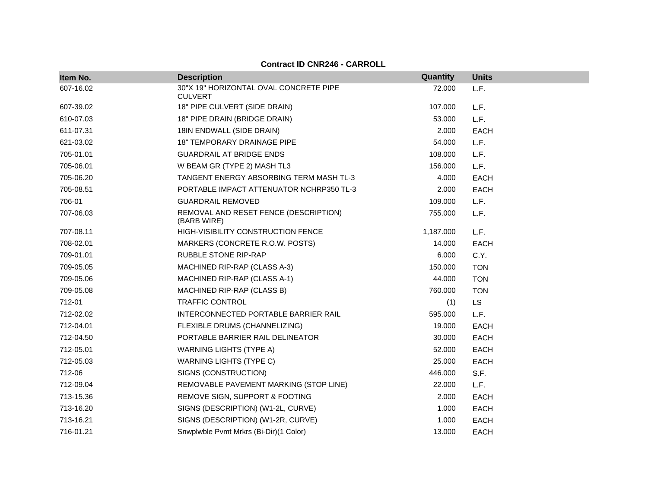| Item No.  | <b>Description</b>                                       | Quantity  | <b>Units</b> |
|-----------|----------------------------------------------------------|-----------|--------------|
| 607-16.02 | 30"X 19" HORIZONTAL OVAL CONCRETE PIPE<br><b>CULVERT</b> | 72.000    | L.F.         |
| 607-39.02 | 18" PIPE CULVERT (SIDE DRAIN)                            | 107.000   | L.F.         |
| 610-07.03 | 18" PIPE DRAIN (BRIDGE DRAIN)                            | 53.000    | L.F.         |
| 611-07.31 | 18IN ENDWALL (SIDE DRAIN)                                | 2.000     | EACH         |
| 621-03.02 | 18" TEMPORARY DRAINAGE PIPE                              | 54.000    | L.F.         |
| 705-01.01 | <b>GUARDRAIL AT BRIDGE ENDS</b>                          | 108.000   | L.F.         |
| 705-06.01 | W BEAM GR (TYPE 2) MASH TL3                              | 156.000   | L.F.         |
| 705-06.20 | <b>TANGENT ENERGY ABSORBING TERM MASH TL-3</b>           | 4.000     | <b>EACH</b>  |
| 705-08.51 | PORTABLE IMPACT ATTENUATOR NCHRP350 TL-3                 | 2.000     | EACH         |
| 706-01    | <b>GUARDRAIL REMOVED</b>                                 | 109.000   | L.F.         |
| 707-06.03 | REMOVAL AND RESET FENCE (DESCRIPTION)<br>(BARB WIRE)     | 755.000   | L.F.         |
| 707-08.11 | HIGH-VISIBILITY CONSTRUCTION FENCE                       | 1,187.000 | L.F.         |
| 708-02.01 | MARKERS (CONCRETE R.O.W. POSTS)                          | 14.000    | <b>EACH</b>  |
| 709-01.01 | <b>RUBBLE STONE RIP-RAP</b>                              | 6.000     | C.Y.         |
| 709-05.05 | MACHINED RIP-RAP (CLASS A-3)                             | 150.000   | <b>TON</b>   |
| 709-05.06 | MACHINED RIP-RAP (CLASS A-1)                             | 44.000    | <b>TON</b>   |
| 709-05.08 | MACHINED RIP-RAP (CLASS B)                               | 760.000   | <b>TON</b>   |
| 712-01    | <b>TRAFFIC CONTROL</b>                                   | (1)       | <b>LS</b>    |
| 712-02.02 | INTERCONNECTED PORTABLE BARRIER RAIL                     | 595.000   | L.F.         |
| 712-04.01 | FLEXIBLE DRUMS (CHANNELIZING)                            | 19.000    | <b>EACH</b>  |
| 712-04.50 | PORTABLE BARRIER RAIL DELINEATOR                         | 30.000    | <b>EACH</b>  |
| 712-05.01 | <b>WARNING LIGHTS (TYPE A)</b>                           | 52.000    | <b>EACH</b>  |
| 712-05.03 | <b>WARNING LIGHTS (TYPE C)</b>                           | 25.000    | <b>EACH</b>  |
| 712-06    | SIGNS (CONSTRUCTION)                                     | 446.000   | S.F.         |
| 712-09.04 | REMOVABLE PAVEMENT MARKING (STOP LINE)                   | 22.000    | L.F.         |
| 713-15.36 | REMOVE SIGN, SUPPORT & FOOTING                           | 2.000     | <b>EACH</b>  |
| 713-16.20 | SIGNS (DESCRIPTION) (W1-2L, CURVE)                       | 1.000     | <b>EACH</b>  |
| 713-16.21 | SIGNS (DESCRIPTION) (W1-2R, CURVE)                       | 1.000     | <b>EACH</b>  |
| 716-01.21 | Snwplwble Pvmt Mrkrs (Bi-Dir)(1 Color)                   | 13.000    | <b>EACH</b>  |

**Contract ID CNR246 - CARROLL**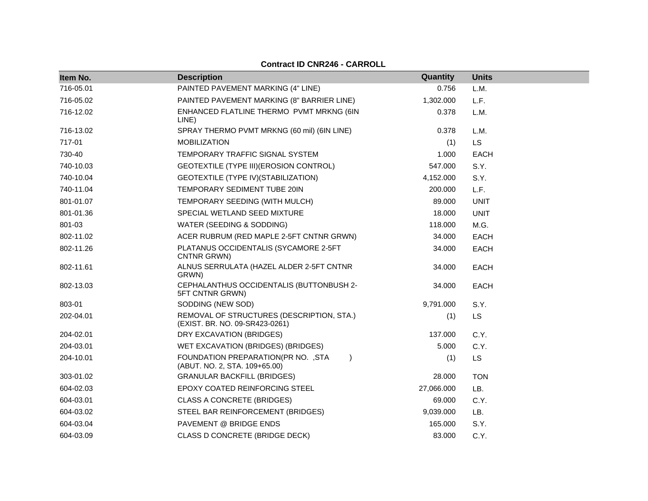| Item No.  | <b>Description</b>                                                                | Quantity   | <b>Units</b> |
|-----------|-----------------------------------------------------------------------------------|------------|--------------|
| 716-05.01 | PAINTED PAVEMENT MARKING (4" LINE)                                                | 0.756      | L.M.         |
| 716-05.02 | PAINTED PAVEMENT MARKING (8" BARRIER LINE)                                        | 1,302.000  | L.F.         |
| 716-12.02 | ENHANCED FLATLINE THERMO PVMT MRKNG (6IN<br>LINE)                                 | 0.378      | L.M.         |
| 716-13.02 | SPRAY THERMO PVMT MRKNG (60 mil) (6IN LINE)                                       | 0.378      | L.M.         |
| 717-01    | <b>MOBILIZATION</b>                                                               | (1)        | <b>LS</b>    |
| 730-40    | TEMPORARY TRAFFIC SIGNAL SYSTEM                                                   | 1.000      | <b>EACH</b>  |
| 740-10.03 | GEOTEXTILE (TYPE III) (EROSION CONTROL)                                           | 547.000    | S.Y.         |
| 740-10.04 | GEOTEXTILE (TYPE IV) (STABILIZATION)                                              | 4,152.000  | S.Y.         |
| 740-11.04 | TEMPORARY SEDIMENT TUBE 20IN                                                      | 200.000    | L.F.         |
| 801-01.07 | TEMPORARY SEEDING (WITH MULCH)                                                    | 89,000     | <b>UNIT</b>  |
| 801-01.36 | SPECIAL WETLAND SEED MIXTURE                                                      | 18.000     | <b>UNIT</b>  |
| 801-03    | WATER (SEEDING & SODDING)                                                         | 118.000    | M.G.         |
| 802-11.02 | ACER RUBRUM (RED MAPLE 2-5FT CNTNR GRWN)                                          | 34.000     | <b>EACH</b>  |
| 802-11.26 | PLATANUS OCCIDENTALIS (SYCAMORE 2-5FT<br>CNTNR GRWN)                              | 34.000     | <b>EACH</b>  |
| 802-11.61 | ALNUS SERRULATA (HAZEL ALDER 2-5FT CNTNR<br>GRWN)                                 | 34.000     | <b>EACH</b>  |
| 802-13.03 | CEPHALANTHUS OCCIDENTALIS (BUTTONBUSH 2-<br>5FT CNTNR GRWN)                       | 34.000     | <b>EACH</b>  |
| 803-01    | SODDING (NEW SOD)                                                                 | 9,791.000  | S.Y.         |
| 202-04.01 | REMOVAL OF STRUCTURES (DESCRIPTION, STA.)<br>(EXIST. BR. NO. 09-SR423-0261)       | (1)        | <b>LS</b>    |
| 204-02.01 | DRY EXCAVATION (BRIDGES)                                                          | 137.000    | C.Y.         |
| 204-03.01 | WET EXCAVATION (BRIDGES) (BRIDGES)                                                | 5.000      | C.Y.         |
| 204-10.01 | FOUNDATION PREPARATION(PR NO. , STA<br>$\lambda$<br>(ABUT. NO. 2, STA. 109+65.00) | (1)        | LS           |
| 303-01.02 | <b>GRANULAR BACKFILL (BRIDGES)</b>                                                | 28.000     | <b>TON</b>   |
| 604-02.03 | EPOXY COATED REINFORCING STEEL                                                    | 27,066.000 | LB.          |
| 604-03.01 | CLASS A CONCRETE (BRIDGES)                                                        | 69.000     | C.Y.         |
| 604-03.02 | STEEL BAR REINFORCEMENT (BRIDGES)                                                 | 9,039.000  | LB.          |
| 604-03.04 | PAVEMENT @ BRIDGE ENDS                                                            | 165.000    | S.Y.         |
| 604-03.09 | CLASS D CONCRETE (BRIDGE DECK)                                                    | 83,000     | C.Y.         |

**Contract ID CNR246 - CARROLL**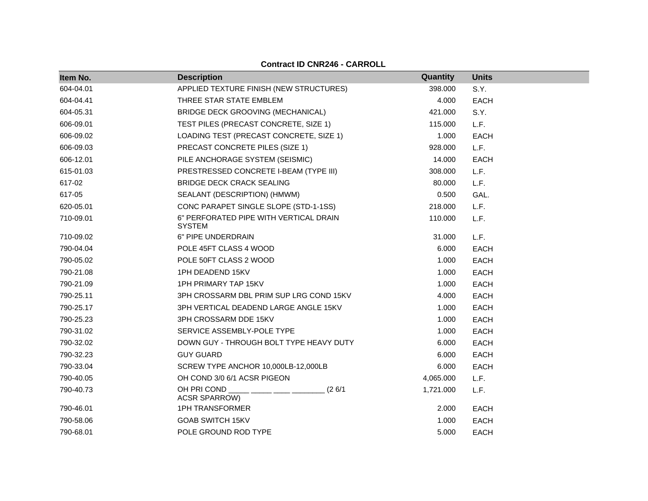| Item No.  | <b>Description</b>                                      | <b>Quantity</b> | <b>Units</b> |
|-----------|---------------------------------------------------------|-----------------|--------------|
| 604-04.01 | APPLIED TEXTURE FINISH (NEW STRUCTURES)                 | 398.000         | S.Y.         |
| 604-04.41 | THREE STAR STATE EMBLEM                                 | 4.000           | <b>EACH</b>  |
| 604-05.31 | BRIDGE DECK GROOVING (MECHANICAL)                       | 421.000         | S.Y.         |
| 606-09.01 | TEST PILES (PRECAST CONCRETE, SIZE 1)                   | 115.000         | L.F.         |
| 606-09.02 | LOADING TEST (PRECAST CONCRETE, SIZE 1)                 | 1.000           | <b>EACH</b>  |
| 606-09.03 | PRECAST CONCRETE PILES (SIZE 1)                         | 928.000         | L.F.         |
| 606-12.01 | PILE ANCHORAGE SYSTEM (SEISMIC)                         | 14.000          | <b>EACH</b>  |
| 615-01.03 | PRESTRESSED CONCRETE I-BEAM (TYPE III)                  | 308.000         | L.F.         |
| 617-02    | <b>BRIDGE DECK CRACK SEALING</b>                        | 80.000          | L.F.         |
| 617-05    | SEALANT (DESCRIPTION) (HMWM)                            | 0.500           | GAL.         |
| 620-05.01 | CONC PARAPET SINGLE SLOPE (STD-1-1SS)                   | 218.000         | L.F.         |
| 710-09.01 | 6" PERFORATED PIPE WITH VERTICAL DRAIN<br><b>SYSTEM</b> | 110.000         | L.F.         |
| 710-09.02 | 6" PIPE UNDERDRAIN                                      | 31.000          | L.F.         |
| 790-04.04 | POLE 45FT CLASS 4 WOOD                                  | 6.000           | <b>EACH</b>  |
| 790-05.02 | POLE 50FT CLASS 2 WOOD                                  | 1.000           | <b>EACH</b>  |
| 790-21.08 | 1PH DEADEND 15KV                                        | 1.000           | <b>EACH</b>  |
| 790-21.09 | <b>1PH PRIMARY TAP 15KV</b>                             | 1.000           | EACH         |
| 790-25.11 | 3PH CROSSARM DBL PRIM SUP LRG COND 15KV                 | 4.000           | <b>EACH</b>  |
| 790-25.17 | 3PH VERTICAL DEADEND LARGE ANGLE 15KV                   | 1.000           | <b>EACH</b>  |
| 790-25.23 | 3PH CROSSARM DDE 15KV                                   | 1.000           | <b>EACH</b>  |
| 790-31.02 | SERVICE ASSEMBLY-POLE TYPE                              | 1.000           | <b>EACH</b>  |
| 790-32.02 | DOWN GUY - THROUGH BOLT TYPE HEAVY DUTY                 | 6.000           | EACH         |
| 790-32.23 | <b>GUY GUARD</b>                                        | 6.000           | <b>EACH</b>  |
| 790-33.04 | SCREW TYPE ANCHOR 10,000LB-12,000LB                     | 6.000           | <b>EACH</b>  |
| 790-40.05 | OH COND 3/0 6/1 ACSR PIGEON                             | 4,065.000       | L.F.         |
| 790-40.73 | OH PRI COND<br>(26/1)<br>ACSR SPARROW)                  | 1,721.000       | L.F.         |
| 790-46.01 | <b>1PH TRANSFORMER</b>                                  | 2.000           | <b>EACH</b>  |
| 790-58.06 | <b>GOAB SWITCH 15KV</b>                                 | 1.000           | <b>EACH</b>  |
| 790-68.01 | POLE GROUND ROD TYPE                                    | 5.000           | <b>EACH</b>  |

**Contract ID CNR246 - CARROLL**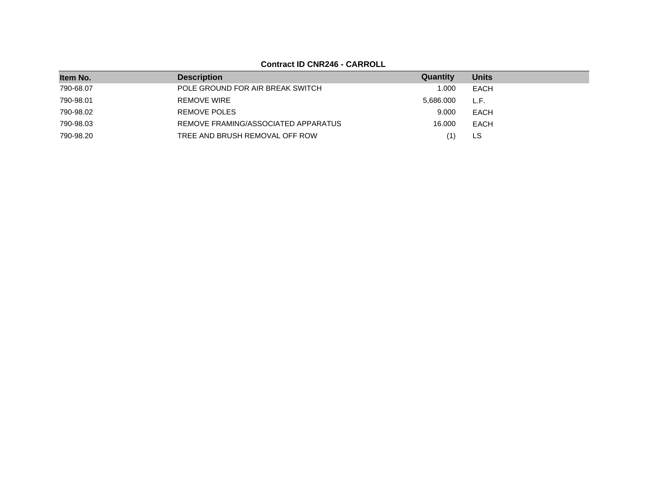**Contract ID CNR246 - CARROLL**

| Item No.  | <b>Description</b>                  | Quantity  | <b>Units</b> |
|-----------|-------------------------------------|-----------|--------------|
| 790-68.07 | POLE GROUND FOR AIR BREAK SWITCH    | 1.000     | EACH         |
| 790-98.01 | <b>REMOVE WIRE</b>                  | 5,686.000 | L.F.         |
| 790-98.02 | REMOVE POLES                        | 9.000     | EACH         |
| 790-98.03 | REMOVE FRAMING/ASSOCIATED APPARATUS | 16.000    | EACH         |
| 790-98.20 | TREE AND BRUSH REMOVAL OFF ROW      | '1)       | LS           |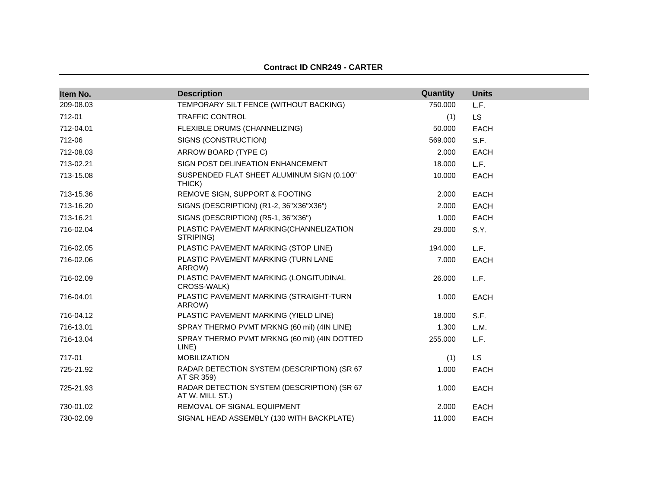#### **Contract ID CNR249 - CARTER**

| Item No.  | <b>Description</b>                                             | Quantity | <b>Units</b> |
|-----------|----------------------------------------------------------------|----------|--------------|
| 209-08.03 | TEMPORARY SILT FENCE (WITHOUT BACKING)                         | 750.000  | L.F.         |
| 712-01    | <b>TRAFFIC CONTROL</b>                                         | (1)      | <b>LS</b>    |
| 712-04.01 | FLEXIBLE DRUMS (CHANNELIZING)                                  | 50.000   | <b>EACH</b>  |
| 712-06    | SIGNS (CONSTRUCTION)                                           | 569,000  | S.F.         |
| 712-08.03 | ARROW BOARD (TYPE C)                                           | 2.000    | <b>EACH</b>  |
| 713-02.21 | SIGN POST DELINEATION ENHANCEMENT                              | 18.000   | L.F.         |
| 713-15.08 | SUSPENDED FLAT SHEET ALUMINUM SIGN (0.100"<br>THICK)           | 10.000   | <b>EACH</b>  |
| 713-15.36 | REMOVE SIGN, SUPPORT & FOOTING                                 | 2.000    | <b>EACH</b>  |
| 713-16.20 | SIGNS (DESCRIPTION) (R1-2, 36"X36"X36")                        | 2.000    | <b>EACH</b>  |
| 713-16.21 | SIGNS (DESCRIPTION) (R5-1, 36"X36")                            | 1.000    | <b>EACH</b>  |
| 716-02.04 | PLASTIC PAVEMENT MARKING(CHANNELIZATION<br>STRIPING)           | 29.000   | S.Y.         |
| 716-02.05 | PLASTIC PAVEMENT MARKING (STOP LINE)                           | 194.000  | L.F.         |
| 716-02.06 | PLASTIC PAVEMENT MARKING (TURN LANE<br>ARROW)                  | 7.000    | <b>EACH</b>  |
| 716-02.09 | PLASTIC PAVEMENT MARKING (LONGITUDINAL<br>CROSS-WALK)          | 26.000   | L.F.         |
| 716-04.01 | PLASTIC PAVEMENT MARKING (STRAIGHT-TURN<br>ARROW)              | 1.000    | <b>EACH</b>  |
| 716-04.12 | PLASTIC PAVEMENT MARKING (YIELD LINE)                          | 18.000   | S.F.         |
| 716-13.01 | SPRAY THERMO PVMT MRKNG (60 mil) (4IN LINE)                    | 1.300    | L.M.         |
| 716-13.04 | SPRAY THERMO PVMT MRKNG (60 mil) (4IN DOTTED<br>LINE)          | 255.000  | L.F.         |
| 717-01    | <b>MOBILIZATION</b>                                            | (1)      | <b>LS</b>    |
| 725-21.92 | RADAR DETECTION SYSTEM (DESCRIPTION) (SR 67<br>AT SR 359)      | 1.000    | <b>EACH</b>  |
| 725-21.93 | RADAR DETECTION SYSTEM (DESCRIPTION) (SR 67<br>AT W. MILL ST.) | 1.000    | <b>EACH</b>  |
| 730-01.02 | REMOVAL OF SIGNAL EQUIPMENT                                    | 2.000    | <b>EACH</b>  |
| 730-02.09 | SIGNAL HEAD ASSEMBLY (130 WITH BACKPLATE)                      | 11.000   | <b>EACH</b>  |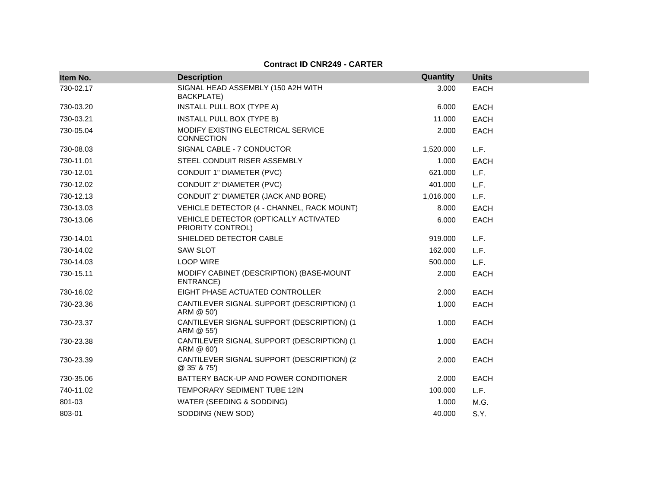### **Contract ID CNR249 - CARTER**

| Item No.  | <b>Description</b>                                         | Quantity  | <b>Units</b> |
|-----------|------------------------------------------------------------|-----------|--------------|
| 730-02.17 | SIGNAL HEAD ASSEMBLY (150 A2H WITH<br><b>BACKPLATE)</b>    | 3.000     | <b>EACH</b>  |
| 730-03.20 | <b>INSTALL PULL BOX (TYPE A)</b>                           | 6.000     | <b>EACH</b>  |
| 730-03.21 | INSTALL PULL BOX (TYPE B)                                  | 11.000    | <b>EACH</b>  |
| 730-05.04 | MODIFY EXISTING ELECTRICAL SERVICE<br><b>CONNECTION</b>    | 2.000     | <b>EACH</b>  |
| 730-08.03 | SIGNAL CABLE - 7 CONDUCTOR                                 | 1,520.000 | L.F.         |
| 730-11.01 | STEEL CONDUIT RISER ASSEMBLY                               | 1.000     | <b>EACH</b>  |
| 730-12.01 | CONDUIT 1" DIAMETER (PVC)                                  | 621.000   | L.F.         |
| 730-12.02 | CONDUIT 2" DIAMETER (PVC)                                  | 401.000   | L.F.         |
| 730-12.13 | CONDUIT 2" DIAMETER (JACK AND BORE)                        | 1,016.000 | L.F.         |
| 730-13.03 | VEHICLE DETECTOR (4 - CHANNEL, RACK MOUNT)                 | 8.000     | <b>EACH</b>  |
| 730-13.06 | VEHICLE DETECTOR (OPTICALLY ACTIVATED<br>PRIORITY CONTROL) | 6.000     | <b>EACH</b>  |
| 730-14.01 | SHIELDED DETECTOR CABLE                                    | 919.000   | L.F.         |
| 730-14.02 | <b>SAW SLOT</b>                                            | 162.000   | L.F.         |
| 730-14.03 | <b>LOOP WIRE</b>                                           | 500.000   | L.F.         |
| 730-15.11 | MODIFY CABINET (DESCRIPTION) (BASE-MOUNT<br>ENTRANCE)      | 2.000     | <b>EACH</b>  |
| 730-16.02 | EIGHT PHASE ACTUATED CONTROLLER                            | 2.000     | <b>EACH</b>  |
| 730-23.36 | CANTILEVER SIGNAL SUPPORT (DESCRIPTION) (1<br>ARM @ 50')   | 1.000     | <b>EACH</b>  |
| 730-23.37 | CANTILEVER SIGNAL SUPPORT (DESCRIPTION) (1<br>ARM @ 55')   | 1.000     | <b>EACH</b>  |
| 730-23.38 | CANTILEVER SIGNAL SUPPORT (DESCRIPTION) (1<br>ARM @ 60')   | 1.000     | <b>EACH</b>  |
| 730-23.39 | CANTILEVER SIGNAL SUPPORT (DESCRIPTION) (2<br>@ 35' & 75') | 2.000     | <b>EACH</b>  |
| 730-35.06 | BATTERY BACK-UP AND POWER CONDITIONER                      | 2.000     | <b>EACH</b>  |
| 740-11.02 | TEMPORARY SEDIMENT TUBE 12IN                               | 100.000   | L.F.         |
| 801-03    | WATER (SEEDING & SODDING)                                  | 1.000     | M.G.         |
| 803-01    | SODDING (NEW SOD)                                          | 40.000    | S.Y.         |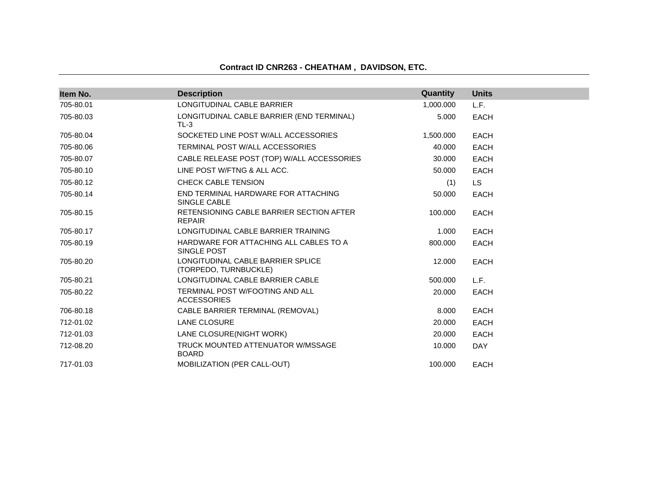## **Contract ID CNR263 - CHEATHAM , DAVIDSON, ETC.**

| Item No.  | <b>Description</b>                                           | Quantity  | <b>Units</b> |  |
|-----------|--------------------------------------------------------------|-----------|--------------|--|
| 705-80.01 | LONGITUDINAL CABLE BARRIER                                   | 1,000.000 | L.F.         |  |
| 705-80.03 | LONGITUDINAL CABLE BARRIER (END TERMINAL)<br>$TL-3$          | 5.000     | <b>EACH</b>  |  |
| 705-80.04 | SOCKETED LINE POST W/ALL ACCESSORIES                         | 1,500.000 | <b>EACH</b>  |  |
| 705-80.06 | TERMINAL POST W/ALL ACCESSORIES                              | 40.000    | <b>EACH</b>  |  |
| 705-80.07 | CABLE RELEASE POST (TOP) W/ALL ACCESSORIES                   | 30,000    | <b>EACH</b>  |  |
| 705-80.10 | LINE POST W/FTNG & ALL ACC.                                  | 50.000    | <b>EACH</b>  |  |
| 705-80.12 | <b>CHECK CABLE TENSION</b>                                   | (1)       | <b>LS</b>    |  |
| 705-80.14 | END TERMINAL HARDWARE FOR ATTACHING<br>SINGLE CABLE          | 50.000    | <b>EACH</b>  |  |
| 705-80.15 | RETENSIONING CABLE BARRIER SECTION AFTER<br><b>REPAIR</b>    | 100.000   | <b>EACH</b>  |  |
| 705-80.17 | LONGITUDINAL CABLE BARRIER TRAINING                          | 1.000     | <b>EACH</b>  |  |
| 705-80.19 | HARDWARE FOR ATTACHING ALL CABLES TO A<br>SINGLE POST        | 800.000   | <b>EACH</b>  |  |
| 705-80.20 | LONGITUDINAL CABLE BARRIER SPLICE<br>(TORPEDO, TURNBUCKLE)   | 12.000    | <b>EACH</b>  |  |
| 705-80.21 | LONGITUDINAL CABLE BARRIER CABLE                             | 500.000   | L.F.         |  |
| 705-80.22 | <b>TERMINAL POST W/FOOTING AND ALL</b><br><b>ACCESSORIES</b> | 20,000    | <b>EACH</b>  |  |
| 706-80.18 | CABLE BARRIER TERMINAL (REMOVAL)                             | 8.000     | <b>EACH</b>  |  |
| 712-01.02 | LANE CLOSURE                                                 | 20,000    | <b>EACH</b>  |  |
| 712-01.03 | LANE CLOSURE(NIGHT WORK)                                     | 20,000    | <b>EACH</b>  |  |
| 712-08.20 | TRUCK MOUNTED ATTENUATOR W/MSSAGE<br><b>BOARD</b>            | 10.000    | <b>DAY</b>   |  |
| 717-01.03 | MOBILIZATION (PER CALL-OUT)                                  | 100.000   | <b>EACH</b>  |  |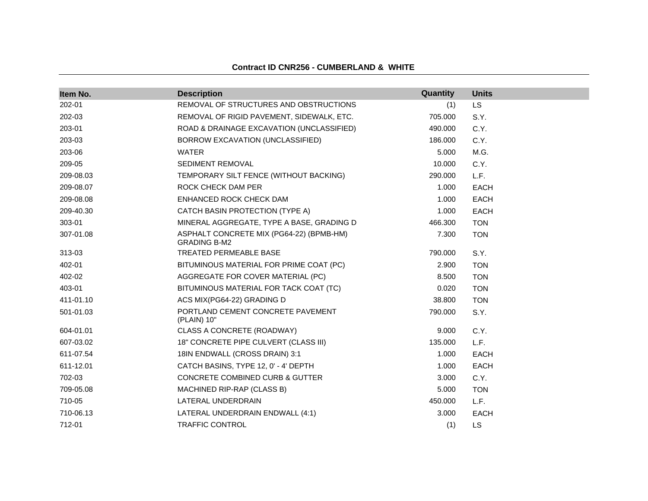| Item No.  | <b>Description</b>                                              | Quantity | <b>Units</b> |
|-----------|-----------------------------------------------------------------|----------|--------------|
| 202-01    | REMOVAL OF STRUCTURES AND OBSTRUCTIONS                          | (1)      | <b>LS</b>    |
| 202-03    | REMOVAL OF RIGID PAVEMENT, SIDEWALK, ETC.                       | 705.000  | S.Y.         |
| 203-01    | ROAD & DRAINAGE EXCAVATION (UNCLASSIFIED)                       | 490.000  | C.Y.         |
| 203-03    | BORROW EXCAVATION (UNCLASSIFIED)                                | 186.000  | C.Y.         |
| 203-06    | <b>WATER</b>                                                    | 5.000    | M.G.         |
| 209-05    | <b>SEDIMENT REMOVAL</b>                                         | 10.000   | C.Y.         |
| 209-08.03 | TEMPORARY SILT FENCE (WITHOUT BACKING)                          | 290,000  | L.F.         |
| 209-08.07 | ROCK CHECK DAM PER                                              | 1.000    | <b>EACH</b>  |
| 209-08.08 | ENHANCED ROCK CHECK DAM                                         | 1.000    | <b>EACH</b>  |
| 209-40.30 | CATCH BASIN PROTECTION (TYPE A)                                 | 1.000    | <b>EACH</b>  |
| 303-01    | MINERAL AGGREGATE, TYPE A BASE, GRADING D                       | 466.300  | <b>TON</b>   |
| 307-01.08 | ASPHALT CONCRETE MIX (PG64-22) (BPMB-HM)<br><b>GRADING B-M2</b> | 7.300    | <b>TON</b>   |
| 313-03    | <b>TREATED PERMEABLE BASE</b>                                   | 790.000  | S.Y.         |
| 402-01    | BITUMINOUS MATERIAL FOR PRIME COAT (PC)                         | 2.900    | <b>TON</b>   |
| 402-02    | AGGREGATE FOR COVER MATERIAL (PC)                               | 8.500    | <b>TON</b>   |
| 403-01    | BITUMINOUS MATERIAL FOR TACK COAT (TC)                          | 0.020    | <b>TON</b>   |
| 411-01.10 | ACS MIX(PG64-22) GRADING D                                      | 38,800   | <b>TON</b>   |
| 501-01.03 | PORTLAND CEMENT CONCRETE PAVEMENT<br>(PLAIN) 10"                | 790.000  | S.Y.         |
| 604-01.01 | CLASS A CONCRETE (ROADWAY)                                      | 9.000    | C.Y.         |
| 607-03.02 | 18" CONCRETE PIPE CULVERT (CLASS III)                           | 135.000  | L.F.         |
| 611-07.54 | 18IN ENDWALL (CROSS DRAIN) 3:1                                  | 1.000    | <b>EACH</b>  |
| 611-12.01 | CATCH BASINS, TYPE 12, 0' - 4' DEPTH                            | 1.000    | <b>EACH</b>  |
| 702-03    | <b>CONCRETE COMBINED CURB &amp; GUTTER</b>                      | 3.000    | C.Y.         |
| 709-05.08 | MACHINED RIP-RAP (CLASS B)                                      | 5.000    | <b>TON</b>   |
| 710-05    | LATERAL UNDERDRAIN                                              | 450.000  | L.F.         |
| 710-06.13 | LATERAL UNDERDRAIN ENDWALL (4:1)                                | 3.000    | <b>EACH</b>  |
| 712-01    | <b>TRAFFIC CONTROL</b>                                          | (1)      | <b>LS</b>    |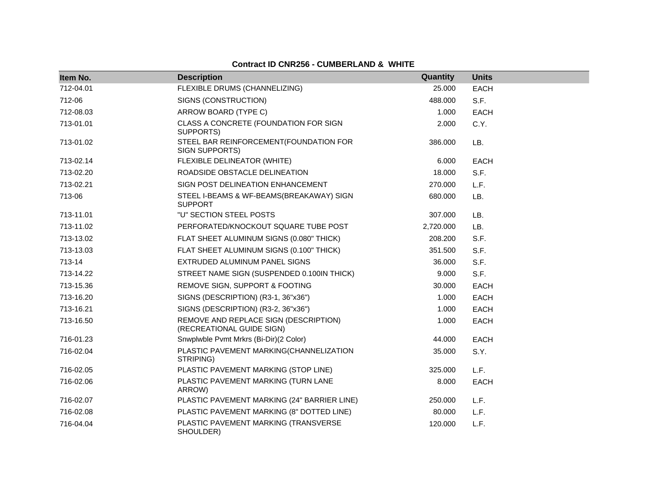| Item No.  | <b>Description</b>                                                 | Quantity  | <b>Units</b> |
|-----------|--------------------------------------------------------------------|-----------|--------------|
| 712-04.01 | FLEXIBLE DRUMS (CHANNELIZING)                                      | 25.000    | <b>EACH</b>  |
| 712-06    | SIGNS (CONSTRUCTION)                                               | 488.000   | S.F.         |
| 712-08.03 | ARROW BOARD (TYPE C)                                               | 1.000     | <b>EACH</b>  |
| 713-01.01 | CLASS A CONCRETE (FOUNDATION FOR SIGN<br>SUPPORTS)                 | 2.000     | C.Y.         |
| 713-01.02 | STEEL BAR REINFORCEMENT(FOUNDATION FOR<br>SIGN SUPPORTS)           | 386.000   | LB.          |
| 713-02.14 | FLEXIBLE DELINEATOR (WHITE)                                        | 6.000     | EACH         |
| 713-02.20 | ROADSIDE OBSTACLE DELINEATION                                      | 18.000    | S.F.         |
| 713-02.21 | SIGN POST DELINEATION ENHANCEMENT                                  | 270.000   | L.F.         |
| 713-06    | STEEL I-BEAMS & WF-BEAMS(BREAKAWAY) SIGN<br><b>SUPPORT</b>         | 680.000   | LB.          |
| 713-11.01 | "U" SECTION STEEL POSTS                                            | 307.000   | LB.          |
| 713-11.02 | PERFORATED/KNOCKOUT SQUARE TUBE POST                               | 2,720.000 | LB.          |
| 713-13.02 | FLAT SHEET ALUMINUM SIGNS (0.080" THICK)                           | 208,200   | S.F.         |
| 713-13.03 | FLAT SHEET ALUMINUM SIGNS (0.100" THICK)                           | 351.500   | S.F.         |
| 713-14    | EXTRUDED ALUMINUM PANEL SIGNS                                      | 36.000    | S.F.         |
| 713-14.22 | STREET NAME SIGN (SUSPENDED 0.100IN THICK)                         | 9.000     | S.F.         |
| 713-15.36 | REMOVE SIGN, SUPPORT & FOOTING                                     | 30.000    | <b>EACH</b>  |
| 713-16.20 | SIGNS (DESCRIPTION) (R3-1, 36"x36")                                | 1.000     | <b>EACH</b>  |
| 713-16.21 | SIGNS (DESCRIPTION) (R3-2, 36"x36")                                | 1.000     | EACH         |
| 713-16.50 | REMOVE AND REPLACE SIGN (DESCRIPTION)<br>(RECREATIONAL GUIDE SIGN) | 1.000     | <b>EACH</b>  |
| 716-01.23 | Snwplwble Pvmt Mrkrs (Bi-Dir)(2 Color)                             | 44.000    | <b>EACH</b>  |
| 716-02.04 | PLASTIC PAVEMENT MARKING(CHANNELIZATION<br>STRIPING)               | 35.000    | S.Y.         |
| 716-02.05 | PLASTIC PAVEMENT MARKING (STOP LINE)                               | 325.000   | L.F.         |
| 716-02.06 | PLASTIC PAVEMENT MARKING (TURN LANE<br>ARROW)                      | 8.000     | <b>EACH</b>  |
| 716-02.07 | PLASTIC PAVEMENT MARKING (24" BARRIER LINE)                        | 250.000   | L.F.         |
| 716-02.08 | PLASTIC PAVEMENT MARKING (8" DOTTED LINE)                          | 80.000    | L.F.         |
| 716-04.04 | PLASTIC PAVEMENT MARKING (TRANSVERSE<br>SHOULDER)                  | 120.000   | L.F.         |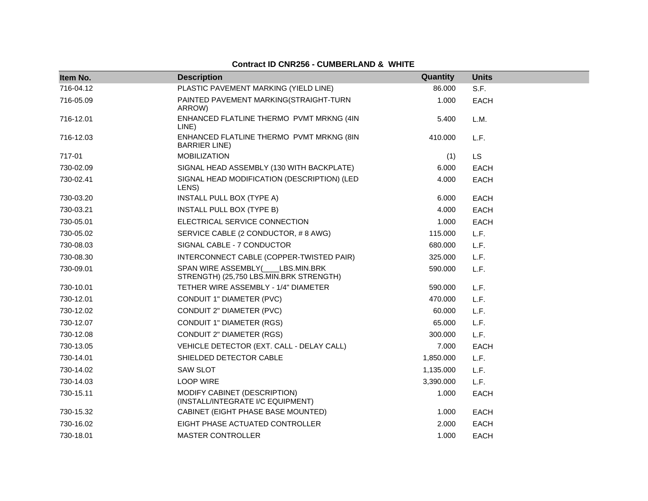| Item No.  | <b>Description</b>                                                         | Quantity  | <b>Units</b> |
|-----------|----------------------------------------------------------------------------|-----------|--------------|
| 716-04.12 | PLASTIC PAVEMENT MARKING (YIELD LINE)                                      | 86.000    | S.F.         |
| 716-05.09 | PAINTED PAVEMENT MARKING(STRAIGHT-TURN<br>ARROW)                           | 1.000     | <b>EACH</b>  |
| 716-12.01 | ENHANCED FLATLINE THERMO PVMT MRKNG (4IN<br>LINE)                          | 5.400     | L.M.         |
| 716-12.03 | ENHANCED FLATLINE THERMO PVMT MRKNG (8IN<br><b>BARRIER LINE</b> )          | 410.000   | L.F.         |
| 717-01    | <b>MOBILIZATION</b>                                                        | (1)       | <b>LS</b>    |
| 730-02.09 | SIGNAL HEAD ASSEMBLY (130 WITH BACKPLATE)                                  | 6.000     | <b>EACH</b>  |
| 730-02.41 | SIGNAL HEAD MODIFICATION (DESCRIPTION) (LED<br>LENS)                       | 4.000     | <b>EACH</b>  |
| 730-03.20 | INSTALL PULL BOX (TYPE A)                                                  | 6.000     | <b>EACH</b>  |
| 730-03.21 | <b>INSTALL PULL BOX (TYPE B)</b>                                           | 4.000     | <b>EACH</b>  |
| 730-05.01 | ELECTRICAL SERVICE CONNECTION                                              | 1.000     | <b>EACH</b>  |
| 730-05.02 | SERVICE CABLE (2 CONDUCTOR, #8 AWG)                                        | 115.000   | L.F.         |
| 730-08.03 | SIGNAL CABLE - 7 CONDUCTOR                                                 | 680.000   | L.F.         |
| 730-08.30 | INTERCONNECT CABLE (COPPER-TWISTED PAIR)                                   | 325.000   | L.F.         |
| 730-09.01 | SPAN WIRE ASSEMBLY( LBS.MIN.BRK<br>STRENGTH) (25,750 LBS.MIN.BRK STRENGTH) | 590.000   | L.F.         |
| 730-10.01 | TETHER WIRE ASSEMBLY - 1/4" DIAMETER                                       | 590.000   | L.F.         |
| 730-12.01 | CONDUIT 1" DIAMETER (PVC)                                                  | 470.000   | L.F.         |
| 730-12.02 | CONDUIT 2" DIAMETER (PVC)                                                  | 60.000    | L.F.         |
| 730-12.07 | CONDUIT 1" DIAMETER (RGS)                                                  | 65.000    | L.F.         |
| 730-12.08 | <b>CONDUIT 2" DIAMETER (RGS)</b>                                           | 300.000   | L.F.         |
| 730-13.05 | VEHICLE DETECTOR (EXT. CALL - DELAY CALL)                                  | 7.000     | <b>EACH</b>  |
| 730-14.01 | SHIELDED DETECTOR CABLE                                                    | 1,850.000 | L.F.         |
| 730-14.02 | <b>SAW SLOT</b>                                                            | 1,135.000 | L.F.         |
| 730-14.03 | <b>LOOP WIRE</b>                                                           | 3,390.000 | L.F.         |
| 730-15.11 | MODIFY CABINET (DESCRIPTION)<br>(INSTALL/INTEGRATE I/C EQUIPMENT)          | 1.000     | <b>EACH</b>  |
| 730-15.32 | CABINET (EIGHT PHASE BASE MOUNTED)                                         | 1.000     | <b>EACH</b>  |
| 730-16.02 | EIGHT PHASE ACTUATED CONTROLLER                                            | 2.000     | <b>EACH</b>  |
| 730-18.01 | <b>MASTER CONTROLLER</b>                                                   | 1.000     | <b>EACH</b>  |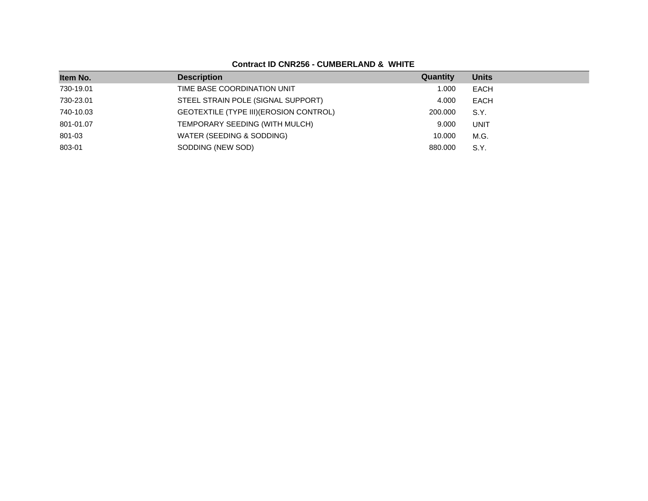| Item No.  | <b>Description</b>                      | Quantity | <b>Units</b> |
|-----------|-----------------------------------------|----------|--------------|
| 730-19.01 | TIME BASE COORDINATION UNIT             | 1.000    | <b>EACH</b>  |
| 730-23.01 | STEEL STRAIN POLE (SIGNAL SUPPORT)      | 4.000    | <b>EACH</b>  |
| 740-10.03 | GEOTEXTILE (TYPE III) (EROSION CONTROL) | 200.000  | S.Y.         |
| 801-01.07 | TEMPORARY SEEDING (WITH MULCH)          | 9.000    | <b>UNIT</b>  |
| 801-03    | WATER (SEEDING & SODDING)               | 10.000   | M.G.         |
| 803-01    | SODDING (NEW SOD)                       | 880,000  | S.Y.         |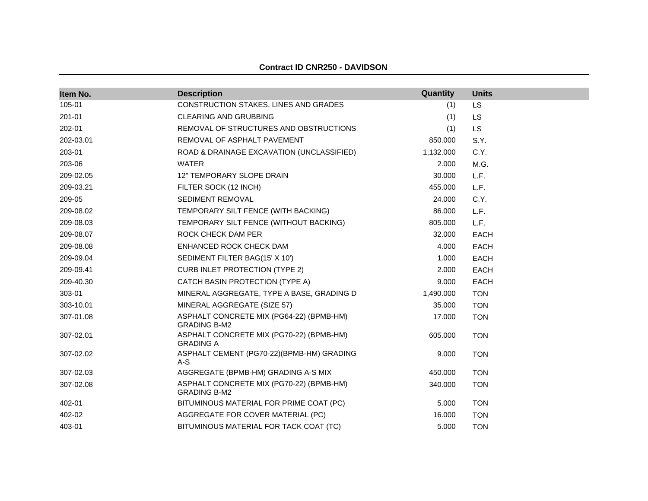| Item No.  | <b>Description</b>                                              | Quantity  | <b>Units</b> |
|-----------|-----------------------------------------------------------------|-----------|--------------|
| 105-01    | CONSTRUCTION STAKES, LINES AND GRADES                           | (1)       | <b>LS</b>    |
| 201-01    | <b>CLEARING AND GRUBBING</b>                                    | (1)       | <b>LS</b>    |
| 202-01    | REMOVAL OF STRUCTURES AND OBSTRUCTIONS                          | (1)       | LS           |
| 202-03.01 | REMOVAL OF ASPHALT PAVEMENT                                     | 850.000   | S.Y.         |
| 203-01    | ROAD & DRAINAGE EXCAVATION (UNCLASSIFIED)                       | 1,132.000 | C.Y.         |
| 203-06    | <b>WATER</b>                                                    | 2.000     | M.G.         |
| 209-02.05 | 12" TEMPORARY SLOPE DRAIN                                       | 30.000    | L.F.         |
| 209-03.21 | FILTER SOCK (12 INCH)                                           | 455.000   | L.F.         |
| 209-05    | SEDIMENT REMOVAL                                                | 24.000    | C.Y.         |
| 209-08.02 | TEMPORARY SILT FENCE (WITH BACKING)                             | 86.000    | L.F.         |
| 209-08.03 | TEMPORARY SILT FENCE (WITHOUT BACKING)                          | 805.000   | L.F.         |
| 209-08.07 | ROCK CHECK DAM PER                                              | 32.000    | <b>EACH</b>  |
| 209-08.08 | ENHANCED ROCK CHECK DAM                                         | 4.000     | <b>EACH</b>  |
| 209-09.04 | SEDIMENT FILTER BAG(15' X 10')                                  | 1.000     | <b>EACH</b>  |
| 209-09.41 | <b>CURB INLET PROTECTION (TYPE 2)</b>                           | 2.000     | <b>EACH</b>  |
| 209-40.30 | CATCH BASIN PROTECTION (TYPE A)                                 | 9.000     | <b>EACH</b>  |
| 303-01    | MINERAL AGGREGATE, TYPE A BASE, GRADING D                       | 1,490.000 | <b>TON</b>   |
| 303-10.01 | MINERAL AGGREGATE (SIZE 57)                                     | 35.000    | <b>TON</b>   |
| 307-01.08 | ASPHALT CONCRETE MIX (PG64-22) (BPMB-HM)<br><b>GRADING B-M2</b> | 17.000    | <b>TON</b>   |
| 307-02.01 | ASPHALT CONCRETE MIX (PG70-22) (BPMB-HM)<br><b>GRADING A</b>    | 605.000   | <b>TON</b>   |
| 307-02.02 | ASPHALT CEMENT (PG70-22)(BPMB-HM) GRADING<br>A-S                | 9.000     | <b>TON</b>   |
| 307-02.03 | AGGREGATE (BPMB-HM) GRADING A-S MIX                             | 450.000   | <b>TON</b>   |
| 307-02.08 | ASPHALT CONCRETE MIX (PG70-22) (BPMB-HM)<br><b>GRADING B-M2</b> | 340.000   | <b>TON</b>   |
| 402-01    | BITUMINOUS MATERIAL FOR PRIME COAT (PC)                         | 5.000     | <b>TON</b>   |
| 402-02    | AGGREGATE FOR COVER MATERIAL (PC)                               | 16.000    | <b>TON</b>   |
| 403-01    | BITUMINOUS MATERIAL FOR TACK COAT (TC)                          | 5.000     | <b>TON</b>   |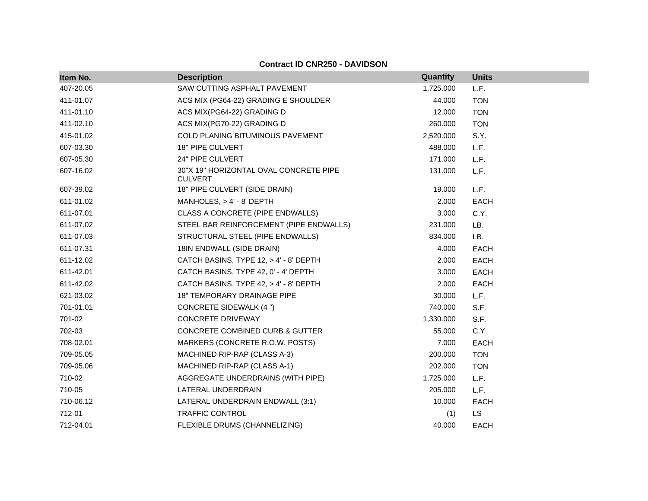| Item No.  | <b>Description</b>                                       | Quantity  | <b>Units</b> |  |
|-----------|----------------------------------------------------------|-----------|--------------|--|
| 407-20.05 | SAW CUTTING ASPHALT PAVEMENT                             | 1,725.000 | L.F.         |  |
| 411-01.07 | ACS MIX (PG64-22) GRADING E SHOULDER                     | 44.000    | <b>TON</b>   |  |
| 411-01.10 | ACS MIX(PG64-22) GRADING D                               | 12.000    | <b>TON</b>   |  |
| 411-02.10 | ACS MIX(PG70-22) GRADING D                               | 260.000   | <b>TON</b>   |  |
| 415-01.02 | COLD PLANING BITUMINOUS PAVEMENT                         | 2,520.000 | S.Y.         |  |
| 607-03.30 | 18" PIPE CULVERT                                         | 488.000   | L.F.         |  |
| 607-05.30 | 24" PIPE CULVERT                                         | 171.000   | L.F.         |  |
| 607-16.02 | 30"X 19" HORIZONTAL OVAL CONCRETE PIPE<br><b>CULVERT</b> | 131.000   | L.F.         |  |
| 607-39.02 | 18" PIPE CULVERT (SIDE DRAIN)                            | 19.000    | L.F.         |  |
| 611-01.02 | MANHOLES, > 4' - 8' DEPTH                                | 2.000     | <b>EACH</b>  |  |
| 611-07.01 | CLASS A CONCRETE (PIPE ENDWALLS)                         | 3.000     | C.Y.         |  |
| 611-07.02 | STEEL BAR REINFORCEMENT (PIPE ENDWALLS)                  | 231.000   | LB.          |  |
| 611-07.03 | STRUCTURAL STEEL (PIPE ENDWALLS)                         | 834.000   | LB.          |  |
| 611-07.31 | 18IN ENDWALL (SIDE DRAIN)                                | 4.000     | EACH         |  |
| 611-12.02 | CATCH BASINS, TYPE 12, > 4' - 8' DEPTH                   | 2.000     | EACH         |  |
| 611-42.01 | CATCH BASINS, TYPE 42, 0' - 4' DEPTH                     | 3.000     | EACH         |  |
| 611-42.02 | CATCH BASINS, TYPE 42, > 4' - 8' DEPTH                   | 2.000     | <b>EACH</b>  |  |
| 621-03.02 | 18" TEMPORARY DRAINAGE PIPE                              | 30.000    | L.F.         |  |
| 701-01.01 | <b>CONCRETE SIDEWALK (4 ")</b>                           | 740.000   | S.F.         |  |
| 701-02    | <b>CONCRETE DRIVEWAY</b>                                 | 1,330.000 | S.F.         |  |
| 702-03    | CONCRETE COMBINED CURB & GUTTER                          | 55.000    | C.Y.         |  |
| 708-02.01 | MARKERS (CONCRETE R.O.W. POSTS)                          | 7.000     | <b>EACH</b>  |  |
| 709-05.05 | MACHINED RIP-RAP (CLASS A-3)                             | 200.000   | <b>TON</b>   |  |
| 709-05.06 | MACHINED RIP-RAP (CLASS A-1)                             | 202.000   | <b>TON</b>   |  |
| 710-02    | AGGREGATE UNDERDRAINS (WITH PIPE)                        | 1,725.000 | L.F.         |  |
| 710-05    | LATERAL UNDERDRAIN                                       | 205.000   | L.F.         |  |
| 710-06.12 | LATERAL UNDERDRAIN ENDWALL (3:1)                         | 10.000    | EACH         |  |
| 712-01    | <b>TRAFFIC CONTROL</b>                                   | (1)       | LS           |  |
| 712-04.01 | FLEXIBLE DRUMS (CHANNELIZING)                            | 40.000    | <b>EACH</b>  |  |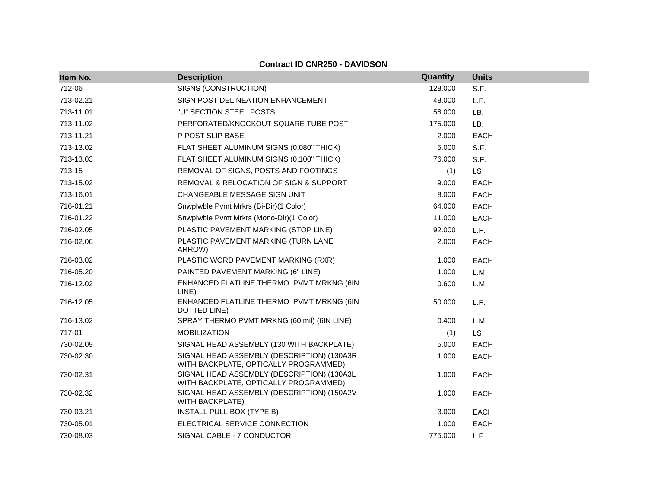| Item No.  | <b>Description</b>                                                                  | Quantity | <b>Units</b> |
|-----------|-------------------------------------------------------------------------------------|----------|--------------|
| 712-06    | SIGNS (CONSTRUCTION)                                                                | 128.000  | S.F.         |
| 713-02.21 | SIGN POST DELINEATION ENHANCEMENT                                                   | 48.000   | L.F.         |
| 713-11.01 | "U" SECTION STEEL POSTS                                                             | 58,000   | LB.          |
| 713-11.02 | PERFORATED/KNOCKOUT SQUARE TUBE POST                                                | 175.000  | LB.          |
| 713-11.21 | P POST SLIP BASE                                                                    | 2.000    | <b>EACH</b>  |
| 713-13.02 | FLAT SHEET ALUMINUM SIGNS (0.080" THICK)                                            | 5.000    | S.F.         |
| 713-13.03 | FLAT SHEET ALUMINUM SIGNS (0.100" THICK)                                            | 76.000   | S.F.         |
| 713-15    | REMOVAL OF SIGNS, POSTS AND FOOTINGS                                                | (1)      | <b>LS</b>    |
| 713-15.02 | REMOVAL & RELOCATION OF SIGN & SUPPORT                                              | 9.000    | <b>EACH</b>  |
| 713-16.01 | CHANGEABLE MESSAGE SIGN UNIT                                                        | 8.000    | <b>EACH</b>  |
| 716-01.21 | Snwplwble Pvmt Mrkrs (Bi-Dir)(1 Color)                                              | 64.000   | EACH         |
| 716-01.22 | Snwplwble Pvmt Mrkrs (Mono-Dir)(1 Color)                                            | 11.000   | <b>EACH</b>  |
| 716-02.05 | PLASTIC PAVEMENT MARKING (STOP LINE)                                                | 92.000   | L.F.         |
| 716-02.06 | PLASTIC PAVEMENT MARKING (TURN LANE<br>ARROW)                                       | 2.000    | <b>EACH</b>  |
| 716-03.02 | PLASTIC WORD PAVEMENT MARKING (RXR)                                                 | 1.000    | <b>EACH</b>  |
| 716-05.20 | PAINTED PAVEMENT MARKING (6" LINE)                                                  | 1.000    | L.M.         |
| 716-12.02 | ENHANCED FLATLINE THERMO PVMT MRKNG (6IN<br>LINE)                                   | 0.600    | L.M.         |
| 716-12.05 | ENHANCED FLATLINE THERMO PVMT MRKNG (6IN<br>DOTTED LINE)                            | 50.000   | L.F.         |
| 716-13.02 | SPRAY THERMO PVMT MRKNG (60 mil) (6IN LINE)                                         | 0.400    | L.M.         |
| 717-01    | <b>MOBILIZATION</b>                                                                 | (1)      | LS           |
| 730-02.09 | SIGNAL HEAD ASSEMBLY (130 WITH BACKPLATE)                                           | 5.000    | <b>EACH</b>  |
| 730-02.30 | SIGNAL HEAD ASSEMBLY (DESCRIPTION) (130A3R<br>WITH BACKPLATE, OPTICALLY PROGRAMMED) | 1.000    | <b>EACH</b>  |
| 730-02.31 | SIGNAL HEAD ASSEMBLY (DESCRIPTION) (130A3L<br>WITH BACKPLATE, OPTICALLY PROGRAMMED) | 1.000    | <b>EACH</b>  |
| 730-02.32 | SIGNAL HEAD ASSEMBLY (DESCRIPTION) (150A2V<br><b>WITH BACKPLATE)</b>                | 1.000    | <b>EACH</b>  |
| 730-03.21 | <b>INSTALL PULL BOX (TYPE B)</b>                                                    | 3.000    | <b>EACH</b>  |
| 730-05.01 | ELECTRICAL SERVICE CONNECTION                                                       | 1.000    | <b>EACH</b>  |
| 730-08.03 | SIGNAL CABLE - 7 CONDUCTOR                                                          | 775.000  | L.F.         |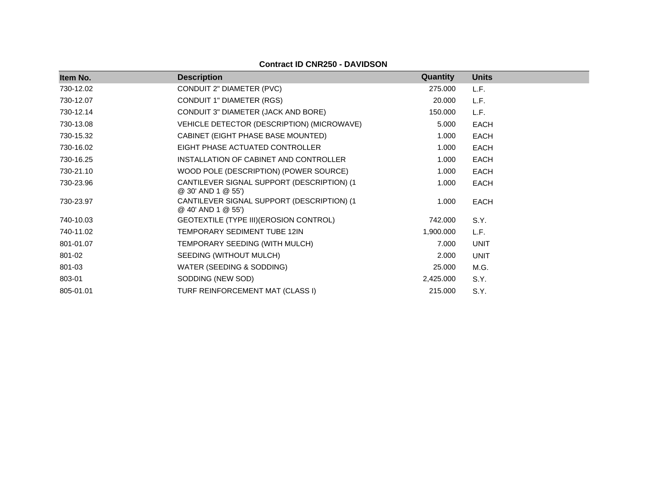| Item No.  | <b>Description</b>                                                | <b>Quantity</b> | <b>Units</b> |
|-----------|-------------------------------------------------------------------|-----------------|--------------|
| 730-12.02 | CONDUIT 2" DIAMETER (PVC)                                         | 275.000         | L.F.         |
| 730-12.07 | CONDUIT 1" DIAMETER (RGS)                                         | 20.000          | L.F.         |
| 730-12.14 | CONDUIT 3" DIAMETER (JACK AND BORE)                               | 150.000         | L.F.         |
| 730-13.08 | VEHICLE DETECTOR (DESCRIPTION) (MICROWAVE)                        | 5.000           | <b>EACH</b>  |
| 730-15.32 | CABINET (EIGHT PHASE BASE MOUNTED)                                | 1.000           | EACH         |
| 730-16.02 | EIGHT PHASE ACTUATED CONTROLLER                                   | 1.000           | EACH         |
| 730-16.25 | INSTALLATION OF CABINET AND CONTROLLER                            | 1.000           | <b>EACH</b>  |
| 730-21.10 | WOOD POLE (DESCRIPTION) (POWER SOURCE)                            | 1.000           | <b>EACH</b>  |
| 730-23.96 | CANTILEVER SIGNAL SUPPORT (DESCRIPTION) (1)<br>@ 30' AND 1 @ 55') | 1.000           | <b>EACH</b>  |
| 730-23.97 | CANTILEVER SIGNAL SUPPORT (DESCRIPTION) (1<br>@ 40' AND 1 @ 55')  | 1.000           | EACH         |
| 740-10.03 | GEOTEXTILE (TYPE III) (EROSION CONTROL)                           | 742.000         | S.Y.         |
| 740-11.02 | TEMPORARY SEDIMENT TUBE 12IN                                      | 1,900.000       | L.F.         |
| 801-01.07 | TEMPORARY SEEDING (WITH MULCH)                                    | 7.000           | <b>UNIT</b>  |
| 801-02    | SEEDING (WITHOUT MULCH)                                           | 2.000           | <b>UNIT</b>  |
| 801-03    | WATER (SEEDING & SODDING)                                         | 25.000          | M.G.         |
| 803-01    | SODDING (NEW SOD)                                                 | 2,425.000       | S.Y.         |
| 805-01.01 | TURF REINFORCEMENT MAT (CLASS I)                                  | 215.000         | S.Y.         |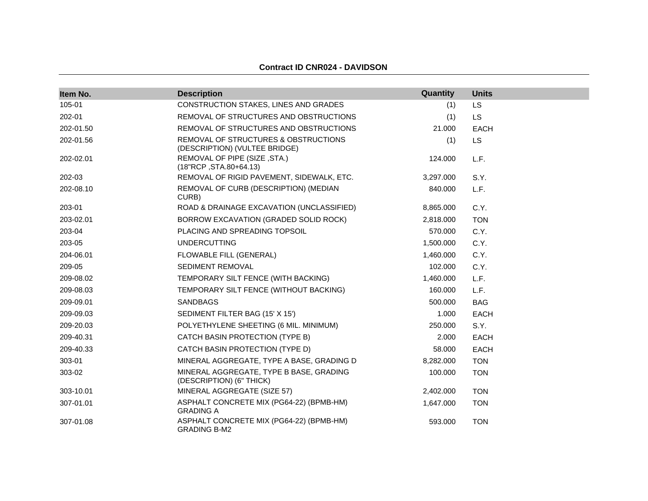| <b>Contract ID CNR024 - DAVIDSON</b> |  |
|--------------------------------------|--|
|--------------------------------------|--|

| Item No.  | <b>Description</b>                                                    | Quantity  | <b>Units</b> |
|-----------|-----------------------------------------------------------------------|-----------|--------------|
| 105-01    | CONSTRUCTION STAKES, LINES AND GRADES                                 | (1)       | LS           |
| 202-01    | REMOVAL OF STRUCTURES AND OBSTRUCTIONS                                | (1)       | <b>LS</b>    |
| 202-01.50 | REMOVAL OF STRUCTURES AND OBSTRUCTIONS                                | 21.000    | <b>EACH</b>  |
| 202-01.56 | REMOVAL OF STRUCTURES & OBSTRUCTIONS<br>(DESCRIPTION) (VULTEE BRIDGE) | (1)       | <b>LS</b>    |
| 202-02.01 | REMOVAL OF PIPE (SIZE, STA.)<br>(18"RCP, STA.80+64.13)                | 124.000   | L.F.         |
| 202-03    | REMOVAL OF RIGID PAVEMENT, SIDEWALK, ETC.                             | 3,297.000 | S.Y.         |
| 202-08.10 | REMOVAL OF CURB (DESCRIPTION) (MEDIAN<br>CURB)                        | 840.000   | L.F.         |
| 203-01    | ROAD & DRAINAGE EXCAVATION (UNCLASSIFIED)                             | 8,865.000 | C.Y.         |
| 203-02.01 | BORROW EXCAVATION (GRADED SOLID ROCK)                                 | 2,818.000 | <b>TON</b>   |
| 203-04    | PLACING AND SPREADING TOPSOIL                                         | 570.000   | C.Y.         |
| 203-05    | <b>UNDERCUTTING</b>                                                   | 1,500.000 | C.Y.         |
| 204-06.01 | FLOWABLE FILL (GENERAL)                                               | 1,460.000 | C.Y.         |
| 209-05    | SEDIMENT REMOVAL                                                      | 102.000   | C.Y.         |
| 209-08.02 | TEMPORARY SILT FENCE (WITH BACKING)                                   | 1,460.000 | L.F.         |
| 209-08.03 | TEMPORARY SILT FENCE (WITHOUT BACKING)                                | 160.000   | L.F.         |
| 209-09.01 | <b>SANDBAGS</b>                                                       | 500.000   | <b>BAG</b>   |
| 209-09.03 | SEDIMENT FILTER BAG (15' X 15')                                       | 1.000     | <b>EACH</b>  |
| 209-20.03 | POLYETHYLENE SHEETING (6 MIL. MINIMUM)                                | 250.000   | S.Y.         |
| 209-40.31 | CATCH BASIN PROTECTION (TYPE B)                                       | 2.000     | <b>EACH</b>  |
| 209-40.33 | CATCH BASIN PROTECTION (TYPE D)                                       | 58.000    | <b>EACH</b>  |
| 303-01    | MINERAL AGGREGATE, TYPE A BASE, GRADING D                             | 8,282.000 | <b>TON</b>   |
| 303-02    | MINERAL AGGREGATE, TYPE B BASE, GRADING<br>(DESCRIPTION) (6" THICK)   | 100.000   | <b>TON</b>   |
| 303-10.01 | MINERAL AGGREGATE (SIZE 57)                                           | 2,402.000 | <b>TON</b>   |
| 307-01.01 | ASPHALT CONCRETE MIX (PG64-22) (BPMB-HM)<br><b>GRADING A</b>          | 1,647.000 | <b>TON</b>   |
| 307-01.08 | ASPHALT CONCRETE MIX (PG64-22) (BPMB-HM)<br><b>GRADING B-M2</b>       | 593.000   | <b>TON</b>   |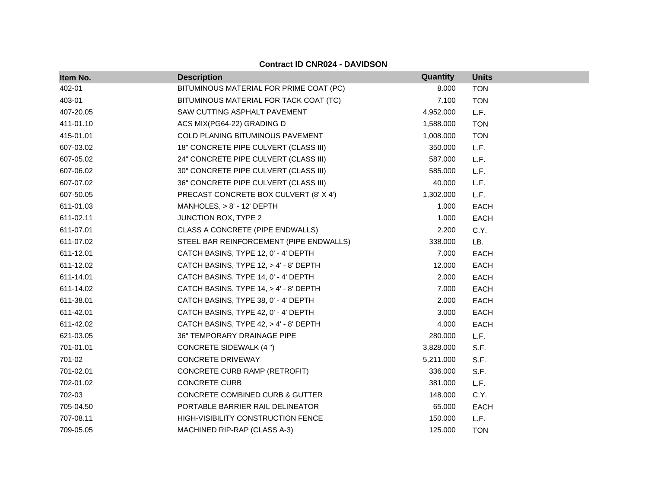| Item No.  | <b>Description</b>                         | <b>Quantity</b> | <b>Units</b> |
|-----------|--------------------------------------------|-----------------|--------------|
| 402-01    | BITUMINOUS MATERIAL FOR PRIME COAT (PC)    | 8.000           | <b>TON</b>   |
| 403-01    | BITUMINOUS MATERIAL FOR TACK COAT (TC)     | 7.100           | <b>TON</b>   |
| 407-20.05 | SAW CUTTING ASPHALT PAVEMENT               | 4,952.000       | L.F.         |
| 411-01.10 | ACS MIX(PG64-22) GRADING D                 | 1,588.000       | <b>TON</b>   |
| 415-01.01 | COLD PLANING BITUMINOUS PAVEMENT           | 1,008.000       | <b>TON</b>   |
| 607-03.02 | 18" CONCRETE PIPE CULVERT (CLASS III)      | 350.000         | L.F.         |
| 607-05.02 | 24" CONCRETE PIPE CULVERT (CLASS III)      | 587.000         | L.F.         |
| 607-06.02 | 30" CONCRETE PIPE CULVERT (CLASS III)      | 585.000         | L.F.         |
| 607-07.02 | 36" CONCRETE PIPE CULVERT (CLASS III)      | 40.000          | L.F.         |
| 607-50.05 | PRECAST CONCRETE BOX CULVERT (8' X 4')     | 1,302.000       | L.F.         |
| 611-01.03 | MANHOLES, > 8' - 12' DEPTH                 | 1.000           | <b>EACH</b>  |
| 611-02.11 | JUNCTION BOX, TYPE 2                       | 1.000           | <b>EACH</b>  |
| 611-07.01 | CLASS A CONCRETE (PIPE ENDWALLS)           | 2.200           | C.Y.         |
| 611-07.02 | STEEL BAR REINFORCEMENT (PIPE ENDWALLS)    | 338.000         | LB.          |
| 611-12.01 | CATCH BASINS, TYPE 12, 0' - 4' DEPTH       | 7.000           | EACH         |
| 611-12.02 | CATCH BASINS, TYPE 12, > 4' - 8' DEPTH     | 12.000          | <b>EACH</b>  |
| 611-14.01 | CATCH BASINS, TYPE 14, 0' - 4' DEPTH       | 2.000           | <b>EACH</b>  |
| 611-14.02 | CATCH BASINS, TYPE 14, > 4' - 8' DEPTH     | 7.000           | EACH         |
| 611-38.01 | CATCH BASINS, TYPE 38, 0' - 4' DEPTH       | 2.000           | <b>EACH</b>  |
| 611-42.01 | CATCH BASINS, TYPE 42, 0' - 4' DEPTH       | 3.000           | EACH         |
| 611-42.02 | CATCH BASINS, TYPE 42, > 4' - 8' DEPTH     | 4.000           | EACH         |
| 621-03.05 | 36" TEMPORARY DRAINAGE PIPE                | 280.000         | L.F.         |
| 701-01.01 | <b>CONCRETE SIDEWALK (4 ")</b>             | 3,828.000       | S.F.         |
| 701-02    | <b>CONCRETE DRIVEWAY</b>                   | 5,211.000       | S.F.         |
| 701-02.01 | CONCRETE CURB RAMP (RETROFIT)              | 336.000         | S.F.         |
| 702-01.02 | <b>CONCRETE CURB</b>                       | 381.000         | L.F.         |
| 702-03    | <b>CONCRETE COMBINED CURB &amp; GUTTER</b> | 148.000         | C.Y.         |
| 705-04.50 | PORTABLE BARRIER RAIL DELINEATOR           | 65.000          | <b>EACH</b>  |
| 707-08.11 | HIGH-VISIBILITY CONSTRUCTION FENCE         | 150.000         | L.F.         |
| 709-05.05 | MACHINED RIP-RAP (CLASS A-3)               | 125.000         | <b>TON</b>   |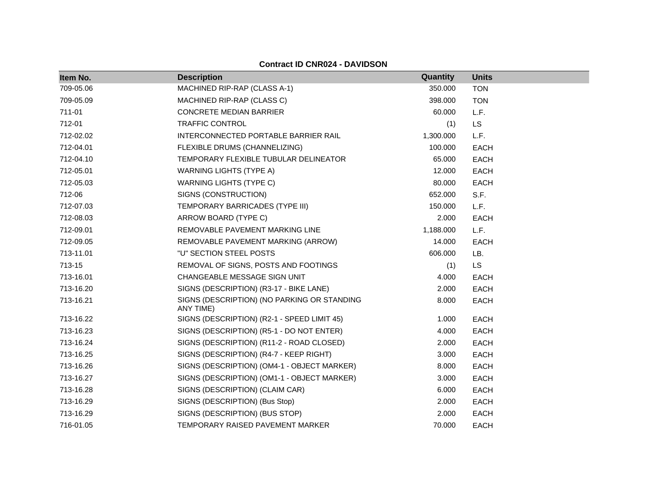| Item No.  | <b>Description</b>                                       | Quantity  | <b>Units</b> |
|-----------|----------------------------------------------------------|-----------|--------------|
| 709-05.06 | MACHINED RIP-RAP (CLASS A-1)                             | 350.000   | <b>TON</b>   |
| 709-05.09 | MACHINED RIP-RAP (CLASS C)                               | 398.000   | <b>TON</b>   |
| 711-01    | <b>CONCRETE MEDIAN BARRIER</b>                           | 60.000    | L.F.         |
| 712-01    | <b>TRAFFIC CONTROL</b>                                   | (1)       | <b>LS</b>    |
| 712-02.02 | INTERCONNECTED PORTABLE BARRIER RAIL                     | 1,300.000 | L.F.         |
| 712-04.01 | FLEXIBLE DRUMS (CHANNELIZING)                            | 100.000   | <b>EACH</b>  |
| 712-04.10 | TEMPORARY FLEXIBLE TUBULAR DELINEATOR                    | 65.000    | <b>EACH</b>  |
| 712-05.01 | <b>WARNING LIGHTS (TYPE A)</b>                           | 12.000    | <b>EACH</b>  |
| 712-05.03 | WARNING LIGHTS (TYPE C)                                  | 80.000    | EACH         |
| 712-06    | SIGNS (CONSTRUCTION)                                     | 652.000   | S.F.         |
| 712-07.03 | TEMPORARY BARRICADES (TYPE III)                          | 150.000   | L.F.         |
| 712-08.03 | ARROW BOARD (TYPE C)                                     | 2.000     | <b>EACH</b>  |
| 712-09.01 | REMOVABLE PAVEMENT MARKING LINE                          | 1,188.000 | L.F.         |
| 712-09.05 | REMOVABLE PAVEMENT MARKING (ARROW)                       | 14.000    | <b>EACH</b>  |
| 713-11.01 | "U" SECTION STEEL POSTS                                  | 606.000   | LB.          |
| 713-15    | REMOVAL OF SIGNS, POSTS AND FOOTINGS                     | (1)       | <b>LS</b>    |
| 713-16.01 | <b>CHANGEABLE MESSAGE SIGN UNIT</b>                      | 4.000     | <b>EACH</b>  |
| 713-16.20 | SIGNS (DESCRIPTION) (R3-17 - BIKE LANE)                  | 2.000     | EACH         |
| 713-16.21 | SIGNS (DESCRIPTION) (NO PARKING OR STANDING<br>ANY TIME) | 8.000     | <b>EACH</b>  |
| 713-16.22 | SIGNS (DESCRIPTION) (R2-1 - SPEED LIMIT 45)              | 1.000     | <b>EACH</b>  |
| 713-16.23 | SIGNS (DESCRIPTION) (R5-1 - DO NOT ENTER)                | 4.000     | <b>EACH</b>  |
| 713-16.24 | SIGNS (DESCRIPTION) (R11-2 - ROAD CLOSED)                | 2.000     | <b>EACH</b>  |
| 713-16.25 | SIGNS (DESCRIPTION) (R4-7 - KEEP RIGHT)                  | 3.000     | <b>EACH</b>  |
| 713-16.26 | SIGNS (DESCRIPTION) (OM4-1 - OBJECT MARKER)              | 8.000     | EACH         |
| 713-16.27 | SIGNS (DESCRIPTION) (OM1-1 - OBJECT MARKER)              | 3.000     | <b>EACH</b>  |
| 713-16.28 | SIGNS (DESCRIPTION) (CLAIM CAR)                          | 6.000     | <b>EACH</b>  |
| 713-16.29 | SIGNS (DESCRIPTION) (Bus Stop)                           | 2.000     | <b>EACH</b>  |
| 713-16.29 | SIGNS (DESCRIPTION) (BUS STOP)                           | 2.000     | <b>EACH</b>  |
| 716-01.05 | TEMPORARY RAISED PAVEMENT MARKER                         | 70.000    | <b>EACH</b>  |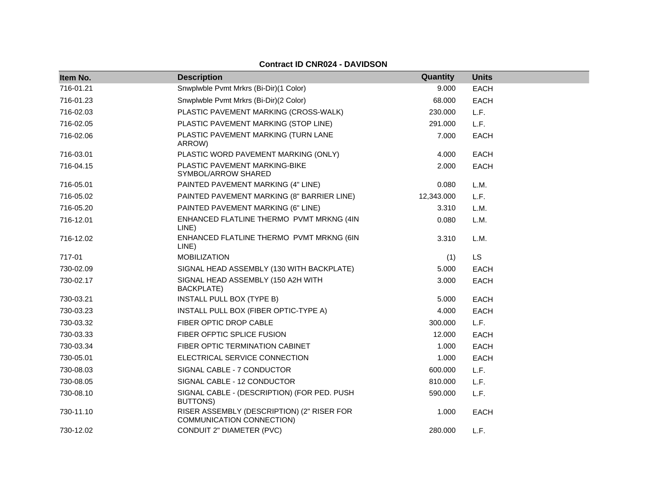| Item No.  | <b>Description</b>                                                      | Quantity   | <b>Units</b> |
|-----------|-------------------------------------------------------------------------|------------|--------------|
| 716-01.21 | Snwplwble Pvmt Mrkrs (Bi-Dir)(1 Color)                                  | 9.000      | <b>EACH</b>  |
| 716-01.23 | Snwplwble Pvmt Mrkrs (Bi-Dir)(2 Color)                                  | 68.000     | <b>EACH</b>  |
| 716-02.03 | PLASTIC PAVEMENT MARKING (CROSS-WALK)                                   | 230.000    | L.F.         |
| 716-02.05 | PLASTIC PAVEMENT MARKING (STOP LINE)                                    | 291.000    | L.F.         |
| 716-02.06 | PLASTIC PAVEMENT MARKING (TURN LANE<br>ARROW)                           | 7.000      | <b>EACH</b>  |
| 716-03.01 | PLASTIC WORD PAVEMENT MARKING (ONLY)                                    | 4.000      | <b>EACH</b>  |
| 716-04.15 | PLASTIC PAVEMENT MARKING-BIKE<br>SYMBOL/ARROW SHARED                    | 2.000      | <b>EACH</b>  |
| 716-05.01 | PAINTED PAVEMENT MARKING (4" LINE)                                      | 0.080      | L.M.         |
| 716-05.02 | PAINTED PAVEMENT MARKING (8" BARRIER LINE)                              | 12,343.000 | L.F.         |
| 716-05.20 | PAINTED PAVEMENT MARKING (6" LINE)                                      | 3.310      | L.M.         |
| 716-12.01 | ENHANCED FLATLINE THERMO PVMT MRKNG (4IN<br>LINE)                       | 0.080      | L.M.         |
| 716-12.02 | ENHANCED FLATLINE THERMO PVMT MRKNG (6IN<br>LINE)                       | 3.310      | L.M.         |
| 717-01    | <b>MOBILIZATION</b>                                                     | (1)        | <b>LS</b>    |
| 730-02.09 | SIGNAL HEAD ASSEMBLY (130 WITH BACKPLATE)                               | 5.000      | <b>EACH</b>  |
| 730-02.17 | SIGNAL HEAD ASSEMBLY (150 A2H WITH<br><b>BACKPLATE)</b>                 | 3.000      | <b>EACH</b>  |
| 730-03.21 | INSTALL PULL BOX (TYPE B)                                               | 5.000      | <b>EACH</b>  |
| 730-03.23 | INSTALL PULL BOX (FIBER OPTIC-TYPE A)                                   | 4.000      | <b>EACH</b>  |
| 730-03.32 | FIBER OPTIC DROP CABLE                                                  | 300.000    | L.F.         |
| 730-03.33 | FIBER OFPTIC SPLICE FUSION                                              | 12.000     | <b>EACH</b>  |
| 730-03.34 | FIBER OPTIC TERMINATION CABINET                                         | 1.000      | <b>EACH</b>  |
| 730-05.01 | ELECTRICAL SERVICE CONNECTION                                           | 1.000      | <b>EACH</b>  |
| 730-08.03 | SIGNAL CABLE - 7 CONDUCTOR                                              | 600.000    | L.F.         |
| 730-08.05 | SIGNAL CABLE - 12 CONDUCTOR                                             | 810.000    | L.F.         |
| 730-08.10 | SIGNAL CABLE - (DESCRIPTION) (FOR PED. PUSH<br>BUTTONS)                 | 590.000    | L.F.         |
| 730-11.10 | RISER ASSEMBLY (DESCRIPTION) (2" RISER FOR<br>COMMUNICATION CONNECTION) | 1.000      | <b>EACH</b>  |
| 730-12.02 | CONDUIT 2" DIAMETER (PVC)                                               | 280.000    | L.F.         |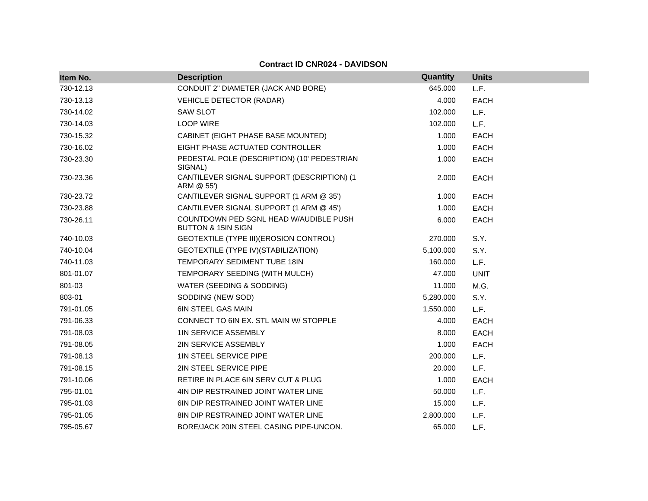| Item No.  | <b>Description</b>                                                      | Quantity  | <b>Units</b> |
|-----------|-------------------------------------------------------------------------|-----------|--------------|
| 730-12.13 | CONDUIT 2" DIAMETER (JACK AND BORE)                                     | 645.000   | L.F.         |
| 730-13.13 | <b>VEHICLE DETECTOR (RADAR)</b>                                         | 4.000     | <b>EACH</b>  |
| 730-14.02 | <b>SAW SLOT</b>                                                         | 102.000   | L.F.         |
| 730-14.03 | <b>LOOP WIRE</b>                                                        | 102.000   | L.F.         |
| 730-15.32 | CABINET (EIGHT PHASE BASE MOUNTED)                                      | 1.000     | <b>EACH</b>  |
| 730-16.02 | EIGHT PHASE ACTUATED CONTROLLER                                         | 1.000     | <b>EACH</b>  |
| 730-23.30 | PEDESTAL POLE (DESCRIPTION) (10' PEDESTRIAN<br>SIGNAL)                  | 1.000     | <b>EACH</b>  |
| 730-23.36 | CANTILEVER SIGNAL SUPPORT (DESCRIPTION) (1<br>ARM @ 55')                | 2.000     | <b>EACH</b>  |
| 730-23.72 | CANTILEVER SIGNAL SUPPORT (1 ARM @ 35')                                 | 1.000     | <b>EACH</b>  |
| 730-23.88 | CANTILEVER SIGNAL SUPPORT (1 ARM @ 45')                                 | 1.000     | <b>EACH</b>  |
| 730-26.11 | COUNTDOWN PED SGNL HEAD W/AUDIBLE PUSH<br><b>BUTTON &amp; 15IN SIGN</b> | 6.000     | <b>EACH</b>  |
| 740-10.03 | GEOTEXTILE (TYPE III) (EROSION CONTROL)                                 | 270.000   | S.Y.         |
| 740-10.04 | GEOTEXTILE (TYPE IV) (STABILIZATION)                                    | 5,100.000 | S.Y.         |
| 740-11.03 | TEMPORARY SEDIMENT TUBE 18IN                                            | 160.000   | L.F.         |
| 801-01.07 | TEMPORARY SEEDING (WITH MULCH)                                          | 47.000    | <b>UNIT</b>  |
| 801-03    | WATER (SEEDING & SODDING)                                               | 11.000    | M.G.         |
| 803-01    | SODDING (NEW SOD)                                                       | 5,280.000 | S.Y.         |
| 791-01.05 | <b>6IN STEEL GAS MAIN</b>                                               | 1,550.000 | L.F.         |
| 791-06.33 | CONNECT TO 6IN EX. STL MAIN W/ STOPPLE                                  | 4.000     | <b>EACH</b>  |
| 791-08.03 | <b>1IN SERVICE ASSEMBLY</b>                                             | 8.000     | <b>EACH</b>  |
| 791-08.05 | 2IN SERVICE ASSEMBLY                                                    | 1.000     | <b>EACH</b>  |
| 791-08.13 | <b>1IN STEEL SERVICE PIPE</b>                                           | 200.000   | L.F.         |
| 791-08.15 | 2IN STEEL SERVICE PIPE                                                  | 20.000    | L.F.         |
| 791-10.06 | RETIRE IN PLACE 6IN SERV CUT & PLUG                                     | 1.000     | <b>EACH</b>  |
| 795-01.01 | 4IN DIP RESTRAINED JOINT WATER LINE                                     | 50.000    | L.F.         |
| 795-01.03 | <b>6IN DIP RESTRAINED JOINT WATER LINE</b>                              | 15.000    | L.F.         |
| 795-01.05 | 8IN DIP RESTRAINED JOINT WATER LINE                                     | 2,800.000 | L.F.         |
| 795-05.67 | BORE/JACK 20IN STEEL CASING PIPE-UNCON.                                 | 65.000    | L.F.         |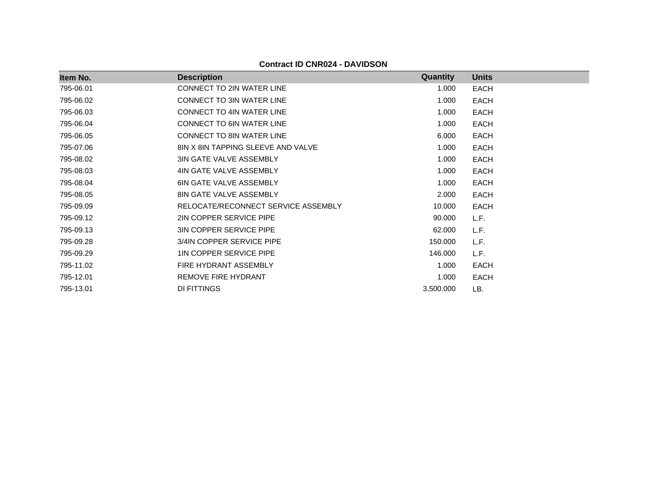| Item No.  | <b>Description</b>                  | <b>Quantity</b> | <b>Units</b> |
|-----------|-------------------------------------|-----------------|--------------|
| 795-06.01 | <b>CONNECT TO 2IN WATER LINE</b>    | 1.000           | <b>EACH</b>  |
| 795-06.02 | <b>CONNECT TO 3IN WATER LINE</b>    | 1.000           | <b>EACH</b>  |
| 795-06.03 | <b>CONNECT TO 4IN WATER LINE</b>    | 1.000           | <b>EACH</b>  |
| 795-06.04 | <b>CONNECT TO 6IN WATER LINE</b>    | 1.000           | <b>EACH</b>  |
| 795-06.05 | <b>CONNECT TO 8IN WATER LINE</b>    | 6.000           | <b>EACH</b>  |
| 795-07.06 | 8IN X 8IN TAPPING SLEEVE AND VALVE  | 1.000           | <b>EACH</b>  |
| 795-08.02 | <b>3IN GATE VALVE ASSEMBLY</b>      | 1.000           | <b>EACH</b>  |
| 795-08.03 | 4IN GATE VALVE ASSEMBLY             | 1.000           | <b>EACH</b>  |
| 795-08.04 | <b>6IN GATE VALVE ASSEMBLY</b>      | 1.000           | <b>EACH</b>  |
| 795-08.05 | <b>8IN GATE VALVE ASSEMBLY</b>      | 2.000           | <b>EACH</b>  |
| 795-09.09 | RELOCATE/RECONNECT SERVICE ASSEMBLY | 10.000          | <b>EACH</b>  |
| 795-09.12 | 2IN COPPER SERVICE PIPE             | 90.000          | L.F.         |
| 795-09.13 | <b>3IN COPPER SERVICE PIPE</b>      | 62.000          | L.F.         |
| 795-09.28 | 3/4IN COPPER SERVICE PIPE           | 150.000         | L.F.         |
| 795-09.29 | 1IN COPPER SERVICE PIPE             | 146.000         | L.F.         |
| 795-11.02 | FIRE HYDRANT ASSEMBLY               | 1.000           | <b>EACH</b>  |
| 795-12.01 | REMOVE FIRE HYDRANT                 | 1.000           | EACH         |
| 795-13.01 | DI FITTINGS                         | 3,500.000       | LB.          |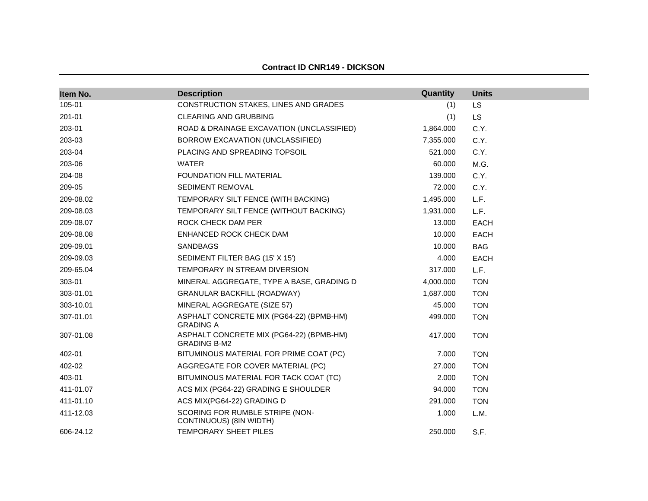#### **Contract ID CNR149 - DICKSON**

| Item No.  | <b>Description</b>                                              | Quantity  | <b>Units</b> |
|-----------|-----------------------------------------------------------------|-----------|--------------|
| 105-01    | CONSTRUCTION STAKES, LINES AND GRADES                           | (1)       | <b>LS</b>    |
| 201-01    | <b>CLEARING AND GRUBBING</b>                                    | (1)       | <b>LS</b>    |
| 203-01    | ROAD & DRAINAGE EXCAVATION (UNCLASSIFIED)                       | 1,864.000 | C.Y.         |
| 203-03    | BORROW EXCAVATION (UNCLASSIFIED)                                | 7,355.000 | C.Y.         |
| 203-04    | PLACING AND SPREADING TOPSOIL                                   | 521.000   | C.Y.         |
| 203-06    | <b>WATER</b>                                                    | 60.000    | M.G.         |
| 204-08    | FOUNDATION FILL MATERIAL                                        | 139.000   | C.Y.         |
| 209-05    | SEDIMENT REMOVAL                                                | 72.000    | C.Y.         |
| 209-08.02 | TEMPORARY SILT FENCE (WITH BACKING)                             | 1,495.000 | L.F.         |
| 209-08.03 | TEMPORARY SILT FENCE (WITHOUT BACKING)                          | 1,931.000 | L.F.         |
| 209-08.07 | ROCK CHECK DAM PER                                              | 13.000    | <b>EACH</b>  |
| 209-08.08 | ENHANCED ROCK CHECK DAM                                         | 10.000    | <b>EACH</b>  |
| 209-09.01 | <b>SANDBAGS</b>                                                 | 10.000    | <b>BAG</b>   |
| 209-09.03 | SEDIMENT FILTER BAG (15' X 15')                                 | 4.000     | <b>EACH</b>  |
| 209-65.04 | TEMPORARY IN STREAM DIVERSION                                   | 317.000   | L.F.         |
| 303-01    | MINERAL AGGREGATE, TYPE A BASE, GRADING D                       | 4,000.000 | <b>TON</b>   |
| 303-01.01 | <b>GRANULAR BACKFILL (ROADWAY)</b>                              | 1,687.000 | <b>TON</b>   |
| 303-10.01 | MINERAL AGGREGATE (SIZE 57)                                     | 45.000    | <b>TON</b>   |
| 307-01.01 | ASPHALT CONCRETE MIX (PG64-22) (BPMB-HM)<br><b>GRADING A</b>    | 499.000   | <b>TON</b>   |
| 307-01.08 | ASPHALT CONCRETE MIX (PG64-22) (BPMB-HM)<br><b>GRADING B-M2</b> | 417.000   | <b>TON</b>   |
| 402-01    | BITUMINOUS MATERIAL FOR PRIME COAT (PC)                         | 7.000     | <b>TON</b>   |
| 402-02    | AGGREGATE FOR COVER MATERIAL (PC)                               | 27,000    | <b>TON</b>   |
| 403-01    | BITUMINOUS MATERIAL FOR TACK COAT (TC)                          | 2.000     | <b>TON</b>   |
| 411-01.07 | ACS MIX (PG64-22) GRADING E SHOULDER                            | 94.000    | <b>TON</b>   |
| 411-01.10 | ACS MIX(PG64-22) GRADING D                                      | 291.000   | <b>TON</b>   |
| 411-12.03 | SCORING FOR RUMBLE STRIPE (NON-<br>CONTINUOUS) (8IN WIDTH)      | 1.000     | L.M.         |
| 606-24.12 | <b>TEMPORARY SHEET PILES</b>                                    | 250.000   | S.F.         |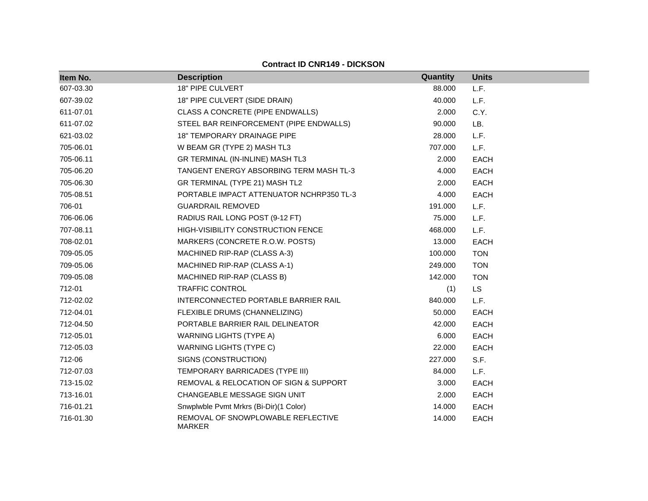|  | <b>Contract ID CNR149 - DICKSON</b> |
|--|-------------------------------------|
|  |                                     |

| Item No.  | <b>Description</b>                                  | Quantity | <b>Units</b> |
|-----------|-----------------------------------------------------|----------|--------------|
| 607-03.30 | <b>18" PIPE CULVERT</b>                             | 88.000   | L.F.         |
| 607-39.02 | 18" PIPE CULVERT (SIDE DRAIN)                       | 40.000   | L.F.         |
| 611-07.01 | CLASS A CONCRETE (PIPE ENDWALLS)                    | 2.000    | C.Y.         |
| 611-07.02 | STEEL BAR REINFORCEMENT (PIPE ENDWALLS)             | 90.000   | LB.          |
| 621-03.02 | <b>18" TEMPORARY DRAINAGE PIPE</b>                  | 28.000   | L.F.         |
| 705-06.01 | W BEAM GR (TYPE 2) MASH TL3                         | 707.000  | L.F.         |
| 705-06.11 | GR TERMINAL (IN-INLINE) MASH TL3                    | 2.000    | <b>EACH</b>  |
| 705-06.20 | TANGENT ENERGY ABSORBING TERM MASH TL-3             | 4.000    | EACH         |
| 705-06.30 | GR TERMINAL (TYPE 21) MASH TL2                      | 2.000    | EACH         |
| 705-08.51 | PORTABLE IMPACT ATTENUATOR NCHRP350 TL-3            | 4.000    | EACH         |
| 706-01    | <b>GUARDRAIL REMOVED</b>                            | 191.000  | L.F.         |
| 706-06.06 | RADIUS RAIL LONG POST (9-12 FT)                     | 75.000   | L.F.         |
| 707-08.11 | HIGH-VISIBILITY CONSTRUCTION FENCE                  | 468.000  | L.F.         |
| 708-02.01 | MARKERS (CONCRETE R.O.W. POSTS)                     | 13.000   | <b>EACH</b>  |
| 709-05.05 | MACHINED RIP-RAP (CLASS A-3)                        | 100.000  | <b>TON</b>   |
| 709-05.06 | MACHINED RIP-RAP (CLASS A-1)                        | 249.000  | <b>TON</b>   |
| 709-05.08 | MACHINED RIP-RAP (CLASS B)                          | 142.000  | <b>TON</b>   |
| 712-01    | <b>TRAFFIC CONTROL</b>                              | (1)      | <b>LS</b>    |
| 712-02.02 | INTERCONNECTED PORTABLE BARRIER RAIL                | 840.000  | L.F.         |
| 712-04.01 | FLEXIBLE DRUMS (CHANNELIZING)                       | 50.000   | <b>EACH</b>  |
| 712-04.50 | PORTABLE BARRIER RAIL DELINEATOR                    | 42.000   | <b>EACH</b>  |
| 712-05.01 | <b>WARNING LIGHTS (TYPE A)</b>                      | 6.000    | EACH         |
| 712-05.03 | <b>WARNING LIGHTS (TYPE C)</b>                      | 22.000   | <b>EACH</b>  |
| 712-06    | SIGNS (CONSTRUCTION)                                | 227.000  | S.F.         |
| 712-07.03 | TEMPORARY BARRICADES (TYPE III)                     | 84.000   | L.F.         |
| 713-15.02 | REMOVAL & RELOCATION OF SIGN & SUPPORT              | 3.000    | EACH         |
| 713-16.01 | CHANGEABLE MESSAGE SIGN UNIT                        | 2.000    | <b>EACH</b>  |
| 716-01.21 | Snwplwble Pvmt Mrkrs (Bi-Dir)(1 Color)              | 14.000   | <b>EACH</b>  |
| 716-01.30 | REMOVAL OF SNOWPLOWABLE REFLECTIVE<br><b>MARKER</b> | 14.000   | <b>EACH</b>  |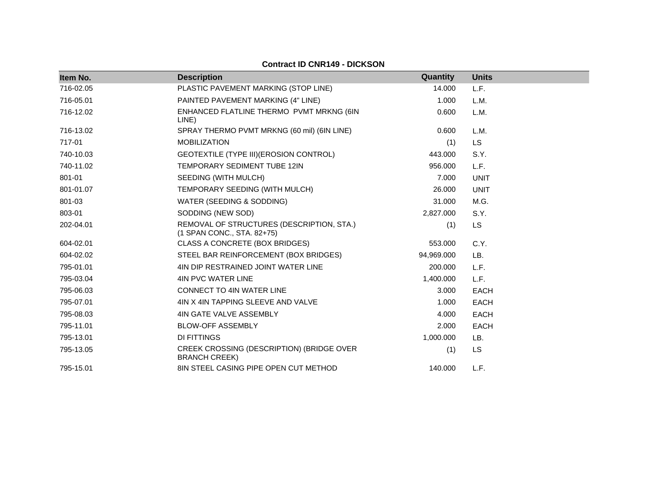| Item No.  | <b>Description</b>                                                      | Quantity   | <b>Units</b> |
|-----------|-------------------------------------------------------------------------|------------|--------------|
| 716-02.05 | PLASTIC PAVEMENT MARKING (STOP LINE)                                    | 14.000     | L.F.         |
| 716-05.01 | PAINTED PAVEMENT MARKING (4" LINE)                                      | 1.000      | L.M.         |
| 716-12.02 | ENHANCED FLATLINE THERMO PVMT MRKNG (6IN<br>LINE)                       | 0.600      | L.M.         |
| 716-13.02 | SPRAY THERMO PVMT MRKNG (60 mil) (6IN LINE)                             | 0.600      | L.M.         |
| 717-01    | <b>MOBILIZATION</b>                                                     | (1)        | <b>LS</b>    |
| 740-10.03 | GEOTEXTILE (TYPE III) (EROSION CONTROL)                                 | 443.000    | S.Y.         |
| 740-11.02 | TEMPORARY SEDIMENT TUBE 12IN                                            | 956.000    | L.F.         |
| 801-01    | SEEDING (WITH MULCH)                                                    | 7.000      | <b>UNIT</b>  |
| 801-01.07 | TEMPORARY SEEDING (WITH MULCH)                                          | 26,000     | <b>UNIT</b>  |
| 801-03    | WATER (SEEDING & SODDING)                                               | 31.000     | M.G.         |
| 803-01    | SODDING (NEW SOD)                                                       | 2,827.000  | S.Y.         |
| 202-04.01 | REMOVAL OF STRUCTURES (DESCRIPTION, STA.)<br>(1 SPAN CONC., STA. 82+75) | (1)        | LS           |
| 604-02.01 | CLASS A CONCRETE (BOX BRIDGES)                                          | 553.000    | C.Y.         |
| 604-02.02 | STEEL BAR REINFORCEMENT (BOX BRIDGES)                                   | 94,969.000 | LB.          |
| 795-01.01 | 4IN DIP RESTRAINED JOINT WATER LINE                                     | 200.000    | L.F.         |
| 795-03.04 | 4IN PVC WATER LINE                                                      | 1,400.000  | L.F.         |
| 795-06.03 | <b>CONNECT TO 4IN WATER LINE</b>                                        | 3.000      | <b>EACH</b>  |
| 795-07.01 | 4IN X 4IN TAPPING SLEEVE AND VALVE                                      | 1.000      | <b>EACH</b>  |
| 795-08.03 | 4IN GATE VALVE ASSEMBLY                                                 | 4.000      | <b>EACH</b>  |
| 795-11.01 | <b>BLOW-OFF ASSEMBLY</b>                                                | 2.000      | <b>EACH</b>  |
| 795-13.01 | <b>DI FITTINGS</b>                                                      | 1,000.000  | LB.          |
| 795-13.05 | CREEK CROSSING (DESCRIPTION) (BRIDGE OVER<br><b>BRANCH CREEK)</b>       | (1)        | <b>LS</b>    |
| 795-15.01 | 8IN STEEL CASING PIPE OPEN CUT METHOD                                   | 140.000    | L.F.         |

**Contract ID CNR149 - DICKSON**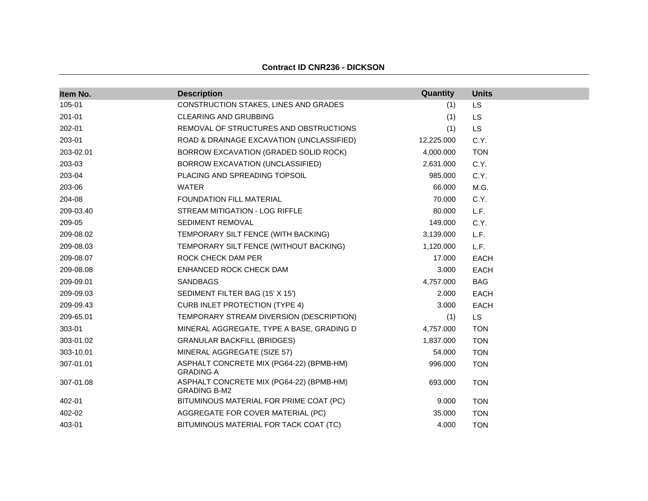#### **Contract ID CNR236 - DICKSON**

| Item No.  | <b>Description</b>                                              | Quantity   | <b>Units</b> |
|-----------|-----------------------------------------------------------------|------------|--------------|
| 105-01    | CONSTRUCTION STAKES, LINES AND GRADES                           | (1)        | LS           |
| 201-01    | <b>CLEARING AND GRUBBING</b>                                    | (1)        | LS           |
| 202-01    | REMOVAL OF STRUCTURES AND OBSTRUCTIONS                          | (1)        | <b>LS</b>    |
| 203-01    | ROAD & DRAINAGE EXCAVATION (UNCLASSIFIED)                       | 12,225.000 | C.Y.         |
| 203-02.01 | BORROW EXCAVATION (GRADED SOLID ROCK)                           | 4,000.000  | <b>TON</b>   |
| 203-03    | BORROW EXCAVATION (UNCLASSIFIED)                                | 2,631.000  | C.Y.         |
| 203-04    | PLACING AND SPREADING TOPSOIL                                   | 985.000    | C.Y.         |
| 203-06    | <b>WATER</b>                                                    | 66.000     | M.G.         |
| 204-08    | <b>FOUNDATION FILL MATERIAL</b>                                 | 70.000     | C.Y.         |
| 209-03.40 | STREAM MITIGATION - LOG RIFFLE                                  | 80.000     | L.F.         |
| 209-05    | <b>SEDIMENT REMOVAL</b>                                         | 149.000    | C.Y.         |
| 209-08.02 | TEMPORARY SILT FENCE (WITH BACKING)                             | 3,139.000  | L.F.         |
| 209-08.03 | TEMPORARY SILT FENCE (WITHOUT BACKING)                          | 1,120.000  | L.F.         |
| 209-08.07 | ROCK CHECK DAM PER                                              | 17.000     | <b>EACH</b>  |
| 209-08.08 | ENHANCED ROCK CHECK DAM                                         | 3.000      | EACH         |
| 209-09.01 | <b>SANDBAGS</b>                                                 | 4,757.000  | <b>BAG</b>   |
| 209-09.03 | SEDIMENT FILTER BAG (15' X 15')                                 | 2.000      | <b>EACH</b>  |
| 209-09.43 | <b>CURB INLET PROTECTION (TYPE 4)</b>                           | 3.000      | EACH         |
| 209-65.01 | TEMPORARY STREAM DIVERSION (DESCRIPTION)                        | (1)        | <b>LS</b>    |
| 303-01    | MINERAL AGGREGATE, TYPE A BASE, GRADING D                       | 4,757.000  | <b>TON</b>   |
| 303-01.02 | <b>GRANULAR BACKFILL (BRIDGES)</b>                              | 1,837.000  | <b>TON</b>   |
| 303-10.01 | MINERAL AGGREGATE (SIZE 57)                                     | 54.000     | <b>TON</b>   |
| 307-01.01 | ASPHALT CONCRETE MIX (PG64-22) (BPMB-HM)<br><b>GRADING A</b>    | 996.000    | <b>TON</b>   |
| 307-01.08 | ASPHALT CONCRETE MIX (PG64-22) (BPMB-HM)<br><b>GRADING B-M2</b> | 693.000    | <b>TON</b>   |
| 402-01    | BITUMINOUS MATERIAL FOR PRIME COAT (PC)                         | 9.000      | <b>TON</b>   |
| 402-02    | AGGREGATE FOR COVER MATERIAL (PC)                               | 35,000     | <b>TON</b>   |
| 403-01    | BITUMINOUS MATERIAL FOR TACK COAT (TC)                          | 4.000      | <b>TON</b>   |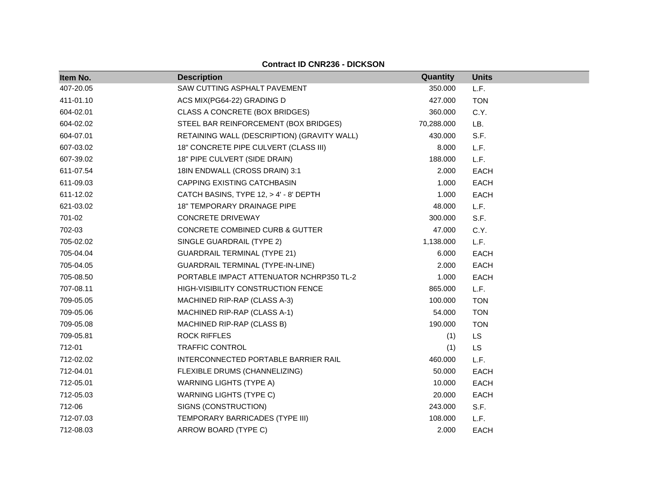## **Contract ID CNR236 - DICKSON**

| Item No.  | <b>Description</b>                          | Quantity   | <b>Units</b> |
|-----------|---------------------------------------------|------------|--------------|
| 407-20.05 | SAW CUTTING ASPHALT PAVEMENT                | 350.000    | L.F.         |
| 411-01.10 | ACS MIX(PG64-22) GRADING D                  | 427.000    | <b>TON</b>   |
| 604-02.01 | CLASS A CONCRETE (BOX BRIDGES)              | 360.000    | C.Y.         |
| 604-02.02 | STEEL BAR REINFORCEMENT (BOX BRIDGES)       | 70,288.000 | LB.          |
| 604-07.01 | RETAINING WALL (DESCRIPTION) (GRAVITY WALL) | 430.000    | S.F.         |
| 607-03.02 | 18" CONCRETE PIPE CULVERT (CLASS III)       | 8.000      | L.F.         |
| 607-39.02 | 18" PIPE CULVERT (SIDE DRAIN)               | 188.000    | L.F.         |
| 611-07.54 | 18IN ENDWALL (CROSS DRAIN) 3:1              | 2.000      | <b>EACH</b>  |
| 611-09.03 | CAPPING EXISTING CATCHBASIN                 | 1.000      | <b>EACH</b>  |
| 611-12.02 | CATCH BASINS, TYPE 12, > 4' - 8' DEPTH      | 1.000      | EACH         |
| 621-03.02 | 18" TEMPORARY DRAINAGE PIPE                 | 48.000     | L.F.         |
| 701-02    | <b>CONCRETE DRIVEWAY</b>                    | 300.000    | S.F.         |
| 702-03    | <b>CONCRETE COMBINED CURB &amp; GUTTER</b>  | 47.000     | C.Y.         |
| 705-02.02 | SINGLE GUARDRAIL (TYPE 2)                   | 1,138.000  | L.F.         |
| 705-04.04 | <b>GUARDRAIL TERMINAL (TYPE 21)</b>         | 6.000      | EACH         |
| 705-04.05 | GUARDRAIL TERMINAL (TYPE-IN-LINE)           | 2.000      | <b>EACH</b>  |
| 705-08.50 | PORTABLE IMPACT ATTENUATOR NCHRP350 TL-2    | 1.000      | <b>EACH</b>  |
| 707-08.11 | HIGH-VISIBILITY CONSTRUCTION FENCE          | 865.000    | L.F.         |
| 709-05.05 | MACHINED RIP-RAP (CLASS A-3)                | 100.000    | <b>TON</b>   |
| 709-05.06 | MACHINED RIP-RAP (CLASS A-1)                | 54.000     | <b>TON</b>   |
| 709-05.08 | MACHINED RIP-RAP (CLASS B)                  | 190.000    | <b>TON</b>   |
| 709-05.81 | <b>ROCK RIFFLES</b>                         | (1)        | LS           |
| 712-01    | <b>TRAFFIC CONTROL</b>                      | (1)        | <b>LS</b>    |
| 712-02.02 | INTERCONNECTED PORTABLE BARRIER RAIL        | 460.000    | L.F.         |
| 712-04.01 | FLEXIBLE DRUMS (CHANNELIZING)               | 50.000     | EACH         |
| 712-05.01 | <b>WARNING LIGHTS (TYPE A)</b>              | 10.000     | <b>EACH</b>  |
| 712-05.03 | WARNING LIGHTS (TYPE C)                     | 20.000     | <b>EACH</b>  |
| 712-06    | SIGNS (CONSTRUCTION)                        | 243.000    | S.F.         |
| 712-07.03 | TEMPORARY BARRICADES (TYPE III)             | 108.000    | L.F.         |
| 712-08.03 | ARROW BOARD (TYPE C)                        | 2.000      | <b>EACH</b>  |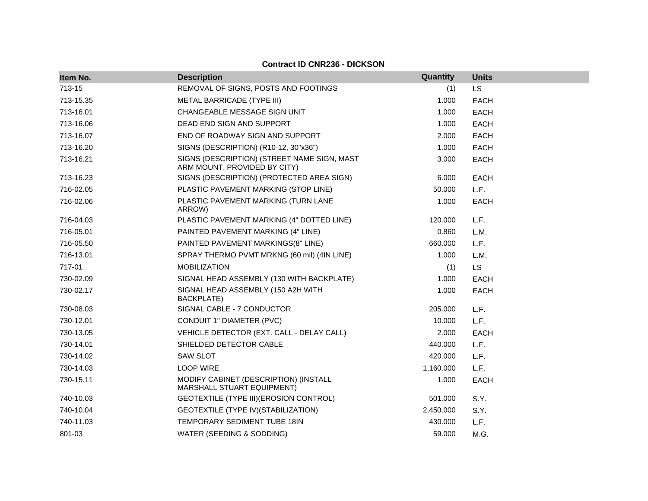| <b>Contract ID CNR236 - DICKSON</b> |                                                                             |           |              |  |
|-------------------------------------|-----------------------------------------------------------------------------|-----------|--------------|--|
| Item No.                            | <b>Description</b>                                                          | Quantity  | <b>Units</b> |  |
| 713-15                              | REMOVAL OF SIGNS, POSTS AND FOOTINGS                                        | (1)       | <b>LS</b>    |  |
| 713-15.35                           | METAL BARRICADE (TYPE III)                                                  | 1.000     | <b>EACH</b>  |  |
| 713-16.01                           | CHANGEABLE MESSAGE SIGN UNIT                                                | 1.000     | EACH         |  |
| 713-16.06                           | DEAD END SIGN AND SUPPORT                                                   | 1.000     | EACH         |  |
| 713-16.07                           | END OF ROADWAY SIGN AND SUPPORT                                             | 2.000     | EACH         |  |
| 713-16.20                           | SIGNS (DESCRIPTION) (R10-12, 30"x36")                                       | 1.000     | <b>EACH</b>  |  |
| 713-16.21                           | SIGNS (DESCRIPTION) (STREET NAME SIGN, MAST<br>ARM MOUNT, PROVIDED BY CITY) | 3.000     | <b>EACH</b>  |  |
| 713-16.23                           | SIGNS (DESCRIPTION) (PROTECTED AREA SIGN)                                   | 6.000     | EACH         |  |
| 716-02.05                           | PLASTIC PAVEMENT MARKING (STOP LINE)                                        | 50.000    | L.F.         |  |
| 716-02.06                           | PLASTIC PAVEMENT MARKING (TURN LANE<br>ARROW)                               | 1.000     | EACH         |  |
| 716-04.03                           | PLASTIC PAVEMENT MARKING (4" DOTTED LINE)                                   | 120.000   | L.F.         |  |
| 716-05.01                           | PAINTED PAVEMENT MARKING (4" LINE)                                          | 0.860     | L.M.         |  |
| 716-05.50                           | PAINTED PAVEMENT MARKINGS(8" LINE)                                          | 660,000   | L.F.         |  |
| 716-13.01                           | SPRAY THERMO PVMT MRKNG (60 mil) (4IN LINE)                                 | 1.000     | L.M.         |  |
| 717-01                              | <b>MOBILIZATION</b>                                                         | (1)       | <b>LS</b>    |  |
| 730-02.09                           | SIGNAL HEAD ASSEMBLY (130 WITH BACKPLATE)                                   | 1.000     | <b>EACH</b>  |  |
| 730-02.17                           | SIGNAL HEAD ASSEMBLY (150 A2H WITH<br><b>BACKPLATE)</b>                     | 1.000     | <b>EACH</b>  |  |
| 730-08.03                           | SIGNAL CABLE - 7 CONDUCTOR                                                  | 205,000   | L.F.         |  |
| 730-12.01                           | CONDUIT 1" DIAMETER (PVC)                                                   | 10.000    | L.F.         |  |
| 730-13.05                           | VEHICLE DETECTOR (EXT. CALL - DELAY CALL)                                   | 2.000     | EACH         |  |
| 730-14.01                           | SHIELDED DETECTOR CABLE                                                     | 440.000   | L.F.         |  |
| 730-14.02                           | <b>SAW SLOT</b>                                                             | 420.000   | L.F.         |  |
| 730-14.03                           | <b>LOOP WIRE</b>                                                            | 1,160.000 | L.F.         |  |
| 730-15.11                           | MODIFY CABINET (DESCRIPTION) (INSTALL<br>MARSHALL STUART EQUIPMENT)         | 1.000     | <b>EACH</b>  |  |
| 740-10.03                           | GEOTEXTILE (TYPE III) (EROSION CONTROL)                                     | 501.000   | S.Y.         |  |
| 740-10.04                           | GEOTEXTILE (TYPE IV) (STABILIZATION)                                        | 2,450.000 | S.Y.         |  |
| 740-11.03                           | TEMPORARY SEDIMENT TUBE 18IN                                                | 430,000   | L.F.         |  |
| 801-03                              | WATER (SEEDING & SODDING)                                                   | 59.000    | M.G.         |  |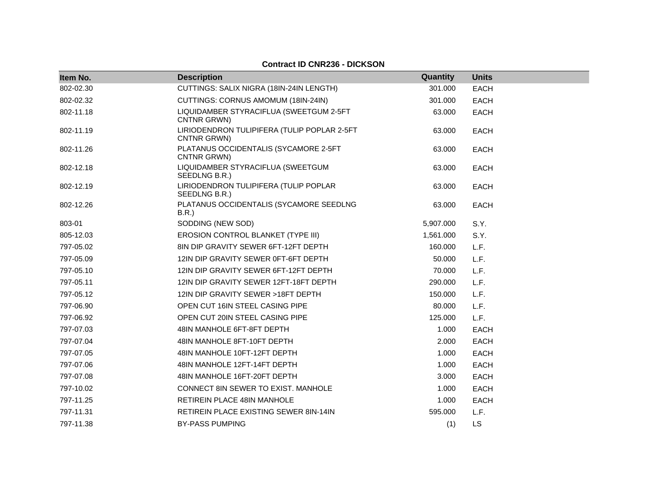# **Contract ID CNR236 - DICKSON**

| Item No.  | <b>Description</b>                                         | Quantity  | <b>Units</b> |
|-----------|------------------------------------------------------------|-----------|--------------|
| 802-02.30 | CUTTINGS: SALIX NIGRA (18IN-24IN LENGTH)                   | 301.000   | <b>EACH</b>  |
| 802-02.32 | CUTTINGS: CORNUS AMOMUM (18IN-24IN)                        | 301.000   | <b>EACH</b>  |
| 802-11.18 | LIQUIDAMBER STYRACIFLUA (SWEETGUM 2-5FT<br>CNTNR GRWN)     | 63.000    | <b>EACH</b>  |
| 802-11.19 | LIRIODENDRON TULIPIFERA (TULIP POPLAR 2-5FT<br>CNTNR GRWN) | 63.000    | <b>EACH</b>  |
| 802-11.26 | PLATANUS OCCIDENTALIS (SYCAMORE 2-5FT<br>CNTNR GRWN)       | 63.000    | <b>EACH</b>  |
| 802-12.18 | LIQUIDAMBER STYRACIFLUA (SWEETGUM<br>SEEDLNG B.R.)         | 63.000    | <b>EACH</b>  |
| 802-12.19 | LIRIODENDRON TULIPIFERA (TULIP POPLAR<br>SEEDLNG B.R.)     | 63.000    | <b>EACH</b>  |
| 802-12.26 | PLATANUS OCCIDENTALIS (SYCAMORE SEEDLNG<br>B.R.            | 63.000    | <b>EACH</b>  |
| 803-01    | SODDING (NEW SOD)                                          | 5,907.000 | S.Y.         |
| 805-12.03 | EROSION CONTROL BLANKET (TYPE III)                         | 1,561.000 | S.Y.         |
| 797-05.02 | 8IN DIP GRAVITY SEWER 6FT-12FT DEPTH                       | 160.000   | L.F.         |
| 797-05.09 | 12IN DIP GRAVITY SEWER 0FT-6FT DEPTH                       | 50.000    | L.F.         |
| 797-05.10 | 12IN DIP GRAVITY SEWER 6FT-12FT DEPTH                      | 70.000    | L.F.         |
| 797-05.11 | 12IN DIP GRAVITY SEWER 12FT-18FT DEPTH                     | 290.000   | L.F.         |
| 797-05.12 | 12IN DIP GRAVITY SEWER >18FT DEPTH                         | 150.000   | L.F.         |
| 797-06.90 | OPEN CUT 16IN STEEL CASING PIPE                            | 80.000    | L.F.         |
| 797-06.92 | OPEN CUT 20IN STEEL CASING PIPE                            | 125.000   | L.F.         |
| 797-07.03 | 48IN MANHOLE 6FT-8FT DEPTH                                 | 1.000     | <b>EACH</b>  |
| 797-07.04 | 48IN MANHOLE 8FT-10FT DEPTH                                | 2.000     | <b>EACH</b>  |
| 797-07.05 | 48IN MANHOLE 10FT-12FT DEPTH                               | 1.000     | <b>EACH</b>  |
| 797-07.06 | 48IN MANHOLE 12FT-14FT DEPTH                               | 1.000     | <b>EACH</b>  |
| 797-07.08 | 48IN MANHOLE 16FT-20FT DEPTH                               | 3.000     | <b>EACH</b>  |
| 797-10.02 | CONNECT 8IN SEWER TO EXIST. MANHOLE                        | 1.000     | <b>EACH</b>  |
| 797-11.25 | <b>RETIREIN PLACE 48IN MANHOLE</b>                         | 1.000     | <b>EACH</b>  |
| 797-11.31 | <b>RETIREIN PLACE EXISTING SEWER 8IN-14IN</b>              | 595.000   | L.F.         |
| 797-11.38 | <b>BY-PASS PUMPING</b>                                     | (1)       | <b>LS</b>    |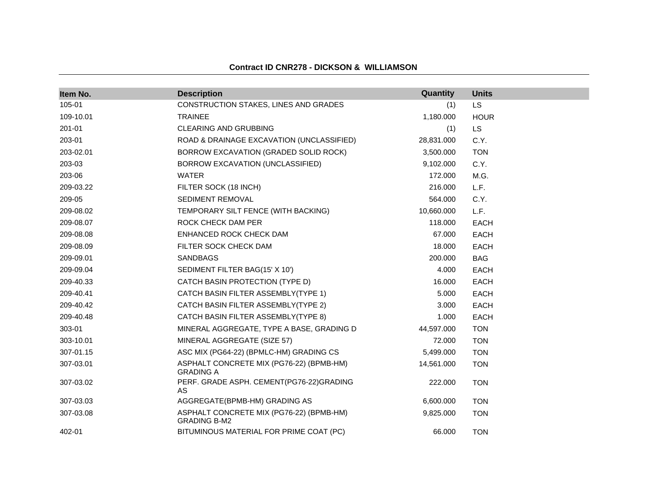| Item No.  | <b>Description</b>                                              | Quantity   | <b>Units</b> |
|-----------|-----------------------------------------------------------------|------------|--------------|
| 105-01    | CONSTRUCTION STAKES, LINES AND GRADES                           | (1)        | LS           |
| 109-10.01 | <b>TRAINEE</b>                                                  | 1,180.000  | <b>HOUR</b>  |
| 201-01    | CLEARING AND GRUBBING                                           | (1)        | <b>LS</b>    |
| 203-01    | ROAD & DRAINAGE EXCAVATION (UNCLASSIFIED)                       | 28,831.000 | C.Y.         |
| 203-02.01 | BORROW EXCAVATION (GRADED SOLID ROCK)                           | 3,500.000  | <b>TON</b>   |
| 203-03    | BORROW EXCAVATION (UNCLASSIFIED)                                | 9,102.000  | C.Y.         |
| 203-06    | <b>WATER</b>                                                    | 172.000    | M.G.         |
| 209-03.22 | FILTER SOCK (18 INCH)                                           | 216.000    | L.F.         |
| 209-05    | SEDIMENT REMOVAL                                                | 564.000    | C.Y.         |
| 209-08.02 | TEMPORARY SILT FENCE (WITH BACKING)                             | 10,660.000 | L.F.         |
| 209-08.07 | ROCK CHECK DAM PER                                              | 118.000    | <b>EACH</b>  |
| 209-08.08 | ENHANCED ROCK CHECK DAM                                         | 67.000     | <b>EACH</b>  |
| 209-08.09 | FILTER SOCK CHECK DAM                                           | 18.000     | <b>EACH</b>  |
| 209-09.01 | <b>SANDBAGS</b>                                                 | 200.000    | <b>BAG</b>   |
| 209-09.04 | SEDIMENT FILTER BAG(15' X 10')                                  | 4.000      | <b>EACH</b>  |
| 209-40.33 | CATCH BASIN PROTECTION (TYPE D)                                 | 16.000     | <b>EACH</b>  |
| 209-40.41 | CATCH BASIN FILTER ASSEMBLY(TYPE 1)                             | 5.000      | <b>EACH</b>  |
| 209-40.42 | CATCH BASIN FILTER ASSEMBLY(TYPE 2)                             | 3.000      | <b>EACH</b>  |
| 209-40.48 | CATCH BASIN FILTER ASSEMBLY(TYPE 8)                             | 1.000      | <b>EACH</b>  |
| 303-01    | MINERAL AGGREGATE, TYPE A BASE, GRADING D                       | 44,597.000 | <b>TON</b>   |
| 303-10.01 | MINERAL AGGREGATE (SIZE 57)                                     | 72.000     | <b>TON</b>   |
| 307-01.15 | ASC MIX (PG64-22) (BPMLC-HM) GRADING CS                         | 5,499.000  | <b>TON</b>   |
| 307-03.01 | ASPHALT CONCRETE MIX (PG76-22) (BPMB-HM)<br><b>GRADING A</b>    | 14,561.000 | <b>TON</b>   |
| 307-03.02 | PERF. GRADE ASPH. CEMENT(PG76-22)GRADING<br>AS.                 | 222.000    | <b>TON</b>   |
| 307-03.03 | AGGREGATE(BPMB-HM) GRADING AS                                   | 6,600.000  | <b>TON</b>   |
| 307-03.08 | ASPHALT CONCRETE MIX (PG76-22) (BPMB-HM)<br><b>GRADING B-M2</b> | 9,825.000  | <b>TON</b>   |
| 402-01    | BITUMINOUS MATERIAL FOR PRIME COAT (PC)                         | 66.000     | <b>TON</b>   |

### **Contract ID CNR278 - DICKSON & WILLIAMSON**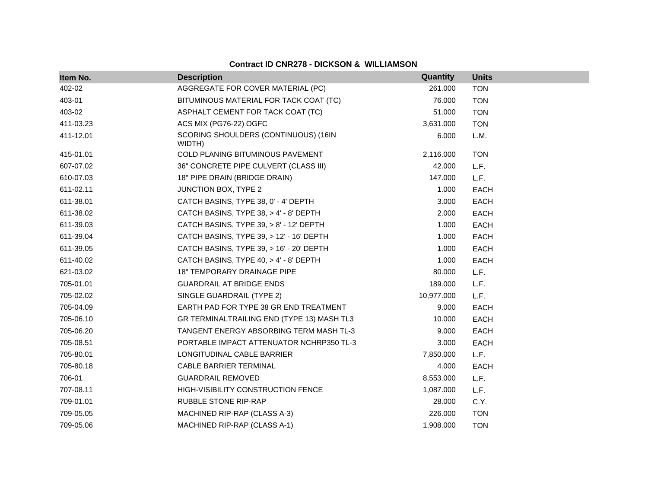| Item No.  | <b>Description</b>                             | Quantity   | <b>Units</b> |
|-----------|------------------------------------------------|------------|--------------|
| 402-02    | AGGREGATE FOR COVER MATERIAL (PC)              | 261.000    | <b>TON</b>   |
| 403-01    | BITUMINOUS MATERIAL FOR TACK COAT (TC)         | 76.000     | <b>TON</b>   |
| 403-02    | ASPHALT CEMENT FOR TACK COAT (TC)              | 51.000     | <b>TON</b>   |
| 411-03.23 | ACS MIX (PG76-22) OGFC                         | 3,631.000  | <b>TON</b>   |
| 411-12.01 | SCORING SHOULDERS (CONTINUOUS) (16IN<br>WIDTH) | 6.000      | L.M.         |
| 415-01.01 | COLD PLANING BITUMINOUS PAVEMENT               | 2,116.000  | <b>TON</b>   |
| 607-07.02 | 36" CONCRETE PIPE CULVERT (CLASS III)          | 42.000     | L.F.         |
| 610-07.03 | 18" PIPE DRAIN (BRIDGE DRAIN)                  | 147.000    | L.F.         |
| 611-02.11 | JUNCTION BOX, TYPE 2                           | 1.000      | <b>EACH</b>  |
| 611-38.01 | CATCH BASINS, TYPE 38, 0' - 4' DEPTH           | 3.000      | <b>EACH</b>  |
| 611-38.02 | CATCH BASINS, TYPE 38, > 4' - 8' DEPTH         | 2.000      | <b>EACH</b>  |
| 611-39.03 | CATCH BASINS, TYPE 39, > 8' - 12' DEPTH        | 1.000      | <b>EACH</b>  |
| 611-39.04 | CATCH BASINS, TYPE 39, > 12' - 16' DEPTH       | 1.000      | <b>EACH</b>  |
| 611-39.05 | CATCH BASINS, TYPE 39, > 16' - 20' DEPTH       | 1.000      | <b>EACH</b>  |
| 611-40.02 | CATCH BASINS, TYPE 40, > 4' - 8' DEPTH         | 1.000      | <b>EACH</b>  |
| 621-03.02 | 18" TEMPORARY DRAINAGE PIPE                    | 80.000     | L.F.         |
| 705-01.01 | <b>GUARDRAIL AT BRIDGE ENDS</b>                | 189.000    | L.F.         |
| 705-02.02 | SINGLE GUARDRAIL (TYPE 2)                      | 10,977.000 | L.F.         |
| 705-04.09 | EARTH PAD FOR TYPE 38 GR END TREATMENT         | 9.000      | <b>EACH</b>  |
| 705-06.10 | GR TERMINALTRAILING END (TYPE 13) MASH TL3     | 10.000     | <b>EACH</b>  |
| 705-06.20 | TANGENT ENERGY ABSORBING TERM MASH TL-3        | 9.000      | <b>EACH</b>  |
| 705-08.51 | PORTABLE IMPACT ATTENUATOR NCHRP350 TL-3       | 3.000      | <b>EACH</b>  |
| 705-80.01 | LONGITUDINAL CABLE BARRIER                     | 7,850.000  | L.F.         |
| 705-80.18 | CABLE BARRIER TERMINAL                         | 4.000      | <b>EACH</b>  |
| 706-01    | <b>GUARDRAIL REMOVED</b>                       | 8,553.000  | L.F.         |
| 707-08.11 | HIGH-VISIBILITY CONSTRUCTION FENCE             | 1,087.000  | L.F.         |
| 709-01.01 | <b>RUBBLE STONE RIP-RAP</b>                    | 28.000     | C.Y.         |
| 709-05.05 | MACHINED RIP-RAP (CLASS A-3)                   | 226.000    | <b>TON</b>   |
| 709-05.06 | MACHINED RIP-RAP (CLASS A-1)                   | 1,908.000  | <b>TON</b>   |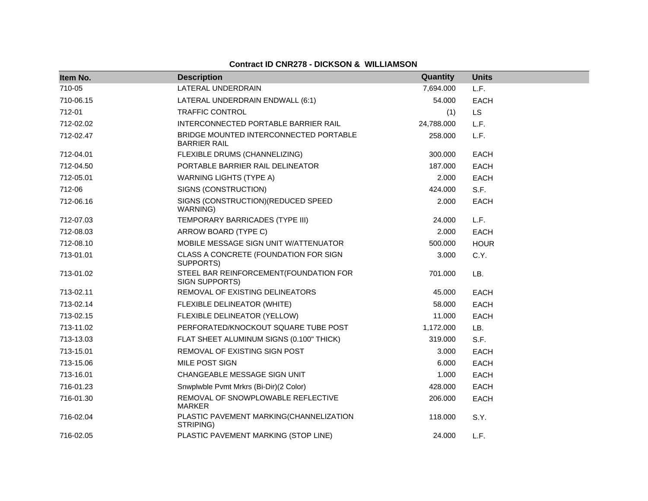| Item No.  | <b>Description</b>                                            | Quantity   | <b>Units</b> |
|-----------|---------------------------------------------------------------|------------|--------------|
| 710-05    | LATERAL UNDERDRAIN                                            | 7,694.000  | L.F.         |
| 710-06.15 | LATERAL UNDERDRAIN ENDWALL (6:1)                              | 54.000     | <b>EACH</b>  |
| 712-01    | <b>TRAFFIC CONTROL</b>                                        | (1)        | <b>LS</b>    |
| 712-02.02 | INTERCONNECTED PORTABLE BARRIER RAIL                          | 24,788.000 | L.F.         |
| 712-02.47 | BRIDGE MOUNTED INTERCONNECTED PORTABLE<br><b>BARRIER RAIL</b> | 258.000    | L.F.         |
| 712-04.01 | FLEXIBLE DRUMS (CHANNELIZING)                                 | 300.000    | <b>EACH</b>  |
| 712-04.50 | PORTABLE BARRIER RAIL DELINEATOR                              | 187.000    | <b>EACH</b>  |
| 712-05.01 | <b>WARNING LIGHTS (TYPE A)</b>                                | 2.000      | <b>EACH</b>  |
| 712-06    | SIGNS (CONSTRUCTION)                                          | 424.000    | S.F.         |
| 712-06.16 | SIGNS (CONSTRUCTION) (REDUCED SPEED<br>WARNING)               | 2.000      | <b>EACH</b>  |
| 712-07.03 | TEMPORARY BARRICADES (TYPE III)                               | 24.000     | L.F.         |
| 712-08.03 | ARROW BOARD (TYPE C)                                          | 2.000      | <b>EACH</b>  |
| 712-08.10 | MOBILE MESSAGE SIGN UNIT W/ATTENUATOR                         | 500.000    | <b>HOUR</b>  |
| 713-01.01 | CLASS A CONCRETE (FOUNDATION FOR SIGN<br>SUPPORTS)            | 3.000      | C.Y.         |
| 713-01.02 | STEEL BAR REINFORCEMENT(FOUNDATION FOR<br>SIGN SUPPORTS)      | 701.000    | LB.          |
| 713-02.11 | REMOVAL OF EXISTING DELINEATORS                               | 45.000     | <b>EACH</b>  |
| 713-02.14 | FLEXIBLE DELINEATOR (WHITE)                                   | 58.000     | <b>EACH</b>  |
| 713-02.15 | FLEXIBLE DELINEATOR (YELLOW)                                  | 11.000     | <b>EACH</b>  |
| 713-11.02 | PERFORATED/KNOCKOUT SQUARE TUBE POST                          | 1,172.000  | LB.          |
| 713-13.03 | FLAT SHEET ALUMINUM SIGNS (0.100" THICK)                      | 319.000    | S.F.         |
| 713-15.01 | REMOVAL OF EXISTING SIGN POST                                 | 3.000      | <b>EACH</b>  |
| 713-15.06 | MILE POST SIGN                                                | 6.000      | <b>EACH</b>  |
| 713-16.01 | CHANGEABLE MESSAGE SIGN UNIT                                  | 1.000      | <b>EACH</b>  |
| 716-01.23 | Snwplwble Pvmt Mrkrs (Bi-Dir)(2 Color)                        | 428.000    | <b>EACH</b>  |
| 716-01.30 | REMOVAL OF SNOWPLOWABLE REFLECTIVE<br><b>MARKER</b>           | 206.000    | <b>EACH</b>  |
| 716-02.04 | PLASTIC PAVEMENT MARKING(CHANNELIZATION<br>STRIPING)          | 118.000    | S.Y.         |
| 716-02.05 | PLASTIC PAVEMENT MARKING (STOP LINE)                          | 24.000     | L.F.         |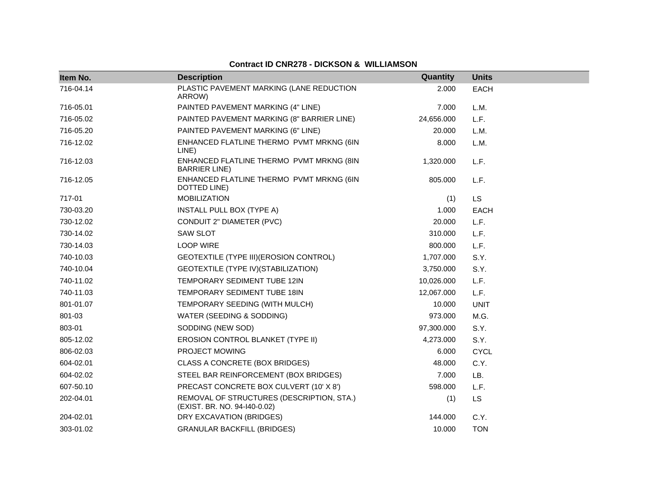| Item No.  | <b>Description</b>                                                        | Quantity   | <b>Units</b> |
|-----------|---------------------------------------------------------------------------|------------|--------------|
| 716-04.14 | PLASTIC PAVEMENT MARKING (LANE REDUCTION<br>ARROW)                        | 2.000      | <b>EACH</b>  |
| 716-05.01 | PAINTED PAVEMENT MARKING (4" LINE)                                        | 7.000      | L.M.         |
| 716-05.02 | PAINTED PAVEMENT MARKING (8" BARRIER LINE)                                | 24,656.000 | L.F.         |
| 716-05.20 | PAINTED PAVEMENT MARKING (6" LINE)                                        | 20.000     | L.M.         |
| 716-12.02 | ENHANCED FLATLINE THERMO PVMT MRKNG (6IN<br>LINE)                         | 8.000      | L.M.         |
| 716-12.03 | ENHANCED FLATLINE THERMO PVMT MRKNG (8IN<br><b>BARRIER LINE)</b>          | 1,320.000  | L.F.         |
| 716-12.05 | ENHANCED FLATLINE THERMO PVMT MRKNG (6IN<br>DOTTED LINE)                  | 805.000    | L.F.         |
| 717-01    | <b>MOBILIZATION</b>                                                       | (1)        | LS           |
| 730-03.20 | INSTALL PULL BOX (TYPE A)                                                 | 1.000      | EACH         |
| 730-12.02 | CONDUIT 2" DIAMETER (PVC)                                                 | 20,000     | L.F.         |
| 730-14.02 | SAW SLOT                                                                  | 310.000    | L.F.         |
| 730-14.03 | <b>LOOP WIRE</b>                                                          | 800.000    | L.F.         |
| 740-10.03 | GEOTEXTILE (TYPE III) (EROSION CONTROL)                                   | 1,707.000  | S.Y.         |
| 740-10.04 | GEOTEXTILE (TYPE IV) (STABILIZATION)                                      | 3,750.000  | S.Y.         |
| 740-11.02 | TEMPORARY SEDIMENT TUBE 12IN                                              | 10,026.000 | L.F.         |
| 740-11.03 | TEMPORARY SEDIMENT TUBE 18IN                                              | 12,067.000 | L.F.         |
| 801-01.07 | TEMPORARY SEEDING (WITH MULCH)                                            | 10.000     | <b>UNIT</b>  |
| 801-03    | WATER (SEEDING & SODDING)                                                 | 973.000    | M.G.         |
| 803-01    | SODDING (NEW SOD)                                                         | 97,300.000 | S.Y.         |
| 805-12.02 | EROSION CONTROL BLANKET (TYPE II)                                         | 4,273.000  | S.Y.         |
| 806-02.03 | PROJECT MOWING                                                            | 6.000      | <b>CYCL</b>  |
| 604-02.01 | CLASS A CONCRETE (BOX BRIDGES)                                            | 48.000     | C.Y.         |
| 604-02.02 | STEEL BAR REINFORCEMENT (BOX BRIDGES)                                     | 7.000      | LB.          |
| 607-50.10 | PRECAST CONCRETE BOX CULVERT (10' X 8')                                   | 598.000    | L.F.         |
| 202-04.01 | REMOVAL OF STRUCTURES (DESCRIPTION, STA.)<br>(EXIST. BR. NO. 94-140-0.02) | (1)        | <b>LS</b>    |
| 204-02.01 | DRY EXCAVATION (BRIDGES)                                                  | 144.000    | C.Y.         |
| 303-01.02 | <b>GRANULAR BACKFILL (BRIDGES)</b>                                        | 10.000     | <b>TON</b>   |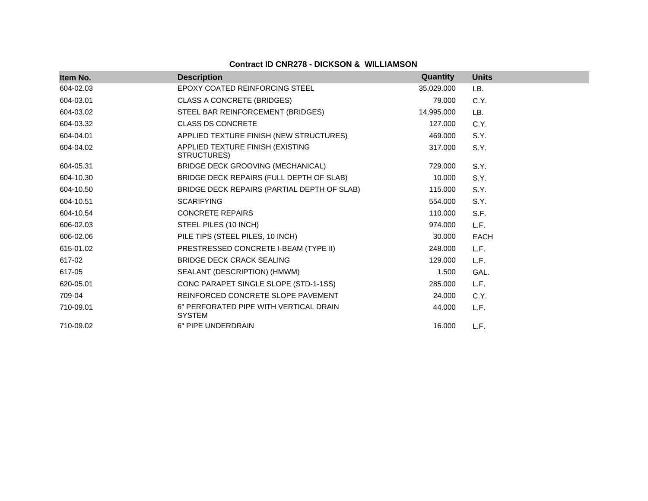| Item No.  | <b>Description</b>                                      | Quantity   | <b>Units</b> |
|-----------|---------------------------------------------------------|------------|--------------|
| 604-02.03 | EPOXY COATED REINFORCING STEEL                          | 35,029.000 | LB.          |
| 604-03.01 | <b>CLASS A CONCRETE (BRIDGES)</b>                       | 79.000     | C.Y.         |
| 604-03.02 | STEEL BAR REINFORCEMENT (BRIDGES)                       | 14,995.000 | LB.          |
| 604-03.32 | <b>CLASS DS CONCRETE</b>                                | 127.000    | C.Y.         |
| 604-04.01 | APPLIED TEXTURE FINISH (NEW STRUCTURES)                 | 469.000    | S.Y.         |
| 604-04.02 | APPLIED TEXTURE FINISH (EXISTING<br>STRUCTURES)         | 317.000    | S.Y.         |
| 604-05.31 | BRIDGE DECK GROOVING (MECHANICAL)                       | 729.000    | S.Y.         |
| 604-10.30 | BRIDGE DECK REPAIRS (FULL DEPTH OF SLAB)                | 10.000     | S.Y.         |
| 604-10.50 | BRIDGE DECK REPAIRS (PARTIAL DEPTH OF SLAB)             | 115.000    | S.Y.         |
| 604-10.51 | <b>SCARIFYING</b>                                       | 554.000    | S.Y.         |
| 604-10.54 | <b>CONCRETE REPAIRS</b>                                 | 110.000    | S.F.         |
| 606-02.03 | STEEL PILES (10 INCH)                                   | 974.000    | L.F.         |
| 606-02.06 | PILE TIPS (STEEL PILES, 10 INCH)                        | 30,000     | <b>EACH</b>  |
| 615-01.02 | PRESTRESSED CONCRETE I-BEAM (TYPE II)                   | 248.000    | L.F.         |
| 617-02    | <b>BRIDGE DECK CRACK SEALING</b>                        | 129,000    | L.F.         |
| 617-05    | SEALANT (DESCRIPTION) (HMWM)                            | 1.500      | GAL.         |
| 620-05.01 | CONC PARAPET SINGLE SLOPE (STD-1-1SS)                   | 285,000    | L.F.         |
| 709-04    | REINFORCED CONCRETE SLOPE PAVEMENT                      | 24.000     | C.Y.         |
| 710-09.01 | 6" PERFORATED PIPE WITH VERTICAL DRAIN<br><b>SYSTEM</b> | 44.000     | L.F.         |
| 710-09.02 | 6" PIPE UNDERDRAIN                                      | 16.000     | L.F.         |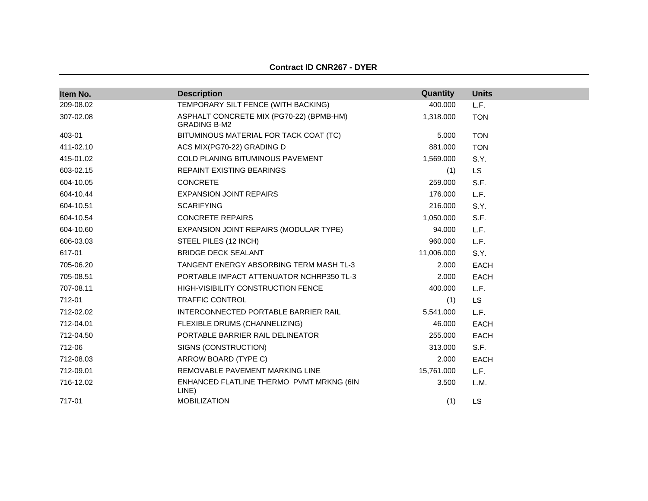|  | <b>Contract ID CNR267 - DYER</b> |
|--|----------------------------------|
|--|----------------------------------|

| Item No.  | <b>Description</b>                                              | Quantity   | <b>Units</b> |
|-----------|-----------------------------------------------------------------|------------|--------------|
| 209-08.02 | TEMPORARY SILT FENCE (WITH BACKING)                             | 400.000    | L.F.         |
| 307-02.08 | ASPHALT CONCRETE MIX (PG70-22) (BPMB-HM)<br><b>GRADING B-M2</b> | 1,318.000  | <b>TON</b>   |
| 403-01    | BITUMINOUS MATERIAL FOR TACK COAT (TC)                          | 5.000      | <b>TON</b>   |
| 411-02.10 | ACS MIX(PG70-22) GRADING D                                      | 881.000    | <b>TON</b>   |
| 415-01.02 | <b>COLD PLANING BITUMINOUS PAVEMENT</b>                         | 1,569.000  | S.Y.         |
| 603-02.15 | REPAINT EXISTING BEARINGS                                       | (1)        | <b>LS</b>    |
| 604-10.05 | <b>CONCRETE</b>                                                 | 259.000    | S.F.         |
| 604-10.44 | <b>EXPANSION JOINT REPAIRS</b>                                  | 176.000    | L.F.         |
| 604-10.51 | <b>SCARIFYING</b>                                               | 216,000    | S.Y.         |
| 604-10.54 | <b>CONCRETE REPAIRS</b>                                         | 1,050.000  | S.F.         |
| 604-10.60 | EXPANSION JOINT REPAIRS (MODULAR TYPE)                          | 94.000     | L.F.         |
| 606-03.03 | STEEL PILES (12 INCH)                                           | 960.000    | L.F.         |
| 617-01    | <b>BRIDGE DECK SEALANT</b>                                      | 11,006.000 | S.Y.         |
| 705-06.20 | TANGENT ENERGY ABSORBING TERM MASH TL-3                         | 2.000      | <b>EACH</b>  |
| 705-08.51 | PORTABLE IMPACT ATTENUATOR NCHRP350 TL-3                        | 2.000      | <b>EACH</b>  |
| 707-08.11 | HIGH-VISIBILITY CONSTRUCTION FENCE                              | 400.000    | L.F.         |
| 712-01    | <b>TRAFFIC CONTROL</b>                                          | (1)        | <b>LS</b>    |
| 712-02.02 | INTERCONNECTED PORTABLE BARRIER RAIL                            | 5,541.000  | L.F.         |
| 712-04.01 | FLEXIBLE DRUMS (CHANNELIZING)                                   | 46.000     | <b>EACH</b>  |
| 712-04.50 | PORTABLE BARRIER RAIL DELINEATOR                                | 255.000    | <b>EACH</b>  |
| 712-06    | SIGNS (CONSTRUCTION)                                            | 313.000    | S.F.         |
| 712-08.03 | ARROW BOARD (TYPE C)                                            | 2.000      | <b>EACH</b>  |
| 712-09.01 | REMOVABLE PAVEMENT MARKING LINE                                 | 15,761.000 | L.F.         |
| 716-12.02 | ENHANCED FLATLINE THERMO PVMT MRKNG (6IN<br>LINE)               | 3.500      | L.M.         |
| 717-01    | <b>MOBILIZATION</b>                                             | (1)        | LS           |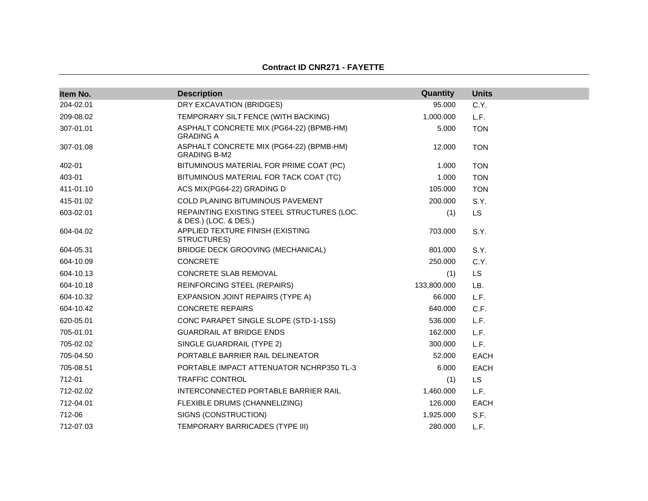#### **Contract ID CNR271 - FAYETTE**

| Item No.  | <b>Description</b>                                                  | Quantity    | <b>Units</b> |
|-----------|---------------------------------------------------------------------|-------------|--------------|
| 204-02.01 | DRY EXCAVATION (BRIDGES)                                            | 95.000      | C.Y.         |
| 209-08.02 | TEMPORARY SILT FENCE (WITH BACKING)                                 | 1,000.000   | L.F.         |
| 307-01.01 | ASPHALT CONCRETE MIX (PG64-22) (BPMB-HM)<br><b>GRADING A</b>        | 5.000       | <b>TON</b>   |
| 307-01.08 | ASPHALT CONCRETE MIX (PG64-22) (BPMB-HM)<br><b>GRADING B-M2</b>     | 12.000      | <b>TON</b>   |
| 402-01    | BITUMINOUS MATERIAL FOR PRIME COAT (PC)                             | 1.000       | <b>TON</b>   |
| 403-01    | BITUMINOUS MATERIAL FOR TACK COAT (TC)                              | 1.000       | <b>TON</b>   |
| 411-01.10 | ACS MIX(PG64-22) GRADING D                                          | 105.000     | <b>TON</b>   |
| 415-01.02 | <b>COLD PLANING BITUMINOUS PAVEMENT</b>                             | 200.000     | S.Y.         |
| 603-02.01 | REPAINTING EXISTING STEEL STRUCTURES (LOC.<br>& DES.) (LOC. & DES.) | (1)         | <b>LS</b>    |
| 604-04.02 | APPLIED TEXTURE FINISH (EXISTING<br>STRUCTURES)                     | 703.000     | S.Y.         |
| 604-05.31 | BRIDGE DECK GROOVING (MECHANICAL)                                   | 801.000     | S.Y.         |
| 604-10.09 | <b>CONCRETE</b>                                                     | 250.000     | C.Y.         |
| 604-10.13 | CONCRETE SLAB REMOVAL                                               | (1)         | <b>LS</b>    |
| 604-10.18 | <b>REINFORCING STEEL (REPAIRS)</b>                                  | 133,800.000 | LB.          |
| 604-10.32 | EXPANSION JOINT REPAIRS (TYPE A)                                    | 66.000      | L.F.         |
| 604-10.42 | <b>CONCRETE REPAIRS</b>                                             | 640.000     | C.F.         |
| 620-05.01 | CONC PARAPET SINGLE SLOPE (STD-1-1SS)                               | 536.000     | L.F.         |
| 705-01.01 | <b>GUARDRAIL AT BRIDGE ENDS</b>                                     | 162.000     | L.F.         |
| 705-02.02 | SINGLE GUARDRAIL (TYPE 2)                                           | 300.000     | L.F.         |
| 705-04.50 | PORTABLE BARRIER RAIL DELINEATOR                                    | 52,000      | EACH         |
| 705-08.51 | PORTABLE IMPACT ATTENUATOR NCHRP350 TL-3                            | 6.000       | EACH         |
| 712-01    | <b>TRAFFIC CONTROL</b>                                              | (1)         | <b>LS</b>    |
| 712-02.02 | INTERCONNECTED PORTABLE BARRIER RAIL                                | 1,460.000   | L.F.         |
| 712-04.01 | FLEXIBLE DRUMS (CHANNELIZING)                                       | 126.000     | EACH         |
| 712-06    | SIGNS (CONSTRUCTION)                                                | 1,925.000   | S.F.         |
| 712-07.03 | TEMPORARY BARRICADES (TYPE III)                                     | 280.000     | L.F.         |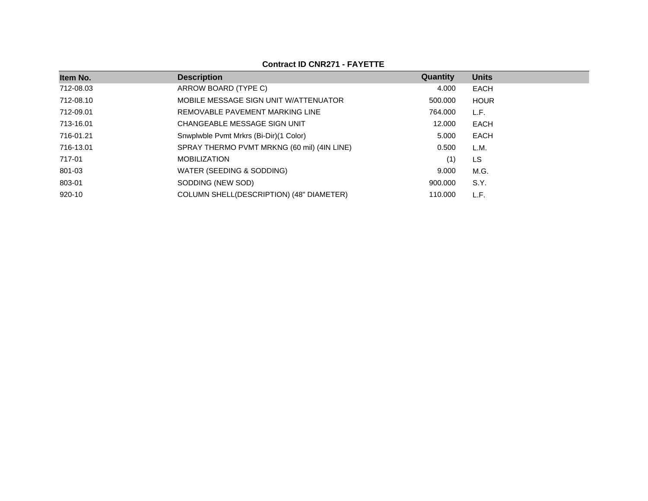| Item No.  | <b>Description</b>                          | Quantity | <b>Units</b> |
|-----------|---------------------------------------------|----------|--------------|
| 712-08.03 | ARROW BOARD (TYPE C)                        | 4.000    | EACH         |
| 712-08.10 | MOBILE MESSAGE SIGN UNIT W/ATTENUATOR       | 500.000  | <b>HOUR</b>  |
| 712-09.01 | REMOVABLE PAVEMENT MARKING LINE             | 764.000  | L.F.         |
| 713-16.01 | CHANGEABLE MESSAGE SIGN UNIT                | 12,000   | EACH         |
| 716-01.21 | Snwplwble Pvmt Mrkrs (Bi-Dir) (1 Color)     | 5.000    | EACH         |
| 716-13.01 | SPRAY THERMO PVMT MRKNG (60 mil) (4IN LINE) | 0.500    | L.M.         |
| 717-01    | <b>MOBILIZATION</b>                         | (1)      | LS           |
| 801-03    | WATER (SEEDING & SODDING)                   | 9.000    | M.G.         |
| 803-01    | SODDING (NEW SOD)                           | 900.000  | S.Y.         |
| 920-10    | COLUMN SHELL(DESCRIPTION) (48" DIAMETER)    | 110.000  | L.F.         |

# **Contract ID CNR271 - FAYETTE**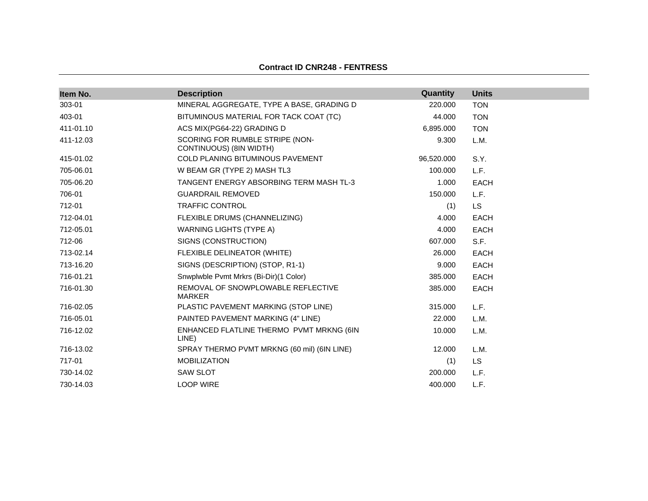# **Contract ID CNR248 - FENTRESS**

| Item No.  | <b>Description</b>                                         | Quantity   | <b>Units</b> |
|-----------|------------------------------------------------------------|------------|--------------|
| 303-01    | MINERAL AGGREGATE, TYPE A BASE, GRADING D                  | 220.000    | <b>TON</b>   |
| 403-01    | BITUMINOUS MATERIAL FOR TACK COAT (TC)                     | 44.000     | <b>TON</b>   |
| 411-01.10 | ACS MIX(PG64-22) GRADING D                                 | 6,895.000  | <b>TON</b>   |
| 411-12.03 | SCORING FOR RUMBLE STRIPE (NON-<br>CONTINUOUS) (8IN WIDTH) | 9.300      | L.M.         |
| 415-01.02 | <b>COLD PLANING BITUMINOUS PAVEMENT</b>                    | 96,520.000 | S.Y.         |
| 705-06.01 | W BEAM GR (TYPE 2) MASH TL3                                | 100.000    | L.F.         |
| 705-06.20 | TANGENT ENERGY ABSORBING TERM MASH TL-3                    | 1.000      | <b>EACH</b>  |
| 706-01    | <b>GUARDRAIL REMOVED</b>                                   | 150.000    | L.F.         |
| 712-01    | <b>TRAFFIC CONTROL</b>                                     | (1)        | <b>LS</b>    |
| 712-04.01 | FLEXIBLE DRUMS (CHANNELIZING)                              | 4.000      | <b>EACH</b>  |
| 712-05.01 | <b>WARNING LIGHTS (TYPE A)</b>                             | 4.000      | <b>EACH</b>  |
| 712-06    | SIGNS (CONSTRUCTION)                                       | 607.000    | S.F.         |
| 713-02.14 | FLEXIBLE DELINEATOR (WHITE)                                | 26.000     | EACH         |
| 713-16.20 | SIGNS (DESCRIPTION) (STOP, R1-1)                           | 9.000      | <b>EACH</b>  |
| 716-01.21 | Snwplwble Pvmt Mrkrs (Bi-Dir)(1 Color)                     | 385.000    | <b>EACH</b>  |
| 716-01.30 | REMOVAL OF SNOWPLOWABLE REFLECTIVE<br><b>MARKER</b>        | 385.000    | <b>EACH</b>  |
| 716-02.05 | PLASTIC PAVEMENT MARKING (STOP LINE)                       | 315.000    | L.F.         |
| 716-05.01 | PAINTED PAVEMENT MARKING (4" LINE)                         | 22,000     | L.M.         |
| 716-12.02 | ENHANCED FLATLINE THERMO PVMT MRKNG (6IN<br>LINE)          | 10.000     | L.M.         |
| 716-13.02 | SPRAY THERMO PVMT MRKNG (60 mil) (6IN LINE)                | 12.000     | L.M.         |
| 717-01    | <b>MOBILIZATION</b>                                        | (1)        | <b>LS</b>    |
| 730-14.02 | <b>SAW SLOT</b>                                            | 200,000    | L.F.         |
| 730-14.03 | <b>LOOP WIRE</b>                                           | 400.000    | L.F.         |
|           |                                                            |            |              |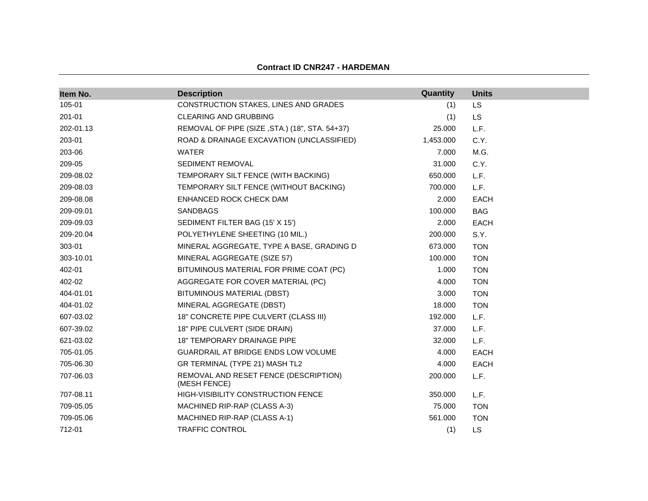#### **Contract ID CNR247 - HARDEMAN**

| Item No.  | <b>Description</b>                                    | Quantity  | <b>Units</b> |
|-----------|-------------------------------------------------------|-----------|--------------|
| 105-01    | CONSTRUCTION STAKES, LINES AND GRADES                 | (1)       | <b>LS</b>    |
| 201-01    | <b>CLEARING AND GRUBBING</b>                          | (1)       | <b>LS</b>    |
| 202-01.13 | REMOVAL OF PIPE (SIZE, STA.) (18", STA. 54+37)        | 25.000    | L.F.         |
| 203-01    | ROAD & DRAINAGE EXCAVATION (UNCLASSIFIED)             | 1,453.000 | C.Y.         |
| 203-06    | <b>WATER</b>                                          | 7.000     | M.G.         |
| 209-05    | SEDIMENT REMOVAL                                      | 31.000    | C.Y.         |
| 209-08.02 | TEMPORARY SILT FENCE (WITH BACKING)                   | 650.000   | L.F.         |
| 209-08.03 | TEMPORARY SILT FENCE (WITHOUT BACKING)                | 700.000   | L.F.         |
| 209-08.08 | ENHANCED ROCK CHECK DAM                               | 2.000     | <b>EACH</b>  |
| 209-09.01 | <b>SANDBAGS</b>                                       | 100.000   | <b>BAG</b>   |
| 209-09.03 | SEDIMENT FILTER BAG (15' X 15')                       | 2.000     | <b>EACH</b>  |
| 209-20.04 | POLYETHYLENE SHEETING (10 MIL.)                       | 200.000   | S.Y.         |
| 303-01    | MINERAL AGGREGATE, TYPE A BASE, GRADING D             | 673.000   | <b>TON</b>   |
| 303-10.01 | MINERAL AGGREGATE (SIZE 57)                           | 100.000   | <b>TON</b>   |
| 402-01    | BITUMINOUS MATERIAL FOR PRIME COAT (PC)               | 1.000     | <b>TON</b>   |
| 402-02    | AGGREGATE FOR COVER MATERIAL (PC)                     | 4.000     | <b>TON</b>   |
| 404-01.01 | BITUMINOUS MATERIAL (DBST)                            | 3.000     | <b>TON</b>   |
| 404-01.02 | MINERAL AGGREGATE (DBST)                              | 18.000    | <b>TON</b>   |
| 607-03.02 | 18" CONCRETE PIPE CULVERT (CLASS III)                 | 192.000   | L.F.         |
| 607-39.02 | 18" PIPE CULVERT (SIDE DRAIN)                         | 37.000    | L.F.         |
| 621-03.02 | <b>18" TEMPORARY DRAINAGE PIPE</b>                    | 32.000    | L.F.         |
| 705-01.05 | GUARDRAIL AT BRIDGE ENDS LOW VOLUME                   | 4.000     | <b>EACH</b>  |
| 705-06.30 | GR TERMINAL (TYPE 21) MASH TL2                        | 4.000     | <b>EACH</b>  |
| 707-06.03 | REMOVAL AND RESET FENCE (DESCRIPTION)<br>(MESH FENCE) | 200.000   | L.F.         |
| 707-08.11 | <b>HIGH-VISIBILITY CONSTRUCTION FENCE</b>             | 350.000   | L.F.         |
| 709-05.05 | MACHINED RIP-RAP (CLASS A-3)                          | 75.000    | <b>TON</b>   |
| 709-05.06 | MACHINED RIP-RAP (CLASS A-1)                          | 561.000   | <b>TON</b>   |
| 712-01    | <b>TRAFFIC CONTROL</b>                                | (1)       | <b>LS</b>    |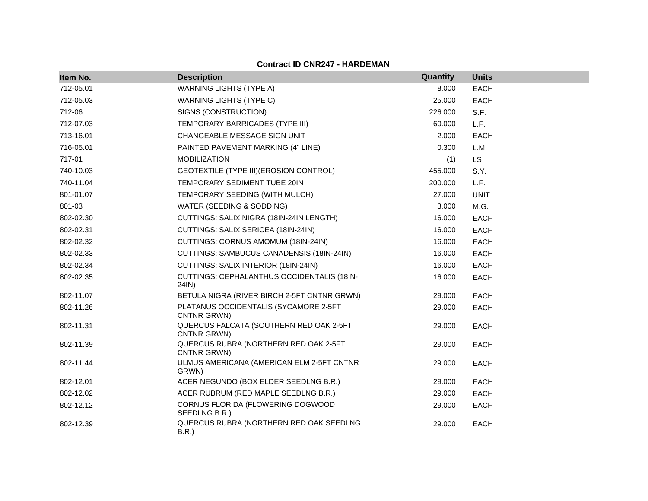#### **Contract ID CNR247 - HARDEMAN**

| Item No.  | <b>Description</b>                                     | Quantity | <b>Units</b> |
|-----------|--------------------------------------------------------|----------|--------------|
| 712-05.01 | <b>WARNING LIGHTS (TYPE A)</b>                         | 8.000    | <b>EACH</b>  |
| 712-05.03 | <b>WARNING LIGHTS (TYPE C)</b>                         | 25.000   | <b>EACH</b>  |
| 712-06    | SIGNS (CONSTRUCTION)                                   | 226.000  | S.F.         |
| 712-07.03 | TEMPORARY BARRICADES (TYPE III)                        | 60.000   | L.F.         |
| 713-16.01 | CHANGEABLE MESSAGE SIGN UNIT                           | 2.000    | <b>EACH</b>  |
| 716-05.01 | PAINTED PAVEMENT MARKING (4" LINE)                     | 0.300    | L.M.         |
| 717-01    | <b>MOBILIZATION</b>                                    | (1)      | LS           |
| 740-10.03 | GEOTEXTILE (TYPE III) (EROSION CONTROL)                | 455.000  | S.Y.         |
| 740-11.04 | TEMPORARY SEDIMENT TUBE 20IN                           | 200.000  | L.F.         |
| 801-01.07 | TEMPORARY SEEDING (WITH MULCH)                         | 27.000   | <b>UNIT</b>  |
| 801-03    | WATER (SEEDING & SODDING)                              | 3.000    | M.G.         |
| 802-02.30 | CUTTINGS: SALIX NIGRA (18IN-24IN LENGTH)               | 16.000   | <b>EACH</b>  |
| 802-02.31 | CUTTINGS: SALIX SERICEA (18IN-24IN)                    | 16.000   | <b>EACH</b>  |
| 802-02.32 | CUTTINGS: CORNUS AMOMUM (18IN-24IN)                    | 16.000   | <b>EACH</b>  |
| 802-02.33 | CUTTINGS: SAMBUCUS CANADENSIS (18IN-24IN)              | 16.000   | <b>EACH</b>  |
| 802-02.34 | CUTTINGS: SALIX INTERIOR (18IN-24IN)                   | 16.000   | <b>EACH</b>  |
| 802-02.35 | CUTTINGS: CEPHALANTHUS OCCIDENTALIS (18IN-<br>24IN)    | 16.000   | <b>EACH</b>  |
| 802-11.07 | BETULA NIGRA (RIVER BIRCH 2-5FT CNTNR GRWN)            | 29.000   | <b>EACH</b>  |
| 802-11.26 | PLATANUS OCCIDENTALIS (SYCAMORE 2-5FT<br>CNTNR GRWN)   | 29.000   | <b>EACH</b>  |
| 802-11.31 | QUERCUS FALCATA (SOUTHERN RED OAK 2-5FT<br>CNTNR GRWN) | 29.000   | <b>EACH</b>  |
| 802-11.39 | QUERCUS RUBRA (NORTHERN RED OAK 2-5FT<br>CNTNR GRWN)   | 29.000   | <b>EACH</b>  |
| 802-11.44 | ULMUS AMERICANA (AMERICAN ELM 2-5FT CNTNR<br>GRWN)     | 29.000   | <b>EACH</b>  |
| 802-12.01 | ACER NEGUNDO (BOX ELDER SEEDLNG B.R.)                  | 29.000   | <b>EACH</b>  |
| 802-12.02 | ACER RUBRUM (RED MAPLE SEEDLNG B.R.)                   | 29.000   | <b>EACH</b>  |
| 802-12.12 | CORNUS FLORIDA (FLOWERING DOGWOOD<br>SEEDLNG B.R.)     | 29.000   | EACH         |
| 802-12.39 | QUERCUS RUBRA (NORTHERN RED OAK SEEDLNG<br>B.R.        | 29.000   | <b>EACH</b>  |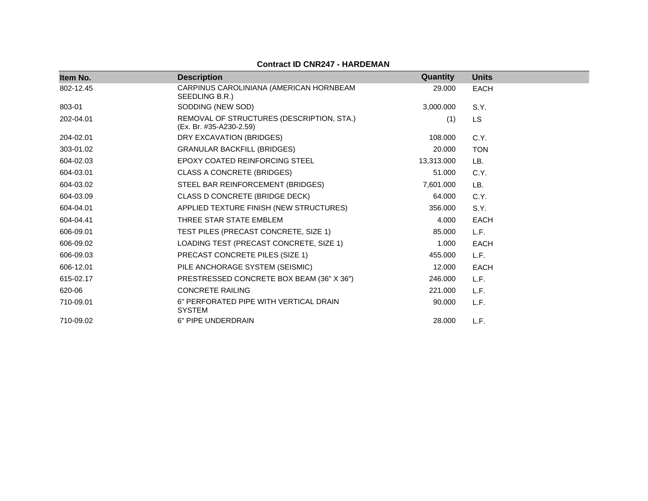### **Contract ID CNR247 - HARDEMAN**

| Item No.  | <b>Description</b>                                                   | Quantity   | <b>Units</b> |
|-----------|----------------------------------------------------------------------|------------|--------------|
| 802-12.45 | CARPINUS CAROLINIANA (AMERICAN HORNBEAM<br>SEEDLING B.R.)            | 29,000     | <b>EACH</b>  |
| 803-01    | SODDING (NEW SOD)                                                    | 3,000.000  | S.Y.         |
| 202-04.01 | REMOVAL OF STRUCTURES (DESCRIPTION, STA.)<br>(Ex. Br. #35-A230-2.59) | (1)        | LS.          |
| 204-02.01 | DRY EXCAVATION (BRIDGES)                                             | 108.000    | C.Y.         |
| 303-01.02 | <b>GRANULAR BACKFILL (BRIDGES)</b>                                   | 20.000     | <b>TON</b>   |
| 604-02.03 | EPOXY COATED REINFORCING STEEL                                       | 13,313.000 | LB.          |
| 604-03.01 | <b>CLASS A CONCRETE (BRIDGES)</b>                                    | 51.000     | C.Y.         |
| 604-03.02 | STEEL BAR REINFORCEMENT (BRIDGES)                                    | 7,601.000  | LB.          |
| 604-03.09 | CLASS D CONCRETE (BRIDGE DECK)                                       | 64.000     | C.Y.         |
| 604-04.01 | APPLIED TEXTURE FINISH (NEW STRUCTURES)                              | 356,000    | S.Y.         |
| 604-04.41 | THREE STAR STATE EMBLEM                                              | 4.000      | <b>EACH</b>  |
| 606-09.01 | TEST PILES (PRECAST CONCRETE, SIZE 1)                                | 85.000     | L.F.         |
| 606-09.02 | LOADING TEST (PRECAST CONCRETE, SIZE 1)                              | 1.000      | <b>EACH</b>  |
| 606-09.03 | PRECAST CONCRETE PILES (SIZE 1)                                      | 455.000    | L.F.         |
| 606-12.01 | PILE ANCHORAGE SYSTEM (SEISMIC)                                      | 12.000     | <b>EACH</b>  |
| 615-02.17 | PRESTRESSED CONCRETE BOX BEAM (36" X 36")                            | 246.000    | L.F.         |
| 620-06    | <b>CONCRETE RAILING</b>                                              | 221.000    | L.F.         |
| 710-09.01 | 6" PERFORATED PIPE WITH VERTICAL DRAIN<br><b>SYSTEM</b>              | 90.000     | L.F.         |
| 710-09.02 | 6" PIPE UNDERDRAIN                                                   | 28,000     | L.F.         |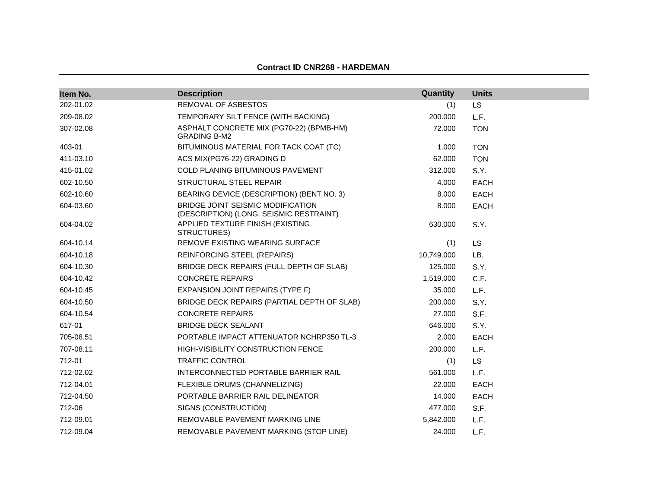#### **Contract ID CNR268 - HARDEMAN**

| Item No.  | <b>Description</b>                                                           | Quantity   | <b>Units</b> |
|-----------|------------------------------------------------------------------------------|------------|--------------|
| 202-01.02 | REMOVAL OF ASBESTOS                                                          | (1)        | <b>LS</b>    |
| 209-08.02 | TEMPORARY SILT FENCE (WITH BACKING)                                          | 200.000    | L.F.         |
| 307-02.08 | ASPHALT CONCRETE MIX (PG70-22) (BPMB-HM)<br><b>GRADING B-M2</b>              | 72.000     | <b>TON</b>   |
| 403-01    | BITUMINOUS MATERIAL FOR TACK COAT (TC)                                       | 1.000      | <b>TON</b>   |
| 411-03.10 | ACS MIX(PG76-22) GRADING D                                                   | 62.000     | <b>TON</b>   |
| 415-01.02 | <b>COLD PLANING BITUMINOUS PAVEMENT</b>                                      | 312.000    | S.Y.         |
| 602-10.50 | STRUCTURAL STEEL REPAIR                                                      | 4.000      | <b>EACH</b>  |
| 602-10.60 | BEARING DEVICE (DESCRIPTION) (BENT NO. 3)                                    | 8.000      | <b>EACH</b>  |
| 604-03.60 | BRIDGE JOINT SEISMIC MODIFICATION<br>(DESCRIPTION) (LONG. SEISMIC RESTRAINT) | 8.000      | <b>EACH</b>  |
| 604-04.02 | APPLIED TEXTURE FINISH (EXISTING<br>STRUCTURES)                              | 630.000    | S.Y.         |
| 604-10.14 | REMOVE EXISTING WEARING SURFACE                                              | (1)        | <b>LS</b>    |
| 604-10.18 | <b>REINFORCING STEEL (REPAIRS)</b>                                           | 10,749.000 | LB.          |
| 604-10.30 | BRIDGE DECK REPAIRS (FULL DEPTH OF SLAB)                                     | 125.000    | S.Y.         |
| 604-10.42 | <b>CONCRETE REPAIRS</b>                                                      | 1,519.000  | C.F.         |
| 604-10.45 | <b>EXPANSION JOINT REPAIRS (TYPE F)</b>                                      | 35.000     | L.F.         |
| 604-10.50 | BRIDGE DECK REPAIRS (PARTIAL DEPTH OF SLAB)                                  | 200.000    | S.Y.         |
| 604-10.54 | <b>CONCRETE REPAIRS</b>                                                      | 27,000     | S.F.         |
| 617-01    | <b>BRIDGE DECK SEALANT</b>                                                   | 646.000    | S.Y.         |
| 705-08.51 | PORTABLE IMPACT ATTENUATOR NCHRP350 TL-3                                     | 2.000      | EACH         |
| 707-08.11 | HIGH-VISIBILITY CONSTRUCTION FENCE                                           | 200.000    | L.F.         |
| 712-01    | <b>TRAFFIC CONTROL</b>                                                       | (1)        | <b>LS</b>    |
| 712-02.02 | INTERCONNECTED PORTABLE BARRIER RAIL                                         | 561.000    | L.F.         |
| 712-04.01 | FLEXIBLE DRUMS (CHANNELIZING)                                                | 22.000     | <b>EACH</b>  |
| 712-04.50 | PORTABLE BARRIER RAIL DELINEATOR                                             | 14.000     | <b>EACH</b>  |
| 712-06    | SIGNS (CONSTRUCTION)                                                         | 477.000    | S.F.         |
| 712-09.01 | REMOVABLE PAVEMENT MARKING LINE                                              | 5.842.000  | L.F.         |
| 712-09.04 | REMOVABLE PAVEMENT MARKING (STOP LINE)                                       | 24.000     | L.F.         |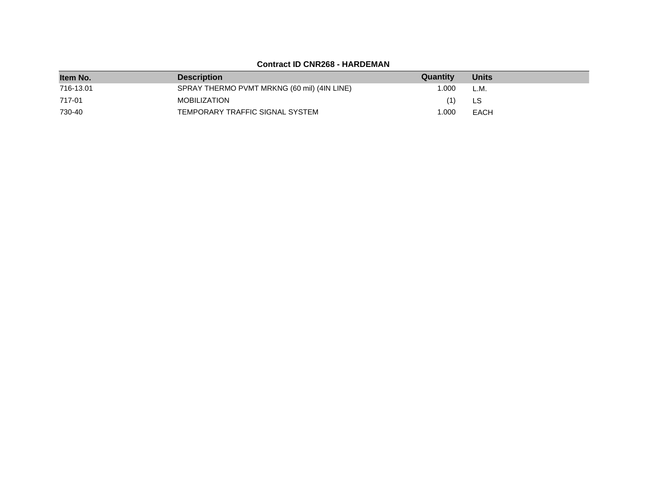## **Contract ID CNR268 - HARDEMAN**

| Item No.  | <b>Description</b>                          | Quantity | <b>Units</b> |
|-----------|---------------------------------------------|----------|--------------|
| 716-13.01 | SPRAY THERMO PVMT MRKNG (60 mil) (4IN LINE) | 1.000    | L.M.         |
| 717-01    | <b>MOBILIZATION</b>                         | (1)      | LS           |
| 730-40    | TEMPORARY TRAFFIC SIGNAL SYSTEM             | 1.000    | <b>EACH</b>  |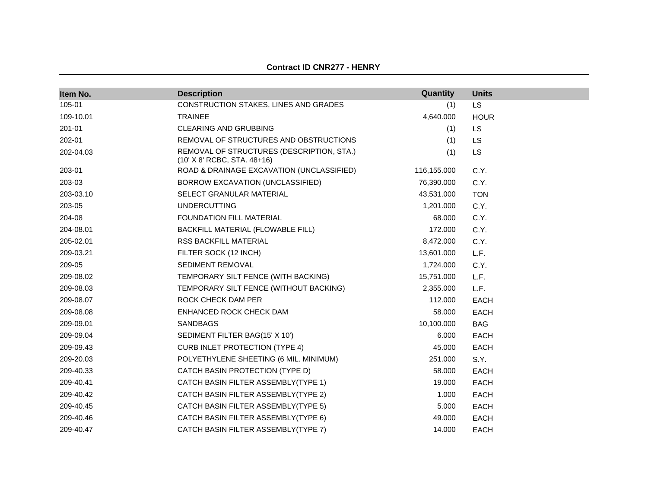| Item No.  | <b>Description</b>                                                       | Quantity    | <b>Units</b> |
|-----------|--------------------------------------------------------------------------|-------------|--------------|
| 105-01    | CONSTRUCTION STAKES, LINES AND GRADES                                    | (1)         | LS           |
| 109-10.01 | <b>TRAINEE</b>                                                           | 4,640.000   | <b>HOUR</b>  |
| 201-01    | <b>CLEARING AND GRUBBING</b>                                             | (1)         | LS           |
| 202-01    | REMOVAL OF STRUCTURES AND OBSTRUCTIONS                                   | (1)         | LS           |
| 202-04.03 | REMOVAL OF STRUCTURES (DESCRIPTION, STA.)<br>(10' X 8' RCBC, STA. 48+16) | (1)         | LS           |
| 203-01    | ROAD & DRAINAGE EXCAVATION (UNCLASSIFIED)                                | 116,155.000 | C.Y.         |
| 203-03    | BORROW EXCAVATION (UNCLASSIFIED)                                         | 76,390.000  | C.Y.         |
| 203-03.10 | SELECT GRANULAR MATERIAL                                                 | 43,531.000  | <b>TON</b>   |
| 203-05    | <b>UNDERCUTTING</b>                                                      | 1,201.000   | C.Y.         |
| 204-08    | FOUNDATION FILL MATERIAL                                                 | 68.000      | C.Y.         |
| 204-08.01 | BACKFILL MATERIAL (FLOWABLE FILL)                                        | 172.000     | C.Y.         |
| 205-02.01 | RSS BACKFILL MATERIAL                                                    | 8,472.000   | C.Y.         |
| 209-03.21 | FILTER SOCK (12 INCH)                                                    | 13,601.000  | L.F.         |
| 209-05    | SEDIMENT REMOVAL                                                         | 1,724.000   | C.Y.         |
| 209-08.02 | TEMPORARY SILT FENCE (WITH BACKING)                                      | 15,751.000  | L.F.         |
| 209-08.03 | TEMPORARY SILT FENCE (WITHOUT BACKING)                                   | 2,355.000   | L.F.         |
| 209-08.07 | ROCK CHECK DAM PER                                                       | 112.000     | <b>EACH</b>  |
| 209-08.08 | ENHANCED ROCK CHECK DAM                                                  | 58.000      | <b>EACH</b>  |
| 209-09.01 | <b>SANDBAGS</b>                                                          | 10,100.000  | <b>BAG</b>   |
| 209-09.04 | SEDIMENT FILTER BAG(15' X 10')                                           | 6.000       | <b>EACH</b>  |
| 209-09.43 | <b>CURB INLET PROTECTION (TYPE 4)</b>                                    | 45.000      | <b>EACH</b>  |
| 209-20.03 | POLYETHYLENE SHEETING (6 MIL. MINIMUM)                                   | 251.000     | S.Y.         |
| 209-40.33 | CATCH BASIN PROTECTION (TYPE D)                                          | 58.000      | <b>EACH</b>  |
| 209-40.41 | CATCH BASIN FILTER ASSEMBLY(TYPE 1)                                      | 19.000      | <b>EACH</b>  |
| 209-40.42 | CATCH BASIN FILTER ASSEMBLY(TYPE 2)                                      | 1.000       | <b>EACH</b>  |
| 209-40.45 | CATCH BASIN FILTER ASSEMBLY(TYPE 5)                                      | 5.000       | EACH         |
| 209-40.46 | CATCH BASIN FILTER ASSEMBLY(TYPE 6)                                      | 49.000      | <b>EACH</b>  |
| 209-40.47 | CATCH BASIN FILTER ASSEMBLY(TYPE 7)                                      | 14.000      | <b>EACH</b>  |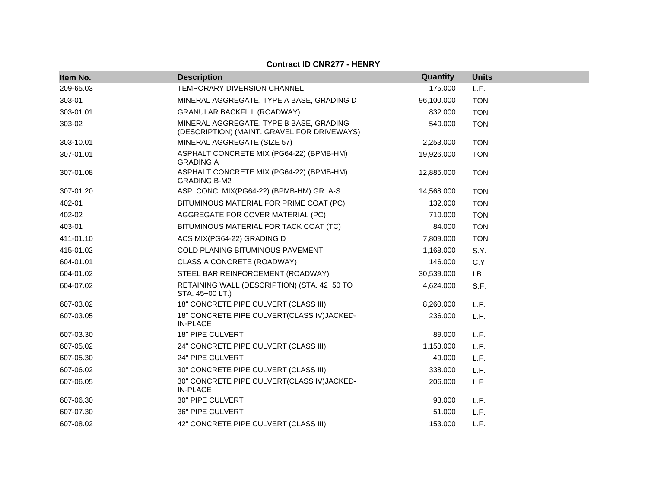| Item No.  | <b>Description</b>                                                                     | Quantity   | <b>Units</b> |
|-----------|----------------------------------------------------------------------------------------|------------|--------------|
| 209-65.03 | <b>TEMPORARY DIVERSION CHANNEL</b>                                                     | 175.000    | L.F.         |
| 303-01    | MINERAL AGGREGATE, TYPE A BASE, GRADING D                                              | 96,100.000 | <b>TON</b>   |
| 303-01.01 | <b>GRANULAR BACKFILL (ROADWAY)</b>                                                     | 832.000    | <b>TON</b>   |
| 303-02    | MINERAL AGGREGATE, TYPE B BASE, GRADING<br>(DESCRIPTION) (MAINT. GRAVEL FOR DRIVEWAYS) | 540.000    | <b>TON</b>   |
| 303-10.01 | MINERAL AGGREGATE (SIZE 57)                                                            | 2,253.000  | <b>TON</b>   |
| 307-01.01 | ASPHALT CONCRETE MIX (PG64-22) (BPMB-HM)<br><b>GRADING A</b>                           | 19,926.000 | <b>TON</b>   |
| 307-01.08 | ASPHALT CONCRETE MIX (PG64-22) (BPMB-HM)<br><b>GRADING B-M2</b>                        | 12,885.000 | <b>TON</b>   |
| 307-01.20 | ASP. CONC. MIX(PG64-22) (BPMB-HM) GR. A-S                                              | 14,568.000 | <b>TON</b>   |
| 402-01    | BITUMINOUS MATERIAL FOR PRIME COAT (PC)                                                | 132.000    | <b>TON</b>   |
| 402-02    | AGGREGATE FOR COVER MATERIAL (PC)                                                      | 710.000    | <b>TON</b>   |
| 403-01    | BITUMINOUS MATERIAL FOR TACK COAT (TC)                                                 | 84.000     | <b>TON</b>   |
| 411-01.10 | ACS MIX(PG64-22) GRADING D                                                             | 7,809.000  | <b>TON</b>   |
| 415-01.02 | <b>COLD PLANING BITUMINOUS PAVEMENT</b>                                                | 1,168.000  | S.Y.         |
| 604-01.01 | CLASS A CONCRETE (ROADWAY)                                                             | 146.000    | C.Y.         |
| 604-01.02 | STEEL BAR REINFORCEMENT (ROADWAY)                                                      | 30,539.000 | LB.          |
| 604-07.02 | RETAINING WALL (DESCRIPTION) (STA. 42+50 TO<br>STA. 45+00 LT.)                         | 4,624.000  | S.F.         |
| 607-03.02 | 18" CONCRETE PIPE CULVERT (CLASS III)                                                  | 8,260.000  | L.F.         |
| 607-03.05 | 18" CONCRETE PIPE CULVERT(CLASS IV) JACKED-<br><b>IN-PLACE</b>                         | 236.000    | L.F.         |
| 607-03.30 | 18" PIPE CULVERT                                                                       | 89.000     | L.F.         |
| 607-05.02 | 24" CONCRETE PIPE CULVERT (CLASS III)                                                  | 1,158.000  | L.F.         |
| 607-05.30 | 24" PIPE CULVERT                                                                       | 49.000     | L.F.         |
| 607-06.02 | 30" CONCRETE PIPE CULVERT (CLASS III)                                                  | 338,000    | L.F.         |
| 607-06.05 | 30" CONCRETE PIPE CULVERT(CLASS IV)JACKED-<br><b>IN-PLACE</b>                          | 206.000    | L.F.         |
| 607-06.30 | 30" PIPE CULVERT                                                                       | 93.000     | L.F.         |
| 607-07.30 | 36" PIPE CULVERT                                                                       | 51.000     | L.F.         |
| 607-08.02 | 42" CONCRETE PIPE CULVERT (CLASS III)                                                  | 153.000    | L.F.         |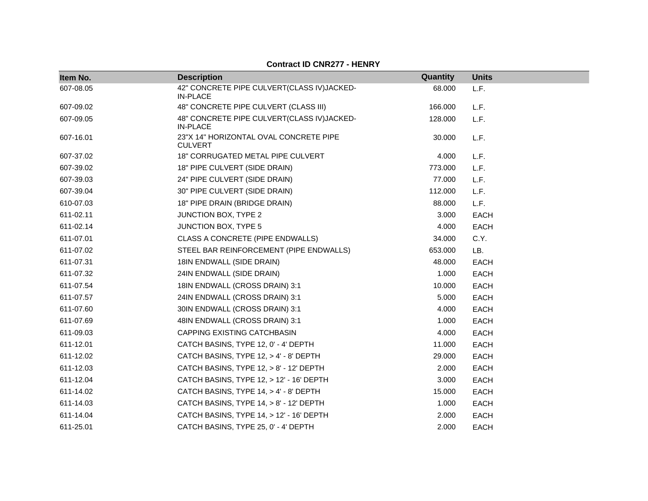| Item No.  | <b>Description</b>                                            | Quantity | <b>Units</b> |
|-----------|---------------------------------------------------------------|----------|--------------|
| 607-08.05 | 42" CONCRETE PIPE CULVERT(CLASS IV)JACKED-<br><b>IN-PLACE</b> | 68.000   | L.F.         |
| 607-09.02 | 48" CONCRETE PIPE CULVERT (CLASS III)                         | 166.000  | L.F.         |
| 607-09.05 | 48" CONCRETE PIPE CULVERT(CLASS IV)JACKED-<br><b>IN-PLACE</b> | 128.000  | L.F.         |
| 607-16.01 | 23"X 14" HORIZONTAL OVAL CONCRETE PIPE<br><b>CULVERT</b>      | 30.000   | L.F.         |
| 607-37.02 | 18" CORRUGATED METAL PIPE CULVERT                             | 4.000    | L.F.         |
| 607-39.02 | 18" PIPE CULVERT (SIDE DRAIN)                                 | 773.000  | L.F.         |
| 607-39.03 | 24" PIPE CULVERT (SIDE DRAIN)                                 | 77.000   | L.F.         |
| 607-39.04 | 30" PIPE CULVERT (SIDE DRAIN)                                 | 112.000  | L.F.         |
| 610-07.03 | 18" PIPE DRAIN (BRIDGE DRAIN)                                 | 88.000   | L.F.         |
| 611-02.11 | JUNCTION BOX, TYPE 2                                          | 3.000    | <b>EACH</b>  |
| 611-02.14 | <b>JUNCTION BOX, TYPE 5</b>                                   | 4.000    | <b>EACH</b>  |
| 611-07.01 | CLASS A CONCRETE (PIPE ENDWALLS)                              | 34.000   | C.Y.         |
| 611-07.02 | STEEL BAR REINFORCEMENT (PIPE ENDWALLS)                       | 653.000  | LB.          |
| 611-07.31 | 18IN ENDWALL (SIDE DRAIN)                                     | 48.000   | <b>EACH</b>  |
| 611-07.32 | 24IN ENDWALL (SIDE DRAIN)                                     | 1.000    | EACH         |
| 611-07.54 | 18IN ENDWALL (CROSS DRAIN) 3:1                                | 10.000   | EACH         |
| 611-07.57 | 24IN ENDWALL (CROSS DRAIN) 3:1                                | 5.000    | <b>EACH</b>  |
| 611-07.60 | 30IN ENDWALL (CROSS DRAIN) 3:1                                | 4.000    | <b>EACH</b>  |
| 611-07.69 | 48IN ENDWALL (CROSS DRAIN) 3:1                                | 1.000    | <b>EACH</b>  |
| 611-09.03 | CAPPING EXISTING CATCHBASIN                                   | 4.000    | <b>EACH</b>  |
| 611-12.01 | CATCH BASINS, TYPE 12, 0' - 4' DEPTH                          | 11.000   | <b>EACH</b>  |
| 611-12.02 | CATCH BASINS, TYPE 12, > 4' - 8' DEPTH                        | 29.000   | <b>EACH</b>  |
| 611-12.03 | CATCH BASINS, TYPE 12, > 8' - 12' DEPTH                       | 2.000    | <b>EACH</b>  |
| 611-12.04 | CATCH BASINS, TYPE 12, > 12' - 16' DEPTH                      | 3.000    | <b>EACH</b>  |
| 611-14.02 | CATCH BASINS, TYPE 14, > 4' - 8' DEPTH                        | 15.000   | <b>EACH</b>  |
| 611-14.03 | CATCH BASINS, TYPE 14, > 8' - 12' DEPTH                       | 1.000    | <b>EACH</b>  |
| 611-14.04 | CATCH BASINS, TYPE 14, > 12' - 16' DEPTH                      | 2.000    | <b>EACH</b>  |
| 611-25.01 | CATCH BASINS, TYPE 25, 0' - 4' DEPTH                          | 2.000    | EACH         |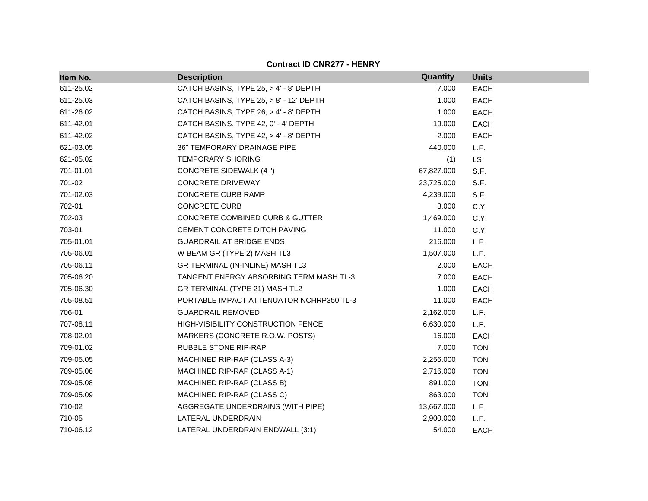| Item No.  | <b>Description</b>                         | Quantity   | <b>Units</b> |
|-----------|--------------------------------------------|------------|--------------|
| 611-25.02 | CATCH BASINS, TYPE 25, > 4' - 8' DEPTH     | 7.000      | <b>EACH</b>  |
| 611-25.03 | CATCH BASINS, TYPE 25, > 8' - 12' DEPTH    | 1.000      | <b>EACH</b>  |
| 611-26.02 | CATCH BASINS, TYPE 26, > 4' - 8' DEPTH     | 1.000      | <b>EACH</b>  |
| 611-42.01 | CATCH BASINS, TYPE 42, 0' - 4' DEPTH       | 19.000     | <b>EACH</b>  |
| 611-42.02 | CATCH BASINS, TYPE 42, > 4' - 8' DEPTH     | 2.000      | <b>EACH</b>  |
| 621-03.05 | 36" TEMPORARY DRAINAGE PIPE                | 440.000    | L.F.         |
| 621-05.02 | <b>TEMPORARY SHORING</b>                   | (1)        | LS           |
| 701-01.01 | CONCRETE SIDEWALK (4 ")                    | 67,827.000 | S.F.         |
| 701-02    | CONCRETE DRIVEWAY                          | 23,725.000 | S.F.         |
| 701-02.03 | <b>CONCRETE CURB RAMP</b>                  | 4,239.000  | S.F.         |
| 702-01    | <b>CONCRETE CURB</b>                       | 3.000      | C.Y.         |
| 702-03    | <b>CONCRETE COMBINED CURB &amp; GUTTER</b> | 1,469.000  | C.Y.         |
| 703-01    | CEMENT CONCRETE DITCH PAVING               | 11.000     | C.Y.         |
| 705-01.01 | <b>GUARDRAIL AT BRIDGE ENDS</b>            | 216.000    | L.F.         |
| 705-06.01 | W BEAM GR (TYPE 2) MASH TL3                | 1,507.000  | L.F.         |
| 705-06.11 | GR TERMINAL (IN-INLINE) MASH TL3           | 2.000      | EACH         |
| 705-06.20 | TANGENT ENERGY ABSORBING TERM MASH TL-3    | 7.000      | EACH         |
| 705-06.30 | GR TERMINAL (TYPE 21) MASH TL2             | 1.000      | <b>EACH</b>  |
| 705-08.51 | PORTABLE IMPACT ATTENUATOR NCHRP350 TL-3   | 11.000     | <b>EACH</b>  |
| 706-01    | <b>GUARDRAIL REMOVED</b>                   | 2,162.000  | L.F.         |
| 707-08.11 | HIGH-VISIBILITY CONSTRUCTION FENCE         | 6,630.000  | L.F.         |
| 708-02.01 | MARKERS (CONCRETE R.O.W. POSTS)            | 16.000     | <b>EACH</b>  |
| 709-01.02 | RUBBLE STONE RIP-RAP                       | 7.000      | <b>TON</b>   |
| 709-05.05 | MACHINED RIP-RAP (CLASS A-3)               | 2,256.000  | <b>TON</b>   |
| 709-05.06 | MACHINED RIP-RAP (CLASS A-1)               | 2,716.000  | <b>TON</b>   |
| 709-05.08 | MACHINED RIP-RAP (CLASS B)                 | 891.000    | <b>TON</b>   |
| 709-05.09 | MACHINED RIP-RAP (CLASS C)                 | 863.000    | <b>TON</b>   |
| 710-02    | AGGREGATE UNDERDRAINS (WITH PIPE)          | 13,667.000 | L.F.         |
| 710-05    | LATERAL UNDERDRAIN                         | 2,900.000  | L.F.         |
| 710-06.12 | LATERAL UNDERDRAIN ENDWALL (3:1)           | 54.000     | <b>EACH</b>  |

**Contract ID CNR277 - HENRY**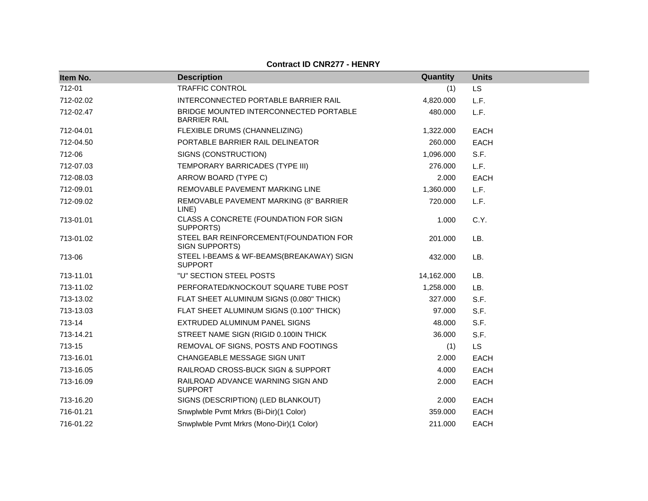| Item No.  | <b>Description</b>                                            | Quantity   | <b>Units</b> |
|-----------|---------------------------------------------------------------|------------|--------------|
| 712-01    | TRAFFIC CONTROL                                               | (1)        | LS           |
| 712-02.02 | INTERCONNECTED PORTABLE BARRIER RAIL                          | 4,820.000  | L.F.         |
| 712-02.47 | BRIDGE MOUNTED INTERCONNECTED PORTABLE<br><b>BARRIER RAIL</b> | 480.000    | L.F.         |
| 712-04.01 | FLEXIBLE DRUMS (CHANNELIZING)                                 | 1,322.000  | <b>EACH</b>  |
| 712-04.50 | PORTABLE BARRIER RAIL DELINEATOR                              | 260.000    | <b>EACH</b>  |
| 712-06    | SIGNS (CONSTRUCTION)                                          | 1,096.000  | S.F.         |
| 712-07.03 | TEMPORARY BARRICADES (TYPE III)                               | 276.000    | L.F.         |
| 712-08.03 | ARROW BOARD (TYPE C)                                          | 2.000      | <b>EACH</b>  |
| 712-09.01 | REMOVABLE PAVEMENT MARKING LINE                               | 1,360.000  | L.F.         |
| 712-09.02 | REMOVABLE PAVEMENT MARKING (8" BARRIER<br>LINE)               | 720.000    | L.F.         |
| 713-01.01 | CLASS A CONCRETE (FOUNDATION FOR SIGN<br>SUPPORTS)            | 1.000      | C.Y.         |
| 713-01.02 | STEEL BAR REINFORCEMENT (FOUNDATION FOR<br>SIGN SUPPORTS)     | 201.000    | LB.          |
| 713-06    | STEEL I-BEAMS & WF-BEAMS(BREAKAWAY) SIGN<br><b>SUPPORT</b>    | 432.000    | LB.          |
| 713-11.01 | "U" SECTION STEEL POSTS                                       | 14,162.000 | LB.          |
| 713-11.02 | PERFORATED/KNOCKOUT SQUARE TUBE POST                          | 1,258.000  | LB.          |
| 713-13.02 | FLAT SHEET ALUMINUM SIGNS (0.080" THICK)                      | 327.000    | S.F.         |
| 713-13.03 | FLAT SHEET ALUMINUM SIGNS (0.100" THICK)                      | 97.000     | S.F.         |
| 713-14    | EXTRUDED ALUMINUM PANEL SIGNS                                 | 48.000     | S.F.         |
| 713-14.21 | STREET NAME SIGN (RIGID 0.100IN THICK                         | 36.000     | S.F.         |
| 713-15    | REMOVAL OF SIGNS, POSTS AND FOOTINGS                          | (1)        | LS           |
| 713-16.01 | CHANGEABLE MESSAGE SIGN UNIT                                  | 2.000      | <b>EACH</b>  |
| 713-16.05 | RAILROAD CROSS-BUCK SIGN & SUPPORT                            | 4.000      | <b>EACH</b>  |
| 713-16.09 | RAILROAD ADVANCE WARNING SIGN AND<br><b>SUPPORT</b>           | 2.000      | <b>EACH</b>  |
| 713-16.20 | SIGNS (DESCRIPTION) (LED BLANKOUT)                            | 2.000      | <b>EACH</b>  |
| 716-01.21 | Snwplwble Pvmt Mrkrs (Bi-Dir)(1 Color)                        | 359.000    | <b>EACH</b>  |
| 716-01.22 | Snwplwble Pvmt Mrkrs (Mono-Dir)(1 Color)                      | 211.000    | <b>EACH</b>  |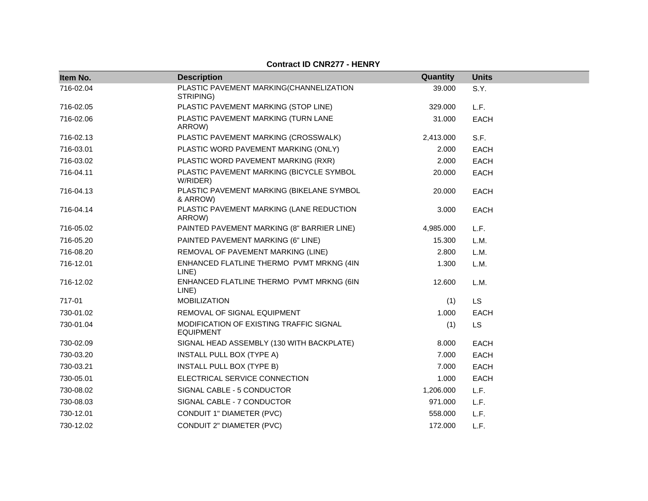| Item No.  | <b>Description</b>                                          | Quantity  | <b>Units</b> |
|-----------|-------------------------------------------------------------|-----------|--------------|
| 716-02.04 | PLASTIC PAVEMENT MARKING(CHANNELIZATION<br>STRIPING)        | 39.000    | S.Y.         |
| 716-02.05 | PLASTIC PAVEMENT MARKING (STOP LINE)                        | 329.000   | L.F.         |
| 716-02.06 | PLASTIC PAVEMENT MARKING (TURN LANE<br>ARROW)               | 31.000    | <b>EACH</b>  |
| 716-02.13 | PLASTIC PAVEMENT MARKING (CROSSWALK)                        | 2,413.000 | S.F.         |
| 716-03.01 | PLASTIC WORD PAVEMENT MARKING (ONLY)                        | 2.000     | <b>EACH</b>  |
| 716-03.02 | PLASTIC WORD PAVEMENT MARKING (RXR)                         | 2.000     | <b>EACH</b>  |
| 716-04.11 | PLASTIC PAVEMENT MARKING (BICYCLE SYMBOL<br>W/RIDER)        | 20.000    | <b>EACH</b>  |
| 716-04.13 | PLASTIC PAVEMENT MARKING (BIKELANE SYMBOL<br>& ARROW)       | 20.000    | <b>EACH</b>  |
| 716-04.14 | PLASTIC PAVEMENT MARKING (LANE REDUCTION<br>ARROW)          | 3.000     | <b>EACH</b>  |
| 716-05.02 | PAINTED PAVEMENT MARKING (8" BARRIER LINE)                  | 4,985.000 | L.F.         |
| 716-05.20 | PAINTED PAVEMENT MARKING (6" LINE)                          | 15.300    | L.M.         |
| 716-08.20 | REMOVAL OF PAVEMENT MARKING (LINE)                          | 2.800     | L.M.         |
| 716-12.01 | ENHANCED FLATLINE THERMO PVMT MRKNG (4IN<br>LINE)           | 1.300     | L.M.         |
| 716-12.02 | ENHANCED FLATLINE THERMO PVMT MRKNG (6IN<br>LINE)           | 12.600    | L.M.         |
| 717-01    | <b>MOBILIZATION</b>                                         | (1)       | <b>LS</b>    |
| 730-01.02 | REMOVAL OF SIGNAL EQUIPMENT                                 | 1.000     | <b>EACH</b>  |
| 730-01.04 | MODIFICATION OF EXISTING TRAFFIC SIGNAL<br><b>EQUIPMENT</b> | (1)       | <b>LS</b>    |
| 730-02.09 | SIGNAL HEAD ASSEMBLY (130 WITH BACKPLATE)                   | 8.000     | <b>EACH</b>  |
| 730-03.20 | INSTALL PULL BOX (TYPE A)                                   | 7.000     | <b>EACH</b>  |
| 730-03.21 | INSTALL PULL BOX (TYPE B)                                   | 7.000     | <b>EACH</b>  |
| 730-05.01 | ELECTRICAL SERVICE CONNECTION                               | 1.000     | <b>EACH</b>  |
| 730-08.02 | SIGNAL CABLE - 5 CONDUCTOR                                  | 1,206.000 | L.F.         |
| 730-08.03 | SIGNAL CABLE - 7 CONDUCTOR                                  | 971.000   | L.F.         |
| 730-12.01 | CONDUIT 1" DIAMETER (PVC)                                   | 558.000   | L.F.         |
| 730-12.02 | CONDUIT 2" DIAMETER (PVC)                                   | 172.000   | L.F.         |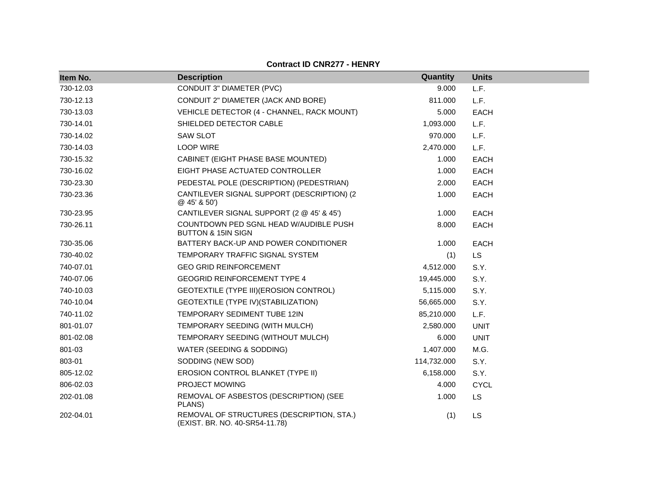| Item No.  | <b>Description</b>                                                          | Quantity    | <b>Units</b> |
|-----------|-----------------------------------------------------------------------------|-------------|--------------|
| 730-12.03 | CONDUIT 3" DIAMETER (PVC)                                                   | 9.000       | L.F.         |
| 730-12.13 | CONDUIT 2" DIAMETER (JACK AND BORE)                                         | 811.000     | L.F.         |
| 730-13.03 | VEHICLE DETECTOR (4 - CHANNEL, RACK MOUNT)                                  | 5.000       | <b>EACH</b>  |
| 730-14.01 | SHIELDED DETECTOR CABLE                                                     | 1,093.000   | L.F.         |
| 730-14.02 | <b>SAW SLOT</b>                                                             | 970.000     | L.F.         |
| 730-14.03 | <b>LOOP WIRE</b>                                                            | 2,470.000   | L.F.         |
| 730-15.32 | CABINET (EIGHT PHASE BASE MOUNTED)                                          | 1.000       | <b>EACH</b>  |
| 730-16.02 | EIGHT PHASE ACTUATED CONTROLLER                                             | 1.000       | <b>EACH</b>  |
| 730-23.30 | PEDESTAL POLE (DESCRIPTION) (PEDESTRIAN)                                    | 2.000       | <b>EACH</b>  |
| 730-23.36 | CANTILEVER SIGNAL SUPPORT (DESCRIPTION) (2<br>@45'850'                      | 1.000       | <b>EACH</b>  |
| 730-23.95 | CANTILEVER SIGNAL SUPPORT (2 @ 45' & 45')                                   | 1.000       | <b>EACH</b>  |
| 730-26.11 | COUNTDOWN PED SGNL HEAD W/AUDIBLE PUSH<br><b>BUTTON &amp; 15IN SIGN</b>     | 8.000       | <b>EACH</b>  |
| 730-35.06 | BATTERY BACK-UP AND POWER CONDITIONER                                       | 1.000       | <b>EACH</b>  |
| 730-40.02 | TEMPORARY TRAFFIC SIGNAL SYSTEM                                             | (1)         | <b>LS</b>    |
| 740-07.01 | <b>GEO GRID REINFORCEMENT</b>                                               | 4,512.000   | S.Y.         |
| 740-07.06 | <b>GEOGRID REINFORCEMENT TYPE 4</b>                                         | 19,445.000  | S.Y.         |
| 740-10.03 | GEOTEXTILE (TYPE III) (EROSION CONTROL)                                     | 5,115.000   | S.Y.         |
| 740-10.04 | GEOTEXTILE (TYPE IV) (STABILIZATION)                                        | 56,665.000  | S.Y.         |
| 740-11.02 | TEMPORARY SEDIMENT TUBE 12IN                                                | 85,210.000  | L.F.         |
| 801-01.07 | TEMPORARY SEEDING (WITH MULCH)                                              | 2,580.000   | <b>UNIT</b>  |
| 801-02.08 | TEMPORARY SEEDING (WITHOUT MULCH)                                           | 6.000       | <b>UNIT</b>  |
| 801-03    | WATER (SEEDING & SODDING)                                                   | 1,407.000   | M.G.         |
| 803-01    | SODDING (NEW SOD)                                                           | 114,732.000 | S.Y.         |
| 805-12.02 | EROSION CONTROL BLANKET (TYPE II)                                           | 6,158.000   | S.Y.         |
| 806-02.03 | PROJECT MOWING                                                              | 4.000       | <b>CYCL</b>  |
| 202-01.08 | REMOVAL OF ASBESTOS (DESCRIPTION) (SEE<br>PLANS)                            | 1.000       | <b>LS</b>    |
| 202-04.01 | REMOVAL OF STRUCTURES (DESCRIPTION, STA.)<br>(EXIST. BR. NO. 40-SR54-11.78) | (1)         | <b>LS</b>    |

**Contract ID CNR277 - HENRY**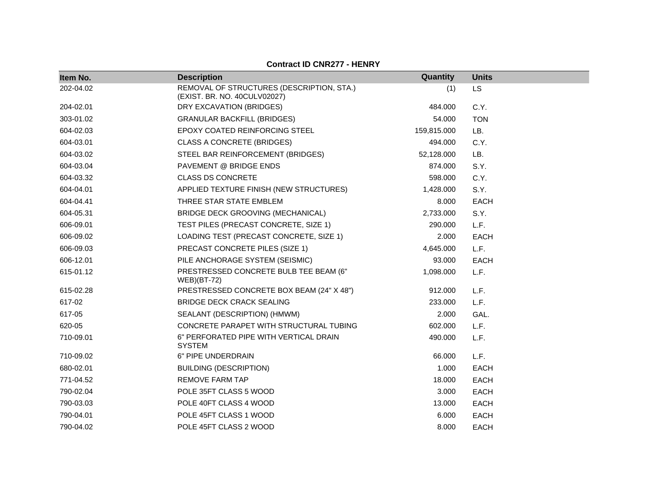| Item No.  | <b>Description</b>                                                        | Quantity    | <b>Units</b> |
|-----------|---------------------------------------------------------------------------|-------------|--------------|
| 202-04.02 | REMOVAL OF STRUCTURES (DESCRIPTION, STA.)<br>(EXIST. BR. NO. 40CULV02027) | (1)         | <b>LS</b>    |
| 204-02.01 | DRY EXCAVATION (BRIDGES)                                                  | 484.000     | C.Y.         |
| 303-01.02 | <b>GRANULAR BACKFILL (BRIDGES)</b>                                        | 54.000      | <b>TON</b>   |
| 604-02.03 | EPOXY COATED REINFORCING STEEL                                            | 159,815.000 | LB.          |
| 604-03.01 | <b>CLASS A CONCRETE (BRIDGES)</b>                                         | 494.000     | C.Y.         |
| 604-03.02 | STEEL BAR REINFORCEMENT (BRIDGES)                                         | 52,128.000  | LB.          |
| 604-03.04 | PAVEMENT @ BRIDGE ENDS                                                    | 874.000     | S.Y.         |
| 604-03.32 | <b>CLASS DS CONCRETE</b>                                                  | 598.000     | C.Y.         |
| 604-04.01 | APPLIED TEXTURE FINISH (NEW STRUCTURES)                                   | 1,428.000   | S.Y.         |
| 604-04.41 | THREE STAR STATE EMBLEM                                                   | 8.000       | <b>EACH</b>  |
| 604-05.31 | BRIDGE DECK GROOVING (MECHANICAL)                                         | 2,733.000   | S.Y.         |
| 606-09.01 | TEST PILES (PRECAST CONCRETE, SIZE 1)                                     | 290.000     | L.F.         |
| 606-09.02 | LOADING TEST (PRECAST CONCRETE, SIZE 1)                                   | 2.000       | EACH         |
| 606-09.03 | PRECAST CONCRETE PILES (SIZE 1)                                           | 4,645.000   | L.F.         |
| 606-12.01 | PILE ANCHORAGE SYSTEM (SEISMIC)                                           | 93.000      | <b>EACH</b>  |
| 615-01.12 | PRESTRESSED CONCRETE BULB TEE BEAM (6"<br><b>WEB</b> )(BT-72)             | 1,098.000   | L.F.         |
| 615-02.28 | PRESTRESSED CONCRETE BOX BEAM (24" X 48")                                 | 912.000     | L.F.         |
| 617-02    | <b>BRIDGE DECK CRACK SEALING</b>                                          | 233,000     | L.F.         |
| 617-05    | SEALANT (DESCRIPTION) (HMWM)                                              | 2.000       | GAL.         |
| 620-05    | CONCRETE PARAPET WITH STRUCTURAL TUBING                                   | 602.000     | L.F.         |
| 710-09.01 | 6" PERFORATED PIPE WITH VERTICAL DRAIN<br><b>SYSTEM</b>                   | 490.000     | L.F.         |
| 710-09.02 | 6" PIPE UNDERDRAIN                                                        | 66.000      | L.F.         |
| 680-02.01 | <b>BUILDING (DESCRIPTION)</b>                                             | 1.000       | <b>EACH</b>  |
| 771-04.52 | <b>REMOVE FARM TAP</b>                                                    | 18.000      | <b>EACH</b>  |
| 790-02.04 | POLE 35FT CLASS 5 WOOD                                                    | 3.000       | EACH         |
| 790-03.03 | POLE 40FT CLASS 4 WOOD                                                    | 13.000      | <b>EACH</b>  |
| 790-04.01 | POLE 45FT CLASS 1 WOOD                                                    | 6.000       | <b>EACH</b>  |
| 790-04.02 | POLE 45FT CLASS 2 WOOD                                                    | 8.000       | <b>EACH</b>  |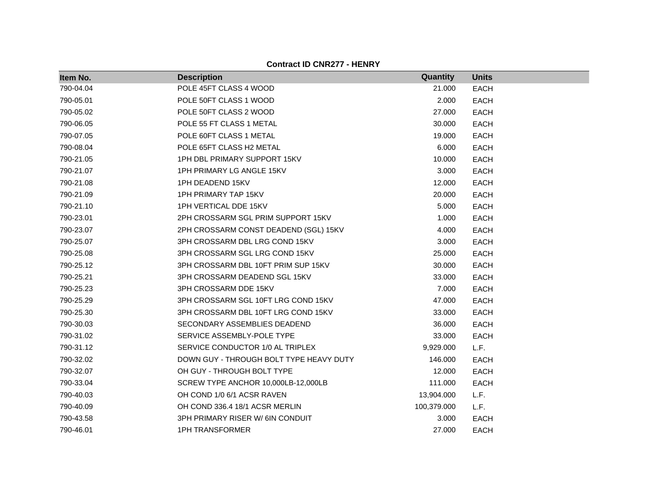| Item No.  | <b>Description</b>                      | Quantity    | <b>Units</b> |
|-----------|-----------------------------------------|-------------|--------------|
| 790-04.04 | POLE 45FT CLASS 4 WOOD                  | 21.000      | <b>EACH</b>  |
| 790-05.01 | POLE 50FT CLASS 1 WOOD                  | 2.000       | <b>EACH</b>  |
| 790-05.02 | POLE 50FT CLASS 2 WOOD                  | 27.000      | <b>EACH</b>  |
| 790-06.05 | POLE 55 FT CLASS 1 METAL                | 30.000      | <b>EACH</b>  |
| 790-07.05 | POLE 60FT CLASS 1 METAL                 | 19.000      | <b>EACH</b>  |
| 790-08.04 | POLE 65FT CLASS H2 METAL                | 6.000       | <b>EACH</b>  |
| 790-21.05 | 1PH DBL PRIMARY SUPPORT 15KV            | 10.000      | <b>EACH</b>  |
| 790-21.07 | 1PH PRIMARY LG ANGLE 15KV               | 3.000       | <b>EACH</b>  |
| 790-21.08 | 1PH DEADEND 15KV                        | 12.000      | <b>EACH</b>  |
| 790-21.09 | <b>1PH PRIMARY TAP 15KV</b>             | 20.000      | <b>EACH</b>  |
| 790-21.10 | 1PH VERTICAL DDE 15KV                   | 5.000       | <b>EACH</b>  |
| 790-23.01 | 2PH CROSSARM SGL PRIM SUPPORT 15KV      | 1.000       | <b>EACH</b>  |
| 790-23.07 | 2PH CROSSARM CONST DEADEND (SGL) 15KV   | 4.000       | <b>EACH</b>  |
| 790-25.07 | 3PH CROSSARM DBL LRG COND 15KV          | 3.000       | <b>EACH</b>  |
| 790-25.08 | 3PH CROSSARM SGL LRG COND 15KV          | 25.000      | <b>EACH</b>  |
| 790-25.12 | 3PH CROSSARM DBL 10FT PRIM SUP 15KV     | 30.000      | <b>EACH</b>  |
| 790-25.21 | 3PH CROSSARM DEADEND SGL 15KV           | 33.000      | <b>EACH</b>  |
| 790-25.23 | 3PH CROSSARM DDE 15KV                   | 7.000       | <b>EACH</b>  |
| 790-25.29 | 3PH CROSSARM SGL 10FT LRG COND 15KV     | 47.000      | <b>EACH</b>  |
| 790-25.30 | 3PH CROSSARM DBL 10FT LRG COND 15KV     | 33.000      | <b>EACH</b>  |
| 790-30.03 | SECONDARY ASSEMBLIES DEADEND            | 36.000      | <b>EACH</b>  |
| 790-31.02 | SERVICE ASSEMBLY-POLE TYPE              | 33.000      | <b>EACH</b>  |
| 790-31.12 | SERVICE CONDUCTOR 1/0 AL TRIPLEX        | 9,929.000   | L.F.         |
| 790-32.02 | DOWN GUY - THROUGH BOLT TYPE HEAVY DUTY | 146.000     | <b>EACH</b>  |
| 790-32.07 | OH GUY - THROUGH BOLT TYPE              | 12.000      | <b>EACH</b>  |
| 790-33.04 | SCREW TYPE ANCHOR 10,000LB-12,000LB     | 111.000     | <b>EACH</b>  |
| 790-40.03 | OH COND 1/0 6/1 ACSR RAVEN              | 13,904.000  | L.F.         |
| 790-40.09 | OH COND 336.4 18/1 ACSR MERLIN          | 100,379.000 | L.F.         |
| 790-43.58 | 3PH PRIMARY RISER W/ 6IN CONDUIT        | 3.000       | <b>EACH</b>  |
| 790-46.01 | <b>1PH TRANSFORMER</b>                  | 27.000      | <b>EACH</b>  |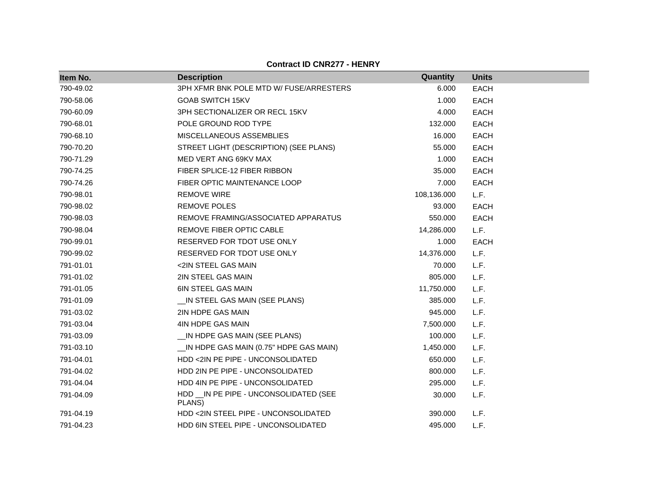| Item No.  | <b>Description</b>                                | Quantity    | <b>Units</b> |
|-----------|---------------------------------------------------|-------------|--------------|
| 790-49.02 | 3PH XFMR BNK POLE MTD W/ FUSE/ARRESTERS           | 6.000       | <b>EACH</b>  |
| 790-58.06 | <b>GOAB SWITCH 15KV</b>                           | 1.000       | <b>EACH</b>  |
| 790-60.09 | 3PH SECTIONALIZER OR RECL 15KV                    | 4.000       | <b>EACH</b>  |
| 790-68.01 | POLE GROUND ROD TYPE                              | 132.000     | <b>EACH</b>  |
| 790-68.10 | MISCELLANEOUS ASSEMBLIES                          | 16.000      | <b>EACH</b>  |
| 790-70.20 | STREET LIGHT (DESCRIPTION) (SEE PLANS)            | 55.000      | <b>EACH</b>  |
| 790-71.29 | MED VERT ANG 69KV MAX                             | 1.000       | <b>EACH</b>  |
| 790-74.25 | FIBER SPLICE-12 FIBER RIBBON                      | 35.000      | <b>EACH</b>  |
| 790-74.26 | FIBER OPTIC MAINTENANCE LOOP                      | 7.000       | <b>EACH</b>  |
| 790-98.01 | <b>REMOVE WIRE</b>                                | 108,136.000 | L.F.         |
| 790-98.02 | <b>REMOVE POLES</b>                               | 93.000      | <b>EACH</b>  |
| 790-98.03 | REMOVE FRAMING/ASSOCIATED APPARATUS               | 550.000     | <b>EACH</b>  |
| 790-98.04 | REMOVE FIBER OPTIC CABLE                          | 14,286.000  | L.F.         |
| 790-99.01 | RESERVED FOR TDOT USE ONLY                        | 1.000       | <b>EACH</b>  |
| 790-99.02 | RESERVED FOR TDOT USE ONLY                        | 14,376.000  | L.F.         |
| 791-01.01 | <2IN STEEL GAS MAIN                               | 70.000      | L.F.         |
| 791-01.02 | 2IN STEEL GAS MAIN                                | 805.000     | L.F.         |
| 791-01.05 | 6IN STEEL GAS MAIN                                | 11,750.000  | L.F.         |
| 791-01.09 | _IN STEEL GAS MAIN (SEE PLANS)                    | 385.000     | L.F.         |
| 791-03.02 | 2IN HDPE GAS MAIN                                 | 945.000     | L.F.         |
| 791-03.04 | 4IN HDPE GAS MAIN                                 | 7,500.000   | L.F.         |
| 791-03.09 | _IN HDPE GAS MAIN (SEE PLANS)                     | 100.000     | L.F.         |
| 791-03.10 | __IN HDPE GAS MAIN (0.75" HDPE GAS MAIN)          | 1,450.000   | L.F.         |
| 791-04.01 | HDD <2IN PE PIPE - UNCONSOLIDATED                 | 650.000     | L.F.         |
| 791-04.02 | HDD 2IN PE PIPE - UNCONSOLIDATED                  | 800.000     | L.F.         |
| 791-04.04 | HDD 4IN PE PIPE - UNCONSOLIDATED                  | 295.000     | L.F.         |
| 791-04.09 | HDD __ IN PE PIPE - UNCONSOLIDATED (SEE<br>PLANS) | 30.000      | L.F.         |
| 791-04.19 | HDD <2IN STEEL PIPE - UNCONSOLIDATED              | 390.000     | L.F.         |
| 791-04.23 | HDD 6IN STEEL PIPE - UNCONSOLIDATED               | 495.000     | L.F.         |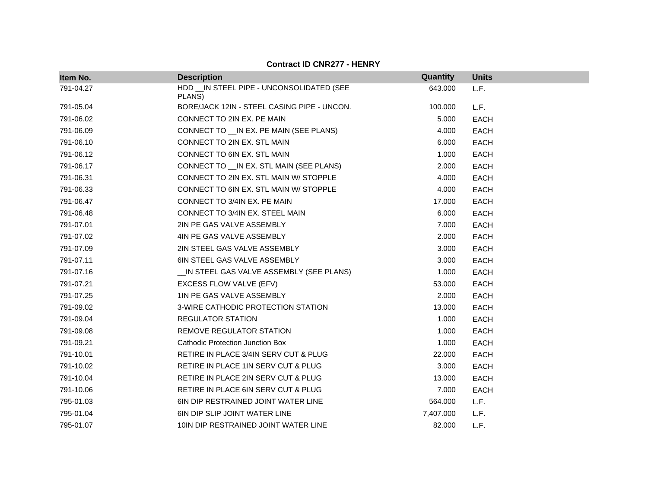| Item No.  | <b>Description</b>                                   | Quantity  | <b>Units</b> |
|-----------|------------------------------------------------------|-----------|--------------|
| 791-04.27 | HDD __ IN STEEL PIPE - UNCONSOLIDATED (SEE<br>PLANS) | 643.000   | L.F.         |
| 791-05.04 | BORE/JACK 12IN - STEEL CASING PIPE - UNCON.          | 100.000   | L.F.         |
| 791-06.02 | CONNECT TO 2IN EX. PE MAIN                           | 5.000     | <b>EACH</b>  |
| 791-06.09 | CONNECT TO __ IN EX. PE MAIN (SEE PLANS)             | 4.000     | <b>EACH</b>  |
| 791-06.10 | CONNECT TO 2IN EX. STL MAIN                          | 6.000     | <b>EACH</b>  |
| 791-06.12 | CONNECT TO 6IN EX. STL MAIN                          | 1.000     | <b>EACH</b>  |
| 791-06.17 | CONNECT TO __ IN EX. STL MAIN (SEE PLANS)            | 2.000     | <b>EACH</b>  |
| 791-06.31 | CONNECT TO 2IN EX. STL MAIN W/ STOPPLE               | 4.000     | <b>EACH</b>  |
| 791-06.33 | CONNECT TO 6IN EX. STL MAIN W/ STOPPLE               | 4.000     | <b>EACH</b>  |
| 791-06.47 | CONNECT TO 3/4IN EX. PE MAIN                         | 17.000    | <b>EACH</b>  |
| 791-06.48 | CONNECT TO 3/4IN EX. STEEL MAIN                      | 6.000     | <b>EACH</b>  |
| 791-07.01 | 2IN PE GAS VALVE ASSEMBLY                            | 7.000     | <b>EACH</b>  |
| 791-07.02 | 4IN PE GAS VALVE ASSEMBLY                            | 2.000     | <b>EACH</b>  |
| 791-07.09 | 2IN STEEL GAS VALVE ASSEMBLY                         | 3.000     | <b>EACH</b>  |
| 791-07.11 | 6IN STEEL GAS VALVE ASSEMBLY                         | 3.000     | <b>EACH</b>  |
| 791-07.16 | IN STEEL GAS VALVE ASSEMBLY (SEE PLANS)              | 1.000     | <b>EACH</b>  |
| 791-07.21 | EXCESS FLOW VALVE (EFV)                              | 53.000    | <b>EACH</b>  |
| 791-07.25 | 1IN PE GAS VALVE ASSEMBLY                            | 2.000     | <b>EACH</b>  |
| 791-09.02 | 3-WIRE CATHODIC PROTECTION STATION                   | 13.000    | <b>EACH</b>  |
| 791-09.04 | <b>REGULATOR STATION</b>                             | 1.000     | <b>EACH</b>  |
| 791-09.08 | <b>REMOVE REGULATOR STATION</b>                      | 1.000     | <b>EACH</b>  |
| 791-09.21 | Cathodic Protection Junction Box                     | 1.000     | <b>EACH</b>  |
| 791-10.01 | RETIRE IN PLACE 3/4IN SERV CUT & PLUG                | 22.000    | <b>EACH</b>  |
| 791-10.02 | RETIRE IN PLACE 1IN SERV CUT & PLUG                  | 3.000     | <b>EACH</b>  |
| 791-10.04 | RETIRE IN PLACE 2IN SERV CUT & PLUG                  | 13.000    | <b>EACH</b>  |
| 791-10.06 | RETIRE IN PLACE 6IN SERV CUT & PLUG                  | 7.000     | <b>EACH</b>  |
| 795-01.03 | 6IN DIP RESTRAINED JOINT WATER LINE                  | 564.000   | L.F.         |
| 795-01.04 | 6IN DIP SLIP JOINT WATER LINE                        | 7,407.000 | L.F.         |
| 795-01.07 | 10IN DIP RESTRAINED JOINT WATER LINE                 | 82.000    | L.F.         |

**Contract ID CNR277 - HENRY**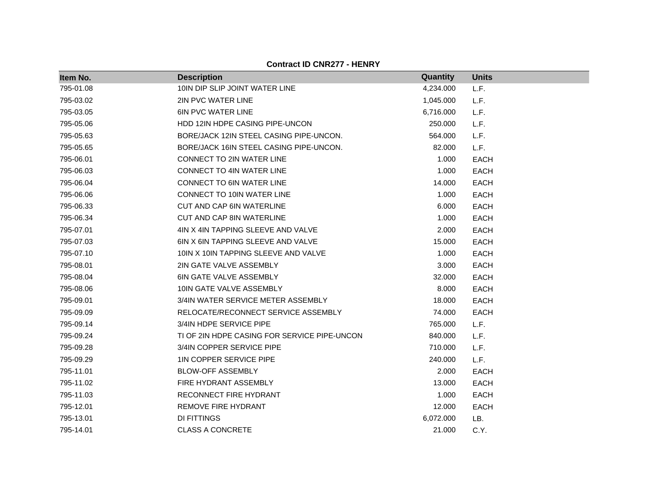| Item No.  | <b>Description</b>                           | Quantity  | <b>Units</b> |
|-----------|----------------------------------------------|-----------|--------------|
| 795-01.08 | 10IN DIP SLIP JOINT WATER LINE               | 4,234.000 | L.F.         |
| 795-03.02 | <b>2IN PVC WATER LINE</b>                    | 1,045.000 | L.F.         |
| 795-03.05 | <b>6IN PVC WATER LINE</b>                    | 6,716.000 | L.F.         |
| 795-05.06 | HDD 12IN HDPE CASING PIPE-UNCON              | 250.000   | L.F.         |
| 795-05.63 | BORE/JACK 12IN STEEL CASING PIPE-UNCON.      | 564.000   | L.F.         |
| 795-05.65 | BORE/JACK 16IN STEEL CASING PIPE-UNCON.      | 82.000    | L.F.         |
| 795-06.01 | <b>CONNECT TO 2IN WATER LINE</b>             | 1.000     | <b>EACH</b>  |
| 795-06.03 | <b>CONNECT TO 4IN WATER LINE</b>             | 1.000     | <b>EACH</b>  |
| 795-06.04 | CONNECT TO 6IN WATER LINE                    | 14.000    | <b>EACH</b>  |
| 795-06.06 | CONNECT TO 10IN WATER LINE                   | 1.000     | EACH         |
| 795-06.33 | <b>CUT AND CAP 6IN WATERLINE</b>             | 6.000     | <b>EACH</b>  |
| 795-06.34 | <b>CUT AND CAP 8IN WATERLINE</b>             | 1.000     | <b>EACH</b>  |
| 795-07.01 | 4IN X 4IN TAPPING SLEEVE AND VALVE           | 2.000     | <b>EACH</b>  |
| 795-07.03 | 6IN X 6IN TAPPING SLEEVE AND VALVE           | 15.000    | <b>EACH</b>  |
| 795-07.10 | 10IN X 10IN TAPPING SLEEVE AND VALVE         | 1.000     | EACH         |
| 795-08.01 | 2IN GATE VALVE ASSEMBLY                      | 3.000     | <b>EACH</b>  |
| 795-08.04 | <b>6IN GATE VALVE ASSEMBLY</b>               | 32.000    | <b>EACH</b>  |
| 795-08.06 | 10IN GATE VALVE ASSEMBLY                     | 8.000     | <b>EACH</b>  |
| 795-09.01 | 3/4IN WATER SERVICE METER ASSEMBLY           | 18.000    | <b>EACH</b>  |
| 795-09.09 | RELOCATE/RECONNECT SERVICE ASSEMBLY          | 74.000    | EACH         |
| 795-09.14 | 3/4IN HDPE SERVICE PIPE                      | 765.000   | L.F.         |
| 795-09.24 | TI OF 2IN HDPE CASING FOR SERVICE PIPE-UNCON | 840.000   | L.F.         |
| 795-09.28 | 3/4IN COPPER SERVICE PIPE                    | 710.000   | L.F.         |
| 795-09.29 | 1IN COPPER SERVICE PIPE                      | 240.000   | L.F.         |
| 795-11.01 | <b>BLOW-OFF ASSEMBLY</b>                     | 2.000     | <b>EACH</b>  |
| 795-11.02 | FIRE HYDRANT ASSEMBLY                        | 13.000    | <b>EACH</b>  |
| 795-11.03 | RECONNECT FIRE HYDRANT                       | 1.000     | EACH         |
| 795-12.01 | REMOVE FIRE HYDRANT                          | 12.000    | <b>EACH</b>  |
| 795-13.01 | DI FITTINGS                                  | 6,072.000 | LB.          |
| 795-14.01 | <b>CLASS A CONCRETE</b>                      | 21.000    | C.Y.         |

**Contract ID CNR277 - HENRY**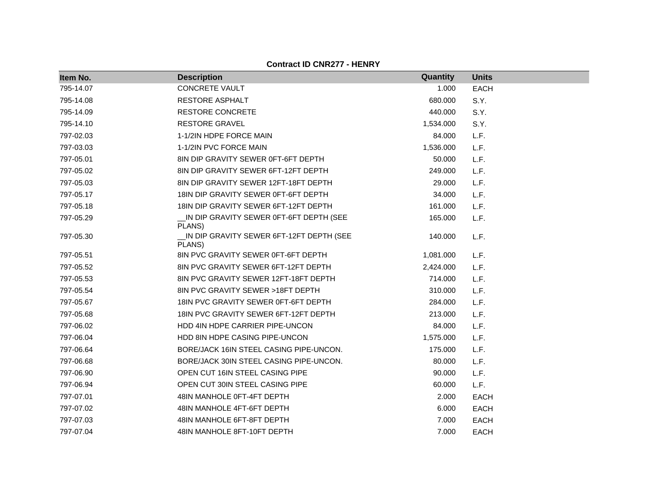| Item No.  | <b>Description</b>                                 | Quantity  | <b>Units</b> |
|-----------|----------------------------------------------------|-----------|--------------|
| 795-14.07 | <b>CONCRETE VAULT</b>                              | 1.000     | <b>EACH</b>  |
| 795-14.08 | RESTORE ASPHALT                                    | 680.000   | S.Y.         |
| 795-14.09 | <b>RESTORE CONCRETE</b>                            | 440.000   | S.Y.         |
| 795-14.10 | <b>RESTORE GRAVEL</b>                              | 1,534.000 | S.Y.         |
| 797-02.03 | 1-1/2IN HDPE FORCE MAIN                            | 84.000    | L.F.         |
| 797-03.03 | 1-1/2IN PVC FORCE MAIN                             | 1,536.000 | L.F.         |
| 797-05.01 | 8IN DIP GRAVITY SEWER 0FT-6FT DEPTH                | 50.000    | L.F.         |
| 797-05.02 | 8IN DIP GRAVITY SEWER 6FT-12FT DEPTH               | 249.000   | L.F.         |
| 797-05.03 | 8IN DIP GRAVITY SEWER 12FT-18FT DEPTH              | 29.000    | L.F.         |
| 797-05.17 | 18 N DIP GRAVITY SEWER 0FT-6FT DEPTH               | 34.000    | L.F.         |
| 797-05.18 | 18 N DIP GRAVITY SEWER 6FT-12FT DEPTH              | 161.000   | L.F.         |
| 797-05.29 | IN DIP GRAVITY SEWER 0FT-6FT DEPTH (SEE<br>PLANS)  | 165.000   | L.F.         |
| 797-05.30 | IN DIP GRAVITY SEWER 6FT-12FT DEPTH (SEE<br>PLANS) | 140.000   | L.F.         |
| 797-05.51 | 8IN PVC GRAVITY SEWER 0FT-6FT DEPTH                | 1,081.000 | L.F.         |
| 797-05.52 | 8IN PVC GRAVITY SEWER 6FT-12FT DEPTH               | 2,424.000 | L.F.         |
| 797-05.53 | 8IN PVC GRAVITY SEWER 12FT-18FT DEPTH              | 714.000   | L.F.         |
| 797-05.54 | 8IN PVC GRAVITY SEWER >18FT DEPTH                  | 310.000   | L.F.         |
| 797-05.67 | 18IN PVC GRAVITY SEWER 0FT-6FT DEPTH               | 284.000   | L.F.         |
| 797-05.68 | 18IN PVC GRAVITY SEWER 6FT-12FT DEPTH              | 213.000   | L.F.         |
| 797-06.02 | HDD 4IN HDPE CARRIER PIPE-UNCON                    | 84.000    | L.F.         |
| 797-06.04 | HDD 8IN HDPE CASING PIPE-UNCON                     | 1,575.000 | L.F.         |
| 797-06.64 | BORE/JACK 16IN STEEL CASING PIPE-UNCON.            | 175.000   | L.F.         |
| 797-06.68 | BORE/JACK 30IN STEEL CASING PIPE-UNCON.            | 80.000    | L.F.         |
| 797-06.90 | OPEN CUT 16IN STEEL CASING PIPE                    | 90.000    | L.F.         |
| 797-06.94 | OPEN CUT 30IN STEEL CASING PIPE                    | 60.000    | L.F.         |
| 797-07.01 | 48IN MANHOLE 0FT-4FT DEPTH                         | 2.000     | <b>EACH</b>  |
| 797-07.02 | 48IN MANHOLE 4FT-6FT DEPTH                         | 6.000     | <b>EACH</b>  |
| 797-07.03 | 48IN MANHOLE 6FT-8FT DEPTH                         | 7.000     | <b>EACH</b>  |
| 797-07.04 | 48IN MANHOLE 8FT-10FT DEPTH                        | 7.000     | <b>EACH</b>  |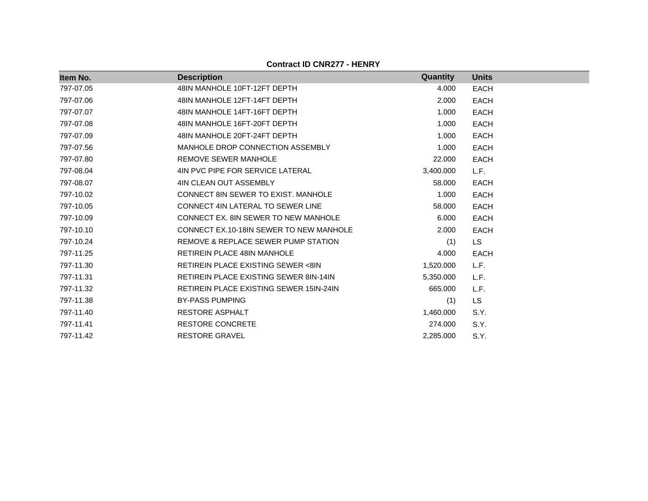|  | <b>Contract ID CNR277 - HENRY</b> |  |
|--|-----------------------------------|--|
|--|-----------------------------------|--|

| Item No.  | <b>Description</b>                             | Quantity  | <b>Units</b> |
|-----------|------------------------------------------------|-----------|--------------|
| 797-07.05 | 48IN MANHOLE 10FT-12FT DEPTH                   | 4.000     | <b>EACH</b>  |
| 797-07.06 | 48IN MANHOLE 12FT-14FT DEPTH                   | 2.000     | <b>EACH</b>  |
| 797-07.07 | 48IN MANHOLE 14FT-16FT DEPTH                   | 1.000     | <b>EACH</b>  |
| 797-07.08 | 48IN MANHOLE 16FT-20FT DEPTH                   | 1.000     | <b>EACH</b>  |
| 797-07.09 | 48IN MANHOLE 20FT-24FT DEPTH                   | 1.000     | <b>EACH</b>  |
| 797-07.56 | MANHOLE DROP CONNECTION ASSEMBLY               | 1.000     | <b>EACH</b>  |
| 797-07.80 | <b>REMOVE SEWER MANHOLE</b>                    | 22.000    | <b>EACH</b>  |
| 797-08.04 | 4IN PVC PIPE FOR SERVICE LATERAL               | 3,400.000 | L.F.         |
| 797-08.07 | 4IN CLEAN OUT ASSEMBLY                         | 58.000    | <b>EACH</b>  |
| 797-10.02 | CONNECT 8IN SEWER TO EXIST. MANHOLE            | 1.000     | <b>EACH</b>  |
| 797-10.05 | CONNECT 4IN LATERAL TO SEWER LINE              | 58.000    | <b>EACH</b>  |
| 797-10.09 | CONNECT EX. 8IN SEWER TO NEW MANHOLE           | 6.000     | <b>EACH</b>  |
| 797-10.10 | CONNECT EX.10-18IN SEWER TO NEW MANHOLE        | 2.000     | <b>EACH</b>  |
| 797-10.24 | REMOVE & REPLACE SEWER PUMP STATION            | (1)       | LS.          |
| 797-11.25 | <b>RETIREIN PLACE 48IN MANHOLE</b>             | 4.000     | <b>EACH</b>  |
| 797-11.30 | <b>RETIREIN PLACE EXISTING SEWER &lt;8IN</b>   | 1,520.000 | L.F.         |
| 797-11.31 | <b>RETIREIN PLACE EXISTING SEWER 8IN-14IN</b>  | 5,350.000 | L.F.         |
| 797-11.32 | <b>RETIREIN PLACE EXISTING SEWER 15IN-24IN</b> | 665.000   | L.F.         |
| 797-11.38 | <b>BY-PASS PUMPING</b>                         | (1)       | <b>LS</b>    |
| 797-11.40 | <b>RESTORE ASPHALT</b>                         | 1,460.000 | S.Y.         |
| 797-11.41 | <b>RESTORE CONCRETE</b>                        | 274.000   | S.Y.         |
| 797-11.42 | <b>RESTORE GRAVEL</b>                          | 2,285.000 | S.Y.         |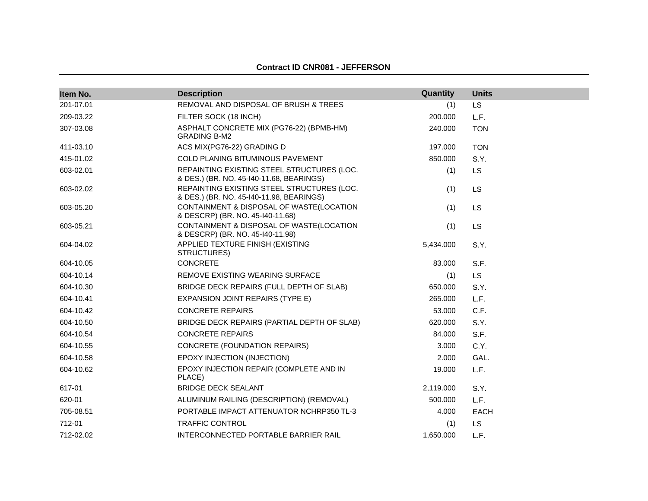# **Contract ID CNR081 - JEFFERSON**

| Item No.  | <b>Description</b>                                                                     | Quantity  | <b>Units</b> |
|-----------|----------------------------------------------------------------------------------------|-----------|--------------|
| 201-07.01 | REMOVAL AND DISPOSAL OF BRUSH & TREES                                                  | (1)       | <b>LS</b>    |
| 209-03.22 | FILTER SOCK (18 INCH)                                                                  | 200.000   | L.F.         |
| 307-03.08 | ASPHALT CONCRETE MIX (PG76-22) (BPMB-HM)<br><b>GRADING B-M2</b>                        | 240.000   | <b>TON</b>   |
| 411-03.10 | ACS MIX(PG76-22) GRADING D                                                             | 197.000   | <b>TON</b>   |
| 415-01.02 | COLD PLANING BITUMINOUS PAVEMENT                                                       | 850.000   | S.Y.         |
| 603-02.01 | REPAINTING EXISTING STEEL STRUCTURES (LOC.<br>& DES.) (BR. NO. 45-140-11.68, BEARINGS) | (1)       | LS.          |
| 603-02.02 | REPAINTING EXISTING STEEL STRUCTURES (LOC.<br>& DES.) (BR. NO. 45-140-11.98, BEARINGS) | (1)       | LS           |
| 603-05.20 | CONTAINMENT & DISPOSAL OF WASTE(LOCATION<br>& DESCRP) (BR. NO. 45-140-11.68)           | (1)       | <b>LS</b>    |
| 603-05.21 | CONTAINMENT & DISPOSAL OF WASTE(LOCATION<br>& DESCRP) (BR. NO. 45-140-11.98)           | (1)       | LS           |
| 604-04.02 | APPLIED TEXTURE FINISH (EXISTING<br>STRUCTURES)                                        | 5,434.000 | S.Y.         |
| 604-10.05 | <b>CONCRETE</b>                                                                        | 83.000    | S.F.         |
| 604-10.14 | REMOVE EXISTING WEARING SURFACE                                                        | (1)       | <b>LS</b>    |
| 604-10.30 | BRIDGE DECK REPAIRS (FULL DEPTH OF SLAB)                                               | 650.000   | S.Y.         |
| 604-10.41 | <b>EXPANSION JOINT REPAIRS (TYPE E)</b>                                                | 265,000   | L.F.         |
| 604-10.42 | <b>CONCRETE REPAIRS</b>                                                                | 53.000    | C.F.         |
| 604-10.50 | BRIDGE DECK REPAIRS (PARTIAL DEPTH OF SLAB)                                            | 620.000   | S.Y.         |
| 604-10.54 | <b>CONCRETE REPAIRS</b>                                                                | 84.000    | S.F.         |
| 604-10.55 | <b>CONCRETE (FOUNDATION REPAIRS)</b>                                                   | 3.000     | C.Y.         |
| 604-10.58 | EPOXY INJECTION (INJECTION)                                                            | 2.000     | GAL.         |
| 604-10.62 | EPOXY INJECTION REPAIR (COMPLETE AND IN<br>PLACE)                                      | 19.000    | L.F.         |
| 617-01    | <b>BRIDGE DECK SEALANT</b>                                                             | 2,119.000 | S.Y.         |
| 620-01    | ALUMINUM RAILING (DESCRIPTION) (REMOVAL)                                               | 500.000   | L.F.         |
| 705-08.51 | PORTABLE IMPACT ATTENUATOR NCHRP350 TL-3                                               | 4.000     | EACH         |
| 712-01    | <b>TRAFFIC CONTROL</b>                                                                 | (1)       | LS.          |
| 712-02.02 | INTERCONNECTED PORTABLE BARRIER RAIL                                                   | 1,650.000 | L.F.         |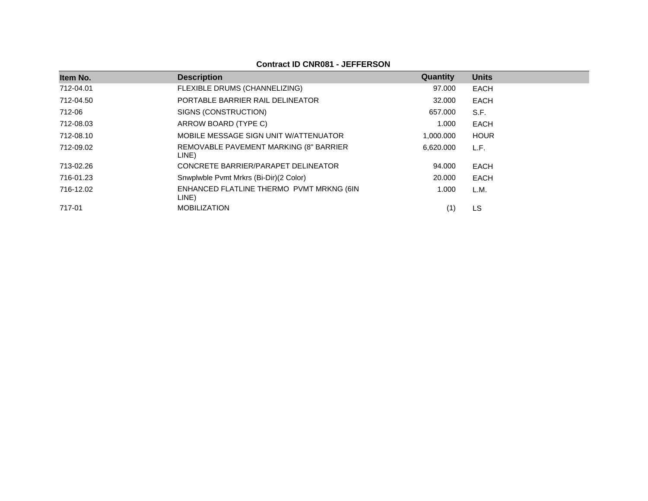**Contract ID CNR081 - JEFFERSON**

| Item No.  | <b>Description</b>                                | Quantity  | <b>Units</b> |
|-----------|---------------------------------------------------|-----------|--------------|
| 712-04.01 | FLEXIBLE DRUMS (CHANNELIZING)                     | 97.000    | EACH         |
| 712-04.50 | PORTABLE BARRIER RAIL DELINEATOR                  | 32,000    | EACH         |
| 712-06    | SIGNS (CONSTRUCTION)                              | 657.000   | S.F.         |
| 712-08.03 | ARROW BOARD (TYPE C)                              | 1.000     | EACH         |
| 712-08.10 | MOBILE MESSAGE SIGN UNIT W/ATTENUATOR             | 1,000.000 | <b>HOUR</b>  |
| 712-09.02 | REMOVABLE PAVEMENT MARKING (8" BARRIER<br>LINE)   | 6.620.000 | L.F.         |
| 713-02.26 | CONCRETE BARRIER/PARAPET DELINEATOR               | 94.000    | EACH         |
| 716-01.23 | Snwplwble Pvmt Mrkrs (Bi-Dir)(2 Color)            | 20,000    | EACH         |
| 716-12.02 | ENHANCED FLATLINE THERMO PVMT MRKNG (6IN<br>LINE) | 1.000     | L.M.         |
| 717-01    | <b>MOBILIZATION</b>                               |           | LS           |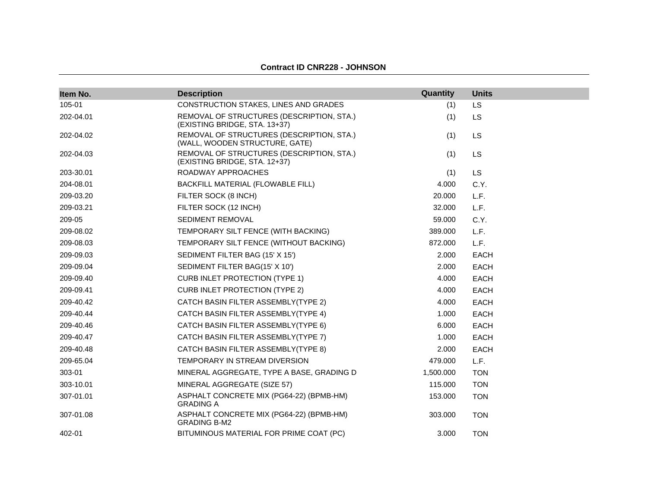| Item No.  | <b>Description</b>                                                          | Quantity  | <b>Units</b> |
|-----------|-----------------------------------------------------------------------------|-----------|--------------|
| 105-01    | CONSTRUCTION STAKES, LINES AND GRADES                                       | (1)       | LS           |
| 202-04.01 | REMOVAL OF STRUCTURES (DESCRIPTION, STA.)<br>(EXISTING BRIDGE, STA. 13+37)  | (1)       | LS           |
| 202-04.02 | REMOVAL OF STRUCTURES (DESCRIPTION, STA.)<br>(WALL, WOODEN STRUCTURE, GATE) | (1)       | LS           |
| 202-04.03 | REMOVAL OF STRUCTURES (DESCRIPTION, STA.)<br>(EXISTING BRIDGE, STA. 12+37)  | (1)       | LS           |
| 203-30.01 | ROADWAY APPROACHES                                                          | (1)       | <b>LS</b>    |
| 204-08.01 | BACKFILL MATERIAL (FLOWABLE FILL)                                           | 4.000     | C.Y.         |
| 209-03.20 | FILTER SOCK (8 INCH)                                                        | 20.000    | L.F.         |
| 209-03.21 | FILTER SOCK (12 INCH)                                                       | 32,000    | L.F.         |
| 209-05    | SEDIMENT REMOVAL                                                            | 59.000    | C.Y.         |
| 209-08.02 | TEMPORARY SILT FENCE (WITH BACKING)                                         | 389.000   | L.F.         |
| 209-08.03 | TEMPORARY SILT FENCE (WITHOUT BACKING)                                      | 872.000   | L.F.         |
| 209-09.03 | SEDIMENT FILTER BAG (15' X 15')                                             | 2.000     | EACH         |
| 209-09.04 | SEDIMENT FILTER BAG(15' X 10')                                              | 2.000     | <b>EACH</b>  |
| 209-09.40 | <b>CURB INLET PROTECTION (TYPE 1)</b>                                       | 4.000     | EACH         |
| 209-09.41 | <b>CURB INLET PROTECTION (TYPE 2)</b>                                       | 4.000     | EACH         |
| 209-40.42 | CATCH BASIN FILTER ASSEMBLY(TYPE 2)                                         | 4.000     | <b>EACH</b>  |
| 209-40.44 | CATCH BASIN FILTER ASSEMBLY(TYPE 4)                                         | 1.000     | <b>EACH</b>  |
| 209-40.46 | CATCH BASIN FILTER ASSEMBLY(TYPE 6)                                         | 6.000     | <b>EACH</b>  |
| 209-40.47 | CATCH BASIN FILTER ASSEMBLY(TYPE 7)                                         | 1.000     | <b>EACH</b>  |
| 209-40.48 | CATCH BASIN FILTER ASSEMBLY(TYPE 8)                                         | 2.000     | EACH         |
| 209-65.04 | TEMPORARY IN STREAM DIVERSION                                               | 479.000   | L.F.         |
| 303-01    | MINERAL AGGREGATE, TYPE A BASE, GRADING D                                   | 1,500.000 | <b>TON</b>   |
| 303-10.01 | MINERAL AGGREGATE (SIZE 57)                                                 | 115,000   | <b>TON</b>   |
| 307-01.01 | ASPHALT CONCRETE MIX (PG64-22) (BPMB-HM)<br><b>GRADING A</b>                | 153.000   | <b>TON</b>   |
| 307-01.08 | ASPHALT CONCRETE MIX (PG64-22) (BPMB-HM)<br><b>GRADING B-M2</b>             | 303.000   | <b>TON</b>   |
| 402-01    | BITUMINOUS MATERIAL FOR PRIME COAT (PC)                                     | 3.000     | <b>TON</b>   |

#### **Contract ID CNR228 - JOHNSON**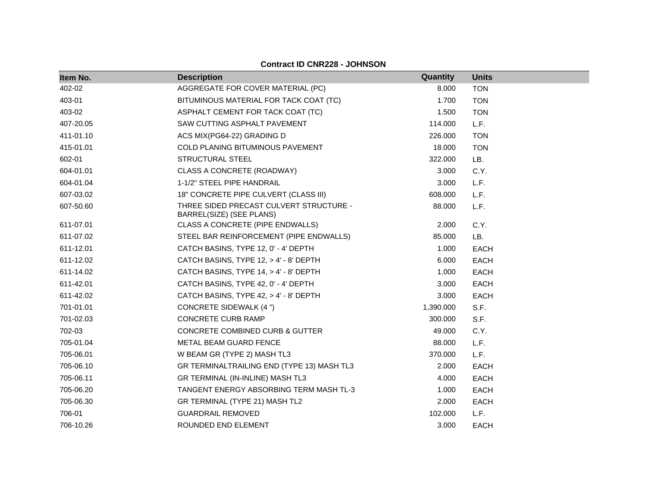| Item No.  | <b>Description</b>                                                  | Quantity  | <b>Units</b> |
|-----------|---------------------------------------------------------------------|-----------|--------------|
| 402-02    | AGGREGATE FOR COVER MATERIAL (PC)                                   | 8.000     | <b>TON</b>   |
| 403-01    | BITUMINOUS MATERIAL FOR TACK COAT (TC)                              | 1.700     | <b>TON</b>   |
| 403-02    | ASPHALT CEMENT FOR TACK COAT (TC)                                   | 1.500     | <b>TON</b>   |
| 407-20.05 | SAW CUTTING ASPHALT PAVEMENT                                        | 114.000   | L.F.         |
| 411-01.10 | ACS MIX(PG64-22) GRADING D                                          | 226.000   | <b>TON</b>   |
| 415-01.01 | COLD PLANING BITUMINOUS PAVEMENT                                    | 18.000    | <b>TON</b>   |
|           |                                                                     |           |              |
| 602-01    | <b>STRUCTURAL STEEL</b>                                             | 322.000   | LB.          |
| 604-01.01 | CLASS A CONCRETE (ROADWAY)                                          | 3.000     | C.Y.         |
| 604-01.04 | 1-1/2" STEEL PIPE HANDRAIL                                          | 3.000     | L.F.         |
| 607-03.02 | 18" CONCRETE PIPE CULVERT (CLASS III)                               | 608,000   | L.F.         |
| 607-50.60 | THREE SIDED PRECAST CULVERT STRUCTURE -<br>BARREL(SIZE) (SEE PLANS) | 88.000    | L.F.         |
| 611-07.01 | CLASS A CONCRETE (PIPE ENDWALLS)                                    | 2.000     | C.Y.         |
| 611-07.02 | STEEL BAR REINFORCEMENT (PIPE ENDWALLS)                             | 85.000    | LB.          |
| 611-12.01 | CATCH BASINS, TYPE 12, 0' - 4' DEPTH                                | 1.000     | <b>EACH</b>  |
| 611-12.02 | CATCH BASINS, TYPE 12, > 4' - 8' DEPTH                              | 6.000     | <b>EACH</b>  |
| 611-14.02 | CATCH BASINS, TYPE 14, > 4' - 8' DEPTH                              | 1.000     | <b>EACH</b>  |
| 611-42.01 | CATCH BASINS, TYPE 42, 0' - 4' DEPTH                                | 3.000     | <b>EACH</b>  |
| 611-42.02 | CATCH BASINS, TYPE 42, > 4' - 8' DEPTH                              | 3.000     | <b>EACH</b>  |
| 701-01.01 | <b>CONCRETE SIDEWALK (4 ")</b>                                      | 1,390.000 | S.F.         |
| 701-02.03 | <b>CONCRETE CURB RAMP</b>                                           | 300.000   | S.F.         |
| 702-03    | CONCRETE COMBINED CURB & GUTTER                                     | 49.000    | C.Y.         |
| 705-01.04 | <b>METAL BEAM GUARD FENCE</b>                                       | 88.000    | L.F.         |
| 705-06.01 | W BEAM GR (TYPE 2) MASH TL3                                         | 370.000   | L.F.         |
| 705-06.10 | GR TERMINALTRAILING END (TYPE 13) MASH TL3                          | 2.000     | EACH         |
| 705-06.11 | GR TERMINAL (IN-INLINE) MASH TL3                                    | 4.000     | <b>EACH</b>  |
| 705-06.20 | TANGENT ENERGY ABSORBING TERM MASH TL-3                             | 1.000     | EACH         |
| 705-06.30 | GR TERMINAL (TYPE 21) MASH TL2                                      | 2.000     | <b>EACH</b>  |
| 706-01    | <b>GUARDRAIL REMOVED</b>                                            | 102.000   | L.F.         |
| 706-10.26 | ROUNDED END ELEMENT                                                 | 3.000     | <b>EACH</b>  |

**Contract ID CNR228 - JOHNSON**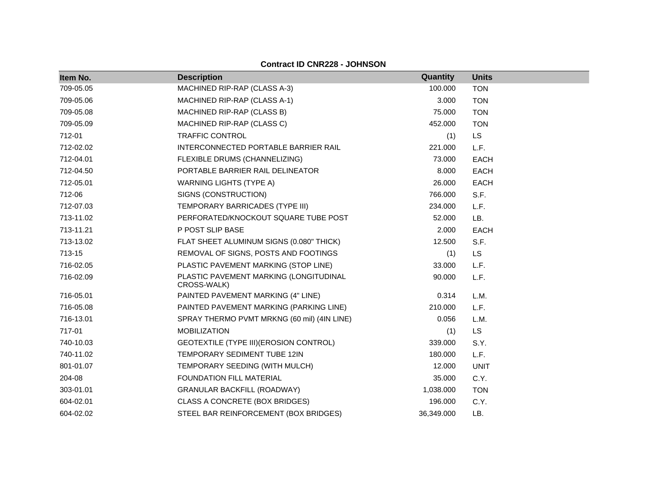| Item No.  | <b>Description</b>                                    | Quantity   | <b>Units</b> |
|-----------|-------------------------------------------------------|------------|--------------|
| 709-05.05 | MACHINED RIP-RAP (CLASS A-3)                          | 100.000    | <b>TON</b>   |
| 709-05.06 | MACHINED RIP-RAP (CLASS A-1)                          | 3.000      | <b>TON</b>   |
| 709-05.08 | MACHINED RIP-RAP (CLASS B)                            | 75.000     | <b>TON</b>   |
| 709-05.09 | MACHINED RIP-RAP (CLASS C)                            | 452.000    | <b>TON</b>   |
| 712-01    | <b>TRAFFIC CONTROL</b>                                | (1)        | <b>LS</b>    |
| 712-02.02 | INTERCONNECTED PORTABLE BARRIER RAIL                  | 221.000    | L.F.         |
| 712-04.01 | FLEXIBLE DRUMS (CHANNELIZING)                         | 73.000     | <b>EACH</b>  |
| 712-04.50 | PORTABLE BARRIER RAIL DELINEATOR                      | 8.000      | <b>EACH</b>  |
| 712-05.01 | <b>WARNING LIGHTS (TYPE A)</b>                        | 26.000     | <b>EACH</b>  |
| 712-06    | SIGNS (CONSTRUCTION)                                  | 766.000    | S.F.         |
| 712-07.03 | TEMPORARY BARRICADES (TYPE III)                       | 234.000    | L.F.         |
| 713-11.02 | PERFORATED/KNOCKOUT SQUARE TUBE POST                  | 52.000     | LB.          |
| 713-11.21 | P POST SLIP BASE                                      | 2.000      | <b>EACH</b>  |
| 713-13.02 | FLAT SHEET ALUMINUM SIGNS (0.080" THICK)              | 12.500     | S.F.         |
| 713-15    | REMOVAL OF SIGNS, POSTS AND FOOTINGS                  | (1)        | LS           |
| 716-02.05 | PLASTIC PAVEMENT MARKING (STOP LINE)                  | 33.000     | L.F.         |
| 716-02.09 | PLASTIC PAVEMENT MARKING (LONGITUDINAL<br>CROSS-WALK) | 90.000     | L.F.         |
| 716-05.01 | PAINTED PAVEMENT MARKING (4" LINE)                    | 0.314      | L.M.         |
| 716-05.08 | PAINTED PAVEMENT MARKING (PARKING LINE)               | 210.000    | L.F.         |
| 716-13.01 | SPRAY THERMO PVMT MRKNG (60 mil) (4IN LINE)           | 0.056      | L.M.         |
| 717-01    | <b>MOBILIZATION</b>                                   | (1)        | LS           |
| 740-10.03 | GEOTEXTILE (TYPE III) (EROSION CONTROL)               | 339.000    | S.Y.         |
| 740-11.02 | TEMPORARY SEDIMENT TUBE 12IN                          | 180.000    | L.F.         |
| 801-01.07 | TEMPORARY SEEDING (WITH MULCH)                        | 12.000     | <b>UNIT</b>  |
| 204-08    | FOUNDATION FILL MATERIAL                              | 35.000     | C.Y.         |
| 303-01.01 | <b>GRANULAR BACKFILL (ROADWAY)</b>                    | 1,038.000  | <b>TON</b>   |
| 604-02.01 | CLASS A CONCRETE (BOX BRIDGES)                        | 196.000    | C.Y.         |
| 604-02.02 | STEEL BAR REINFORCEMENT (BOX BRIDGES)                 | 36,349.000 | LB.          |

**Contract ID CNR228 - JOHNSON**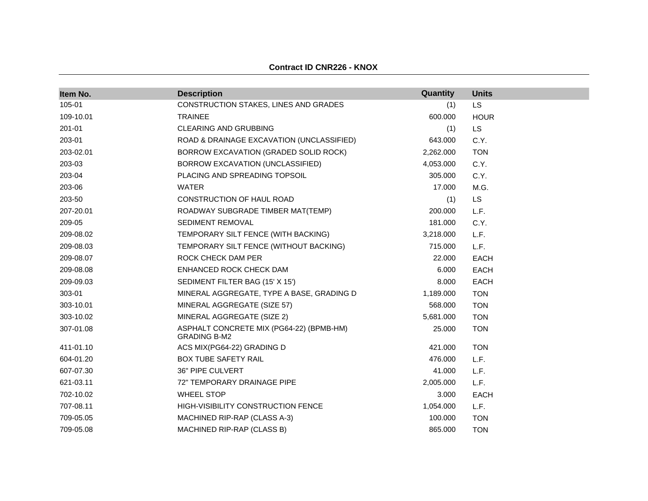| Item No.  | <b>Description</b>                                              | Quantity  | <b>Units</b> |
|-----------|-----------------------------------------------------------------|-----------|--------------|
| 105-01    | CONSTRUCTION STAKES, LINES AND GRADES                           | (1)       | LS           |
| 109-10.01 | <b>TRAINEE</b>                                                  | 600.000   | <b>HOUR</b>  |
| 201-01    | <b>CLEARING AND GRUBBING</b>                                    | (1)       | <b>LS</b>    |
| 203-01    | ROAD & DRAINAGE EXCAVATION (UNCLASSIFIED)                       | 643.000   | C.Y.         |
| 203-02.01 | BORROW EXCAVATION (GRADED SOLID ROCK)                           | 2,262.000 | <b>TON</b>   |
| 203-03    | BORROW EXCAVATION (UNCLASSIFIED)                                | 4,053.000 | C.Y.         |
| 203-04    | PLACING AND SPREADING TOPSOIL                                   | 305.000   | C.Y.         |
| 203-06    | <b>WATER</b>                                                    | 17.000    | M.G.         |
| 203-50    | CONSTRUCTION OF HAUL ROAD                                       | (1)       | <b>LS</b>    |
| 207-20.01 | ROADWAY SUBGRADE TIMBER MAT(TEMP)                               | 200.000   | L.F.         |
| 209-05    | <b>SEDIMENT REMOVAL</b>                                         | 181.000   | C.Y.         |
| 209-08.02 | TEMPORARY SILT FENCE (WITH BACKING)                             | 3,218.000 | L.F.         |
| 209-08.03 | TEMPORARY SILT FENCE (WITHOUT BACKING)                          | 715.000   | L.F.         |
| 209-08.07 | ROCK CHECK DAM PER                                              | 22,000    | <b>EACH</b>  |
| 209-08.08 | ENHANCED ROCK CHECK DAM                                         | 6.000     | EACH         |
| 209-09.03 | SEDIMENT FILTER BAG (15' X 15')                                 | 8.000     | EACH         |
| 303-01    | MINERAL AGGREGATE, TYPE A BASE, GRADING D                       | 1,189.000 | <b>TON</b>   |
| 303-10.01 | MINERAL AGGREGATE (SIZE 57)                                     | 568.000   | <b>TON</b>   |
| 303-10.02 | MINERAL AGGREGATE (SIZE 2)                                      | 5,681.000 | <b>TON</b>   |
| 307-01.08 | ASPHALT CONCRETE MIX (PG64-22) (BPMB-HM)<br><b>GRADING B-M2</b> | 25.000    | <b>TON</b>   |
| 411-01.10 | ACS MIX(PG64-22) GRADING D                                      | 421.000   | <b>TON</b>   |
| 604-01.20 | <b>BOX TUBE SAFETY RAIL</b>                                     | 476.000   | L.F.         |
| 607-07.30 | 36" PIPE CULVERT                                                | 41.000    | L.F.         |
| 621-03.11 | 72" TEMPORARY DRAINAGE PIPE                                     | 2,005.000 | L.F.         |
| 702-10.02 | <b>WHEEL STOP</b>                                               | 3.000     | <b>EACH</b>  |
| 707-08.11 | <b>HIGH-VISIBILITY CONSTRUCTION FENCE</b>                       | 1,054.000 | L.F.         |
| 709-05.05 | MACHINED RIP-RAP (CLASS A-3)                                    | 100.000   | <b>TON</b>   |
| 709-05.08 | MACHINED RIP-RAP (CLASS B)                                      | 865,000   | <b>TON</b>   |

#### **Contract ID CNR226 - KNOX**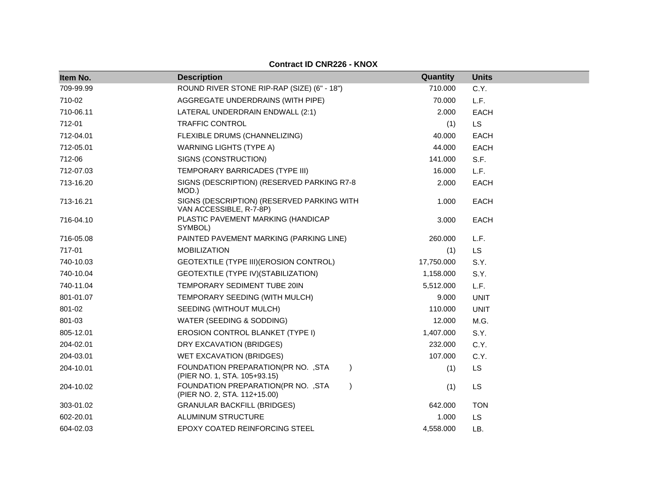| Item No.  | <b>Description</b>                                                               | Quantity   | <b>Units</b> |
|-----------|----------------------------------------------------------------------------------|------------|--------------|
| 709-99.99 | ROUND RIVER STONE RIP-RAP (SIZE) (6" - 18")                                      | 710.000    | C.Y.         |
| 710-02    | AGGREGATE UNDERDRAINS (WITH PIPE)                                                | 70.000     | L.F.         |
| 710-06.11 | LATERAL UNDERDRAIN ENDWALL (2:1)                                                 | 2.000      | <b>EACH</b>  |
| 712-01    | <b>TRAFFIC CONTROL</b>                                                           | (1)        | <b>LS</b>    |
| 712-04.01 | FLEXIBLE DRUMS (CHANNELIZING)                                                    | 40.000     | <b>EACH</b>  |
| 712-05.01 | <b>WARNING LIGHTS (TYPE A)</b>                                                   | 44.000     | <b>EACH</b>  |
| 712-06    | SIGNS (CONSTRUCTION)                                                             | 141.000    | S.F.         |
| 712-07.03 | TEMPORARY BARRICADES (TYPE III)                                                  | 16.000     | L.F.         |
| 713-16.20 | SIGNS (DESCRIPTION) (RESERVED PARKING R7-8<br>MOD.)                              | 2.000      | <b>EACH</b>  |
| 713-16.21 | SIGNS (DESCRIPTION) (RESERVED PARKING WITH<br>VAN ACCESSIBLE, R-7-8P)            | 1.000      | <b>EACH</b>  |
| 716-04.10 | PLASTIC PAVEMENT MARKING (HANDICAP<br>SYMBOL)                                    | 3.000      | <b>EACH</b>  |
| 716-05.08 | PAINTED PAVEMENT MARKING (PARKING LINE)                                          | 260.000    | L.F.         |
| 717-01    | <b>MOBILIZATION</b>                                                              | (1)        | <b>LS</b>    |
| 740-10.03 | GEOTEXTILE (TYPE III) (EROSION CONTROL)                                          | 17,750.000 | S.Y.         |
| 740-10.04 | GEOTEXTILE (TYPE IV) (STABILIZATION)                                             | 1,158.000  | S.Y.         |
| 740-11.04 | TEMPORARY SEDIMENT TUBE 20IN                                                     | 5,512.000  | L.F.         |
| 801-01.07 | TEMPORARY SEEDING (WITH MULCH)                                                   | 9.000      | <b>UNIT</b>  |
| 801-02    | SEEDING (WITHOUT MULCH)                                                          | 110.000    | <b>UNIT</b>  |
| 801-03    | WATER (SEEDING & SODDING)                                                        | 12.000     | M.G.         |
| 805-12.01 | EROSION CONTROL BLANKET (TYPE I)                                                 | 1,407.000  | S.Y.         |
| 204-02.01 | DRY EXCAVATION (BRIDGES)                                                         | 232.000    | C.Y.         |
| 204-03.01 | WET EXCAVATION (BRIDGES)                                                         | 107.000    | C.Y.         |
| 204-10.01 | FOUNDATION PREPARATION(PR NO. , STA<br>$\lambda$<br>(PIER NO. 1, STA. 105+93.15) | (1)        | <b>LS</b>    |
| 204-10.02 | FOUNDATION PREPARATION(PR NO. , STA<br>$\lambda$<br>(PIER NO. 2, STA. 112+15.00) | (1)        | LS           |
| 303-01.02 | <b>GRANULAR BACKFILL (BRIDGES)</b>                                               | 642.000    | <b>TON</b>   |
| 602-20.01 | ALUMINUM STRUCTURE                                                               | 1.000      | LS           |
| 604-02.03 | EPOXY COATED REINFORCING STEEL                                                   | 4,558.000  | LB.          |

**Contract ID CNR226 - KNOX**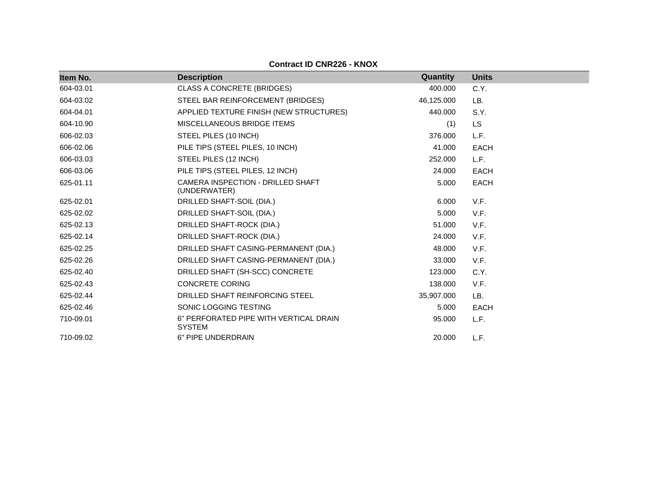| Item No.  | <b>Description</b>                                      | Quantity   | <b>Units</b> |
|-----------|---------------------------------------------------------|------------|--------------|
| 604-03.01 | CLASS A CONCRETE (BRIDGES)                              | 400.000    | C.Y.         |
| 604-03.02 | STEEL BAR REINFORCEMENT (BRIDGES)                       | 46,125.000 | LB.          |
| 604-04.01 | APPLIED TEXTURE FINISH (NEW STRUCTURES)                 | 440.000    | S.Y.         |
| 604-10.90 | MISCELLANEOUS BRIDGE ITEMS                              | (1)        | <b>LS</b>    |
| 606-02.03 | STEEL PILES (10 INCH)                                   | 376.000    | L.F.         |
| 606-02.06 | PILE TIPS (STEEL PILES, 10 INCH)                        | 41.000     | <b>EACH</b>  |
| 606-03.03 | STEEL PILES (12 INCH)                                   | 252.000    | L.F.         |
| 606-03.06 | PILE TIPS (STEEL PILES, 12 INCH)                        | 24.000     | <b>EACH</b>  |
| 625-01.11 | CAMERA INSPECTION - DRILLED SHAFT<br>(UNDERWATER)       | 5.000      | <b>EACH</b>  |
| 625-02.01 | DRILLED SHAFT-SOIL (DIA.)                               | 6.000      | V.F.         |
| 625-02.02 | DRILLED SHAFT-SOIL (DIA.)                               | 5.000      | V.F.         |
| 625-02.13 | DRILLED SHAFT-ROCK (DIA.)                               | 51.000     | V.F.         |
| 625-02.14 | DRILLED SHAFT-ROCK (DIA.)                               | 24.000     | V.F.         |
| 625-02.25 | DRILLED SHAFT CASING-PERMANENT (DIA.)                   | 48.000     | V.F.         |
| 625-02.26 | DRILLED SHAFT CASING-PERMANENT (DIA.)                   | 33.000     | V.F.         |
| 625-02.40 | DRILLED SHAFT (SH-SCC) CONCRETE                         | 123.000    | C.Y.         |
| 625-02.43 | <b>CONCRETE CORING</b>                                  | 138.000    | V.F.         |
| 625-02.44 | DRILLED SHAFT REINFORCING STEEL                         | 35,907.000 | LB.          |
| 625-02.46 | SONIC LOGGING TESTING                                   | 5.000      | <b>EACH</b>  |
| 710-09.01 | 6" PERFORATED PIPE WITH VERTICAL DRAIN<br><b>SYSTEM</b> | 95.000     | L.F.         |
| 710-09.02 | 6" PIPE UNDERDRAIN                                      | 20.000     | L.F.         |

**Contract ID CNR226 - KNOX**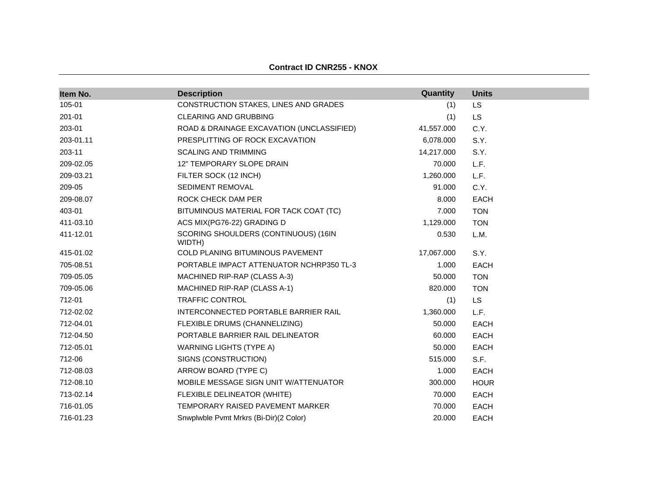| Item No.  | <b>Description</b>                             | Quantity   | <b>Units</b> |
|-----------|------------------------------------------------|------------|--------------|
| 105-01    | CONSTRUCTION STAKES, LINES AND GRADES          | (1)        | <b>LS</b>    |
| 201-01    | CLEARING AND GRUBBING                          | (1)        | LS.          |
| 203-01    | ROAD & DRAINAGE EXCAVATION (UNCLASSIFIED)      | 41,557.000 | C.Y.         |
| 203-01.11 | PRESPLITTING OF ROCK EXCAVATION                | 6,078.000  | S.Y.         |
| 203-11    | <b>SCALING AND TRIMMING</b>                    | 14,217.000 | S.Y.         |
| 209-02.05 | 12" TEMPORARY SLOPE DRAIN                      | 70.000     | L.F.         |
| 209-03.21 | FILTER SOCK (12 INCH)                          | 1,260.000  | L.F.         |
| 209-05    | <b>SEDIMENT REMOVAL</b>                        | 91.000     | C.Y.         |
| 209-08.07 | ROCK CHECK DAM PER                             | 8.000      | EACH         |
| 403-01    | BITUMINOUS MATERIAL FOR TACK COAT (TC)         | 7.000      | <b>TON</b>   |
| 411-03.10 | ACS MIX(PG76-22) GRADING D                     | 1,129.000  | <b>TON</b>   |
| 411-12.01 | SCORING SHOULDERS (CONTINUOUS) (16IN<br>WIDTH) | 0.530      | L.M.         |
| 415-01.02 | COLD PLANING BITUMINOUS PAVEMENT               | 17,067.000 | S.Y.         |
| 705-08.51 | PORTABLE IMPACT ATTENUATOR NCHRP350 TL-3       | 1.000      | <b>EACH</b>  |
| 709-05.05 | MACHINED RIP-RAP (CLASS A-3)                   | 50.000     | <b>TON</b>   |
| 709-05.06 | MACHINED RIP-RAP (CLASS A-1)                   | 820.000    | <b>TON</b>   |
| 712-01    | <b>TRAFFIC CONTROL</b>                         | (1)        | LS.          |
| 712-02.02 | INTERCONNECTED PORTABLE BARRIER RAIL           | 1,360.000  | L.F.         |
| 712-04.01 | FLEXIBLE DRUMS (CHANNELIZING)                  | 50.000     | <b>EACH</b>  |
| 712-04.50 | PORTABLE BARRIER RAIL DELINEATOR               | 60.000     | EACH         |
| 712-05.01 | <b>WARNING LIGHTS (TYPE A)</b>                 | 50.000     | <b>EACH</b>  |
| 712-06    | SIGNS (CONSTRUCTION)                           | 515.000    | S.F.         |
| 712-08.03 | ARROW BOARD (TYPE C)                           | 1.000      | EACH         |
| 712-08.10 | MOBILE MESSAGE SIGN UNIT W/ATTENUATOR          | 300.000    | <b>HOUR</b>  |
| 713-02.14 | FLEXIBLE DELINEATOR (WHITE)                    | 70.000     | <b>EACH</b>  |
| 716-01.05 | TEMPORARY RAISED PAVEMENT MARKER               | 70.000     | <b>EACH</b>  |
| 716-01.23 | Snwplwble Pvmt Mrkrs (Bi-Dir)(2 Color)         | 20.000     | <b>EACH</b>  |

#### **Contract ID CNR255 - KNOX**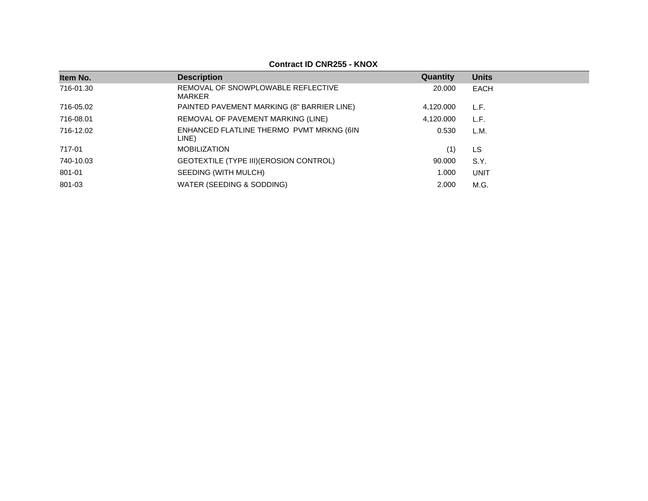| Item No.  | <b>Description</b>                                | Quantity  | <b>Units</b> |
|-----------|---------------------------------------------------|-----------|--------------|
| 716-01.30 | REMOVAL OF SNOWPLOWABLE REFLECTIVE<br>MARKER      | 20,000    | EACH         |
| 716-05.02 | PAINTED PAVEMENT MARKING (8" BARRIER LINE)        | 4,120.000 | L.F.         |
| 716-08.01 | REMOVAL OF PAVEMENT MARKING (LINE)                | 4.120.000 | L.F.         |
| 716-12.02 | ENHANCED FLATLINE THERMO PVMT MRKNG (6IN<br>LINE) | 0.530     | L.M.         |
| 717-01    | <b>MOBILIZATION</b>                               | (1)       | LS           |
| 740-10.03 | GEOTEXTILE (TYPE III) (EROSION CONTROL)           | 90.000    | S.Y.         |
| 801-01    | SEEDING (WITH MULCH)                              | 1.000     | <b>UNIT</b>  |
| 801-03    | WATER (SEEDING & SODDING)                         | 2.000     | M.G.         |
|           |                                                   |           |              |

### **Contract ID CNR255 - KNOX**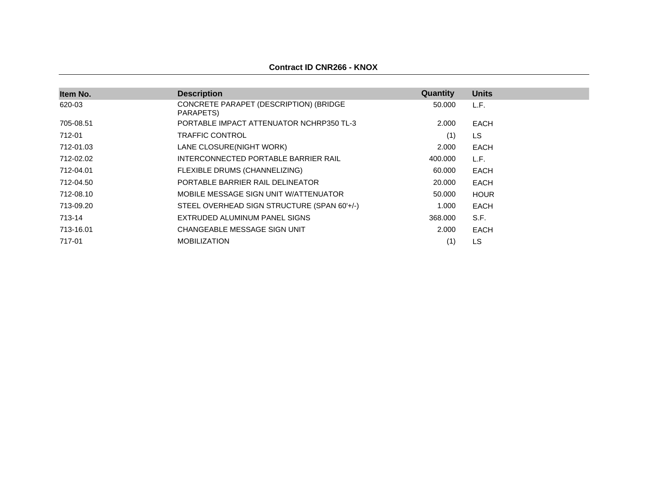| Item No.  | <b>Description</b>                                  | Quantity | <b>Units</b> |
|-----------|-----------------------------------------------------|----------|--------------|
| 620-03    | CONCRETE PARAPET (DESCRIPTION) (BRIDGE<br>PARAPETS) | 50.000   | L.F.         |
| 705-08.51 | PORTABLE IMPACT ATTENUATOR NCHRP350 TL-3            | 2.000    | EACH         |
| 712-01    | TRAFFIC CONTROL                                     | (1)      | LS           |
| 712-01.03 | LANE CLOSURE(NIGHT WORK)                            | 2.000    | EACH         |
| 712-02.02 | INTERCONNECTED PORTABLE BARRIER RAIL                | 400.000  | L.F.         |
| 712-04.01 | FLEXIBLE DRUMS (CHANNELIZING)                       | 60.000   | <b>EACH</b>  |
| 712-04.50 | PORTABLE BARRIER RAIL DELINEATOR                    | 20,000   | EACH         |
| 712-08.10 | MOBILE MESSAGE SIGN UNIT W/ATTENUATOR               | 50.000   | <b>HOUR</b>  |
| 713-09.20 | STEEL OVERHEAD SIGN STRUCTURE (SPAN 60'+/-)         | 1.000    | EACH         |
| 713-14    | EXTRUDED ALUMINUM PANEL SIGNS                       | 368,000  | S.F.         |
| 713-16.01 | CHANGEABLE MESSAGE SIGN UNIT                        | 2.000    | EACH         |
| 717-01    | <b>MOBILIZATION</b>                                 | (1)      | LS           |

# **Contract ID CNR266 - KNOX**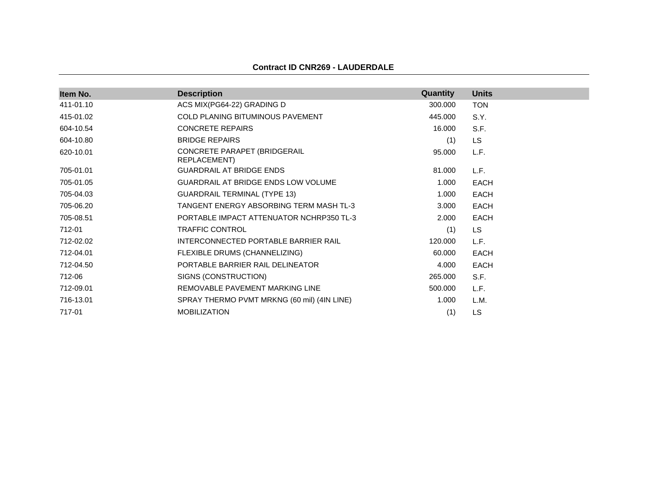#### **Contract ID CNR269 - LAUDERDALE**

| Item No.  | <b>Description</b>                           | Quantity | <b>Units</b> |
|-----------|----------------------------------------------|----------|--------------|
| 411-01.10 | ACS MIX(PG64-22) GRADING D                   | 300.000  | <b>TON</b>   |
| 415-01.02 | COLD PLANING BITUMINOUS PAVEMENT             | 445.000  | S.Y.         |
| 604-10.54 | <b>CONCRETE REPAIRS</b>                      | 16.000   | S.F.         |
| 604-10.80 | <b>BRIDGE REPAIRS</b>                        | (1)      | <b>LS</b>    |
| 620-10.01 | CONCRETE PARAPET (BRIDGERAIL<br>REPLACEMENT) | 95.000   | L.F.         |
| 705-01.01 | <b>GUARDRAIL AT BRIDGE ENDS</b>              | 81.000   | L.F.         |
| 705-01.05 | GUARDRAIL AT BRIDGE ENDS LOW VOLUME          | 1.000    | <b>EACH</b>  |
| 705-04.03 | <b>GUARDRAIL TERMINAL (TYPE 13)</b>          | 1.000    | <b>EACH</b>  |
| 705-06.20 | TANGENT ENERGY ABSORBING TERM MASH TL-3      | 3.000    | <b>EACH</b>  |
| 705-08.51 | PORTABLE IMPACT ATTENUATOR NCHRP350 TL-3     | 2.000    | <b>EACH</b>  |
| 712-01    | <b>TRAFFIC CONTROL</b>                       | (1)      | <b>LS</b>    |
| 712-02.02 | INTERCONNECTED PORTABLE BARRIER RAIL         | 120.000  | L.F.         |
| 712-04.01 | FLEXIBLE DRUMS (CHANNELIZING)                | 60.000   | <b>EACH</b>  |
| 712-04.50 | PORTABLE BARRIER RAIL DELINEATOR             | 4.000    | EACH         |
| 712-06    | SIGNS (CONSTRUCTION)                         | 265.000  | S.F.         |
| 712-09.01 | REMOVABLE PAVEMENT MARKING LINE              | 500.000  | L.F.         |
| 716-13.01 | SPRAY THERMO PVMT MRKNG (60 mil) (4IN LINE)  | 1.000    | L.M.         |
| 717-01    | <b>MOBILIZATION</b>                          | (1)      | LS           |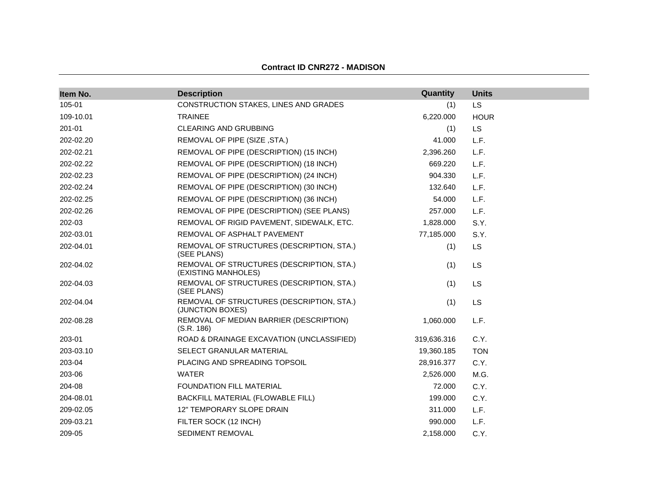| Item No.  | <b>Description</b>                                               | Quantity    | <b>Units</b> |
|-----------|------------------------------------------------------------------|-------------|--------------|
| 105-01    | CONSTRUCTION STAKES, LINES AND GRADES                            | (1)         | LS           |
| 109-10.01 | <b>TRAINEE</b>                                                   | 6,220.000   | <b>HOUR</b>  |
| 201-01    | CLEARING AND GRUBBING                                            | (1)         | <b>LS</b>    |
| 202-02.20 | REMOVAL OF PIPE (SIZE, STA.)                                     | 41.000      | L.F.         |
| 202-02.21 | REMOVAL OF PIPE (DESCRIPTION) (15 INCH)                          | 2,396.260   | L.F.         |
| 202-02.22 | REMOVAL OF PIPE (DESCRIPTION) (18 INCH)                          | 669.220     | L.F.         |
| 202-02.23 | REMOVAL OF PIPE (DESCRIPTION) (24 INCH)                          | 904.330     | L.F.         |
| 202-02.24 | REMOVAL OF PIPE (DESCRIPTION) (30 INCH)                          | 132.640     | L.F.         |
| 202-02.25 | REMOVAL OF PIPE (DESCRIPTION) (36 INCH)                          | 54.000      | L.F.         |
| 202-02.26 | REMOVAL OF PIPE (DESCRIPTION) (SEE PLANS)                        | 257.000     | L.F.         |
| 202-03    | REMOVAL OF RIGID PAVEMENT, SIDEWALK, ETC.                        | 1,828.000   | S.Y.         |
| 202-03.01 | REMOVAL OF ASPHALT PAVEMENT                                      | 77,185.000  | S.Y.         |
| 202-04.01 | REMOVAL OF STRUCTURES (DESCRIPTION, STA.)<br>(SEE PLANS)         | (1)         | LS           |
| 202-04.02 | REMOVAL OF STRUCTURES (DESCRIPTION, STA.)<br>(EXISTING MANHOLES) | (1)         | LS           |
| 202-04.03 | REMOVAL OF STRUCTURES (DESCRIPTION, STA.)<br>(SEE PLANS)         | (1)         | LS           |
| 202-04.04 | REMOVAL OF STRUCTURES (DESCRIPTION, STA.)<br>(JUNCTION BOXES)    | (1)         | LS           |
| 202-08.28 | REMOVAL OF MEDIAN BARRIER (DESCRIPTION)<br>(S.R. 186)            | 1,060.000   | L.F.         |
| 203-01    | ROAD & DRAINAGE EXCAVATION (UNCLASSIFIED)                        | 319,636.316 | C.Y.         |
| 203-03.10 | SELECT GRANULAR MATERIAL                                         | 19,360.185  | <b>TON</b>   |
| 203-04    | PLACING AND SPREADING TOPSOIL                                    | 28,916.377  | C.Y.         |
| 203-06    | <b>WATER</b>                                                     | 2,526.000   | M.G.         |
| 204-08    | <b>FOUNDATION FILL MATERIAL</b>                                  | 72.000      | C.Y.         |
| 204-08.01 | BACKFILL MATERIAL (FLOWABLE FILL)                                | 199.000     | C.Y.         |
| 209-02.05 | <b>12" TEMPORARY SLOPE DRAIN</b>                                 | 311.000     | L.F.         |
| 209-03.21 | FILTER SOCK (12 INCH)                                            | 990.000     | L.F.         |
| 209-05    | SEDIMENT REMOVAL                                                 | 2,158.000   | C.Y.         |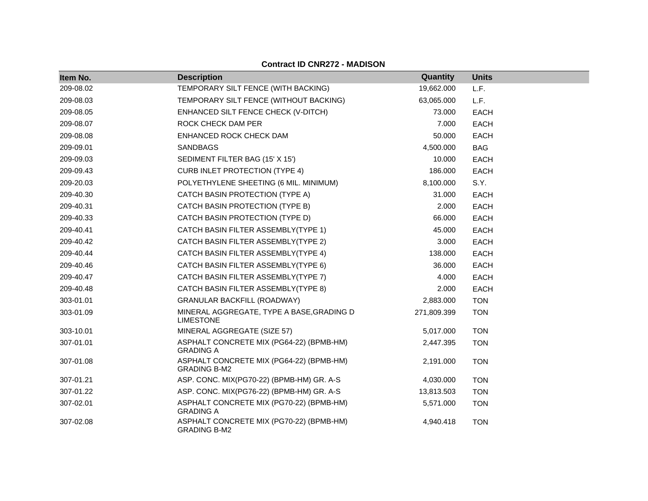| Item No.  | <b>Description</b>                                              | Quantity    | <b>Units</b> |
|-----------|-----------------------------------------------------------------|-------------|--------------|
| 209-08.02 | TEMPORARY SILT FENCE (WITH BACKING)                             | 19,662.000  | L.F.         |
| 209-08.03 | TEMPORARY SILT FENCE (WITHOUT BACKING)                          | 63,065.000  | L.F.         |
| 209-08.05 | ENHANCED SILT FENCE CHECK (V-DITCH)                             | 73.000      | <b>EACH</b>  |
| 209-08.07 | ROCK CHECK DAM PER                                              | 7.000       | <b>EACH</b>  |
| 209-08.08 | ENHANCED ROCK CHECK DAM                                         | 50.000      | EACH         |
| 209-09.01 | SANDBAGS                                                        | 4,500.000   | <b>BAG</b>   |
| 209-09.03 | SEDIMENT FILTER BAG (15' X 15')                                 | 10.000      | <b>EACH</b>  |
| 209-09.43 | <b>CURB INLET PROTECTION (TYPE 4)</b>                           | 186.000     | <b>EACH</b>  |
| 209-20.03 | POLYETHYLENE SHEETING (6 MIL. MINIMUM)                          | 8,100.000   | S.Y.         |
| 209-40.30 | CATCH BASIN PROTECTION (TYPE A)                                 | 31.000      | EACH         |
| 209-40.31 | CATCH BASIN PROTECTION (TYPE B)                                 | 2.000       | <b>EACH</b>  |
| 209-40.33 | CATCH BASIN PROTECTION (TYPE D)                                 | 66.000      | <b>EACH</b>  |
| 209-40.41 | CATCH BASIN FILTER ASSEMBLY(TYPE 1)                             | 45.000      | <b>EACH</b>  |
| 209-40.42 | CATCH BASIN FILTER ASSEMBLY(TYPE 2)                             | 3.000       | EACH         |
| 209-40.44 | CATCH BASIN FILTER ASSEMBLY(TYPE 4)                             | 138.000     | EACH         |
| 209-40.46 | CATCH BASIN FILTER ASSEMBLY(TYPE 6)                             | 36,000      | <b>EACH</b>  |
| 209-40.47 | CATCH BASIN FILTER ASSEMBLY(TYPE 7)                             | 4.000       | EACH         |
| 209-40.48 | CATCH BASIN FILTER ASSEMBLY(TYPE 8)                             | 2.000       | EACH         |
| 303-01.01 | <b>GRANULAR BACKFILL (ROADWAY)</b>                              | 2,883.000   | <b>TON</b>   |
| 303-01.09 | MINERAL AGGREGATE, TYPE A BASE, GRADING D<br><b>LIMESTONE</b>   | 271,809.399 | <b>TON</b>   |
| 303-10.01 | MINERAL AGGREGATE (SIZE 57)                                     | 5,017.000   | <b>TON</b>   |
| 307-01.01 | ASPHALT CONCRETE MIX (PG64-22) (BPMB-HM)<br><b>GRADING A</b>    | 2,447.395   | <b>TON</b>   |
| 307-01.08 | ASPHALT CONCRETE MIX (PG64-22) (BPMB-HM)<br><b>GRADING B-M2</b> | 2,191.000   | <b>TON</b>   |
| 307-01.21 | ASP. CONC. MIX(PG70-22) (BPMB-HM) GR. A-S                       | 4,030.000   | <b>TON</b>   |
| 307-01.22 | ASP. CONC. MIX(PG76-22) (BPMB-HM) GR. A-S                       | 13,813.503  | <b>TON</b>   |
| 307-02.01 | ASPHALT CONCRETE MIX (PG70-22) (BPMB-HM)<br><b>GRADING A</b>    | 5,571.000   | <b>TON</b>   |
| 307-02.08 | ASPHALT CONCRETE MIX (PG70-22) (BPMB-HM)<br><b>GRADING B-M2</b> | 4,940.418   | <b>TON</b>   |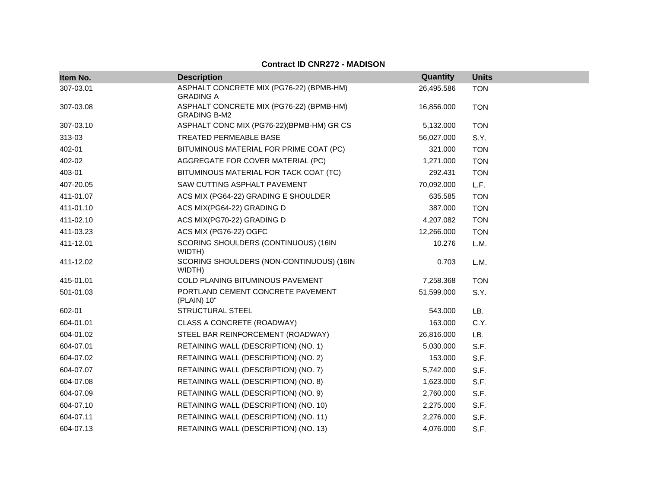| Item No.  | <b>Description</b>                                              | Quantity   | <b>Units</b> |  |
|-----------|-----------------------------------------------------------------|------------|--------------|--|
| 307-03.01 | ASPHALT CONCRETE MIX (PG76-22) (BPMB-HM)<br><b>GRADING A</b>    | 26,495.586 | <b>TON</b>   |  |
| 307-03.08 | ASPHALT CONCRETE MIX (PG76-22) (BPMB-HM)<br><b>GRADING B-M2</b> | 16,856.000 | <b>TON</b>   |  |
| 307-03.10 | ASPHALT CONC MIX (PG76-22)(BPMB-HM) GR CS                       | 5,132.000  | <b>TON</b>   |  |
| 313-03    | TREATED PERMEABLE BASE                                          | 56,027.000 | S.Y.         |  |
| 402-01    | BITUMINOUS MATERIAL FOR PRIME COAT (PC)                         | 321.000    | <b>TON</b>   |  |
| 402-02    | AGGREGATE FOR COVER MATERIAL (PC)                               | 1,271.000  | <b>TON</b>   |  |
| 403-01    | BITUMINOUS MATERIAL FOR TACK COAT (TC)                          | 292.431    | <b>TON</b>   |  |
| 407-20.05 | SAW CUTTING ASPHALT PAVEMENT                                    | 70,092.000 | L.F.         |  |
| 411-01.07 | ACS MIX (PG64-22) GRADING E SHOULDER                            | 635.585    | <b>TON</b>   |  |
| 411-01.10 | ACS MIX(PG64-22) GRADING D                                      | 387.000    | <b>TON</b>   |  |
| 411-02.10 | ACS MIX(PG70-22) GRADING D                                      | 4,207.082  | <b>TON</b>   |  |
| 411-03.23 | ACS MIX (PG76-22) OGFC                                          | 12,266.000 | <b>TON</b>   |  |
| 411-12.01 | SCORING SHOULDERS (CONTINUOUS) (16IN<br>WIDTH)                  | 10.276     | L.M.         |  |
| 411-12.02 | SCORING SHOULDERS (NON-CONTINUOUS) (16IN<br>WIDTH)              | 0.703      | L.M.         |  |
| 415-01.01 | COLD PLANING BITUMINOUS PAVEMENT                                | 7,258.368  | <b>TON</b>   |  |
| 501-01.03 | PORTLAND CEMENT CONCRETE PAVEMENT<br>(PLAIN) 10"                | 51,599.000 | S.Y.         |  |
| 602-01    | <b>STRUCTURAL STEEL</b>                                         | 543.000    | LB.          |  |
| 604-01.01 | CLASS A CONCRETE (ROADWAY)                                      | 163.000    | C.Y.         |  |
| 604-01.02 | STEEL BAR REINFORCEMENT (ROADWAY)                               | 26,816.000 | LB.          |  |
| 604-07.01 | RETAINING WALL (DESCRIPTION) (NO. 1)                            | 5,030.000  | S.F.         |  |
| 604-07.02 | RETAINING WALL (DESCRIPTION) (NO. 2)                            | 153.000    | S.F.         |  |
| 604-07.07 | RETAINING WALL (DESCRIPTION) (NO. 7)                            | 5,742.000  | S.F.         |  |
| 604-07.08 | RETAINING WALL (DESCRIPTION) (NO. 8)                            | 1,623.000  | S.F.         |  |
| 604-07.09 | RETAINING WALL (DESCRIPTION) (NO. 9)                            | 2,760.000  | S.F.         |  |
| 604-07.10 | RETAINING WALL (DESCRIPTION) (NO. 10)                           | 2,275.000  | S.F.         |  |
| 604-07.11 | RETAINING WALL (DESCRIPTION) (NO. 11)                           | 2,276.000  | S.F.         |  |
| 604-07.13 | RETAINING WALL (DESCRIPTION) (NO. 13)                           | 4,076.000  | S.F.         |  |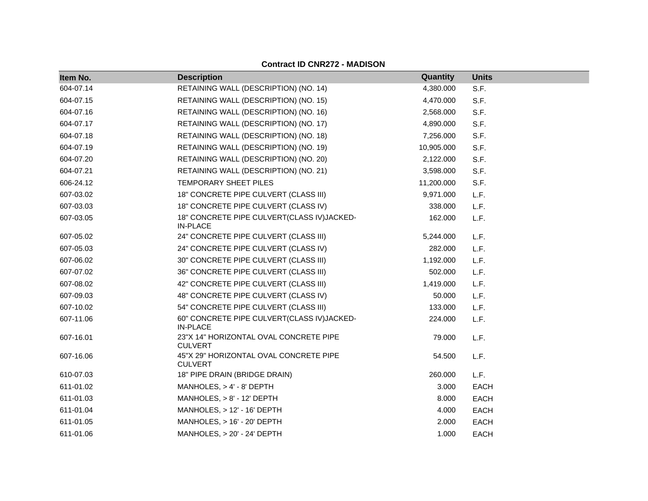| Item No.  | <b>Description</b>                                            | Quantity   | <b>Units</b> |
|-----------|---------------------------------------------------------------|------------|--------------|
| 604-07.14 | RETAINING WALL (DESCRIPTION) (NO. 14)                         | 4,380.000  | S.F.         |
| 604-07.15 | RETAINING WALL (DESCRIPTION) (NO. 15)                         | 4,470.000  | S.F.         |
| 604-07.16 | RETAINING WALL (DESCRIPTION) (NO. 16)                         | 2,568.000  | S.F.         |
| 604-07.17 | RETAINING WALL (DESCRIPTION) (NO. 17)                         | 4,890.000  | S.F.         |
| 604-07.18 | RETAINING WALL (DESCRIPTION) (NO. 18)                         | 7,256.000  | S.F.         |
| 604-07.19 | RETAINING WALL (DESCRIPTION) (NO. 19)                         | 10,905.000 | S.F.         |
| 604-07.20 | RETAINING WALL (DESCRIPTION) (NO. 20)                         | 2,122.000  | S.F.         |
| 604-07.21 | RETAINING WALL (DESCRIPTION) (NO. 21)                         | 3,598.000  | S.F.         |
| 606-24.12 | TEMPORARY SHEET PILES                                         | 11,200.000 | S.F.         |
| 607-03.02 | 18" CONCRETE PIPE CULVERT (CLASS III)                         | 9,971.000  | L.F.         |
| 607-03.03 | 18" CONCRETE PIPE CULVERT (CLASS IV)                          | 338.000    | L.F.         |
| 607-03.05 | 18" CONCRETE PIPE CULVERT(CLASS IV)JACKED-<br><b>IN-PLACE</b> | 162.000    | L.F.         |
| 607-05.02 | 24" CONCRETE PIPE CULVERT (CLASS III)                         | 5,244.000  | L.F.         |
| 607-05.03 | 24" CONCRETE PIPE CULVERT (CLASS IV)                          | 282.000    | L.F.         |
| 607-06.02 | 30" CONCRETE PIPE CULVERT (CLASS III)                         | 1,192.000  | L.F.         |
| 607-07.02 | 36" CONCRETE PIPE CULVERT (CLASS III)                         | 502.000    | L.F.         |
| 607-08.02 | 42" CONCRETE PIPE CULVERT (CLASS III)                         | 1,419.000  | L.F.         |
| 607-09.03 | 48" CONCRETE PIPE CULVERT (CLASS IV)                          | 50.000     | L.F.         |
| 607-10.02 | 54" CONCRETE PIPE CULVERT (CLASS III)                         | 133.000    | L.F.         |
| 607-11.06 | 60" CONCRETE PIPE CULVERT(CLASS IV)JACKED-<br><b>IN-PLACE</b> | 224.000    | L.F.         |
| 607-16.01 | 23"X 14" HORIZONTAL OVAL CONCRETE PIPE<br><b>CULVERT</b>      | 79.000     | L.F.         |
| 607-16.06 | 45"X 29" HORIZONTAL OVAL CONCRETE PIPE<br><b>CULVERT</b>      | 54.500     | L.F.         |
| 610-07.03 | 18" PIPE DRAIN (BRIDGE DRAIN)                                 | 260.000    | L.F.         |
| 611-01.02 | MANHOLES, $> 4' - 8'$ DEPTH                                   | 3.000      | <b>EACH</b>  |
| 611-01.03 | MANHOLES, > 8' - 12' DEPTH                                    | 8.000      | EACH         |
| 611-01.04 | MANHOLES, > 12' - 16' DEPTH                                   | 4.000      | <b>EACH</b>  |
| 611-01.05 | MANHOLES, > 16' - 20' DEPTH                                   | 2.000      | <b>EACH</b>  |
| 611-01.06 | MANHOLES, > 20' - 24' DEPTH                                   | 1.000      | <b>EACH</b>  |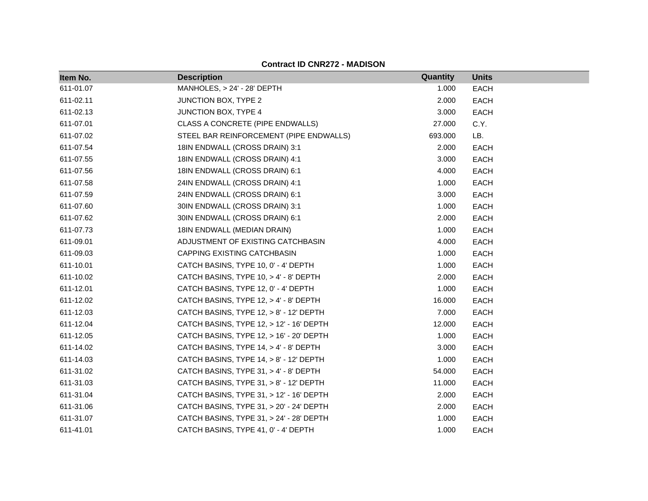| Item No.  | <b>Description</b>                       | Quantity | <b>Units</b> |
|-----------|------------------------------------------|----------|--------------|
| 611-01.07 | MANHOLES, > 24' - 28' DEPTH              | 1.000    | EACH         |
| 611-02.11 | JUNCTION BOX, TYPE 2                     | 2.000    | <b>EACH</b>  |
| 611-02.13 | JUNCTION BOX, TYPE 4                     | 3.000    | <b>EACH</b>  |
| 611-07.01 | CLASS A CONCRETE (PIPE ENDWALLS)         | 27.000   | C.Y.         |
| 611-07.02 | STEEL BAR REINFORCEMENT (PIPE ENDWALLS)  | 693.000  | LB.          |
| 611-07.54 | 18IN ENDWALL (CROSS DRAIN) 3:1           | 2.000    | <b>EACH</b>  |
| 611-07.55 | 18IN ENDWALL (CROSS DRAIN) 4:1           | 3.000    | <b>EACH</b>  |
| 611-07.56 | 18IN ENDWALL (CROSS DRAIN) 6:1           | 4.000    | EACH         |
| 611-07.58 | 24IN ENDWALL (CROSS DRAIN) 4:1           | 1.000    | EACH         |
| 611-07.59 | 24IN ENDWALL (CROSS DRAIN) 6:1           | 3.000    | <b>EACH</b>  |
| 611-07.60 | 30IN ENDWALL (CROSS DRAIN) 3:1           | 1.000    | <b>EACH</b>  |
| 611-07.62 | 30IN ENDWALL (CROSS DRAIN) 6:1           | 2.000    | EACH         |
| 611-07.73 | 18IN ENDWALL (MEDIAN DRAIN)              | 1.000    | EACH         |
| 611-09.01 | ADJUSTMENT OF EXISTING CATCHBASIN        | 4.000    | EACH         |
| 611-09.03 | CAPPING EXISTING CATCHBASIN              | 1.000    | <b>EACH</b>  |
| 611-10.01 | CATCH BASINS, TYPE 10, 0' - 4' DEPTH     | 1.000    | <b>EACH</b>  |
| 611-10.02 | CATCH BASINS, TYPE 10, > 4' - 8' DEPTH   | 2.000    | EACH         |
| 611-12.01 | CATCH BASINS, TYPE 12, 0' - 4' DEPTH     | 1.000    | <b>EACH</b>  |
| 611-12.02 | CATCH BASINS, TYPE 12, > 4' - 8' DEPTH   | 16.000   | EACH         |
| 611-12.03 | CATCH BASINS, TYPE 12, > 8' - 12' DEPTH  | 7.000    | <b>EACH</b>  |
| 611-12.04 | CATCH BASINS, TYPE 12, > 12' - 16' DEPTH | 12.000   | <b>EACH</b>  |
| 611-12.05 | CATCH BASINS, TYPE 12, > 16' - 20' DEPTH | 1.000    | EACH         |
| 611-14.02 | CATCH BASINS, TYPE 14, > 4' - 8' DEPTH   | 3.000    | <b>EACH</b>  |
| 611-14.03 | CATCH BASINS, TYPE 14, > 8' - 12' DEPTH  | 1.000    | EACH         |
| 611-31.02 | CATCH BASINS, TYPE 31, > 4' - 8' DEPTH   | 54.000   | <b>EACH</b>  |
| 611-31.03 | CATCH BASINS, TYPE 31, > 8' - 12' DEPTH  | 11.000   | <b>EACH</b>  |
| 611-31.04 | CATCH BASINS, TYPE 31, > 12' - 16' DEPTH | 2.000    | <b>EACH</b>  |
| 611-31.06 | CATCH BASINS, TYPE 31, > 20' - 24' DEPTH | 2.000    | <b>EACH</b>  |
| 611-31.07 | CATCH BASINS, TYPE 31, > 24' - 28' DEPTH | 1.000    | <b>EACH</b>  |
| 611-41.01 | CATCH BASINS, TYPE 41, 0' - 4' DEPTH     | 1.000    | <b>EACH</b>  |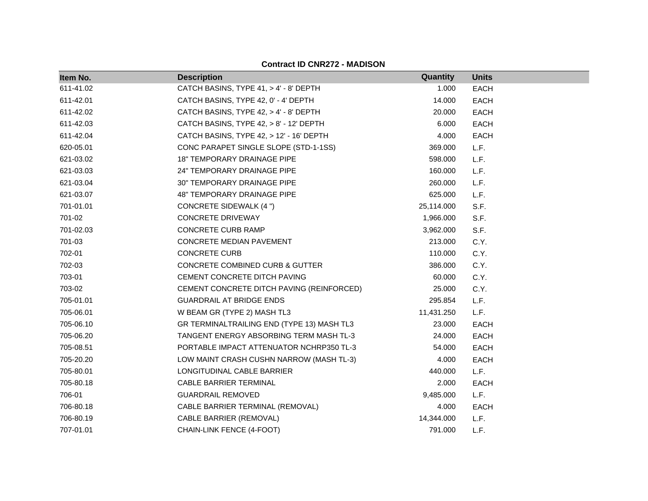| Item No.  | <b>Description</b>                         | Quantity   | <b>Units</b> |
|-----------|--------------------------------------------|------------|--------------|
| 611-41.02 | CATCH BASINS, TYPE 41, > 4' - 8' DEPTH     | 1.000      | <b>EACH</b>  |
| 611-42.01 | CATCH BASINS, TYPE 42, 0' - 4' DEPTH       | 14.000     | <b>EACH</b>  |
| 611-42.02 | CATCH BASINS, TYPE 42, > 4' - 8' DEPTH     | 20.000     | <b>EACH</b>  |
| 611-42.03 | CATCH BASINS, TYPE 42, > 8' - 12' DEPTH    | 6.000      | <b>EACH</b>  |
| 611-42.04 | CATCH BASINS, TYPE 42, > 12' - 16' DEPTH   | 4.000      | <b>EACH</b>  |
| 620-05.01 | CONC PARAPET SINGLE SLOPE (STD-1-1SS)      | 369.000    | L.F.         |
| 621-03.02 | <b>18" TEMPORARY DRAINAGE PIPE</b>         | 598.000    | L.F.         |
| 621-03.03 | <b>24" TEMPORARY DRAINAGE PIPE</b>         | 160.000    | L.F.         |
| 621-03.04 | 30" TEMPORARY DRAINAGE PIPE                | 260.000    | L.F.         |
| 621-03.07 | 48" TEMPORARY DRAINAGE PIPE                | 625.000    | L.F.         |
| 701-01.01 | <b>CONCRETE SIDEWALK (4 ")</b>             | 25,114.000 | S.F.         |
| 701-02    | CONCRETE DRIVEWAY                          | 1,966.000  | S.F.         |
| 701-02.03 | <b>CONCRETE CURB RAMP</b>                  | 3,962.000  | S.F.         |
| 701-03    | CONCRETE MEDIAN PAVEMENT                   | 213.000    | C.Y.         |
| 702-01    | <b>CONCRETE CURB</b>                       | 110.000    | C.Y.         |
| 702-03    | CONCRETE COMBINED CURB & GUTTER            | 386.000    | C.Y.         |
| 703-01    | CEMENT CONCRETE DITCH PAVING               | 60.000     | C.Y.         |
| 703-02    | CEMENT CONCRETE DITCH PAVING (REINFORCED)  | 25.000     | C.Y.         |
| 705-01.01 | <b>GUARDRAIL AT BRIDGE ENDS</b>            | 295.854    | L.F.         |
| 705-06.01 | W BEAM GR (TYPE 2) MASH TL3                | 11,431.250 | L.F.         |
| 705-06.10 | GR TERMINALTRAILING END (TYPE 13) MASH TL3 | 23.000     | <b>EACH</b>  |
| 705-06.20 | TANGENT ENERGY ABSORBING TERM MASH TL-3    | 24.000     | <b>EACH</b>  |
| 705-08.51 | PORTABLE IMPACT ATTENUATOR NCHRP350 TL-3   | 54.000     | <b>EACH</b>  |
| 705-20.20 | LOW MAINT CRASH CUSHN NARROW (MASH TL-3)   | 4.000      | <b>EACH</b>  |
| 705-80.01 | LONGITUDINAL CABLE BARRIER                 | 440.000    | L.F.         |
| 705-80.18 | CABLE BARRIER TERMINAL                     | 2.000      | <b>EACH</b>  |
| 706-01    | <b>GUARDRAIL REMOVED</b>                   | 9,485.000  | L.F.         |
| 706-80.18 | CABLE BARRIER TERMINAL (REMOVAL)           | 4.000      | <b>EACH</b>  |
| 706-80.19 | CABLE BARRIER (REMOVAL)                    | 14,344.000 | L.F.         |
| 707-01.01 | CHAIN-LINK FENCE (4-FOOT)                  | 791.000    | L.F.         |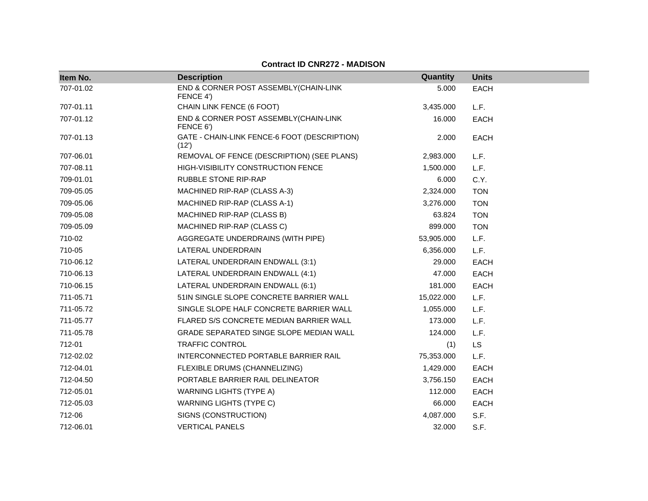| Item No.  | <b>Description</b>                                    | Quantity   | <b>Units</b> |
|-----------|-------------------------------------------------------|------------|--------------|
| 707-01.02 | END & CORNER POST ASSEMBLY(CHAIN-LINK                 | 5.000      | <b>EACH</b>  |
|           | FENCE 4')                                             |            |              |
| 707-01.11 | CHAIN LINK FENCE (6 FOOT)                             | 3,435.000  | L.F.         |
| 707-01.12 | END & CORNER POST ASSEMBLY (CHAIN-LINK<br>FENCE 6')   | 16.000     | <b>EACH</b>  |
| 707-01.13 | GATE - CHAIN-LINK FENCE-6 FOOT (DESCRIPTION)<br>(12') | 2.000      | <b>EACH</b>  |
| 707-06.01 | REMOVAL OF FENCE (DESCRIPTION) (SEE PLANS)            | 2,983.000  | L.F.         |
| 707-08.11 | HIGH-VISIBILITY CONSTRUCTION FENCE                    | 1,500.000  | L.F.         |
| 709-01.01 | RUBBLE STONE RIP-RAP                                  | 6.000      | C.Y.         |
| 709-05.05 | MACHINED RIP-RAP (CLASS A-3)                          | 2,324.000  | <b>TON</b>   |
| 709-05.06 | MACHINED RIP-RAP (CLASS A-1)                          | 3,276.000  | <b>TON</b>   |
| 709-05.08 | MACHINED RIP-RAP (CLASS B)                            | 63.824     | <b>TON</b>   |
| 709-05.09 | MACHINED RIP-RAP (CLASS C)                            | 899.000    | <b>TON</b>   |
| 710-02    | AGGREGATE UNDERDRAINS (WITH PIPE)                     | 53,905.000 | L.F.         |
| 710-05    | LATERAL UNDERDRAIN                                    | 6,356.000  | L.F.         |
| 710-06.12 | LATERAL UNDERDRAIN ENDWALL (3:1)                      | 29.000     | <b>EACH</b>  |
| 710-06.13 | LATERAL UNDERDRAIN ENDWALL (4:1)                      | 47.000     | <b>EACH</b>  |
| 710-06.15 | LATERAL UNDERDRAIN ENDWALL (6:1)                      | 181.000    | <b>EACH</b>  |
| 711-05.71 | 51IN SINGLE SLOPE CONCRETE BARRIER WALL               | 15,022.000 | L.F.         |
| 711-05.72 | SINGLE SLOPE HALF CONCRETE BARRIER WALL               | 1,055.000  | L.F.         |
| 711-05.77 | FLARED S/S CONCRETE MEDIAN BARRIER WALL               | 173.000    | L.F.         |
| 711-05.78 | GRADE SEPARATED SINGE SLOPE MEDIAN WALL               | 124.000    | L.F.         |
| 712-01    | TRAFFIC CONTROL                                       | (1)        | <b>LS</b>    |
| 712-02.02 | INTERCONNECTED PORTABLE BARRIER RAIL                  | 75,353.000 | L.F.         |
| 712-04.01 | FLEXIBLE DRUMS (CHANNELIZING)                         | 1,429.000  | <b>EACH</b>  |
| 712-04.50 | PORTABLE BARRIER RAIL DELINEATOR                      | 3,756.150  | <b>EACH</b>  |
| 712-05.01 | <b>WARNING LIGHTS (TYPE A)</b>                        | 112.000    | <b>EACH</b>  |
| 712-05.03 | <b>WARNING LIGHTS (TYPE C)</b>                        | 66.000     | <b>EACH</b>  |
| 712-06    | SIGNS (CONSTRUCTION)                                  | 4,087.000  | S.F.         |
| 712-06.01 | <b>VERTICAL PANELS</b>                                | 32.000     | S.F.         |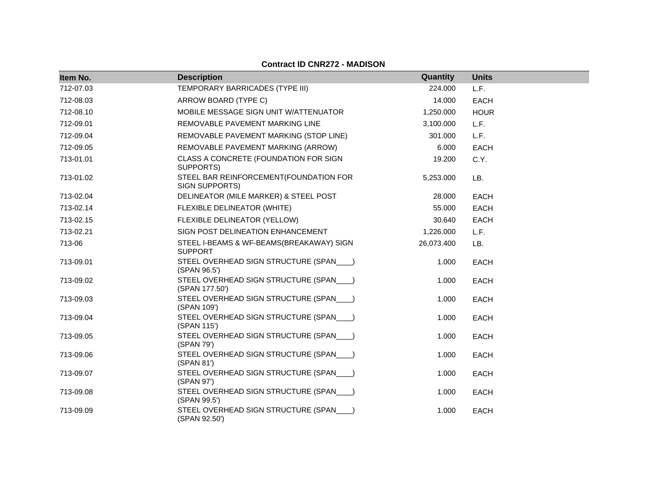| Item No.  | <b>Description</b>                                         | Quantity   | <b>Units</b> |
|-----------|------------------------------------------------------------|------------|--------------|
| 712-07.03 | TEMPORARY BARRICADES (TYPE III)                            | 224.000    | L.F.         |
|           |                                                            |            |              |
| 712-08.03 | ARROW BOARD (TYPE C)                                       | 14.000     | <b>EACH</b>  |
| 712-08.10 | MOBILE MESSAGE SIGN UNIT W/ATTENUATOR                      | 1,250.000  | <b>HOUR</b>  |
| 712-09.01 | REMOVABLE PAVEMENT MARKING LINE                            | 3,100.000  | L.F.         |
| 712-09.04 | REMOVABLE PAVEMENT MARKING (STOP LINE)                     | 301.000    | L.F.         |
| 712-09.05 | REMOVABLE PAVEMENT MARKING (ARROW)                         | 6.000      | <b>EACH</b>  |
| 713-01.01 | CLASS A CONCRETE (FOUNDATION FOR SIGN<br>SUPPORTS)         | 19.200     | C.Y.         |
| 713-01.02 | STEEL BAR REINFORCEMENT(FOUNDATION FOR<br>SIGN SUPPORTS)   | 5,253.000  | LB.          |
| 713-02.04 | DELINEATOR (MILE MARKER) & STEEL POST                      | 28.000     | <b>EACH</b>  |
| 713-02.14 | FLEXIBLE DELINEATOR (WHITE)                                | 55.000     | <b>EACH</b>  |
| 713-02.15 | FLEXIBLE DELINEATOR (YELLOW)                               | 30.640     | <b>EACH</b>  |
| 713-02.21 | SIGN POST DELINEATION ENHANCEMENT                          | 1,226.000  | L.F.         |
| 713-06    | STEEL I-BEAMS & WF-BEAMS(BREAKAWAY) SIGN<br><b>SUPPORT</b> | 26,073.400 | LB.          |
| 713-09.01 | STEEL OVERHEAD SIGN STRUCTURE (SPAN___)<br>(SPAN 96.5')    | 1.000      | <b>EACH</b>  |
| 713-09.02 | STEEL OVERHEAD SIGN STRUCTURE (SPAN___)<br>(SPAN 177.50')  | 1.000      | <b>EACH</b>  |
| 713-09.03 | STEEL OVERHEAD SIGN STRUCTURE (SPAN___)<br>(SPAN 109')     | 1.000      | <b>EACH</b>  |
| 713-09.04 | STEEL OVERHEAD SIGN STRUCTURE (SPAN___)<br>(SPAN 115')     | 1.000      | <b>EACH</b>  |
| 713-09.05 | STEEL OVERHEAD SIGN STRUCTURE (SPAN<br>(SPAN 79')          | 1.000      | <b>EACH</b>  |
| 713-09.06 | STEEL OVERHEAD SIGN STRUCTURE (SPAN___)<br>(SPAN 81')      | 1.000      | <b>EACH</b>  |
| 713-09.07 | STEEL OVERHEAD SIGN STRUCTURE (SPAN___)<br>(SPAN 97')      | 1.000      | <b>EACH</b>  |
| 713-09.08 | STEEL OVERHEAD SIGN STRUCTURE (SPAN___)<br>(SPAN 99.5')    | 1.000      | <b>EACH</b>  |
| 713-09.09 | STEEL OVERHEAD SIGN STRUCTURE (SPAN___)<br>(SPAN 92.50')   | 1.000      | <b>EACH</b>  |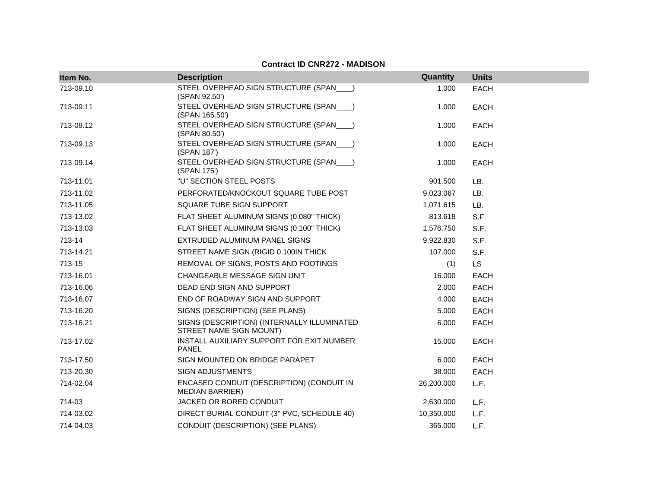| Item No.  | <b>Description</b>                                                     | Quantity   | <b>Units</b> |
|-----------|------------------------------------------------------------------------|------------|--------------|
| 713-09.10 | STEEL OVERHEAD SIGN STRUCTURE (SPAN___)<br>(SPAN 92.50')               | 1.000      | <b>EACH</b>  |
| 713-09.11 | STEEL OVERHEAD SIGN STRUCTURE (SPAN___)<br>(SPAN 165.50')              | 1.000      | <b>EACH</b>  |
| 713-09.12 | STEEL OVERHEAD SIGN STRUCTURE (SPAN___)<br>(SPAN 80.50')               | 1.000      | <b>EACH</b>  |
| 713-09.13 | STEEL OVERHEAD SIGN STRUCTURE (SPAN___)<br>(SPAN 187')                 | 1.000      | <b>EACH</b>  |
| 713-09.14 | STEEL OVERHEAD SIGN STRUCTURE (SPAN___)<br>(SPAN 175')                 | 1.000      | <b>EACH</b>  |
| 713-11.01 | "U" SECTION STEEL POSTS                                                | 901.500    | LB.          |
| 713-11.02 | PERFORATED/KNOCKOUT SQUARE TUBE POST                                   | 9,023.067  | LB.          |
| 713-11.05 | SQUARE TUBE SIGN SUPPORT                                               | 1,071.615  | LB.          |
| 713-13.02 | FLAT SHEET ALUMINUM SIGNS (0.080" THICK)                               | 813.618    | S.F.         |
| 713-13.03 | FLAT SHEET ALUMINUM SIGNS (0.100" THICK)                               | 1,576.750  | S.F.         |
| 713-14    | EXTRUDED ALUMINUM PANEL SIGNS                                          | 9,922.830  | S.F.         |
| 713-14.21 | STREET NAME SIGN (RIGID 0.100IN THICK)                                 | 107.000    | S.F.         |
| 713-15    | REMOVAL OF SIGNS, POSTS AND FOOTINGS                                   | (1)        | <b>LS</b>    |
| 713-16.01 | CHANGEABLE MESSAGE SIGN UNIT                                           | 16.000     | <b>EACH</b>  |
| 713-16.06 | DEAD END SIGN AND SUPPORT                                              | 2.000      | <b>EACH</b>  |
| 713-16.07 | END OF ROADWAY SIGN AND SUPPORT                                        | 4.000      | EACH         |
| 713-16.20 | SIGNS (DESCRIPTION) (SEE PLANS)                                        | 5.000      | <b>EACH</b>  |
| 713-16.21 | SIGNS (DESCRIPTION) (INTERNALLY ILLUMINATED<br>STREET NAME SIGN MOUNT) | 6.000      | <b>EACH</b>  |
| 713-17.02 | INSTALL AUXILIARY SUPPORT FOR EXIT NUMBER<br><b>PANEL</b>              | 15.000     | <b>EACH</b>  |
| 713-17.50 | SIGN MOUNTED ON BRIDGE PARAPET                                         | 6.000      | <b>EACH</b>  |
| 713-20.30 | <b>SIGN ADJUSTMENTS</b>                                                | 38.000     | EACH         |
| 714-02.04 | ENCASED CONDUIT (DESCRIPTION) (CONDUIT IN<br><b>MEDIAN BARRIER)</b>    | 26,200.000 | L.F.         |
| 714-03    | JACKED OR BORED CONDUIT                                                | 2,630.000  | L.F.         |
| 714-03.02 | DIRECT BURIAL CONDUIT (3" PVC, SCHEDULE 40)                            | 10,350.000 | L.F.         |
| 714-04.03 | CONDUIT (DESCRIPTION) (SEE PLANS)                                      | 365.000    | L.F.         |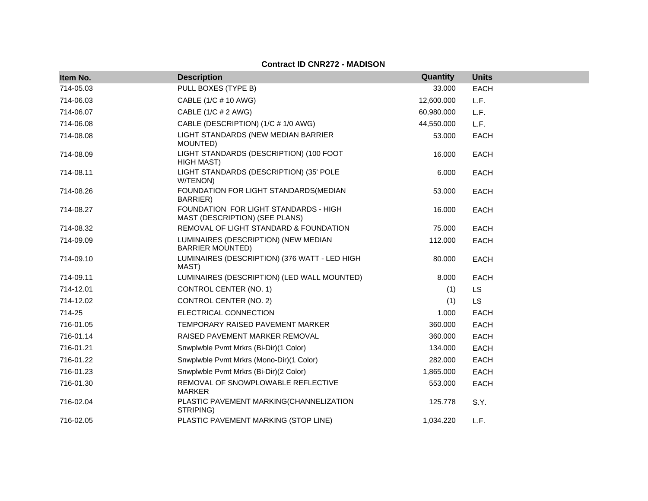| Item No.  | <b>Description</b>                                                      | Quantity   | <b>Units</b> |
|-----------|-------------------------------------------------------------------------|------------|--------------|
| 714-05.03 | PULL BOXES (TYPE B)                                                     | 33.000     | <b>EACH</b>  |
| 714-06.03 | CABLE (1/C # 10 AWG)                                                    | 12,600.000 | L.F.         |
| 714-06.07 | CABLE (1/C # 2 AWG)                                                     | 60,980.000 | L.F.         |
| 714-06.08 | CABLE (DESCRIPTION) (1/C # 1/0 AWG)                                     | 44,550.000 | L.F.         |
| 714-08.08 | LIGHT STANDARDS (NEW MEDIAN BARRIER<br>MOUNTED)                         | 53.000     | <b>EACH</b>  |
| 714-08.09 | LIGHT STANDARDS (DESCRIPTION) (100 FOOT<br><b>HIGH MAST)</b>            | 16.000     | <b>EACH</b>  |
| 714-08.11 | LIGHT STANDARDS (DESCRIPTION) (35' POLE<br>W/TENON)                     | 6.000      | <b>EACH</b>  |
| 714-08.26 | FOUNDATION FOR LIGHT STANDARDS(MEDIAN<br>BARRIER)                       | 53.000     | <b>EACH</b>  |
| 714-08.27 | FOUNDATION FOR LIGHT STANDARDS - HIGH<br>MAST (DESCRIPTION) (SEE PLANS) | 16.000     | <b>EACH</b>  |
| 714-08.32 | REMOVAL OF LIGHT STANDARD & FOUNDATION                                  | 75.000     | <b>EACH</b>  |
| 714-09.09 | LUMINAIRES (DESCRIPTION) (NEW MEDIAN<br><b>BARRIER MOUNTED)</b>         | 112.000    | <b>EACH</b>  |
| 714-09.10 | LUMINAIRES (DESCRIPTION) (376 WATT - LED HIGH<br>MAST)                  | 80.000     | <b>EACH</b>  |
| 714-09.11 | LUMINAIRES (DESCRIPTION) (LED WALL MOUNTED)                             | 8.000      | EACH         |
| 714-12.01 | CONTROL CENTER (NO. 1)                                                  | (1)        | LS           |
| 714-12.02 | CONTROL CENTER (NO. 2)                                                  | (1)        | <b>LS</b>    |
| 714-25    | ELECTRICAL CONNECTION                                                   | 1.000      | <b>EACH</b>  |
| 716-01.05 | TEMPORARY RAISED PAVEMENT MARKER                                        | 360.000    | EACH         |
| 716-01.14 | RAISED PAVEMENT MARKER REMOVAL                                          | 360,000    | <b>EACH</b>  |
| 716-01.21 | Snwplwble Pvmt Mrkrs (Bi-Dir)(1 Color)                                  | 134.000    | <b>EACH</b>  |
| 716-01.22 | Snwplwble Pvmt Mrkrs (Mono-Dir)(1 Color)                                | 282.000    | <b>EACH</b>  |
| 716-01.23 | Snwplwble Pvmt Mrkrs (Bi-Dir)(2 Color)                                  | 1,865.000  | <b>EACH</b>  |
| 716-01.30 | REMOVAL OF SNOWPLOWABLE REFLECTIVE<br><b>MARKER</b>                     | 553.000    | <b>EACH</b>  |
| 716-02.04 | PLASTIC PAVEMENT MARKING(CHANNELIZATION<br>STRIPING)                    | 125.778    | S.Y.         |
| 716-02.05 | PLASTIC PAVEMENT MARKING (STOP LINE)                                    | 1,034.220  | L.F.         |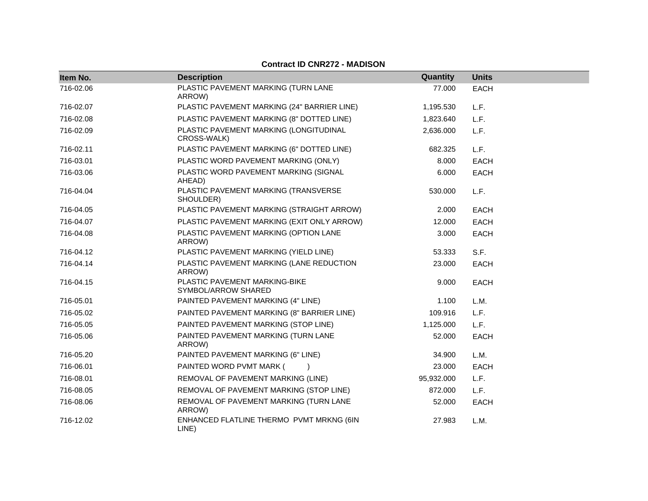| Item No.  | <b>Description</b>                                    | Quantity   | <b>Units</b> |
|-----------|-------------------------------------------------------|------------|--------------|
| 716-02.06 | PLASTIC PAVEMENT MARKING (TURN LANE<br>ARROW)         | 77.000     | <b>EACH</b>  |
| 716-02.07 | PLASTIC PAVEMENT MARKING (24" BARRIER LINE)           | 1,195.530  | L.F.         |
| 716-02.08 | PLASTIC PAVEMENT MARKING (8" DOTTED LINE)             | 1,823.640  | L.F.         |
| 716-02.09 | PLASTIC PAVEMENT MARKING (LONGITUDINAL<br>CROSS-WALK) | 2,636.000  | L.F.         |
| 716-02.11 | PLASTIC PAVEMENT MARKING (6" DOTTED LINE)             | 682.325    | L.F.         |
| 716-03.01 | PLASTIC WORD PAVEMENT MARKING (ONLY)                  | 8.000      | <b>EACH</b>  |
| 716-03.06 | PLASTIC WORD PAVEMENT MARKING (SIGNAL<br>AHEAD)       | 6.000      | <b>EACH</b>  |
| 716-04.04 | PLASTIC PAVEMENT MARKING (TRANSVERSE<br>SHOULDER)     | 530.000    | L.F.         |
| 716-04.05 | PLASTIC PAVEMENT MARKING (STRAIGHT ARROW)             | 2.000      | <b>EACH</b>  |
| 716-04.07 | PLASTIC PAVEMENT MARKING (EXIT ONLY ARROW)            | 12.000     | <b>EACH</b>  |
| 716-04.08 | PLASTIC PAVEMENT MARKING (OPTION LANE<br>ARROW)       | 3.000      | <b>EACH</b>  |
| 716-04.12 | PLASTIC PAVEMENT MARKING (YIELD LINE)                 | 53.333     | S.F.         |
| 716-04.14 | PLASTIC PAVEMENT MARKING (LANE REDUCTION<br>ARROW)    | 23,000     | <b>EACH</b>  |
| 716-04.15 | PLASTIC PAVEMENT MARKING-BIKE<br>SYMBOL/ARROW SHARED  | 9.000      | <b>EACH</b>  |
| 716-05.01 | PAINTED PAVEMENT MARKING (4" LINE)                    | 1.100      | L.M.         |
| 716-05.02 | PAINTED PAVEMENT MARKING (8" BARRIER LINE)            | 109.916    | L.F.         |
| 716-05.05 | PAINTED PAVEMENT MARKING (STOP LINE)                  | 1,125.000  | L.F.         |
| 716-05.06 | PAINTED PAVEMENT MARKING (TURN LANE<br>ARROW)         | 52.000     | <b>EACH</b>  |
| 716-05.20 | PAINTED PAVEMENT MARKING (6" LINE)                    | 34.900     | L.M.         |
| 716-06.01 | PAINTED WORD PVMT MARK (                              | 23.000     | <b>EACH</b>  |
| 716-08.01 | REMOVAL OF PAVEMENT MARKING (LINE)                    | 95,932.000 | L.F.         |
| 716-08.05 | REMOVAL OF PAVEMENT MARKING (STOP LINE)               | 872.000    | L.F.         |
| 716-08.06 | REMOVAL OF PAVEMENT MARKING (TURN LANE<br>ARROW)      | 52.000     | <b>EACH</b>  |
| 716-12.02 | ENHANCED FLATLINE THERMO PVMT MRKNG (6IN<br>LINE)     | 27.983     | L.M.         |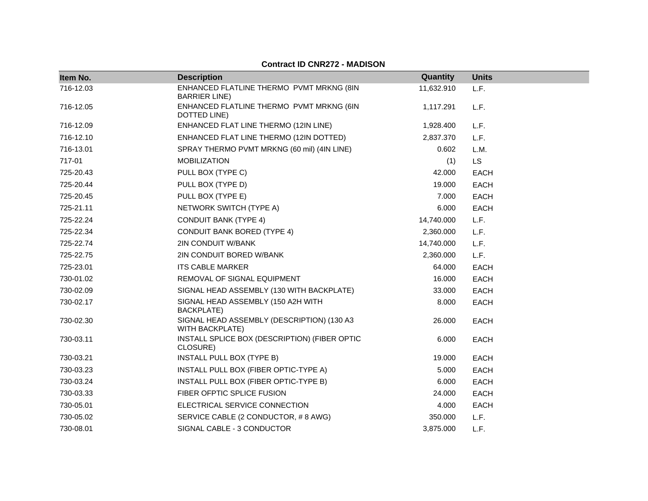| Item No.  | <b>Description</b>                                                   | Quantity   | <b>Units</b> |
|-----------|----------------------------------------------------------------------|------------|--------------|
| 716-12.03 | ENHANCED FLATLINE THERMO PVMT MRKNG (8IN<br><b>BARRIER LINE</b> )    | 11,632.910 | L.F.         |
| 716-12.05 | ENHANCED FLATLINE THERMO PVMT MRKNG (6IN<br>DOTTED LINE)             | 1,117.291  | L.F.         |
| 716-12.09 | ENHANCED FLAT LINE THERMO (12IN LINE)                                | 1,928.400  | L.F.         |
| 716-12.10 | ENHANCED FLAT LINE THERMO (12IN DOTTED)                              | 2,837.370  | L.F.         |
| 716-13.01 | SPRAY THERMO PVMT MRKNG (60 mil) (4IN LINE)                          | 0.602      | L.M.         |
| 717-01    | <b>MOBILIZATION</b>                                                  | (1)        | <b>LS</b>    |
| 725-20.43 | PULL BOX (TYPE C)                                                    | 42.000     | EACH         |
| 725-20.44 | PULL BOX (TYPE D)                                                    | 19.000     | EACH         |
| 725-20.45 | PULL BOX (TYPE E)                                                    | 7.000      | <b>EACH</b>  |
| 725-21.11 | NETWORK SWITCH (TYPE A)                                              | 6.000      | EACH         |
| 725-22.24 | <b>CONDUIT BANK (TYPE 4)</b>                                         | 14,740.000 | L.F.         |
| 725-22.34 | <b>CONDUIT BANK BORED (TYPE 4)</b>                                   | 2,360.000  | L.F.         |
| 725-22.74 | 2IN CONDUIT W/BANK                                                   | 14,740.000 | L.F.         |
| 725-22.75 | 2IN CONDUIT BORED W/BANK                                             | 2,360.000  | L.F.         |
| 725-23.01 | <b>ITS CABLE MARKER</b>                                              | 64.000     | EACH         |
| 730-01.02 | REMOVAL OF SIGNAL EQUIPMENT                                          | 16.000     | <b>EACH</b>  |
| 730-02.09 | SIGNAL HEAD ASSEMBLY (130 WITH BACKPLATE)                            | 33.000     | EACH         |
| 730-02.17 | SIGNAL HEAD ASSEMBLY (150 A2H WITH<br><b>BACKPLATE)</b>              | 8.000      | <b>EACH</b>  |
| 730-02.30 | SIGNAL HEAD ASSEMBLY (DESCRIPTION) (130 A3<br><b>WITH BACKPLATE)</b> | 26.000     | EACH         |
| 730-03.11 | INSTALL SPLICE BOX (DESCRIPTION) (FIBER OPTIC<br>CLOSURE)            | 6.000      | <b>EACH</b>  |
| 730-03.21 | INSTALL PULL BOX (TYPE B)                                            | 19.000     | <b>EACH</b>  |
| 730-03.23 | INSTALL PULL BOX (FIBER OPTIC-TYPE A)                                | 5.000      | EACH         |
| 730-03.24 | INSTALL PULL BOX (FIBER OPTIC-TYPE B)                                | 6.000      | EACH         |
| 730-03.33 | FIBER OFPTIC SPLICE FUSION                                           | 24.000     | EACH         |
| 730-05.01 | ELECTRICAL SERVICE CONNECTION                                        | 4.000      | <b>EACH</b>  |
| 730-05.02 | SERVICE CABLE (2 CONDUCTOR, #8 AWG)                                  | 350.000    | L.F.         |
| 730-08.01 | SIGNAL CABLE - 3 CONDUCTOR                                           | 3,875.000  | L.F.         |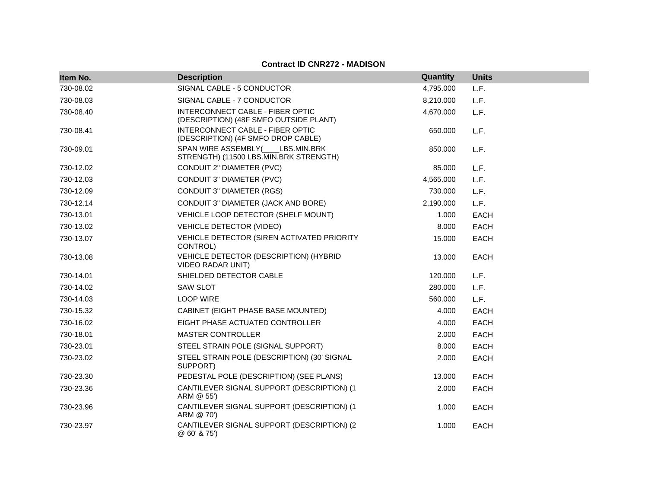| Item No.  | <b>Description</b>                                                         | Quantity  | <b>Units</b> |
|-----------|----------------------------------------------------------------------------|-----------|--------------|
| 730-08.02 | SIGNAL CABLE - 5 CONDUCTOR                                                 | 4,795.000 | L.F.         |
| 730-08.03 | SIGNAL CABLE - 7 CONDUCTOR                                                 | 8,210.000 | L.F.         |
| 730-08.40 | INTERCONNECT CABLE - FIBER OPTIC<br>(DESCRIPTION) (48F SMFO OUTSIDE PLANT) | 4,670.000 | L.F.         |
| 730-08.41 | INTERCONNECT CABLE - FIBER OPTIC<br>(DESCRIPTION) (4F SMFO DROP CABLE)     | 650.000   | L.F.         |
| 730-09.01 | SPAN WIRE ASSEMBLY( LBS.MIN.BRK<br>STRENGTH) (11500 LBS.MIN.BRK STRENGTH)  | 850.000   | L.F.         |
| 730-12.02 | CONDUIT 2" DIAMETER (PVC)                                                  | 85.000    | L.F.         |
| 730-12.03 | CONDUIT 3" DIAMETER (PVC)                                                  | 4,565.000 | L.F.         |
| 730-12.09 | <b>CONDUIT 3" DIAMETER (RGS)</b>                                           | 730.000   | L.F.         |
| 730-12.14 | CONDUIT 3" DIAMETER (JACK AND BORE)                                        | 2,190.000 | L.F.         |
| 730-13.01 | VEHICLE LOOP DETECTOR (SHELF MOUNT)                                        | 1.000     | EACH         |
| 730-13.02 | <b>VEHICLE DETECTOR (VIDEO)</b>                                            | 8.000     | <b>EACH</b>  |
| 730-13.07 | VEHICLE DETECTOR (SIREN ACTIVATED PRIORITY<br>CONTROL)                     | 15.000    | <b>EACH</b>  |
| 730-13.08 | VEHICLE DETECTOR (DESCRIPTION) (HYBRID<br><b>VIDEO RADAR UNIT)</b>         | 13.000    | <b>EACH</b>  |
| 730-14.01 | SHIELDED DETECTOR CABLE                                                    | 120.000   | L.F.         |
| 730-14.02 | <b>SAW SLOT</b>                                                            | 280.000   | L.F.         |
| 730-14.03 | <b>LOOP WIRE</b>                                                           | 560,000   | L.F.         |
| 730-15.32 | CABINET (EIGHT PHASE BASE MOUNTED)                                         | 4.000     | <b>EACH</b>  |
| 730-16.02 | EIGHT PHASE ACTUATED CONTROLLER                                            | 4.000     | <b>EACH</b>  |
| 730-18.01 | <b>MASTER CONTROLLER</b>                                                   | 2.000     | EACH         |
| 730-23.01 | STEEL STRAIN POLE (SIGNAL SUPPORT)                                         | 8.000     | <b>EACH</b>  |
| 730-23.02 | STEEL STRAIN POLE (DESCRIPTION) (30' SIGNAL<br>SUPPORT)                    | 2.000     | <b>EACH</b>  |
| 730-23.30 | PEDESTAL POLE (DESCRIPTION) (SEE PLANS)                                    | 13.000    | <b>EACH</b>  |
| 730-23.36 | CANTILEVER SIGNAL SUPPORT (DESCRIPTION) (1<br>ARM @ 55')                   | 2.000     | <b>EACH</b>  |
| 730-23.96 | CANTILEVER SIGNAL SUPPORT (DESCRIPTION) (1<br>ARM @ 70')                   | 1.000     | <b>EACH</b>  |
| 730-23.97 | CANTILEVER SIGNAL SUPPORT (DESCRIPTION) (2<br>@ 60' & 75')                 | 1.000     | <b>EACH</b>  |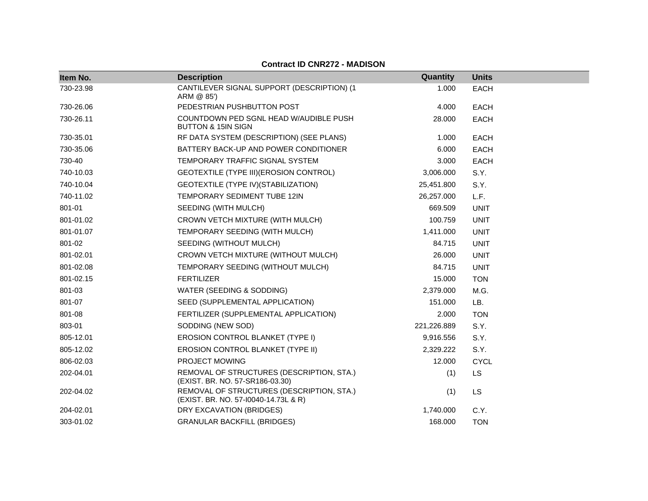| Item No.  | <b>Description</b>                                                                | Quantity    | <b>Units</b> |
|-----------|-----------------------------------------------------------------------------------|-------------|--------------|
| 730-23.98 | CANTILEVER SIGNAL SUPPORT (DESCRIPTION) (1<br>ARM @ 85')                          | 1.000       | <b>EACH</b>  |
| 730-26.06 | PEDESTRIAN PUSHBUTTON POST                                                        | 4.000       | <b>EACH</b>  |
| 730-26.11 | COUNTDOWN PED SGNL HEAD W/AUDIBLE PUSH<br><b>BUTTON &amp; 15IN SIGN</b>           | 28.000      | EACH         |
| 730-35.01 | RF DATA SYSTEM (DESCRIPTION) (SEE PLANS)                                          | 1.000       | <b>EACH</b>  |
| 730-35.06 | BATTERY BACK-UP AND POWER CONDITIONER                                             | 6.000       | <b>EACH</b>  |
| 730-40    | TEMPORARY TRAFFIC SIGNAL SYSTEM                                                   | 3.000       | <b>EACH</b>  |
| 740-10.03 | GEOTEXTILE (TYPE III) (EROSION CONTROL)                                           | 3,006.000   | S.Y.         |
| 740-10.04 | GEOTEXTILE (TYPE IV)(STABILIZATION)                                               | 25,451.800  | S.Y.         |
| 740-11.02 | TEMPORARY SEDIMENT TUBE 12IN                                                      | 26,257.000  | L.F.         |
| 801-01    | SEEDING (WITH MULCH)                                                              | 669.509     | <b>UNIT</b>  |
| 801-01.02 | CROWN VETCH MIXTURE (WITH MULCH)                                                  | 100.759     | <b>UNIT</b>  |
| 801-01.07 | TEMPORARY SEEDING (WITH MULCH)                                                    | 1,411.000   | <b>UNIT</b>  |
| 801-02    | SEEDING (WITHOUT MULCH)                                                           | 84.715      | <b>UNIT</b>  |
| 801-02.01 | CROWN VETCH MIXTURE (WITHOUT MULCH)                                               | 26.000      | <b>UNIT</b>  |
| 801-02.08 | TEMPORARY SEEDING (WITHOUT MULCH)                                                 | 84.715      | <b>UNIT</b>  |
| 801-02.15 | <b>FERTILIZER</b>                                                                 | 15.000      | <b>TON</b>   |
| 801-03    | WATER (SEEDING & SODDING)                                                         | 2,379.000   | M.G.         |
| 801-07    | SEED (SUPPLEMENTAL APPLICATION)                                                   | 151.000     | LB.          |
| 801-08    | FERTILIZER (SUPPLEMENTAL APPLICATION)                                             | 2.000       | <b>TON</b>   |
| 803-01    | SODDING (NEW SOD)                                                                 | 221,226.889 | S.Y.         |
| 805-12.01 | EROSION CONTROL BLANKET (TYPE I)                                                  | 9,916.556   | S.Y.         |
| 805-12.02 | EROSION CONTROL BLANKET (TYPE II)                                                 | 2,329.222   | S.Y.         |
| 806-02.03 | PROJECT MOWING                                                                    | 12.000      | <b>CYCL</b>  |
| 202-04.01 | REMOVAL OF STRUCTURES (DESCRIPTION, STA.)<br>(EXIST. BR. NO. 57-SR186-03.30)      | (1)         | <b>LS</b>    |
| 202-04.02 | REMOVAL OF STRUCTURES (DESCRIPTION, STA.)<br>(EXIST. BR. NO. 57-10040-14.73L & R) | (1)         | LS           |
| 204-02.01 | DRY EXCAVATION (BRIDGES)                                                          | 1,740.000   | C.Y.         |
| 303-01.02 | <b>GRANULAR BACKFILL (BRIDGES)</b>                                                | 168.000     | <b>TON</b>   |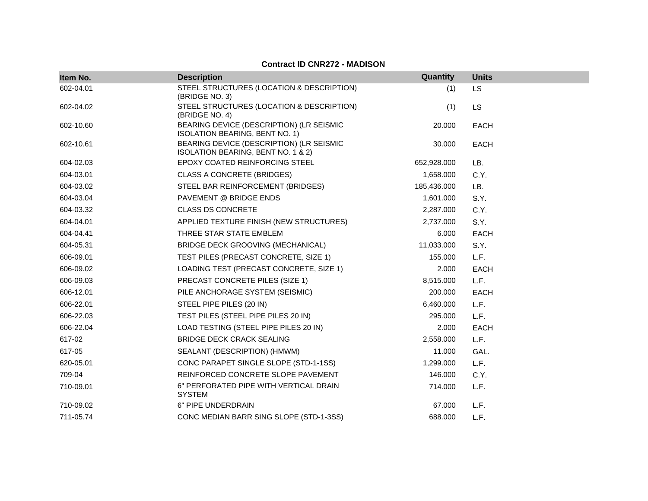| Item No.  | <b>Description</b>                                                             | Quantity    | <b>Units</b> |
|-----------|--------------------------------------------------------------------------------|-------------|--------------|
| 602-04.01 | STEEL STRUCTURES (LOCATION & DESCRIPTION)<br>(BRIDGE NO. 3)                    | (1)         | <b>LS</b>    |
| 602-04.02 | STEEL STRUCTURES (LOCATION & DESCRIPTION)<br>(BRIDGE NO. 4)                    | (1)         | <b>LS</b>    |
| 602-10.60 | BEARING DEVICE (DESCRIPTION) (LR SEISMIC<br>ISOLATION BEARING, BENT NO. 1)     | 20.000      | <b>EACH</b>  |
| 602-10.61 | BEARING DEVICE (DESCRIPTION) (LR SEISMIC<br>ISOLATION BEARING, BENT NO. 1 & 2) | 30.000      | <b>EACH</b>  |
| 604-02.03 | EPOXY COATED REINFORCING STEEL                                                 | 652,928.000 | LB.          |
| 604-03.01 | <b>CLASS A CONCRETE (BRIDGES)</b>                                              | 1,658.000   | C.Y.         |
| 604-03.02 | STEEL BAR REINFORCEMENT (BRIDGES)                                              | 185,436.000 | LB.          |
| 604-03.04 | PAVEMENT @ BRIDGE ENDS                                                         | 1,601.000   | S.Y.         |
| 604-03.32 | <b>CLASS DS CONCRETE</b>                                                       | 2,287.000   | C.Y.         |
| 604-04.01 | APPLIED TEXTURE FINISH (NEW STRUCTURES)                                        | 2,737.000   | S.Y.         |
| 604-04.41 | THREE STAR STATE EMBLEM                                                        | 6.000       | <b>EACH</b>  |
| 604-05.31 | BRIDGE DECK GROOVING (MECHANICAL)                                              | 11,033.000  | S.Y.         |
| 606-09.01 | TEST PILES (PRECAST CONCRETE, SIZE 1)                                          | 155.000     | L.F.         |
| 606-09.02 | LOADING TEST (PRECAST CONCRETE, SIZE 1)                                        | 2.000       | <b>EACH</b>  |
| 606-09.03 | PRECAST CONCRETE PILES (SIZE 1)                                                | 8,515.000   | L.F.         |
| 606-12.01 | PILE ANCHORAGE SYSTEM (SEISMIC)                                                | 200.000     | <b>EACH</b>  |
| 606-22.01 | STEEL PIPE PILES (20 IN)                                                       | 6,460.000   | L.F.         |
| 606-22.03 | TEST PILES (STEEL PIPE PILES 20 IN)                                            | 295.000     | L.F.         |
| 606-22.04 | LOAD TESTING (STEEL PIPE PILES 20 IN)                                          | 2.000       | <b>EACH</b>  |
| 617-02    | <b>BRIDGE DECK CRACK SEALING</b>                                               | 2,558.000   | L.F.         |
| 617-05    | SEALANT (DESCRIPTION) (HMWM)                                                   | 11.000      | GAL.         |
| 620-05.01 | CONC PARAPET SINGLE SLOPE (STD-1-1SS)                                          | 1,299.000   | L.F.         |
| 709-04    | REINFORCED CONCRETE SLOPE PAVEMENT                                             | 146.000     | C.Y.         |
| 710-09.01 | 6" PERFORATED PIPE WITH VERTICAL DRAIN<br><b>SYSTEM</b>                        | 714.000     | L.F.         |
| 710-09.02 | 6" PIPE UNDERDRAIN                                                             | 67.000      | L.F.         |
| 711-05.74 | CONC MEDIAN BARR SING SLOPE (STD-1-3SS)                                        | 688.000     | L.F.         |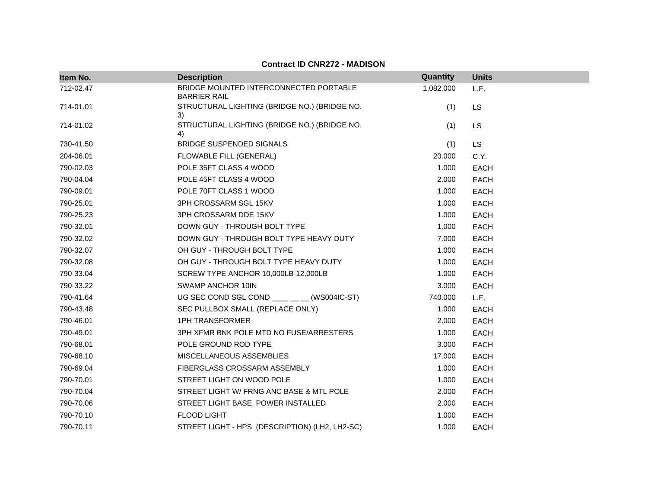| Item No.  | <b>Description</b>                                            | Quantity  | <b>Units</b> |
|-----------|---------------------------------------------------------------|-----------|--------------|
| 712-02.47 | BRIDGE MOUNTED INTERCONNECTED PORTABLE<br><b>BARRIER RAIL</b> | 1,082.000 | L.F.         |
| 714-01.01 | STRUCTURAL LIGHTING (BRIDGE NO.) (BRIDGE NO.<br>3)            | (1)       | <b>LS</b>    |
| 714-01.02 | STRUCTURAL LIGHTING (BRIDGE NO.) (BRIDGE NO.<br>4)            | (1)       | LS           |
| 730-41.50 | <b>BRIDGE SUSPENDED SIGNALS</b>                               | (1)       | <b>LS</b>    |
| 204-06.01 | FLOWABLE FILL (GENERAL)                                       | 20.000    | C.Y.         |
| 790-02.03 | POLE 35FT CLASS 4 WOOD                                        | 1.000     | <b>EACH</b>  |
| 790-04.04 | POLE 45FT CLASS 4 WOOD                                        | 2.000     | <b>EACH</b>  |
| 790-09.01 | POLE 70FT CLASS 1 WOOD                                        | 1.000     | EACH         |
| 790-25.01 | 3PH CROSSARM SGL 15KV                                         | 1.000     | EACH         |
| 790-25.23 | 3PH CROSSARM DDE 15KV                                         | 1.000     | <b>EACH</b>  |
| 790-32.01 | DOWN GUY - THROUGH BOLT TYPE                                  | 1.000     | EACH         |
| 790-32.02 | DOWN GUY - THROUGH BOLT TYPE HEAVY DUTY                       | 7.000     | <b>EACH</b>  |
| 790-32.07 | OH GUY - THROUGH BOLT TYPE                                    | 1.000     | <b>EACH</b>  |
| 790-32.08 | OH GUY - THROUGH BOLT TYPE HEAVY DUTY                         | 1.000     | <b>EACH</b>  |
| 790-33.04 | SCREW TYPE ANCHOR 10,000LB-12,000LB                           | 1.000     | EACH         |
| 790-33.22 | SWAMP ANCHOR 10IN                                             | 3.000     | EACH         |
| 790-41.64 | UG SEC COND SGL COND ___ _ _ (WS004IC-ST)                     | 740.000   | L.F.         |
| 790-43.48 | SEC PULLBOX SMALL (REPLACE ONLY)                              | 1.000     | EACH         |
| 790-46.01 | <b>1PH TRANSFORMER</b>                                        | 2.000     | <b>EACH</b>  |
| 790-49.01 | 3PH XFMR BNK POLE MTD NO FUSE/ARRESTERS                       | 1.000     | <b>EACH</b>  |
| 790-68.01 | POLE GROUND ROD TYPE                                          | 3.000     | <b>EACH</b>  |
| 790-68.10 | MISCELLANEOUS ASSEMBLIES                                      | 17.000    | <b>EACH</b>  |
| 790-69.04 | FIBERGLASS CROSSARM ASSEMBLY                                  | 1.000     | <b>EACH</b>  |
| 790-70.01 | STREET LIGHT ON WOOD POLE                                     | 1.000     | <b>EACH</b>  |
| 790-70.04 | STREET LIGHT W/ FRNG ANC BASE & MTL POLE                      | 2.000     | EACH         |
| 790-70.06 | STREET LIGHT BASE, POWER INSTALLED                            | 2.000     | <b>EACH</b>  |
| 790-70.10 | FLOOD LIGHT                                                   | 1.000     | <b>EACH</b>  |
| 790-70.11 | STREET LIGHT - HPS (DESCRIPTION) (LH2, LH2-SC)                | 1.000     | <b>EACH</b>  |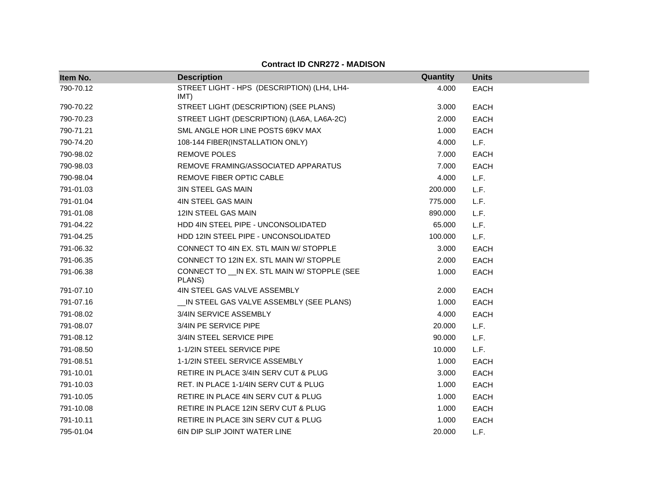| Item No.  | <b>Description</b>                                      | Quantity | <b>Units</b> |
|-----------|---------------------------------------------------------|----------|--------------|
| 790-70.12 | STREET LIGHT - HPS (DESCRIPTION) (LH4, LH4-<br>IMT)     | 4.000    | <b>EACH</b>  |
| 790-70.22 | STREET LIGHT (DESCRIPTION) (SEE PLANS)                  | 3.000    | <b>EACH</b>  |
| 790-70.23 | STREET LIGHT (DESCRIPTION) (LA6A, LA6A-2C)              | 2.000    | <b>EACH</b>  |
| 790-71.21 | SML ANGLE HOR LINE POSTS 69KV MAX                       | 1.000    | <b>EACH</b>  |
| 790-74.20 | 108-144 FIBER(INSTALLATION ONLY)                        | 4.000    | L.F.         |
| 790-98.02 | REMOVE POLES                                            | 7.000    | <b>EACH</b>  |
| 790-98.03 | REMOVE FRAMING/ASSOCIATED APPARATUS                     | 7.000    | <b>EACH</b>  |
| 790-98.04 | REMOVE FIBER OPTIC CABLE                                | 4.000    | L.F.         |
| 791-01.03 | <b>3IN STEEL GAS MAIN</b>                               | 200.000  | L.F.         |
| 791-01.04 | <b>4IN STEEL GAS MAIN</b>                               | 775.000  | L.F.         |
| 791-01.08 | 12IN STEEL GAS MAIN                                     | 890.000  | L.F.         |
| 791-04.22 | HDD 4IN STEEL PIPE - UNCONSOLIDATED                     | 65.000   | L.F.         |
| 791-04.25 | HDD 12IN STEEL PIPE - UNCONSOLIDATED                    | 100.000  | L.F.         |
| 791-06.32 | CONNECT TO 4IN EX. STL MAIN W/ STOPPLE                  | 3.000    | <b>EACH</b>  |
| 791-06.35 | CONNECT TO 12IN EX. STL MAIN W/ STOPPLE                 | 2.000    | <b>EACH</b>  |
| 791-06.38 | CONNECT TO __ IN EX. STL MAIN W/ STOPPLE (SEE<br>PLANS) | 1.000    | <b>EACH</b>  |
| 791-07.10 | 4IN STEEL GAS VALVE ASSEMBLY                            | 2.000    | <b>EACH</b>  |
| 791-07.16 | _IN STEEL GAS VALVE ASSEMBLY (SEE PLANS)                | 1.000    | <b>EACH</b>  |
| 791-08.02 | 3/4IN SERVICE ASSEMBLY                                  | 4.000    | <b>EACH</b>  |
| 791-08.07 | 3/4IN PE SERVICE PIPE                                   | 20.000   | L.F.         |
| 791-08.12 | 3/4IN STEEL SERVICE PIPE                                | 90.000   | L.F.         |
| 791-08.50 | 1-1/2IN STEEL SERVICE PIPE                              | 10.000   | L.F.         |
| 791-08.51 | 1-1/2IN STEEL SERVICE ASSEMBLY                          | 1.000    | <b>EACH</b>  |
| 791-10.01 | RETIRE IN PLACE 3/4IN SERV CUT & PLUG                   | 3.000    | <b>EACH</b>  |
| 791-10.03 | RET. IN PLACE 1-1/4IN SERV CUT & PLUG                   | 1.000    | <b>EACH</b>  |
| 791-10.05 | RETIRE IN PLACE 4IN SERV CUT & PLUG                     | 1.000    | <b>EACH</b>  |
| 791-10.08 | RETIRE IN PLACE 12IN SERV CUT & PLUG                    | 1.000    | <b>EACH</b>  |
| 791-10.11 | RETIRE IN PLACE 3IN SERV CUT & PLUG                     | 1.000    | <b>EACH</b>  |
| 795-01.04 | <b>6IN DIP SLIP JOINT WATER LINE</b>                    | 20.000   | L.F.         |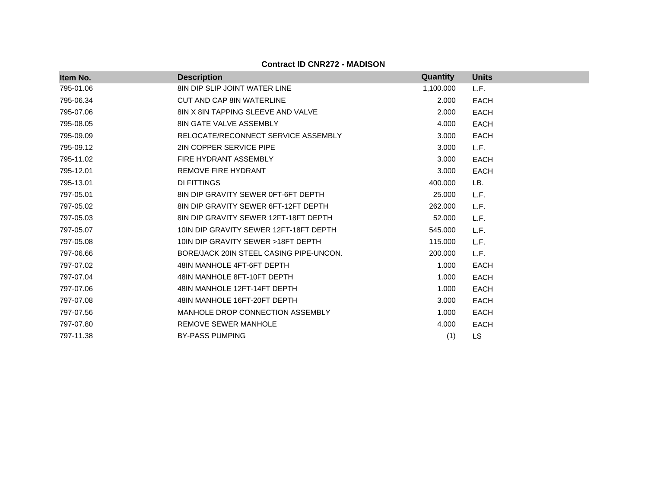| Item No.  | <b>Description</b>                        | <b>Quantity</b> | <b>Units</b> |
|-----------|-------------------------------------------|-----------------|--------------|
| 795-01.06 | <b>8IN DIP SLIP JOINT WATER LINE</b>      | 1,100.000       | L.F.         |
| 795-06.34 | CUT AND CAP 8IN WATERLINE                 | 2.000           | <b>EACH</b>  |
| 795-07.06 | <b>8IN X 8IN TAPPING SLEEVE AND VALVE</b> | 2.000           | <b>EACH</b>  |
| 795-08.05 | <b>8IN GATE VALVE ASSEMBLY</b>            | 4.000           | <b>EACH</b>  |
| 795-09.09 | RELOCATE/RECONNECT SERVICE ASSEMBLY       | 3.000           | <b>EACH</b>  |
| 795-09.12 | 2IN COPPER SERVICE PIPE                   | 3.000           | L.F.         |
| 795-11.02 | FIRE HYDRANT ASSEMBLY                     | 3.000           | <b>EACH</b>  |
| 795-12.01 | <b>REMOVE FIRE HYDRANT</b>                | 3.000           | <b>EACH</b>  |
| 795-13.01 | DI FITTINGS                               | 400.000         | LB.          |
| 797-05.01 | 8IN DIP GRAVITY SEWER 0FT-6FT DEPTH       | 25,000          | L.F.         |
| 797-05.02 | 8IN DIP GRAVITY SEWER 6FT-12FT DEPTH      | 262,000         | L.F.         |
| 797-05.03 | 8IN DIP GRAVITY SEWER 12FT-18FT DEPTH     | 52.000          | L.F.         |
| 797-05.07 | 10IN DIP GRAVITY SEWER 12FT-18FT DEPTH    | 545.000         | L.F.         |
| 797-05.08 | 10IN DIP GRAVITY SEWER >18FT DEPTH        | 115,000         | L.F.         |
| 797-06.66 | BORE/JACK 20IN STEEL CASING PIPE-UNCON.   | 200.000         | L.F.         |
| 797-07.02 | 48IN MANHOLE 4FT-6FT DEPTH                | 1.000           | <b>EACH</b>  |
| 797-07.04 | 48IN MANHOLE 8FT-10FT DEPTH               | 1.000           | <b>EACH</b>  |
| 797-07.06 | 48IN MANHOLE 12FT-14FT DEPTH              | 1.000           | <b>EACH</b>  |
| 797-07.08 | 48IN MANHOLE 16FT-20FT DEPTH              | 3.000           | <b>EACH</b>  |
| 797-07.56 | MANHOLE DROP CONNECTION ASSEMBLY          | 1.000           | <b>EACH</b>  |
| 797-07.80 | REMOVE SEWER MANHOLE                      | 4.000           | <b>EACH</b>  |
| 797-11.38 | <b>BY-PASS PUMPING</b>                    | (1)             | LS.          |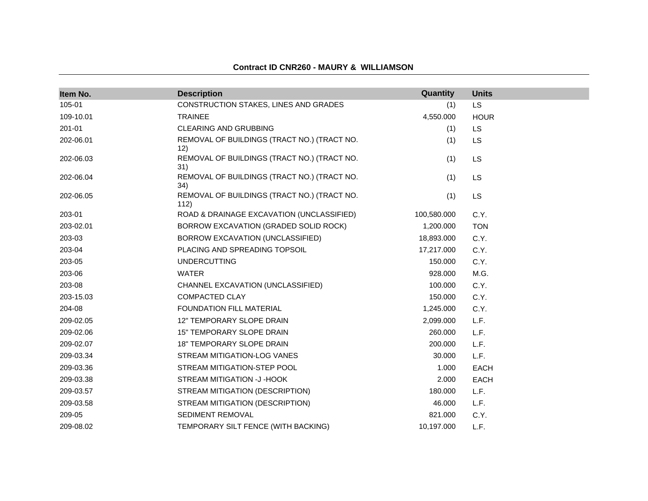| Item No.  | <b>Description</b>                                  | Quantity    | <b>Units</b> |
|-----------|-----------------------------------------------------|-------------|--------------|
| 105-01    | CONSTRUCTION STAKES, LINES AND GRADES               | (1)         | <b>LS</b>    |
| 109-10.01 | <b>TRAINEE</b>                                      | 4,550.000   | <b>HOUR</b>  |
| 201-01    | <b>CLEARING AND GRUBBING</b>                        | (1)         | <b>LS</b>    |
| 202-06.01 | REMOVAL OF BUILDINGS (TRACT NO.) (TRACT NO.<br>12)  | (1)         | LS           |
| 202-06.03 | REMOVAL OF BUILDINGS (TRACT NO.) (TRACT NO.<br>31)  | (1)         | <b>LS</b>    |
| 202-06.04 | REMOVAL OF BUILDINGS (TRACT NO.) (TRACT NO.<br>34)  | (1)         | LS           |
| 202-06.05 | REMOVAL OF BUILDINGS (TRACT NO.) (TRACT NO.<br>112) | (1)         | LS           |
| 203-01    | ROAD & DRAINAGE EXCAVATION (UNCLASSIFIED)           | 100,580.000 | C.Y.         |
| 203-02.01 | BORROW EXCAVATION (GRADED SOLID ROCK)               | 1,200.000   | <b>TON</b>   |
| 203-03    | BORROW EXCAVATION (UNCLASSIFIED)                    | 18,893.000  | C.Y.         |
| 203-04    | PLACING AND SPREADING TOPSOIL                       | 17,217.000  | C.Y.         |
| 203-05    | <b>UNDERCUTTING</b>                                 | 150.000     | C.Y.         |
| 203-06    | <b>WATER</b>                                        | 928,000     | M.G.         |
| 203-08    | CHANNEL EXCAVATION (UNCLASSIFIED)                   | 100.000     | C.Y.         |
| 203-15.03 | <b>COMPACTED CLAY</b>                               | 150.000     | C.Y.         |
| 204-08    | FOUNDATION FILL MATERIAL                            | 1,245.000   | C.Y.         |
| 209-02.05 | 12" TEMPORARY SLOPE DRAIN                           | 2,099.000   | L.F.         |
| 209-02.06 | 15" TEMPORARY SLOPE DRAIN                           | 260.000     | L.F.         |
| 209-02.07 | <b>18" TEMPORARY SLOPE DRAIN</b>                    | 200.000     | L.F.         |
| 209-03.34 | STREAM MITIGATION-LOG VANES                         | 30.000      | L.F.         |
| 209-03.36 | STREAM MITIGATION-STEP POOL                         | 1.000       | EACH         |
| 209-03.38 | STREAM MITIGATION -J-HOOK                           | 2.000       | EACH         |
| 209-03.57 | STREAM MITIGATION (DESCRIPTION)                     | 180.000     | L.F.         |
| 209-03.58 | STREAM MITIGATION (DESCRIPTION)                     | 46.000      | L.F.         |
| 209-05    | SEDIMENT REMOVAL                                    | 821.000     | C.Y.         |
| 209-08.02 | TEMPORARY SILT FENCE (WITH BACKING)                 | 10,197.000  | L.F.         |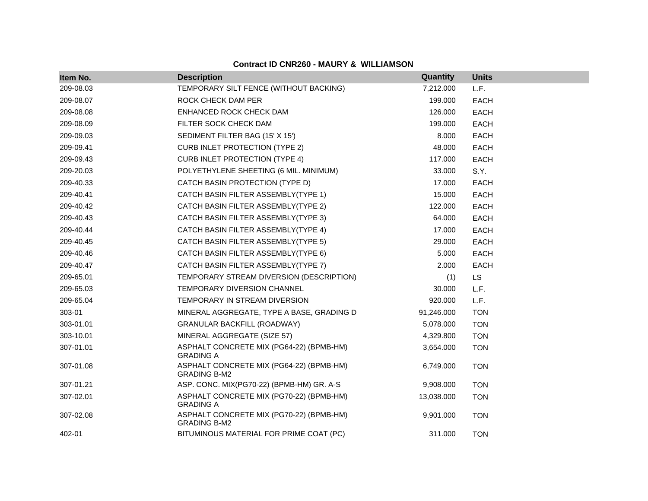| Item No.  | <b>Description</b>                                              | <b>Quantity</b> | <b>Units</b> |
|-----------|-----------------------------------------------------------------|-----------------|--------------|
| 209-08.03 | TEMPORARY SILT FENCE (WITHOUT BACKING)                          | 7,212.000       | L.F.         |
| 209-08.07 | ROCK CHECK DAM PER                                              | 199.000         | <b>EACH</b>  |
| 209-08.08 | ENHANCED ROCK CHECK DAM                                         | 126.000         | <b>EACH</b>  |
| 209-08.09 | FILTER SOCK CHECK DAM                                           | 199.000         | <b>EACH</b>  |
| 209-09.03 | SEDIMENT FILTER BAG (15' X 15')                                 | 8.000           | <b>EACH</b>  |
| 209-09.41 | <b>CURB INLET PROTECTION (TYPE 2)</b>                           | 48.000          | <b>EACH</b>  |
| 209-09.43 | <b>CURB INLET PROTECTION (TYPE 4)</b>                           | 117.000         | <b>EACH</b>  |
| 209-20.03 | POLYETHYLENE SHEETING (6 MIL. MINIMUM)                          | 33.000          | S.Y.         |
| 209-40.33 | CATCH BASIN PROTECTION (TYPE D)                                 | 17.000          | <b>EACH</b>  |
| 209-40.41 | CATCH BASIN FILTER ASSEMBLY(TYPE 1)                             | 15.000          | <b>EACH</b>  |
| 209-40.42 | CATCH BASIN FILTER ASSEMBLY(TYPE 2)                             | 122.000         | <b>EACH</b>  |
| 209-40.43 | CATCH BASIN FILTER ASSEMBLY(TYPE 3)                             | 64.000          | <b>EACH</b>  |
| 209-40.44 | CATCH BASIN FILTER ASSEMBLY(TYPE 4)                             | 17.000          | <b>EACH</b>  |
| 209-40.45 | CATCH BASIN FILTER ASSEMBLY(TYPE 5)                             | 29.000          | <b>EACH</b>  |
| 209-40.46 | CATCH BASIN FILTER ASSEMBLY(TYPE 6)                             | 5.000           | <b>EACH</b>  |
| 209-40.47 | CATCH BASIN FILTER ASSEMBLY(TYPE 7)                             | 2.000           | <b>EACH</b>  |
| 209-65.01 | TEMPORARY STREAM DIVERSION (DESCRIPTION)                        | (1)             | <b>LS</b>    |
| 209-65.03 | TEMPORARY DIVERSION CHANNEL                                     | 30.000          | L.F.         |
| 209-65.04 | TEMPORARY IN STREAM DIVERSION                                   | 920.000         | L.F.         |
| 303-01    | MINERAL AGGREGATE, TYPE A BASE, GRADING D                       | 91,246.000      | <b>TON</b>   |
| 303-01.01 | <b>GRANULAR BACKFILL (ROADWAY)</b>                              | 5,078.000       | <b>TON</b>   |
| 303-10.01 | MINERAL AGGREGATE (SIZE 57)                                     | 4,329.800       | <b>TON</b>   |
| 307-01.01 | ASPHALT CONCRETE MIX (PG64-22) (BPMB-HM)<br><b>GRADING A</b>    | 3,654.000       | <b>TON</b>   |
| 307-01.08 | ASPHALT CONCRETE MIX (PG64-22) (BPMB-HM)<br><b>GRADING B-M2</b> | 6,749.000       | <b>TON</b>   |
| 307-01.21 | ASP. CONC. MIX(PG70-22) (BPMB-HM) GR. A-S                       | 9,908.000       | <b>TON</b>   |
| 307-02.01 | ASPHALT CONCRETE MIX (PG70-22) (BPMB-HM)<br><b>GRADING A</b>    | 13,038.000      | <b>TON</b>   |
| 307-02.08 | ASPHALT CONCRETE MIX (PG70-22) (BPMB-HM)<br><b>GRADING B-M2</b> | 9,901.000       | <b>TON</b>   |
| 402-01    | BITUMINOUS MATERIAL FOR PRIME COAT (PC)                         | 311.000         | <b>TON</b>   |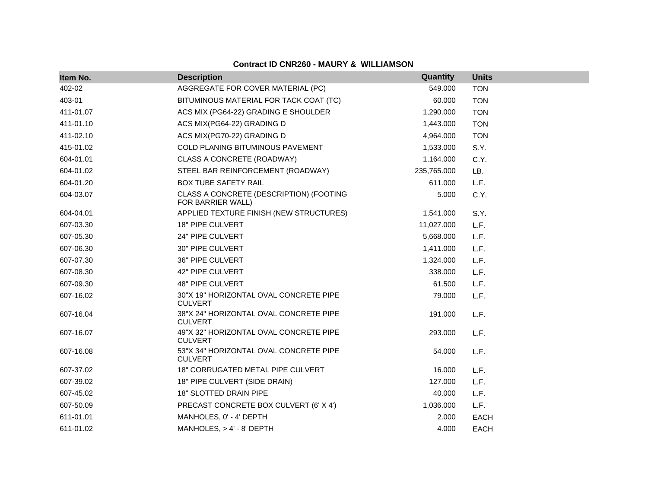| Item No.  | <b>Description</b>                                           | Quantity    | <b>Units</b> |
|-----------|--------------------------------------------------------------|-------------|--------------|
| 402-02    | AGGREGATE FOR COVER MATERIAL (PC)                            | 549.000     | <b>TON</b>   |
| 403-01    | BITUMINOUS MATERIAL FOR TACK COAT (TC)                       | 60.000      | <b>TON</b>   |
| 411-01.07 | ACS MIX (PG64-22) GRADING E SHOULDER                         | 1,290.000   | <b>TON</b>   |
| 411-01.10 | ACS MIX(PG64-22) GRADING D                                   | 1,443.000   | <b>TON</b>   |
| 411-02.10 | ACS MIX(PG70-22) GRADING D                                   | 4,964.000   | <b>TON</b>   |
| 415-01.02 | COLD PLANING BITUMINOUS PAVEMENT                             | 1,533.000   | S.Y.         |
| 604-01.01 | CLASS A CONCRETE (ROADWAY)                                   | 1,164.000   | C.Y.         |
| 604-01.02 | STEEL BAR REINFORCEMENT (ROADWAY)                            | 235,765.000 | LB.          |
| 604-01.20 | <b>BOX TUBE SAFETY RAIL</b>                                  | 611.000     | L.F.         |
| 604-03.07 | CLASS A CONCRETE (DESCRIPTION) (FOOTING<br>FOR BARRIER WALL) | 5.000       | C.Y.         |
| 604-04.01 | APPLIED TEXTURE FINISH (NEW STRUCTURES)                      | 1,541.000   | S.Y.         |
| 607-03.30 | 18" PIPE CULVERT                                             | 11,027.000  | L.F.         |
| 607-05.30 | 24" PIPE CULVERT                                             | 5,668.000   | L.F.         |
| 607-06.30 | 30" PIPE CULVERT                                             | 1,411.000   | L.F.         |
| 607-07.30 | 36" PIPE CULVERT                                             | 1,324.000   | L.F.         |
| 607-08.30 | 42" PIPE CULVERT                                             | 338.000     | L.F.         |
| 607-09.30 | <b>48" PIPE CULVERT</b>                                      | 61.500      | L.F.         |
| 607-16.02 | 30"X 19" HORIZONTAL OVAL CONCRETE PIPE<br><b>CULVERT</b>     | 79.000      | L.F.         |
| 607-16.04 | 38"X 24" HORIZONTAL OVAL CONCRETE PIPE<br><b>CULVERT</b>     | 191.000     | L.F.         |
| 607-16.07 | 49"X 32" HORIZONTAL OVAL CONCRETE PIPE<br><b>CULVERT</b>     | 293.000     | L.F.         |
| 607-16.08 | 53"X 34" HORIZONTAL OVAL CONCRETE PIPE<br><b>CULVERT</b>     | 54.000      | L.F.         |
| 607-37.02 | 18" CORRUGATED METAL PIPE CULVERT                            | 16.000      | L.F.         |
| 607-39.02 | 18" PIPE CULVERT (SIDE DRAIN)                                | 127.000     | L.F.         |
| 607-45.02 | 18" SLOTTED DRAIN PIPE                                       | 40.000      | L.F.         |
| 607-50.09 | PRECAST CONCRETE BOX CULVERT (6' X 4')                       | 1,036.000   | L.F.         |
| 611-01.01 | MANHOLES, 0' - 4' DEPTH                                      | 2.000       | <b>EACH</b>  |
| 611-01.02 | MANHOLES, > 4' - 8' DEPTH                                    | 4.000       | <b>EACH</b>  |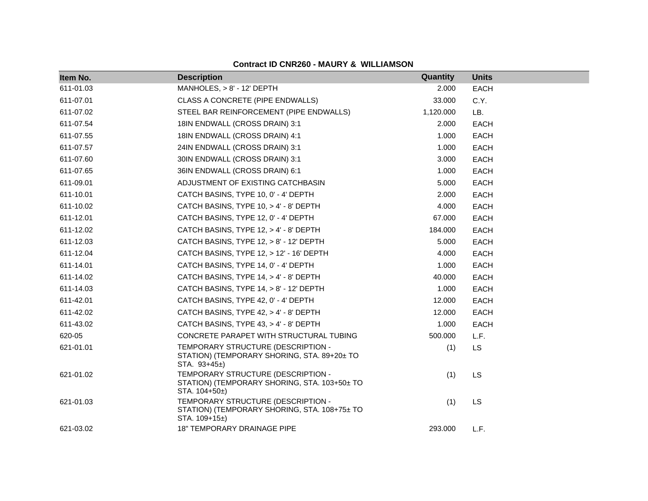| Item No.  | <b>Description</b>                                                                                   | Quantity  | <b>Units</b> |
|-----------|------------------------------------------------------------------------------------------------------|-----------|--------------|
| 611-01.03 | MANHOLES, $> 8'$ - 12' DEPTH                                                                         | 2.000     | <b>EACH</b>  |
| 611-07.01 | CLASS A CONCRETE (PIPE ENDWALLS)                                                                     | 33.000    | C.Y.         |
| 611-07.02 | STEEL BAR REINFORCEMENT (PIPE ENDWALLS)                                                              | 1,120.000 | LB.          |
| 611-07.54 | 18IN ENDWALL (CROSS DRAIN) 3:1                                                                       | 2.000     | <b>EACH</b>  |
| 611-07.55 | 18IN ENDWALL (CROSS DRAIN) 4:1                                                                       | 1.000     | <b>EACH</b>  |
| 611-07.57 | 24IN ENDWALL (CROSS DRAIN) 3:1                                                                       | 1.000     | <b>EACH</b>  |
| 611-07.60 | 30IN ENDWALL (CROSS DRAIN) 3:1                                                                       | 3.000     | EACH         |
| 611-07.65 | 36IN ENDWALL (CROSS DRAIN) 6:1                                                                       | 1.000     | <b>EACH</b>  |
| 611-09.01 | ADJUSTMENT OF EXISTING CATCHBASIN                                                                    | 5.000     | <b>EACH</b>  |
| 611-10.01 | CATCH BASINS, TYPE 10, 0' - 4' DEPTH                                                                 | 2.000     | <b>EACH</b>  |
| 611-10.02 | CATCH BASINS, TYPE 10, > 4' - 8' DEPTH                                                               | 4.000     | <b>EACH</b>  |
| 611-12.01 | CATCH BASINS, TYPE 12, 0' - 4' DEPTH                                                                 | 67.000    | <b>EACH</b>  |
| 611-12.02 | CATCH BASINS, TYPE 12, > 4' - 8' DEPTH                                                               | 184.000   | <b>EACH</b>  |
| 611-12.03 | CATCH BASINS, TYPE 12, > 8' - 12' DEPTH                                                              | 5.000     | <b>EACH</b>  |
| 611-12.04 | CATCH BASINS, TYPE 12, > 12' - 16' DEPTH                                                             | 4.000     | <b>EACH</b>  |
| 611-14.01 | CATCH BASINS, TYPE 14, 0' - 4' DEPTH                                                                 | 1.000     | <b>EACH</b>  |
| 611-14.02 | CATCH BASINS, TYPE 14, > 4' - 8' DEPTH                                                               | 40.000    | EACH         |
| 611-14.03 | CATCH BASINS, TYPE 14, > 8' - 12' DEPTH                                                              | 1.000     | <b>EACH</b>  |
| 611-42.01 | CATCH BASINS, TYPE 42, 0' - 4' DEPTH                                                                 | 12.000    | <b>EACH</b>  |
| 611-42.02 | CATCH BASINS, TYPE 42, > 4' - 8' DEPTH                                                               | 12.000    | <b>EACH</b>  |
| 611-43.02 | CATCH BASINS, TYPE 43, > 4' - 8' DEPTH                                                               | 1.000     | <b>EACH</b>  |
| 620-05    | CONCRETE PARAPET WITH STRUCTURAL TUBING                                                              | 500.000   | L.F.         |
| 621-01.01 | TEMPORARY STRUCTURE (DESCRIPTION -<br>STATION) (TEMPORARY SHORING, STA. 89+20± TO<br>STA. 93+45±)    | (1)       | <b>LS</b>    |
| 621-01.02 | TEMPORARY STRUCTURE (DESCRIPTION -<br>STATION) (TEMPORARY SHORING, STA. 103+50± TO<br>STA. $104+50+$ | (1)       | <b>LS</b>    |
| 621-01.03 | TEMPORARY STRUCTURE (DESCRIPTION -<br>STATION) (TEMPORARY SHORING, STA. 108+75± TO<br>STA. 109+15±)  | (1)       | <b>LS</b>    |
| 621-03.02 | 18" TEMPORARY DRAINAGE PIPE                                                                          | 293.000   | L.F.         |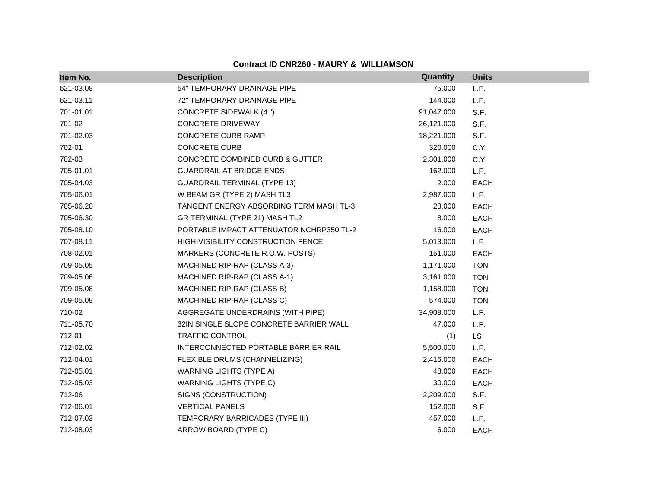| Item No.  | <b>Description</b>                         | Quantity   | <b>Units</b> |
|-----------|--------------------------------------------|------------|--------------|
| 621-03.08 | 54" TEMPORARY DRAINAGE PIPE                | 75.000     | L.F.         |
| 621-03.11 | 72" TEMPORARY DRAINAGE PIPE                | 144.000    | L.F.         |
| 701-01.01 | <b>CONCRETE SIDEWALK (4 ")</b>             | 91,047.000 | S.F.         |
| 701-02    | <b>CONCRETE DRIVEWAY</b>                   | 26,121.000 | S.F.         |
| 701-02.03 | <b>CONCRETE CURB RAMP</b>                  | 18,221.000 | S.F.         |
| 702-01    | <b>CONCRETE CURB</b>                       | 320.000    | C.Y.         |
| 702-03    | <b>CONCRETE COMBINED CURB &amp; GUTTER</b> | 2,301.000  | C.Y.         |
| 705-01.01 | <b>GUARDRAIL AT BRIDGE ENDS</b>            | 162.000    | L.F.         |
| 705-04.03 | <b>GUARDRAIL TERMINAL (TYPE 13)</b>        | 2.000      | EACH         |
| 705-06.01 | W BEAM GR (TYPE 2) MASH TL3                | 2,987.000  | L.F.         |
| 705-06.20 | TANGENT ENERGY ABSORBING TERM MASH TL-3    | 23.000     | <b>EACH</b>  |
| 705-06.30 | GR TERMINAL (TYPE 21) MASH TL2             | 8.000      | <b>EACH</b>  |
| 705-08.10 | PORTABLE IMPACT ATTENUATOR NCHRP350 TL-2   | 16.000     | <b>EACH</b>  |
| 707-08.11 | HIGH-VISIBILITY CONSTRUCTION FENCE         | 5,013.000  | L.F.         |
| 708-02.01 | MARKERS (CONCRETE R.O.W. POSTS)            | 151.000    | <b>EACH</b>  |
| 709-05.05 | MACHINED RIP-RAP (CLASS A-3)               | 1,171.000  | <b>TON</b>   |
| 709-05.06 | MACHINED RIP-RAP (CLASS A-1)               | 3,161.000  | <b>TON</b>   |
| 709-05.08 | MACHINED RIP-RAP (CLASS B)                 | 1,158.000  | <b>TON</b>   |
| 709-05.09 | MACHINED RIP-RAP (CLASS C)                 | 574.000    | <b>TON</b>   |
| 710-02    | AGGREGATE UNDERDRAINS (WITH PIPE)          | 34,908.000 | L.F.         |
| 711-05.70 | 32IN SINGLE SLOPE CONCRETE BARRIER WALL    | 47.000     | L.F.         |
| 712-01    | TRAFFIC CONTROL                            | (1)        | <b>LS</b>    |
| 712-02.02 | INTERCONNECTED PORTABLE BARRIER RAIL       | 5,500.000  | L.F.         |
| 712-04.01 | FLEXIBLE DRUMS (CHANNELIZING)              | 2,416.000  | <b>EACH</b>  |
| 712-05.01 | <b>WARNING LIGHTS (TYPE A)</b>             | 48.000     | <b>EACH</b>  |
| 712-05.03 | <b>WARNING LIGHTS (TYPE C)</b>             | 30.000     | <b>EACH</b>  |
| 712-06    | SIGNS (CONSTRUCTION)                       | 2,209.000  | S.F.         |
| 712-06.01 | <b>VERTICAL PANELS</b>                     | 152.000    | S.F.         |
| 712-07.03 | TEMPORARY BARRICADES (TYPE III)            | 457.000    | L.F.         |
| 712-08.03 | ARROW BOARD (TYPE C)                       | 6.000      | <b>EACH</b>  |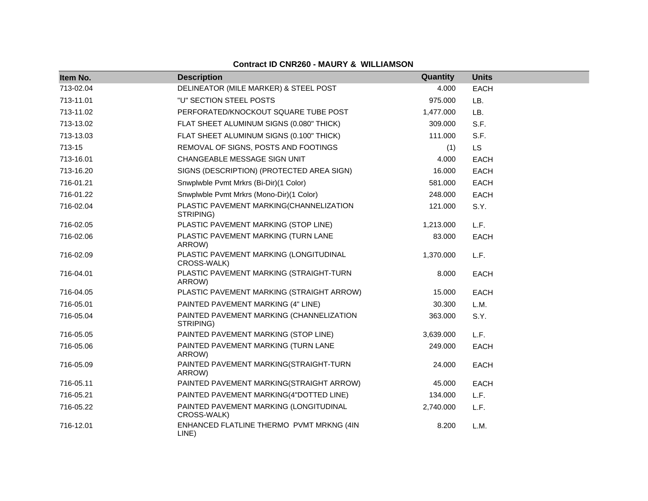| Item No.  | <b>Description</b>                                    | Quantity  | <b>Units</b> |
|-----------|-------------------------------------------------------|-----------|--------------|
| 713-02.04 | DELINEATOR (MILE MARKER) & STEEL POST                 | 4.000     | <b>EACH</b>  |
| 713-11.01 | "U" SECTION STEEL POSTS                               | 975.000   | LB.          |
| 713-11.02 | PERFORATED/KNOCKOUT SQUARE TUBE POST                  | 1,477.000 | LB.          |
| 713-13.02 | FLAT SHEET ALUMINUM SIGNS (0.080" THICK)              | 309.000   | S.F.         |
| 713-13.03 | FLAT SHEET ALUMINUM SIGNS (0.100" THICK)              | 111.000   | S.F.         |
| 713-15    | REMOVAL OF SIGNS, POSTS AND FOOTINGS                  | (1)       | <b>LS</b>    |
| 713-16.01 | CHANGEABLE MESSAGE SIGN UNIT                          | 4.000     | EACH         |
| 713-16.20 | SIGNS (DESCRIPTION) (PROTECTED AREA SIGN)             | 16.000    | <b>EACH</b>  |
| 716-01.21 | Snwplwble Pvmt Mrkrs (Bi-Dir)(1 Color)                | 581.000   | EACH         |
| 716-01.22 | Snwplwble Pvmt Mrkrs (Mono-Dir)(1 Color)              | 248.000   | <b>EACH</b>  |
| 716-02.04 | PLASTIC PAVEMENT MARKING(CHANNELIZATION<br>STRIPING)  | 121.000   | S.Y.         |
| 716-02.05 | PLASTIC PAVEMENT MARKING (STOP LINE)                  | 1,213.000 | L.F.         |
| 716-02.06 | PLASTIC PAVEMENT MARKING (TURN LANE<br>ARROW)         | 83.000    | <b>EACH</b>  |
| 716-02.09 | PLASTIC PAVEMENT MARKING (LONGITUDINAL<br>CROSS-WALK) | 1,370.000 | L.F.         |
| 716-04.01 | PLASTIC PAVEMENT MARKING (STRAIGHT-TURN<br>ARROW)     | 8.000     | <b>EACH</b>  |
| 716-04.05 | PLASTIC PAVEMENT MARKING (STRAIGHT ARROW)             | 15.000    | <b>EACH</b>  |
| 716-05.01 | PAINTED PAVEMENT MARKING (4" LINE)                    | 30.300    | L.M.         |
| 716-05.04 | PAINTED PAVEMENT MARKING (CHANNELIZATION<br>STRIPING) | 363.000   | S.Y.         |
| 716-05.05 | PAINTED PAVEMENT MARKING (STOP LINE)                  | 3,639.000 | L.F.         |
| 716-05.06 | PAINTED PAVEMENT MARKING (TURN LANE<br>ARROW)         | 249.000   | <b>EACH</b>  |
| 716-05.09 | PAINTED PAVEMENT MARKING(STRAIGHT-TURN<br>ARROW)      | 24.000    | EACH         |
| 716-05.11 | PAINTED PAVEMENT MARKING(STRAIGHT ARROW)              | 45.000    | <b>EACH</b>  |
| 716-05.21 | PAINTED PAVEMENT MARKING(4"DOTTED LINE)               | 134.000   | L.F.         |
| 716-05.22 | PAINTED PAVEMENT MARKING (LONGITUDINAL<br>CROSS-WALK) | 2,740.000 | L.F.         |
| 716-12.01 | ENHANCED FLATLINE THERMO PVMT MRKNG (4IN<br>LINE)     | 8.200     | L.M.         |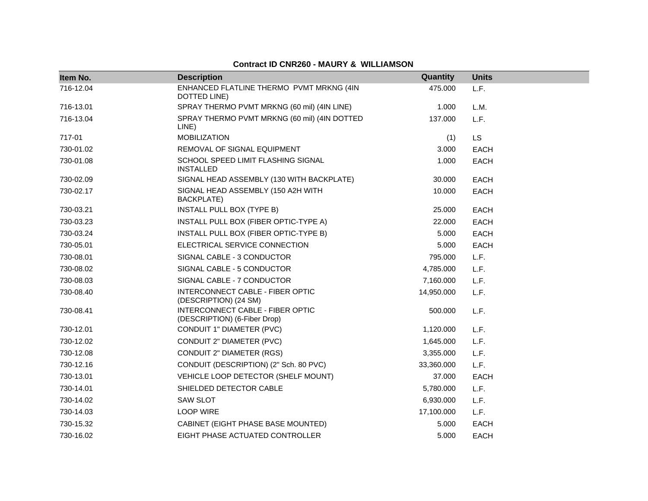| Item No.  | <b>Description</b>                                               | Quantity   | <b>Units</b> |
|-----------|------------------------------------------------------------------|------------|--------------|
| 716-12.04 | ENHANCED FLATLINE THERMO PVMT MRKNG (4IN<br>DOTTED LINE)         | 475.000    | L.F.         |
| 716-13.01 | SPRAY THERMO PVMT MRKNG (60 mil) (4IN LINE)                      | 1.000      | L.M.         |
| 716-13.04 | SPRAY THERMO PVMT MRKNG (60 mil) (4IN DOTTED<br>LINE)            | 137.000    | L.F.         |
| 717-01    | <b>MOBILIZATION</b>                                              | (1)        | <b>LS</b>    |
| 730-01.02 | REMOVAL OF SIGNAL EQUIPMENT                                      | 3.000      | <b>EACH</b>  |
| 730-01.08 | SCHOOL SPEED LIMIT FLASHING SIGNAL<br><b>INSTALLED</b>           | 1.000      | <b>EACH</b>  |
| 730-02.09 | SIGNAL HEAD ASSEMBLY (130 WITH BACKPLATE)                        | 30.000     | <b>EACH</b>  |
| 730-02.17 | SIGNAL HEAD ASSEMBLY (150 A2H WITH<br><b>BACKPLATE)</b>          | 10.000     | <b>EACH</b>  |
| 730-03.21 | INSTALL PULL BOX (TYPE B)                                        | 25.000     | <b>EACH</b>  |
| 730-03.23 | INSTALL PULL BOX (FIBER OPTIC-TYPE A)                            | 22,000     | <b>EACH</b>  |
| 730-03.24 | INSTALL PULL BOX (FIBER OPTIC-TYPE B)                            | 5.000      | <b>EACH</b>  |
| 730-05.01 | ELECTRICAL SERVICE CONNECTION                                    | 5.000      | <b>EACH</b>  |
| 730-08.01 | SIGNAL CABLE - 3 CONDUCTOR                                       | 795.000    | L.F.         |
| 730-08.02 | SIGNAL CABLE - 5 CONDUCTOR                                       | 4,785.000  | L.F.         |
| 730-08.03 | SIGNAL CABLE - 7 CONDUCTOR                                       | 7,160.000  | L.F.         |
| 730-08.40 | INTERCONNECT CABLE - FIBER OPTIC<br>(DESCRIPTION) (24 SM)        | 14,950.000 | L.F.         |
| 730-08.41 | INTERCONNECT CABLE - FIBER OPTIC<br>(DESCRIPTION) (6-Fiber Drop) | 500.000    | L.F.         |
| 730-12.01 | CONDUIT 1" DIAMETER (PVC)                                        | 1,120.000  | L.F.         |
| 730-12.02 | CONDUIT 2" DIAMETER (PVC)                                        | 1,645.000  | L.F.         |
| 730-12.08 | <b>CONDUIT 2" DIAMETER (RGS)</b>                                 | 3,355.000  | L.F.         |
| 730-12.16 | CONDUIT (DESCRIPTION) (2" Sch. 80 PVC)                           | 33,360.000 | L.F.         |
| 730-13.01 | VEHICLE LOOP DETECTOR (SHELF MOUNT)                              | 37.000     | <b>EACH</b>  |
| 730-14.01 | SHIELDED DETECTOR CABLE                                          | 5,780.000  | L.F.         |
| 730-14.02 | <b>SAW SLOT</b>                                                  | 6,930.000  | L.F.         |
| 730-14.03 | <b>LOOP WIRE</b>                                                 | 17,100.000 | L.F.         |
| 730-15.32 | CABINET (EIGHT PHASE BASE MOUNTED)                               | 5.000      | <b>EACH</b>  |
| 730-16.02 | EIGHT PHASE ACTUATED CONTROLLER                                  | 5.000      | <b>EACH</b>  |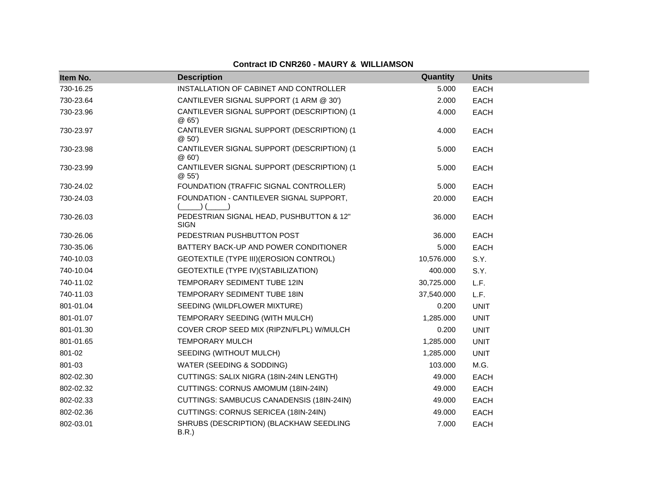| Item No.  | <b>Description</b>                                      | Quantity   | <b>Units</b> |
|-----------|---------------------------------------------------------|------------|--------------|
| 730-16.25 | INSTALLATION OF CABINET AND CONTROLLER                  | 5.000      | <b>EACH</b>  |
| 730-23.64 | CANTILEVER SIGNAL SUPPORT (1 ARM @ 30')                 | 2.000      | <b>EACH</b>  |
| 730-23.96 | CANTILEVER SIGNAL SUPPORT (DESCRIPTION) (1<br>@65'      | 4.000      | <b>EACH</b>  |
| 730-23.97 | CANTILEVER SIGNAL SUPPORT (DESCRIPTION) (1<br>@50'      | 4.000      | EACH         |
| 730-23.98 | CANTILEVER SIGNAL SUPPORT (DESCRIPTION) (1<br>@60'      | 5.000      | <b>EACH</b>  |
| 730-23.99 | CANTILEVER SIGNAL SUPPORT (DESCRIPTION) (1<br>@55'      | 5.000      | <b>EACH</b>  |
| 730-24.02 | FOUNDATION (TRAFFIC SIGNAL CONTROLLER)                  | 5.000      | <b>EACH</b>  |
| 730-24.03 | FOUNDATION - CANTILEVER SIGNAL SUPPORT,                 | 20.000     | <b>EACH</b>  |
| 730-26.03 | PEDESTRIAN SIGNAL HEAD, PUSHBUTTON & 12"<br><b>SIGN</b> | 36.000     | <b>EACH</b>  |
| 730-26.06 | PEDESTRIAN PUSHBUTTON POST                              | 36.000     | <b>EACH</b>  |
| 730-35.06 | BATTERY BACK-UP AND POWER CONDITIONER                   | 5.000      | <b>EACH</b>  |
| 740-10.03 | GEOTEXTILE (TYPE III) (EROSION CONTROL)                 | 10,576.000 | S.Y.         |
| 740-10.04 | GEOTEXTILE (TYPE IV) (STABILIZATION)                    | 400.000    | S.Y.         |
| 740-11.02 | TEMPORARY SEDIMENT TUBE 12IN                            | 30,725.000 | L.F.         |
| 740-11.03 | TEMPORARY SEDIMENT TUBE 18IN                            | 37,540.000 | L.F.         |
| 801-01.04 | SEEDING (WILDFLOWER MIXTURE)                            | 0.200      | <b>UNIT</b>  |
| 801-01.07 | TEMPORARY SEEDING (WITH MULCH)                          | 1,285.000  | <b>UNIT</b>  |
| 801-01.30 | COVER CROP SEED MIX (RIPZN/FLPL) W/MULCH                | 0.200      | <b>UNIT</b>  |
| 801-01.65 | <b>TEMPORARY MULCH</b>                                  | 1,285.000  | <b>UNIT</b>  |
| 801-02    | SEEDING (WITHOUT MULCH)                                 | 1,285.000  | <b>UNIT</b>  |
| 801-03    | WATER (SEEDING & SODDING)                               | 103.000    | M.G.         |
| 802-02.30 | CUTTINGS: SALIX NIGRA (18IN-24IN LENGTH)                | 49.000     | <b>EACH</b>  |
| 802-02.32 | CUTTINGS: CORNUS AMOMUM (18IN-24IN)                     | 49.000     | <b>EACH</b>  |
| 802-02.33 | CUTTINGS: SAMBUCUS CANADENSIS (18IN-24IN)               | 49.000     | <b>EACH</b>  |
| 802-02.36 | CUTTINGS: CORNUS SERICEA (18IN-24IN)                    | 49.000     | EACH         |
| 802-03.01 | SHRUBS (DESCRIPTION) (BLACKHAW SEEDLING<br>B.R.         | 7.000      | <b>EACH</b>  |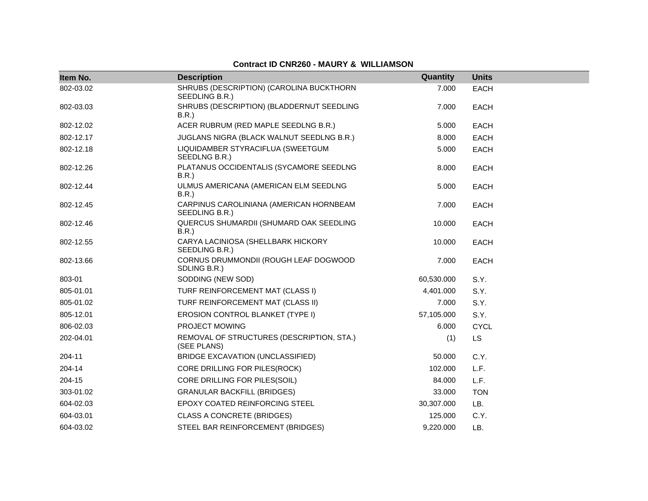| Item No.  | <b>Description</b>                                         | Quantity   | <b>Units</b> |
|-----------|------------------------------------------------------------|------------|--------------|
| 802-03.02 | SHRUBS (DESCRIPTION) (CAROLINA BUCKTHORN<br>SEEDLING B.R.) | 7.000      | <b>EACH</b>  |
| 802-03.03 | SHRUBS (DESCRIPTION) (BLADDERNUT SEEDLING<br><b>B.R.</b> ) | 7.000      | <b>EACH</b>  |
| 802-12.02 | ACER RUBRUM (RED MAPLE SEEDLNG B.R.)                       | 5.000      | <b>EACH</b>  |
| 802-12.17 | JUGLANS NIGRA (BLACK WALNUT SEEDLNG B.R.)                  | 8.000      | <b>EACH</b>  |
| 802-12.18 | LIQUIDAMBER STYRACIFLUA (SWEETGUM<br>SEEDLNG B.R.)         | 5.000      | <b>EACH</b>  |
| 802-12.26 | PLATANUS OCCIDENTALIS (SYCAMORE SEEDLNG<br><b>B.R.</b> )   | 8.000      | <b>EACH</b>  |
| 802-12.44 | ULMUS AMERICANA (AMERICAN ELM SEEDLNG<br>B.R.)             | 5.000      | <b>EACH</b>  |
| 802-12.45 | CARPINUS CAROLINIANA (AMERICAN HORNBEAM<br>SEEDLING B.R.)  | 7.000      | <b>EACH</b>  |
| 802-12.46 | QUERCUS SHUMARDII (SHUMARD OAK SEEDLING<br>B.R.)           | 10.000     | <b>EACH</b>  |
| 802-12.55 | CARYA LACINIOSA (SHELLBARK HICKORY<br>SEEDLING B.R.)       | 10.000     | <b>EACH</b>  |
| 802-13.66 | CORNUS DRUMMONDII (ROUGH LEAF DOGWOOD<br>SDLING B.R.)      | 7.000      | <b>EACH</b>  |
| 803-01    | SODDING (NEW SOD)                                          | 60,530.000 | S.Y.         |
| 805-01.01 | TURF REINFORCEMENT MAT (CLASS I)                           | 4,401.000  | S.Y.         |
| 805-01.02 | TURF REINFORCEMENT MAT (CLASS II)                          | 7.000      | S.Y.         |
| 805-12.01 | EROSION CONTROL BLANKET (TYPE I)                           | 57,105.000 | S.Y.         |
| 806-02.03 | PROJECT MOWING                                             | 6.000      | <b>CYCL</b>  |
| 202-04.01 | REMOVAL OF STRUCTURES (DESCRIPTION, STA.)<br>(SEE PLANS)   | (1)        | <b>LS</b>    |
| 204-11    | BRIDGE EXCAVATION (UNCLASSIFIED)                           | 50.000     | C.Y.         |
| 204-14    | CORE DRILLING FOR PILES(ROCK)                              | 102.000    | L.F.         |
| 204-15    | CORE DRILLING FOR PILES(SOIL)                              | 84.000     | L.F.         |
| 303-01.02 | <b>GRANULAR BACKFILL (BRIDGES)</b>                         | 33.000     | <b>TON</b>   |
| 604-02.03 | <b>EPOXY COATED REINFORCING STEEL</b>                      | 30,307.000 | LB.          |
| 604-03.01 | <b>CLASS A CONCRETE (BRIDGES)</b>                          | 125.000    | C.Y.         |
| 604-03.02 | STEEL BAR REINFORCEMENT (BRIDGES)                          | 9,220.000  | LB.          |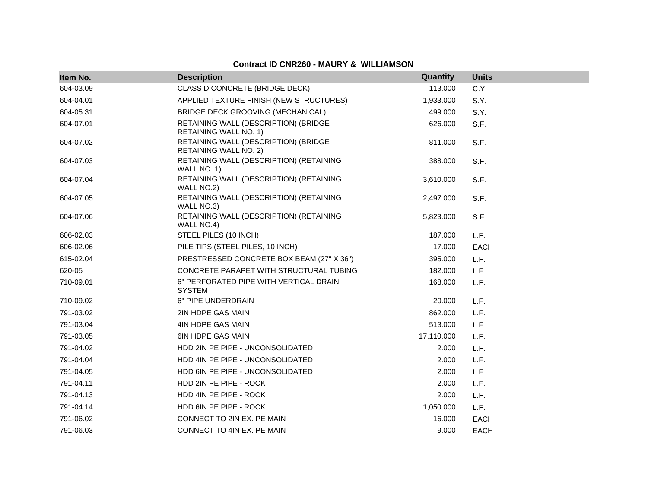| Item No.  | <b>Description</b>                                                   | Quantity   | <b>Units</b> |
|-----------|----------------------------------------------------------------------|------------|--------------|
| 604-03.09 | CLASS D CONCRETE (BRIDGE DECK)                                       | 113.000    | C.Y.         |
| 604-04.01 | APPLIED TEXTURE FINISH (NEW STRUCTURES)                              | 1,933.000  | S.Y.         |
| 604-05.31 | BRIDGE DECK GROOVING (MECHANICAL)                                    | 499.000    | S.Y.         |
| 604-07.01 | RETAINING WALL (DESCRIPTION) (BRIDGE<br>RETAINING WALL NO. 1)        | 626.000    | S.F.         |
| 604-07.02 | RETAINING WALL (DESCRIPTION) (BRIDGE<br><b>RETAINING WALL NO. 2)</b> | 811.000    | S.F.         |
| 604-07.03 | RETAINING WALL (DESCRIPTION) (RETAINING<br>WALL NO. 1)               | 388,000    | S.F.         |
| 604-07.04 | RETAINING WALL (DESCRIPTION) (RETAINING<br>WALL NO.2)                | 3,610.000  | S.F.         |
| 604-07.05 | RETAINING WALL (DESCRIPTION) (RETAINING<br>WALL NO.3)                | 2,497.000  | S.F.         |
| 604-07.06 | RETAINING WALL (DESCRIPTION) (RETAINING<br>WALL NO.4)                | 5,823.000  | S.F.         |
| 606-02.03 | STEEL PILES (10 INCH)                                                | 187.000    | L.F.         |
| 606-02.06 | PILE TIPS (STEEL PILES, 10 INCH)                                     | 17.000     | <b>EACH</b>  |
| 615-02.04 | PRESTRESSED CONCRETE BOX BEAM (27" X 36")                            | 395.000    | L.F.         |
| 620-05    | CONCRETE PARAPET WITH STRUCTURAL TUBING                              | 182.000    | L.F.         |
| 710-09.01 | 6" PERFORATED PIPE WITH VERTICAL DRAIN<br><b>SYSTEM</b>              | 168.000    | L.F.         |
| 710-09.02 | 6" PIPE UNDERDRAIN                                                   | 20.000     | L.F.         |
| 791-03.02 | 2IN HDPE GAS MAIN                                                    | 862.000    | L.F.         |
| 791-03.04 | 4IN HDPE GAS MAIN                                                    | 513.000    | L.F.         |
| 791-03.05 | <b>6IN HDPE GAS MAIN</b>                                             | 17,110.000 | L.F.         |
| 791-04.02 | HDD 2IN PE PIPE - UNCONSOLIDATED                                     | 2.000      | L.F.         |
| 791-04.04 | HDD 4IN PE PIPE - UNCONSOLIDATED                                     | 2.000      | L.F.         |
| 791-04.05 | HDD 6IN PE PIPE - UNCONSOLIDATED                                     | 2.000      | L.F.         |
| 791-04.11 | HDD 2IN PE PIPE - ROCK                                               | 2.000      | L.F.         |
| 791-04.13 | HDD 4IN PE PIPE - ROCK                                               | 2.000      | L.F.         |
| 791-04.14 | HDD 6IN PE PIPE - ROCK                                               | 1,050.000  | L.F.         |
| 791-06.02 | CONNECT TO 2IN EX. PE MAIN                                           | 16.000     | <b>EACH</b>  |
| 791-06.03 | CONNECT TO 4IN EX. PE MAIN                                           | 9.000      | <b>EACH</b>  |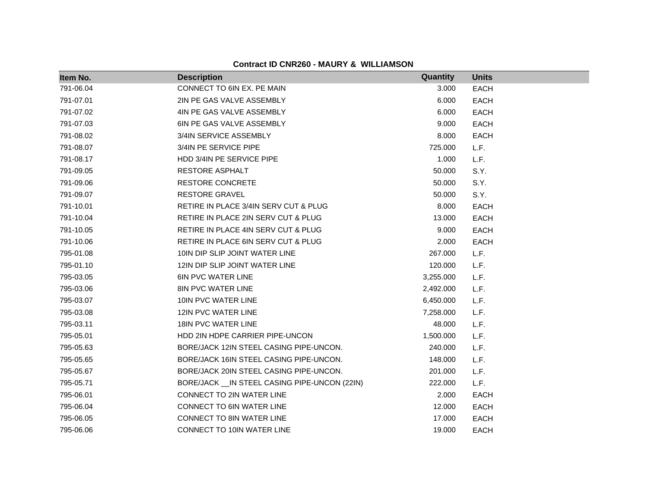| Item No.  | <b>Description</b>                             | Quantity  | <b>Units</b> |
|-----------|------------------------------------------------|-----------|--------------|
| 791-06.04 | CONNECT TO 6IN EX. PE MAIN                     | 3.000     | <b>EACH</b>  |
| 791-07.01 | 2IN PE GAS VALVE ASSEMBLY                      | 6.000     | <b>EACH</b>  |
| 791-07.02 | 4IN PE GAS VALVE ASSEMBLY                      | 6.000     | EACH         |
| 791-07.03 | 6IN PE GAS VALVE ASSEMBLY                      | 9.000     | <b>EACH</b>  |
| 791-08.02 | 3/4IN SERVICE ASSEMBLY                         | 8.000     | EACH         |
| 791-08.07 | 3/4IN PE SERVICE PIPE                          | 725.000   | L.F.         |
| 791-08.17 | HDD 3/4IN PE SERVICE PIPE                      | 1.000     | L.F.         |
| 791-09.05 | <b>RESTORE ASPHALT</b>                         | 50.000    | S.Y.         |
| 791-09.06 | <b>RESTORE CONCRETE</b>                        | 50.000    | S.Y.         |
| 791-09.07 | <b>RESTORE GRAVEL</b>                          | 50.000    | S.Y.         |
| 791-10.01 | RETIRE IN PLACE 3/4IN SERV CUT & PLUG          | 8.000     | <b>EACH</b>  |
| 791-10.04 | RETIRE IN PLACE 2IN SERV CUT & PLUG            | 13.000    | <b>EACH</b>  |
| 791-10.05 | RETIRE IN PLACE 4IN SERV CUT & PLUG            | 9.000     | <b>EACH</b>  |
| 791-10.06 | RETIRE IN PLACE 6IN SERV CUT & PLUG            | 2.000     | <b>EACH</b>  |
| 795-01.08 | 10IN DIP SLIP JOINT WATER LINE                 | 267.000   | L.F.         |
| 795-01.10 | 12IN DIP SLIP JOINT WATER LINE                 | 120.000   | L.F.         |
| 795-03.05 | <b>6IN PVC WATER LINE</b>                      | 3,255.000 | L.F.         |
| 795-03.06 | 8IN PVC WATER LINE                             | 2,492.000 | L.F.         |
| 795-03.07 | 10IN PVC WATER LINE                            | 6,450.000 | L.F.         |
| 795-03.08 | 12IN PVC WATER LINE                            | 7,258.000 | L.F.         |
| 795-03.11 | <b>18IN PVC WATER LINE</b>                     | 48.000    | L.F.         |
| 795-05.01 | HDD 2IN HDPE CARRIER PIPE-UNCON                | 1,500.000 | L.F.         |
| 795-05.63 | BORE/JACK 12IN STEEL CASING PIPE-UNCON.        | 240.000   | L.F.         |
| 795-05.65 | BORE/JACK 16IN STEEL CASING PIPE-UNCON.        | 148.000   | L.F.         |
| 795-05.67 | BORE/JACK 20IN STEEL CASING PIPE-UNCON.        | 201.000   | L.F.         |
| 795-05.71 | BORE/JACK __ IN STEEL CASING PIPE-UNCON (22IN) | 222.000   | L.F.         |
| 795-06.01 | CONNECT TO 2IN WATER LINE                      | 2.000     | EACH         |
| 795-06.04 | CONNECT TO 6IN WATER LINE                      | 12.000    | <b>EACH</b>  |
| 795-06.05 | CONNECT TO 8IN WATER LINE                      | 17.000    | <b>EACH</b>  |
| 795-06.06 | CONNECT TO 10IN WATER LINE                     | 19.000    | <b>EACH</b>  |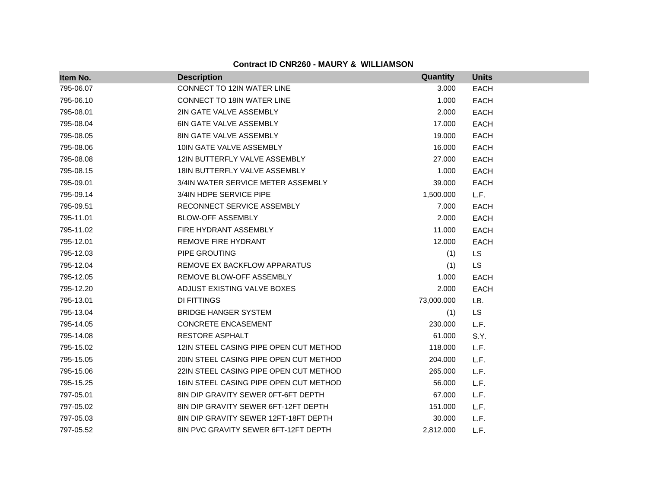| Item No.  | <b>Description</b>                     | Quantity   | <b>Units</b> |
|-----------|----------------------------------------|------------|--------------|
| 795-06.07 | <b>CONNECT TO 12IN WATER LINE</b>      | 3.000      | <b>EACH</b>  |
| 795-06.10 | <b>CONNECT TO 18IN WATER LINE</b>      | 1.000      | <b>EACH</b>  |
| 795-08.01 | 2IN GATE VALVE ASSEMBLY                | 2.000      | <b>EACH</b>  |
| 795-08.04 | <b>6IN GATE VALVE ASSEMBLY</b>         | 17.000     | <b>EACH</b>  |
| 795-08.05 | <b>8IN GATE VALVE ASSEMBLY</b>         | 19.000     | <b>EACH</b>  |
| 795-08.06 | 10IN GATE VALVE ASSEMBLY               | 16.000     | <b>EACH</b>  |
| 795-08.08 | 12IN BUTTERFLY VALVE ASSEMBLY          | 27,000     | <b>EACH</b>  |
| 795-08.15 | 18IN BUTTERFLY VALVE ASSEMBLY          | 1.000      | <b>EACH</b>  |
| 795-09.01 | 3/4IN WATER SERVICE METER ASSEMBLY     | 39.000     | <b>EACH</b>  |
| 795-09.14 | 3/4IN HDPE SERVICE PIPE                | 1,500.000  | L.F.         |
| 795-09.51 | RECONNECT SERVICE ASSEMBLY             | 7.000      | <b>EACH</b>  |
| 795-11.01 | <b>BLOW-OFF ASSEMBLY</b>               | 2.000      | <b>EACH</b>  |
| 795-11.02 | FIRE HYDRANT ASSEMBLY                  | 11.000     | <b>EACH</b>  |
| 795-12.01 | <b>REMOVE FIRE HYDRANT</b>             | 12.000     | <b>EACH</b>  |
| 795-12.03 | PIPE GROUTING                          | (1)        | <b>LS</b>    |
| 795-12.04 | REMOVE EX BACKFLOW APPARATUS           | (1)        | LS           |
| 795-12.05 | REMOVE BLOW-OFF ASSEMBLY               | 1.000      | EACH         |
| 795-12.20 | ADJUST EXISTING VALVE BOXES            | 2.000      | EACH         |
| 795-13.01 | DI FITTINGS                            | 73,000.000 | LB.          |
| 795-13.04 | <b>BRIDGE HANGER SYSTEM</b>            | (1)        | LS           |
| 795-14.05 | <b>CONCRETE ENCASEMENT</b>             | 230.000    | L.F.         |
| 795-14.08 | RESTORE ASPHALT                        | 61.000     | S.Y.         |
| 795-15.02 | 12IN STEEL CASING PIPE OPEN CUT METHOD | 118.000    | L.F.         |
| 795-15.05 | 20IN STEEL CASING PIPE OPEN CUT METHOD | 204.000    | L.F.         |
| 795-15.06 | 22IN STEEL CASING PIPE OPEN CUT METHOD | 265.000    | L.F.         |
| 795-15.25 | 16IN STEEL CASING PIPE OPEN CUT METHOD | 56.000     | L.F.         |
| 797-05.01 | 8IN DIP GRAVITY SEWER 0FT-6FT DEPTH    | 67.000     | L.F.         |
| 797-05.02 | 8IN DIP GRAVITY SEWER 6FT-12FT DEPTH   | 151.000    | L.F.         |
| 797-05.03 | 8IN DIP GRAVITY SEWER 12FT-18FT DEPTH  | 30.000     | L.F.         |
| 797-05.52 | 8IN PVC GRAVITY SEWER 6FT-12FT DEPTH   | 2,812.000  | L.F.         |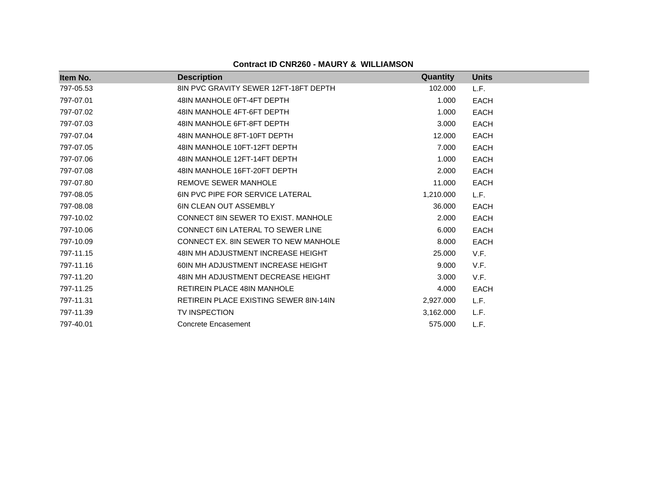| Item No.  | <b>Description</b>                            | <b>Quantity</b> | <b>Units</b> |  |
|-----------|-----------------------------------------------|-----------------|--------------|--|
| 797-05.53 | 8IN PVC GRAVITY SEWER 12FT-18FT DEPTH         | 102.000         | L.F.         |  |
| 797-07.01 | 48IN MANHOLE 0FT-4FT DEPTH                    | 1.000           | <b>EACH</b>  |  |
| 797-07.02 | 48IN MANHOLE 4FT-6FT DEPTH                    | 1.000           | <b>EACH</b>  |  |
| 797-07.03 | 48IN MANHOLE 6FT-8FT DEPTH                    | 3.000           | <b>EACH</b>  |  |
| 797-07.04 | 48IN MANHOLE 8FT-10FT DEPTH                   | 12.000          | <b>EACH</b>  |  |
| 797-07.05 | 48IN MANHOLE 10FT-12FT DEPTH                  | 7.000           | <b>EACH</b>  |  |
| 797-07.06 | 48IN MANHOLE 12FT-14FT DEPTH                  | 1.000           | <b>EACH</b>  |  |
| 797-07.08 | 48IN MANHOLE 16FT-20FT DEPTH                  | 2.000           | <b>EACH</b>  |  |
| 797-07.80 | REMOVE SEWER MANHOLE                          | 11.000          | <b>EACH</b>  |  |
| 797-08.05 | <b>6IN PVC PIPE FOR SERVICE LATERAL</b>       | 1,210.000       | L.F.         |  |
| 797-08.08 | <b>6IN CLEAN OUT ASSEMBLY</b>                 | 36.000          | <b>EACH</b>  |  |
| 797-10.02 | CONNECT 8IN SEWER TO EXIST. MANHOLE           | 2.000           | <b>EACH</b>  |  |
| 797-10.06 | CONNECT 6IN LATERAL TO SEWER LINE             | 6.000           | <b>EACH</b>  |  |
| 797-10.09 | CONNECT EX. 8IN SEWER TO NEW MANHOLE          | 8.000           | <b>EACH</b>  |  |
| 797-11.15 | 48IN MH ADJUSTMENT INCREASE HEIGHT            | 25.000          | V.F.         |  |
| 797-11.16 | 60IN MH ADJUSTMENT INCREASE HEIGHT            | 9.000           | V.F.         |  |
| 797-11.20 | 48IN MH ADJUSTMENT DECREASE HEIGHT            | 3.000           | V.F.         |  |
| 797-11.25 | <b>RETIREIN PLACE 48IN MANHOLE</b>            | 4.000           | <b>EACH</b>  |  |
| 797-11.31 | <b>RETIREIN PLACE EXISTING SEWER 8IN-14IN</b> | 2,927.000       | L.F.         |  |
| 797-11.39 | <b>TV INSPECTION</b>                          | 3,162.000       | L.F.         |  |
| 797-40.01 | <b>Concrete Encasement</b>                    | 575.000         | L.F.         |  |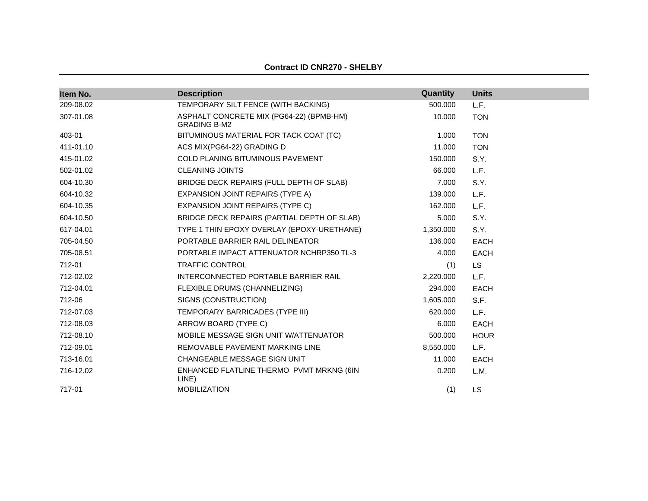| Item No.  | <b>Description</b>                                              | Quantity  | <b>Units</b> |
|-----------|-----------------------------------------------------------------|-----------|--------------|
| 209-08.02 | TEMPORARY SILT FENCE (WITH BACKING)                             | 500.000   | L.F.         |
| 307-01.08 | ASPHALT CONCRETE MIX (PG64-22) (BPMB-HM)<br><b>GRADING B-M2</b> | 10.000    | <b>TON</b>   |
| 403-01    | BITUMINOUS MATERIAL FOR TACK COAT (TC)                          | 1.000     | <b>TON</b>   |
| 411-01.10 | ACS MIX(PG64-22) GRADING D                                      | 11.000    | <b>TON</b>   |
| 415-01.02 | <b>COLD PLANING BITUMINOUS PAVEMENT</b>                         | 150.000   | S.Y.         |
| 502-01.02 | <b>CLEANING JOINTS</b>                                          | 66,000    | L.F.         |
| 604-10.30 | BRIDGE DECK REPAIRS (FULL DEPTH OF SLAB)                        | 7.000     | S.Y.         |
| 604-10.32 | EXPANSION JOINT REPAIRS (TYPE A)                                | 139.000   | L.F.         |
| 604-10.35 | <b>EXPANSION JOINT REPAIRS (TYPE C)</b>                         | 162.000   | L.F.         |
| 604-10.50 | BRIDGE DECK REPAIRS (PARTIAL DEPTH OF SLAB)                     | 5.000     | S.Y.         |
| 617-04.01 | TYPE 1 THIN EPOXY OVERLAY (EPOXY-URETHANE)                      | 1,350.000 | S.Y.         |
| 705-04.50 | PORTABLE BARRIER RAIL DELINEATOR                                | 136.000   | <b>EACH</b>  |
| 705-08.51 | PORTABLE IMPACT ATTENUATOR NCHRP350 TL-3                        | 4.000     | <b>EACH</b>  |
| 712-01    | <b>TRAFFIC CONTROL</b>                                          | (1)       | <b>LS</b>    |
| 712-02.02 | INTERCONNECTED PORTABLE BARRIER RAIL                            | 2,220.000 | L.F.         |
| 712-04.01 | FLEXIBLE DRUMS (CHANNELIZING)                                   | 294.000   | <b>EACH</b>  |
| 712-06    | SIGNS (CONSTRUCTION)                                            | 1,605.000 | S.F.         |
| 712-07.03 | TEMPORARY BARRICADES (TYPE III)                                 | 620.000   | L.F.         |
| 712-08.03 | ARROW BOARD (TYPE C)                                            | 6.000     | <b>EACH</b>  |
| 712-08.10 | MOBILE MESSAGE SIGN UNIT W/ATTENUATOR                           | 500.000   | <b>HOUR</b>  |
| 712-09.01 | REMOVABLE PAVEMENT MARKING LINE                                 | 8,550.000 | L.F.         |
| 713-16.01 | CHANGEABLE MESSAGE SIGN UNIT                                    | 11.000    | <b>EACH</b>  |
| 716-12.02 | ENHANCED FLATLINE THERMO PVMT MRKNG (6IN<br>LINE)               | 0.200     | L.M.         |
| 717-01    | <b>MOBILIZATION</b>                                             | (1)       | <b>LS</b>    |

#### **Contract ID CNR270 - SHELBY**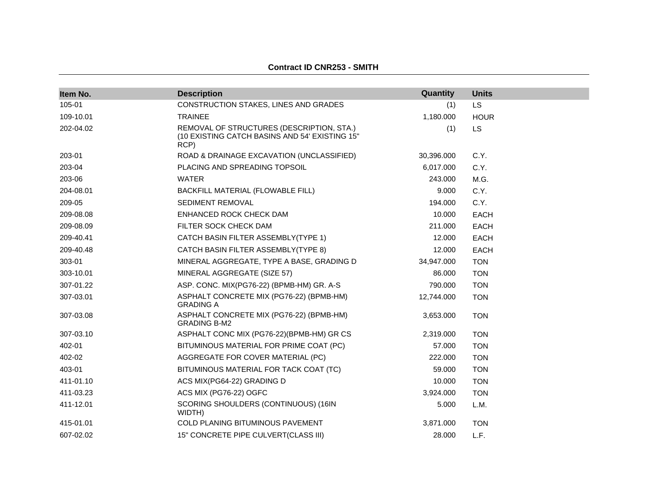| Item No.  | <b>Description</b>                                                                                  | Quantity   | <b>Units</b> |
|-----------|-----------------------------------------------------------------------------------------------------|------------|--------------|
| 105-01    | CONSTRUCTION STAKES, LINES AND GRADES                                                               | (1)        | <b>LS</b>    |
| 109-10.01 | <b>TRAINEE</b>                                                                                      | 1,180.000  | <b>HOUR</b>  |
| 202-04.02 | REMOVAL OF STRUCTURES (DESCRIPTION, STA.)<br>(10 EXISTING CATCH BASINS AND 54' EXISTING 15"<br>RCP) | (1)        | <b>LS</b>    |
| 203-01    | ROAD & DRAINAGE EXCAVATION (UNCLASSIFIED)                                                           | 30,396.000 | C.Y.         |
| 203-04    | PLACING AND SPREADING TOPSOIL                                                                       | 6,017.000  | C.Y.         |
| 203-06    | <b>WATER</b>                                                                                        | 243.000    | M.G.         |
| 204-08.01 | BACKFILL MATERIAL (FLOWABLE FILL)                                                                   | 9.000      | C.Y.         |
| 209-05    | <b>SEDIMENT REMOVAL</b>                                                                             | 194.000    | C.Y.         |
| 209-08.08 | ENHANCED ROCK CHECK DAM                                                                             | 10.000     | <b>EACH</b>  |
| 209-08.09 | FILTER SOCK CHECK DAM                                                                               | 211.000    | <b>EACH</b>  |
| 209-40.41 | CATCH BASIN FILTER ASSEMBLY(TYPE 1)                                                                 | 12.000     | <b>EACH</b>  |
| 209-40.48 | CATCH BASIN FILTER ASSEMBLY(TYPE 8)                                                                 | 12.000     | <b>EACH</b>  |
| 303-01    | MINERAL AGGREGATE, TYPE A BASE, GRADING D                                                           | 34,947.000 | <b>TON</b>   |
| 303-10.01 | MINERAL AGGREGATE (SIZE 57)                                                                         | 86.000     | <b>TON</b>   |
| 307-01.22 | ASP. CONC. MIX(PG76-22) (BPMB-HM) GR. A-S                                                           | 790.000    | <b>TON</b>   |
| 307-03.01 | ASPHALT CONCRETE MIX (PG76-22) (BPMB-HM)<br><b>GRADING A</b>                                        | 12,744.000 | <b>TON</b>   |
| 307-03.08 | ASPHALT CONCRETE MIX (PG76-22) (BPMB-HM)<br><b>GRADING B-M2</b>                                     | 3,653.000  | <b>TON</b>   |
| 307-03.10 | ASPHALT CONC MIX (PG76-22)(BPMB-HM) GR CS                                                           | 2,319.000  | <b>TON</b>   |
| 402-01    | BITUMINOUS MATERIAL FOR PRIME COAT (PC)                                                             | 57.000     | <b>TON</b>   |
| 402-02    | AGGREGATE FOR COVER MATERIAL (PC)                                                                   | 222.000    | <b>TON</b>   |
| 403-01    | BITUMINOUS MATERIAL FOR TACK COAT (TC)                                                              | 59.000     | <b>TON</b>   |
| 411-01.10 | ACS MIX(PG64-22) GRADING D                                                                          | 10.000     | <b>TON</b>   |
| 411-03.23 | ACS MIX (PG76-22) OGFC                                                                              | 3,924.000  | <b>TON</b>   |
| 411-12.01 | SCORING SHOULDERS (CONTINUOUS) (16IN<br>WIDTH)                                                      | 5.000      | L.M.         |
| 415-01.01 | <b>COLD PLANING BITUMINOUS PAVEMENT</b>                                                             | 3,871.000  | <b>TON</b>   |
| 607-02.02 | 15" CONCRETE PIPE CULVERT(CLASS III)                                                                | 28.000     | L.F.         |

#### **Contract ID CNR253 - SMITH**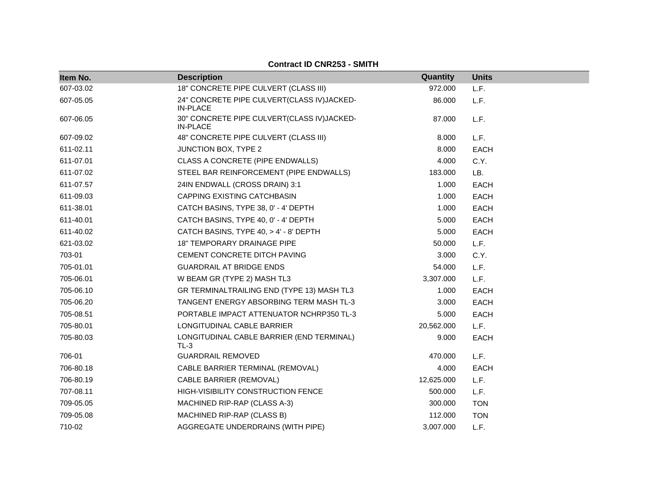| Item No.  | <b>Description</b>                                            | Quantity   | <b>Units</b> |
|-----------|---------------------------------------------------------------|------------|--------------|
| 607-03.02 | 18" CONCRETE PIPE CULVERT (CLASS III)                         | 972.000    | L.F.         |
| 607-05.05 | 24" CONCRETE PIPE CULVERT(CLASS IV)JACKED-<br><b>IN-PLACE</b> | 86.000     | L.F.         |
| 607-06.05 | 30" CONCRETE PIPE CULVERT(CLASS IV)JACKED-<br><b>IN-PLACE</b> | 87.000     | L.F.         |
| 607-09.02 | 48" CONCRETE PIPE CULVERT (CLASS III)                         | 8.000      | L.F.         |
| 611-02.11 | JUNCTION BOX, TYPE 2                                          | 8.000      | <b>EACH</b>  |
| 611-07.01 | CLASS A CONCRETE (PIPE ENDWALLS)                              | 4.000      | C.Y.         |
| 611-07.02 | STEEL BAR REINFORCEMENT (PIPE ENDWALLS)                       | 183.000    | LB.          |
| 611-07.57 | 24IN ENDWALL (CROSS DRAIN) 3:1                                | 1.000      | <b>EACH</b>  |
| 611-09.03 | CAPPING EXISTING CATCHBASIN                                   | 1.000      | <b>EACH</b>  |
| 611-38.01 | CATCH BASINS, TYPE 38, 0' - 4' DEPTH                          | 1.000      | <b>EACH</b>  |
| 611-40.01 | CATCH BASINS, TYPE 40, 0' - 4' DEPTH                          | 5.000      | <b>EACH</b>  |
| 611-40.02 | CATCH BASINS, TYPE 40, > 4' - 8' DEPTH                        | 5.000      | <b>EACH</b>  |
| 621-03.02 | 18" TEMPORARY DRAINAGE PIPE                                   | 50.000     | L.F.         |
| 703-01    | CEMENT CONCRETE DITCH PAVING                                  | 3.000      | C.Y.         |
| 705-01.01 | <b>GUARDRAIL AT BRIDGE ENDS</b>                               | 54.000     | L.F.         |
| 705-06.01 | W BEAM GR (TYPE 2) MASH TL3                                   | 3,307.000  | L.F.         |
| 705-06.10 | GR TERMINALTRAILING END (TYPE 13) MASH TL3                    | 1.000      | <b>EACH</b>  |
| 705-06.20 | <b>TANGENT ENERGY ABSORBING TERM MASH TL-3</b>                | 3.000      | <b>EACH</b>  |
| 705-08.51 | PORTABLE IMPACT ATTENUATOR NCHRP350 TL-3                      | 5.000      | <b>EACH</b>  |
| 705-80.01 | LONGITUDINAL CABLE BARRIER                                    | 20,562.000 | L.F.         |
| 705-80.03 | LONGITUDINAL CABLE BARRIER (END TERMINAL)<br>TL-3             | 9.000      | <b>EACH</b>  |
| 706-01    | <b>GUARDRAIL REMOVED</b>                                      | 470.000    | L.F.         |
| 706-80.18 | CABLE BARRIER TERMINAL (REMOVAL)                              | 4.000      | <b>EACH</b>  |
| 706-80.19 | <b>CABLE BARRIER (REMOVAL)</b>                                | 12,625.000 | L.F.         |
| 707-08.11 | HIGH-VISIBILITY CONSTRUCTION FENCE                            | 500.000    | L.F.         |
| 709-05.05 | MACHINED RIP-RAP (CLASS A-3)                                  | 300.000    | <b>TON</b>   |
| 709-05.08 | MACHINED RIP-RAP (CLASS B)                                    | 112.000    | <b>TON</b>   |
| 710-02    | AGGREGATE UNDERDRAINS (WITH PIPE)                             | 3,007.000  | L.F.         |

## **Contract ID CNR253 - SMITH**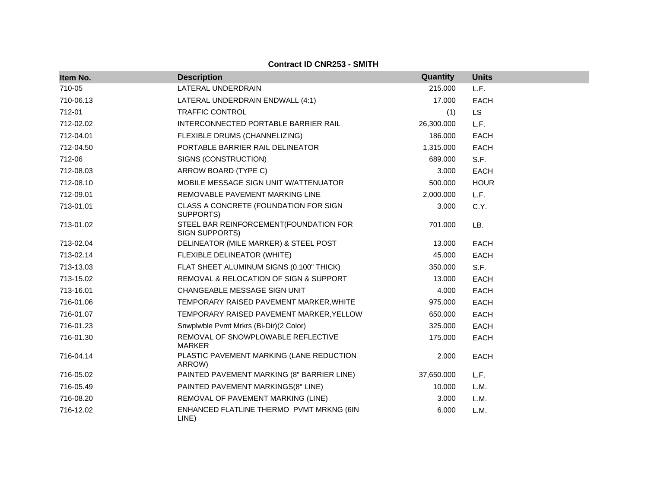| Item No.  | <b>Description</b>                                       | Quantity   | <b>Units</b> |
|-----------|----------------------------------------------------------|------------|--------------|
| 710-05    | LATERAL UNDERDRAIN                                       | 215.000    | L.F.         |
| 710-06.13 | LATERAL UNDERDRAIN ENDWALL (4:1)                         | 17.000     | <b>EACH</b>  |
| 712-01    | <b>TRAFFIC CONTROL</b>                                   | (1)        | <b>LS</b>    |
| 712-02.02 | INTERCONNECTED PORTABLE BARRIER RAIL                     | 26,300.000 | L.F.         |
| 712-04.01 | FLEXIBLE DRUMS (CHANNELIZING)                            | 186.000    | <b>EACH</b>  |
| 712-04.50 | PORTABLE BARRIER RAIL DELINEATOR                         | 1,315.000  | EACH         |
| 712-06    | SIGNS (CONSTRUCTION)                                     | 689.000    | S.F.         |
| 712-08.03 | ARROW BOARD (TYPE C)                                     | 3.000      | <b>EACH</b>  |
| 712-08.10 | MOBILE MESSAGE SIGN UNIT W/ATTENUATOR                    | 500.000    | <b>HOUR</b>  |
| 712-09.01 | REMOVABLE PAVEMENT MARKING LINE                          | 2,000.000  | L.F.         |
| 713-01.01 | CLASS A CONCRETE (FOUNDATION FOR SIGN<br>SUPPORTS)       | 3.000      | C.Y.         |
| 713-01.02 | STEEL BAR REINFORCEMENT(FOUNDATION FOR<br>SIGN SUPPORTS) | 701.000    | LB.          |
| 713-02.04 | DELINEATOR (MILE MARKER) & STEEL POST                    | 13.000     | <b>EACH</b>  |
| 713-02.14 | FLEXIBLE DELINEATOR (WHITE)                              | 45.000     | <b>EACH</b>  |
| 713-13.03 | FLAT SHEET ALUMINUM SIGNS (0.100" THICK)                 | 350.000    | S.F.         |
| 713-15.02 | REMOVAL & RELOCATION OF SIGN & SUPPORT                   | 13.000     | <b>EACH</b>  |
| 713-16.01 | CHANGEABLE MESSAGE SIGN UNIT                             | 4.000      | <b>EACH</b>  |
| 716-01.06 | TEMPORARY RAISED PAVEMENT MARKER, WHITE                  | 975.000    | <b>EACH</b>  |
| 716-01.07 | TEMPORARY RAISED PAVEMENT MARKER, YELLOW                 | 650.000    | <b>EACH</b>  |
| 716-01.23 | Snwplwble Pvmt Mrkrs (Bi-Dir)(2 Color)                   | 325.000    | <b>EACH</b>  |
| 716-01.30 | REMOVAL OF SNOWPLOWABLE REFLECTIVE<br><b>MARKER</b>      | 175.000    | <b>EACH</b>  |
| 716-04.14 | PLASTIC PAVEMENT MARKING (LANE REDUCTION<br>ARROW)       | 2.000      | <b>EACH</b>  |
| 716-05.02 | PAINTED PAVEMENT MARKING (8" BARRIER LINE)               | 37,650.000 | L.F.         |
| 716-05.49 | PAINTED PAVEMENT MARKINGS(8" LINE)                       | 10.000     | L.M.         |
| 716-08.20 | REMOVAL OF PAVEMENT MARKING (LINE)                       | 3.000      | L.M.         |
| 716-12.02 | ENHANCED FLATLINE THERMO PVMT MRKNG (6IN<br>LINE)        | 6.000      | L.M.         |

**Contract ID CNR253 - SMITH**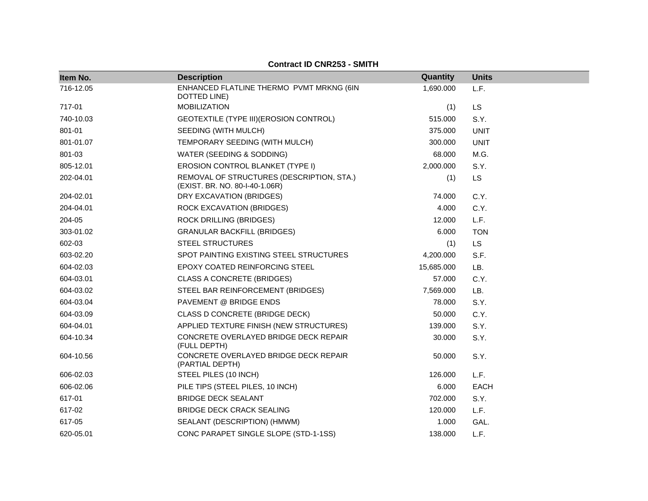| Item No.  | <b>Description</b>                                                          | Quantity   | <b>Units</b> |
|-----------|-----------------------------------------------------------------------------|------------|--------------|
| 716-12.05 | ENHANCED FLATLINE THERMO PVMT MRKNG (6IN<br>DOTTED LINE)                    | 1,690.000  | L.F.         |
| 717-01    | <b>MOBILIZATION</b>                                                         | (1)        | <b>LS</b>    |
| 740-10.03 | GEOTEXTILE (TYPE III) (EROSION CONTROL)                                     | 515.000    | S.Y.         |
| 801-01    | SEEDING (WITH MULCH)                                                        | 375.000    | <b>UNIT</b>  |
| 801-01.07 | TEMPORARY SEEDING (WITH MULCH)                                              | 300.000    | <b>UNIT</b>  |
| 801-03    | WATER (SEEDING & SODDING)                                                   | 68.000     | M.G.         |
| 805-12.01 | EROSION CONTROL BLANKET (TYPE I)                                            | 2,000.000  | S.Y.         |
| 202-04.01 | REMOVAL OF STRUCTURES (DESCRIPTION, STA.)<br>(EXIST. BR. NO. 80-I-40-1.06R) | (1)        | LS           |
| 204-02.01 | DRY EXCAVATION (BRIDGES)                                                    | 74.000     | C.Y.         |
| 204-04.01 | ROCK EXCAVATION (BRIDGES)                                                   | 4.000      | C.Y.         |
| 204-05    | <b>ROCK DRILLING (BRIDGES)</b>                                              | 12.000     | L.F.         |
| 303-01.02 | <b>GRANULAR BACKFILL (BRIDGES)</b>                                          | 6.000      | <b>TON</b>   |
| 602-03    | <b>STEEL STRUCTURES</b>                                                     | (1)        | <b>LS</b>    |
| 603-02.20 | SPOT PAINTING EXISTING STEEL STRUCTURES                                     | 4,200.000  | S.F.         |
| 604-02.03 | EPOXY COATED REINFORCING STEEL                                              | 15,685.000 | LB.          |
| 604-03.01 | <b>CLASS A CONCRETE (BRIDGES)</b>                                           | 57.000     | C.Y.         |
| 604-03.02 | STEEL BAR REINFORCEMENT (BRIDGES)                                           | 7,569.000  | LB.          |
| 604-03.04 | PAVEMENT @ BRIDGE ENDS                                                      | 78.000     | S.Y.         |
| 604-03.09 | CLASS D CONCRETE (BRIDGE DECK)                                              | 50.000     | C.Y.         |
| 604-04.01 | APPLIED TEXTURE FINISH (NEW STRUCTURES)                                     | 139.000    | S.Y.         |
| 604-10.34 | CONCRETE OVERLAYED BRIDGE DECK REPAIR<br>(FULL DEPTH)                       | 30.000     | S.Y.         |
| 604-10.56 | CONCRETE OVERLAYED BRIDGE DECK REPAIR<br>(PARTIAL DEPTH)                    | 50.000     | S.Y.         |
| 606-02.03 | STEEL PILES (10 INCH)                                                       | 126.000    | L.F.         |
| 606-02.06 | PILE TIPS (STEEL PILES, 10 INCH)                                            | 6.000      | <b>EACH</b>  |
| 617-01    | <b>BRIDGE DECK SEALANT</b>                                                  | 702.000    | S.Y.         |
| 617-02    | <b>BRIDGE DECK CRACK SEALING</b>                                            | 120.000    | L.F.         |
| 617-05    | SEALANT (DESCRIPTION) (HMWM)                                                | 1.000      | GAL.         |
| 620-05.01 | CONC PARAPET SINGLE SLOPE (STD-1-1SS)                                       | 138,000    | L.F.         |

## **Contract ID CNR253 - SMITH**